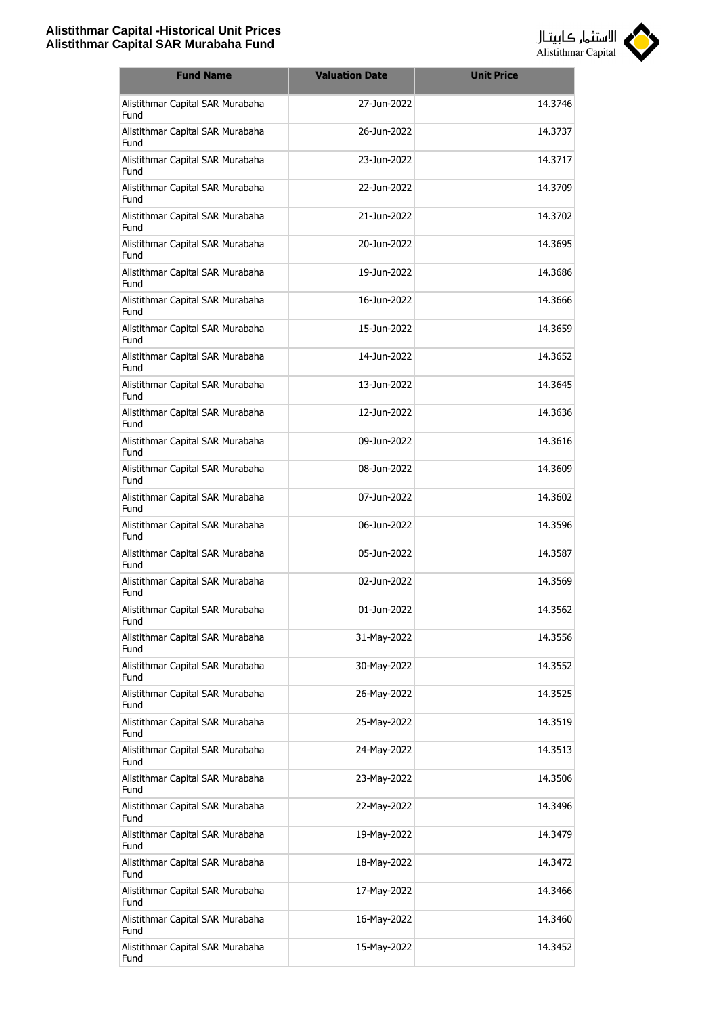

| <b>Fund Name</b>                         | <b>Valuation Date</b> | <b>Unit Price</b> |
|------------------------------------------|-----------------------|-------------------|
| Alistithmar Capital SAR Murabaha<br>Fund | 27-Jun-2022           | 14.3746           |
| Alistithmar Capital SAR Murabaha<br>Fund | 26-Jun-2022           | 14.3737           |
| Alistithmar Capital SAR Murabaha<br>Fund | 23-Jun-2022           | 14.3717           |
| Alistithmar Capital SAR Murabaha<br>Fund | 22-Jun-2022           | 14.3709           |
| Alistithmar Capital SAR Murabaha<br>Fund | 21-1un-2022           | 14.3702           |
| Alistithmar Capital SAR Murabaha<br>Fund | 20-Jun-2022           | 14.3695           |
| Alistithmar Capital SAR Murabaha<br>Fund | 19-Jun-2022           | 14.3686           |
| Alistithmar Capital SAR Murabaha<br>Fund | 16-Jun-2022           | 14.3666           |
| Alistithmar Capital SAR Murabaha<br>Fund | 15-1un-2022           | 14.3659           |
| Alistithmar Capital SAR Murabaha<br>Fund | 14-Jun-2022           | 14.3652           |
| Alistithmar Capital SAR Murabaha<br>Fund | 13-Jun-2022           | 14.3645           |
| Alistithmar Capital SAR Murabaha<br>Fund | 12-Jun-2022           | 14.3636           |
| Alistithmar Capital SAR Murabaha<br>Fund | 09-Jun-2022           | 14.3616           |
| Alistithmar Capital SAR Murabaha<br>Fund | 08-Jun-2022           | 14.3609           |
| Alistithmar Capital SAR Murabaha<br>Fund | 07-Jun-2022           | 14.3602           |
| Alistithmar Capital SAR Murabaha<br>Fund | 06-Jun-2022           | 14.3596           |
| Alistithmar Capital SAR Murabaha<br>Fund | 05-Jun-2022           | 14.3587           |
| Alistithmar Capital SAR Murabaha<br>Fund | 02-1un-2022           | 14.3569           |
| Alistithmar Capital SAR Murabaha<br>Fund | 01-Jun-2022           | 14.3562           |
| Alistithmar Capital SAR Murabaha<br>Fund | 31-May-2022           | 14.3556           |
| Alistithmar Capital SAR Murabaha<br>Fund | 30-May-2022           | 14.3552           |
| Alistithmar Capital SAR Murabaha<br>Fund | 26-May-2022           | 14.3525           |
| Alistithmar Capital SAR Murabaha<br>Fund | 25-May-2022           | 14.3519           |
| Alistithmar Capital SAR Murabaha<br>Fund | 24-May-2022           | 14.3513           |
| Alistithmar Capital SAR Murabaha<br>Fund | 23-May-2022           | 14.3506           |
| Alistithmar Capital SAR Murabaha<br>Fund | 22-May-2022           | 14.3496           |
| Alistithmar Capital SAR Murabaha<br>Fund | 19-May-2022           | 14.3479           |
| Alistithmar Capital SAR Murabaha<br>Fund | 18-May-2022           | 14.3472           |
| Alistithmar Capital SAR Murabaha<br>Fund | 17-May-2022           | 14.3466           |
| Alistithmar Capital SAR Murabaha<br>Fund | 16-May-2022           | 14.3460           |
| Alistithmar Capital SAR Murabaha<br>Fund | 15-May-2022           | 14.3452           |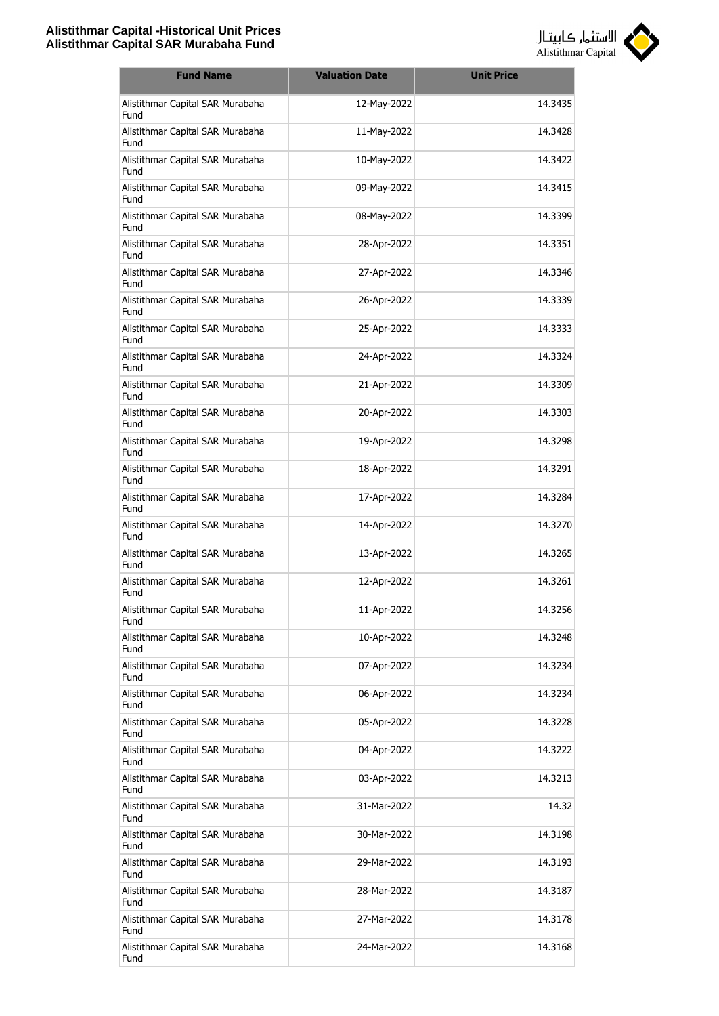

| <b>Fund Name</b>                         | <b>Valuation Date</b> | <b>Unit Price</b> |
|------------------------------------------|-----------------------|-------------------|
| Alistithmar Capital SAR Murabaha<br>Fund | 12-May-2022           | 14.3435           |
| Alistithmar Capital SAR Murabaha<br>Fund | 11-May-2022           | 14.3428           |
| Alistithmar Capital SAR Murabaha<br>Fund | 10-May-2022           | 14.3422           |
| Alistithmar Capital SAR Murabaha<br>Fund | 09-May-2022           | 14.3415           |
| Alistithmar Capital SAR Murabaha<br>Fund | 08-May-2022           | 14.3399           |
| Alistithmar Capital SAR Murabaha<br>Fund | 28-Apr-2022           | 14.3351           |
| Alistithmar Capital SAR Murabaha<br>Fund | 27-Apr-2022           | 14.3346           |
| Alistithmar Capital SAR Murabaha<br>Fund | 26-Apr-2022           | 14.3339           |
| Alistithmar Capital SAR Murabaha<br>Fund | 25-Apr-2022           | 14.3333           |
| Alistithmar Capital SAR Murabaha<br>Fund | 24-Apr-2022           | 14.3324           |
| Alistithmar Capital SAR Murabaha<br>Fund | 21-Apr-2022           | 14.3309           |
| Alistithmar Capital SAR Murabaha<br>Fund | 20-Apr-2022           | 14.3303           |
| Alistithmar Capital SAR Murabaha<br>Fund | 19-Apr-2022           | 14.3298           |
| Alistithmar Capital SAR Murabaha<br>Fund | 18-Apr-2022           | 14.3291           |
| Alistithmar Capital SAR Murabaha<br>Fund | 17-Apr-2022           | 14.3284           |
| Alistithmar Capital SAR Murabaha<br>Fund | 14-Apr-2022           | 14.3270           |
| Alistithmar Capital SAR Murabaha<br>Fund | 13-Apr-2022           | 14.3265           |
| Alistithmar Capital SAR Murabaha<br>Fund | 12-Apr-2022           | 14.3261           |
| Alistithmar Capital SAR Murabaha<br>Fund | 11-Apr-2022           | 14.3256           |
| Alistithmar Capital SAR Murabaha<br>Fund | 10-Apr-2022           | 14.3248           |
| Alistithmar Capital SAR Murabaha<br>Fund | 07-Apr-2022           | 14.3234           |
| Alistithmar Capital SAR Murabaha<br>Fund | 06-Apr-2022           | 14.3234           |
| Alistithmar Capital SAR Murabaha<br>Fund | 05-Apr-2022           | 14.3228           |
| Alistithmar Capital SAR Murabaha<br>Fund | 04-Apr-2022           | 14.3222           |
| Alistithmar Capital SAR Murabaha<br>Fund | 03-Apr-2022           | 14.3213           |
| Alistithmar Capital SAR Murabaha<br>Fund | 31-Mar-2022           | 14.32             |
| Alistithmar Capital SAR Murabaha<br>Fund | 30-Mar-2022           | 14.3198           |
| Alistithmar Capital SAR Murabaha<br>Fund | 29-Mar-2022           | 14.3193           |
| Alistithmar Capital SAR Murabaha<br>Fund | 28-Mar-2022           | 14.3187           |
| Alistithmar Capital SAR Murabaha<br>Fund | 27-Mar-2022           | 14.3178           |
| Alistithmar Capital SAR Murabaha<br>Fund | 24-Mar-2022           | 14.3168           |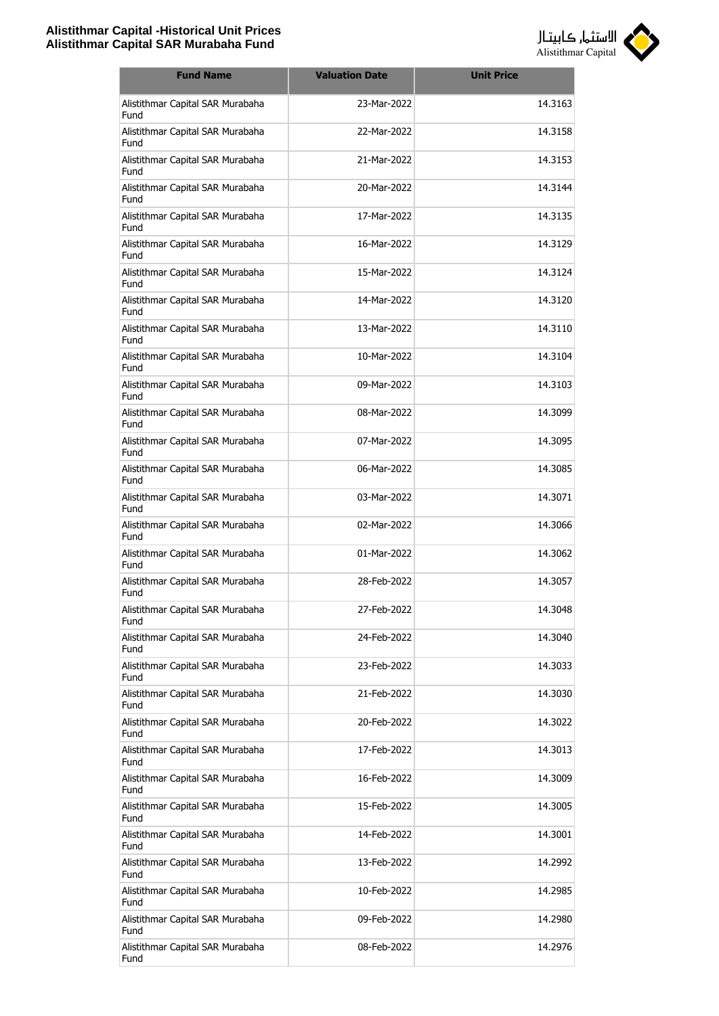

| <b>Fund Name</b>                         | <b>Valuation Date</b> | <b>Unit Price</b> |
|------------------------------------------|-----------------------|-------------------|
| Alistithmar Capital SAR Murabaha<br>Fund | 23-Mar-2022           | 14.3163           |
| Alistithmar Capital SAR Murabaha<br>Fund | 22-Mar-2022           | 14.3158           |
| Alistithmar Capital SAR Murabaha<br>Fund | 21-Mar-2022           | 14.3153           |
| Alistithmar Capital SAR Murabaha<br>Fund | 20-Mar-2022           | 14.3144           |
| Alistithmar Capital SAR Murabaha<br>Fund | 17-Mar-2022           | 14.3135           |
| Alistithmar Capital SAR Murabaha<br>Fund | 16-Mar-2022           | 14.3129           |
| Alistithmar Capital SAR Murabaha<br>Fund | 15-Mar-2022           | 14.3124           |
| Alistithmar Capital SAR Murabaha<br>Fund | 14-Mar-2022           | 14.3120           |
| Alistithmar Capital SAR Murabaha<br>Fund | 13-Mar-2022           | 14.3110           |
| Alistithmar Capital SAR Murabaha<br>Fund | 10-Mar-2022           | 14.3104           |
| Alistithmar Capital SAR Murabaha<br>Fund | 09-Mar-2022           | 14.3103           |
| Alistithmar Capital SAR Murabaha<br>Fund | 08-Mar-2022           | 14.3099           |
| Alistithmar Capital SAR Murabaha<br>Fund | 07-Mar-2022           | 14.3095           |
| Alistithmar Capital SAR Murabaha<br>Fund | 06-Mar-2022           | 14.3085           |
| Alistithmar Capital SAR Murabaha<br>Fund | 03-Mar-2022           | 14.3071           |
| Alistithmar Capital SAR Murabaha<br>Fund | 02-Mar-2022           | 14.3066           |
| Alistithmar Capital SAR Murabaha<br>Fund | 01-Mar-2022           | 14.3062           |
| Alistithmar Capital SAR Murabaha<br>Fund | 28-Feb-2022           | 14.3057           |
| Alistithmar Capital SAR Murabaha<br>Fund | 27-Feb-2022           | 14.3048           |
| Alistithmar Capital SAR Murabaha<br>Fund | 24-Feb-2022           | 14.3040           |
| Alistithmar Capital SAR Murabaha<br>Fund | 23-Feb-2022           | 14.3033           |
| Alistithmar Capital SAR Murabaha<br>Fund | 21-Feb-2022           | 14.3030           |
| Alistithmar Capital SAR Murabaha<br>Fund | 20-Feb-2022           | 14.3022           |
| Alistithmar Capital SAR Murabaha<br>Fund | 17-Feb-2022           | 14.3013           |
| Alistithmar Capital SAR Murabaha<br>Fund | 16-Feb-2022           | 14.3009           |
| Alistithmar Capital SAR Murabaha<br>Fund | 15-Feb-2022           | 14.3005           |
| Alistithmar Capital SAR Murabaha<br>Fund | 14-Feb-2022           | 14.3001           |
| Alistithmar Capital SAR Murabaha<br>Fund | 13-Feb-2022           | 14.2992           |
| Alistithmar Capital SAR Murabaha<br>Fund | 10-Feb-2022           | 14.2985           |
| Alistithmar Capital SAR Murabaha<br>Fund | 09-Feb-2022           | 14.2980           |
| Alistithmar Capital SAR Murabaha<br>Fund | 08-Feb-2022           | 14.2976           |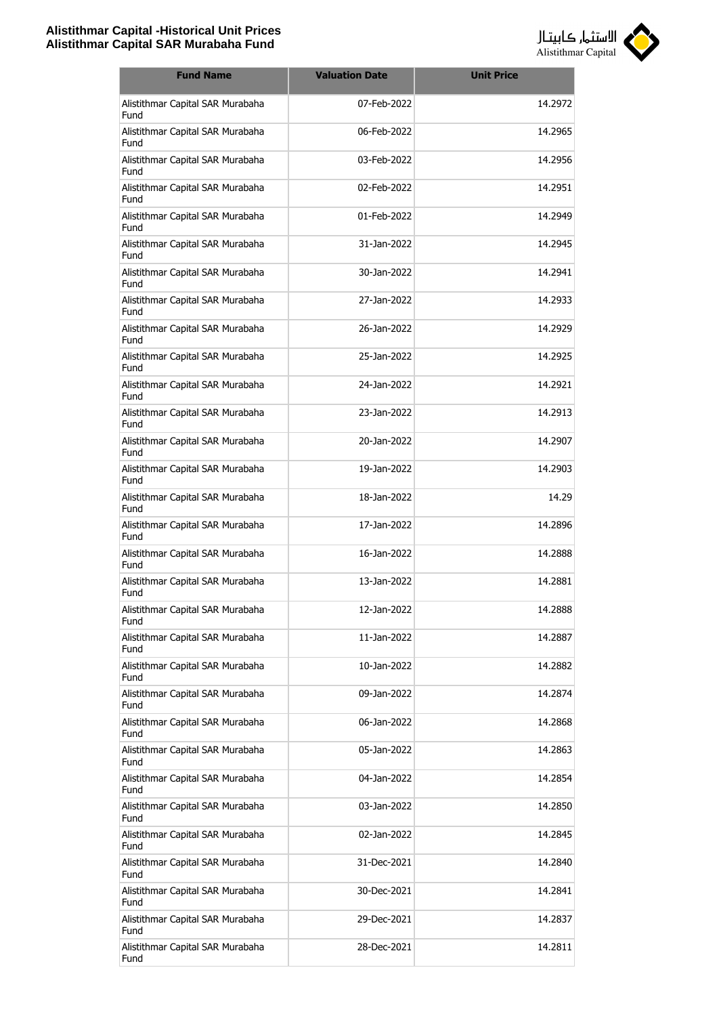

| <b>Fund Name</b>                         | <b>Valuation Date</b> | <b>Unit Price</b> |
|------------------------------------------|-----------------------|-------------------|
| Alistithmar Capital SAR Murabaha<br>Fund | 07-Feb-2022           | 14.2972           |
| Alistithmar Capital SAR Murabaha<br>Fund | 06-Feb-2022           | 14.2965           |
| Alistithmar Capital SAR Murabaha<br>Fund | 03-Feb-2022           | 14.2956           |
| Alistithmar Capital SAR Murabaha<br>Fund | 02-Feb-2022           | 14.2951           |
| Alistithmar Capital SAR Murabaha<br>Fund | 01-Feb-2022           | 14.2949           |
| Alistithmar Capital SAR Murabaha<br>Fund | 31-Jan-2022           | 14.2945           |
| Alistithmar Capital SAR Murabaha<br>Fund | 30-Jan-2022           | 14.2941           |
| Alistithmar Capital SAR Murabaha<br>Fund | 27-Jan-2022           | 14.2933           |
| Alistithmar Capital SAR Murabaha<br>Fund | 26-Jan-2022           | 14.2929           |
| Alistithmar Capital SAR Murabaha<br>Fund | 25-1an-2022           | 14.2925           |
| Alistithmar Capital SAR Murabaha<br>Fund | 24-Jan-2022           | 14.2921           |
| Alistithmar Capital SAR Murabaha<br>Fund | 23-Jan-2022           | 14.2913           |
| Alistithmar Capital SAR Murabaha<br>Fund | 20-Jan-2022           | 14.2907           |
| Alistithmar Capital SAR Murabaha<br>Fund | 19-Jan-2022           | 14.2903           |
| Alistithmar Capital SAR Murabaha<br>Fund | 18-Jan-2022           | 14.29             |
| Alistithmar Capital SAR Murabaha<br>Fund | 17-Jan-2022           | 14.2896           |
| Alistithmar Capital SAR Murabaha<br>Fund | 16-Jan-2022           | 14.2888           |
| Alistithmar Capital SAR Murabaha<br>Fund | 13-Jan-2022           | 14.2881           |
| Alistithmar Capital SAR Murabaha<br>Fund | 12-Jan-2022           | 14.2888           |
| Alistithmar Capital SAR Murabaha<br>Fund | 11-Jan-2022           | 14.2887           |
| Alistithmar Capital SAR Murabaha<br>Fund | 10-Jan-2022           | 14.2882           |
| Alistithmar Capital SAR Murabaha<br>Fund | 09-Jan-2022           | 14.2874           |
| Alistithmar Capital SAR Murabaha<br>Fund | 06-Jan-2022           | 14.2868           |
| Alistithmar Capital SAR Murabaha<br>Fund | 05-Jan-2022           | 14.2863           |
| Alistithmar Capital SAR Murabaha<br>Fund | 04-Jan-2022           | 14.2854           |
| Alistithmar Capital SAR Murabaha<br>Fund | 03-Jan-2022           | 14.2850           |
| Alistithmar Capital SAR Murabaha<br>Fund | 02-Jan-2022           | 14.2845           |
| Alistithmar Capital SAR Murabaha<br>Fund | 31-Dec-2021           | 14.2840           |
| Alistithmar Capital SAR Murabaha<br>Fund | 30-Dec-2021           | 14.2841           |
| Alistithmar Capital SAR Murabaha<br>Fund | 29-Dec-2021           | 14.2837           |
| Alistithmar Capital SAR Murabaha<br>Fund | 28-Dec-2021           | 14.2811           |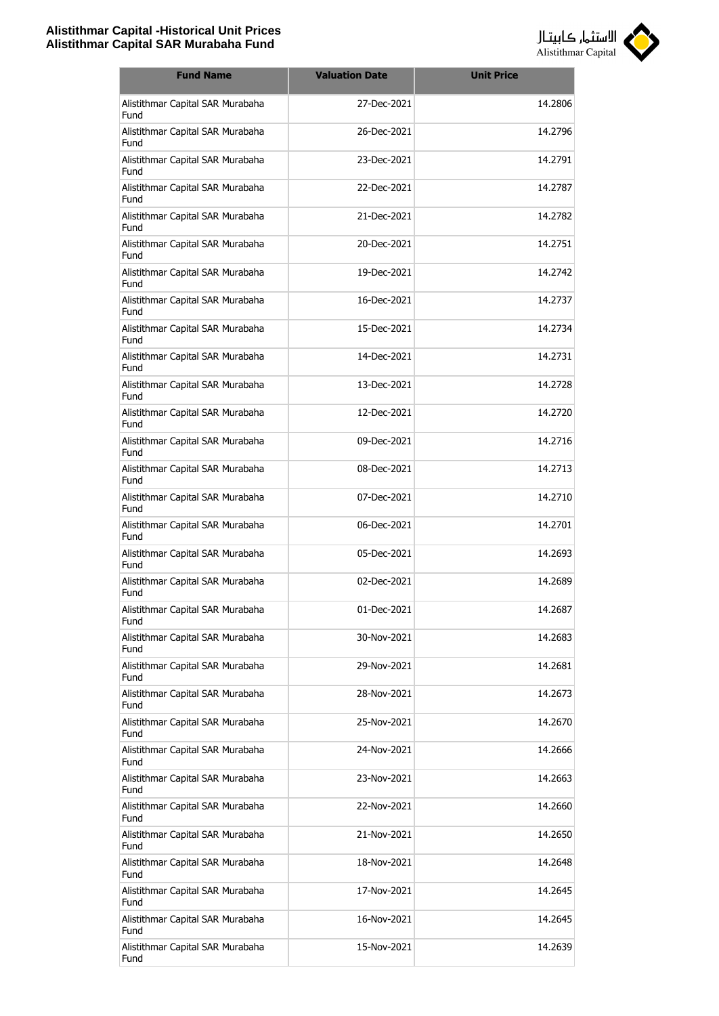

| <b>Fund Name</b>                         | <b>Valuation Date</b> | <b>Unit Price</b> |
|------------------------------------------|-----------------------|-------------------|
| Alistithmar Capital SAR Murabaha<br>Fund | 27-Dec-2021           | 14.2806           |
| Alistithmar Capital SAR Murabaha<br>Fund | 26-Dec-2021           | 14.2796           |
| Alistithmar Capital SAR Murabaha<br>Fund | 23-Dec-2021           | 14.2791           |
| Alistithmar Capital SAR Murabaha<br>Fund | 22-Dec-2021           | 14.2787           |
| Alistithmar Capital SAR Murabaha<br>Fund | 21-Dec-2021           | 14.2782           |
| Alistithmar Capital SAR Murabaha<br>Fund | 20-Dec-2021           | 14.2751           |
| Alistithmar Capital SAR Murabaha<br>Fund | 19-Dec-2021           | 14.2742           |
| Alistithmar Capital SAR Murabaha<br>Fund | 16-Dec-2021           | 14.2737           |
| Alistithmar Capital SAR Murabaha<br>Fund | 15-Dec-2021           | 14.2734           |
| Alistithmar Capital SAR Murabaha<br>Fund | 14-Dec-2021           | 14.2731           |
| Alistithmar Capital SAR Murabaha<br>Fund | 13-Dec-2021           | 14.2728           |
| Alistithmar Capital SAR Murabaha<br>Fund | 12-Dec-2021           | 14.2720           |
| Alistithmar Capital SAR Murabaha<br>Fund | 09-Dec-2021           | 14.2716           |
| Alistithmar Capital SAR Murabaha<br>Fund | 08-Dec-2021           | 14.2713           |
| Alistithmar Capital SAR Murabaha<br>Fund | 07-Dec-2021           | 14.2710           |
| Alistithmar Capital SAR Murabaha<br>Fund | 06-Dec-2021           | 14.2701           |
| Alistithmar Capital SAR Murabaha<br>Fund | 05-Dec-2021           | 14.2693           |
| Alistithmar Capital SAR Murabaha<br>Fund | 02-Dec-2021           | 14.2689           |
| Alistithmar Capital SAR Murabaha<br>Fund | 01-Dec-2021           | 14.2687           |
| Alistithmar Capital SAR Murabaha<br>Fund | 30-Nov-2021           | 14.2683           |
| Alistithmar Capital SAR Murabaha<br>Fund | 29-Nov-2021           | 14.2681           |
| Alistithmar Capital SAR Murabaha<br>Fund | 28-Nov-2021           | 14.2673           |
| Alistithmar Capital SAR Murabaha<br>Fund | 25-Nov-2021           | 14.2670           |
| Alistithmar Capital SAR Murabaha<br>Fund | 24-Nov-2021           | 14.2666           |
| Alistithmar Capital SAR Murabaha<br>Fund | 23-Nov-2021           | 14.2663           |
| Alistithmar Capital SAR Murabaha<br>Fund | 22-Nov-2021           | 14.2660           |
| Alistithmar Capital SAR Murabaha<br>Fund | 21-Nov-2021           | 14.2650           |
| Alistithmar Capital SAR Murabaha<br>Fund | 18-Nov-2021           | 14.2648           |
| Alistithmar Capital SAR Murabaha<br>Fund | 17-Nov-2021           | 14.2645           |
| Alistithmar Capital SAR Murabaha<br>Fund | 16-Nov-2021           | 14.2645           |
| Alistithmar Capital SAR Murabaha<br>Fund | 15-Nov-2021           | 14.2639           |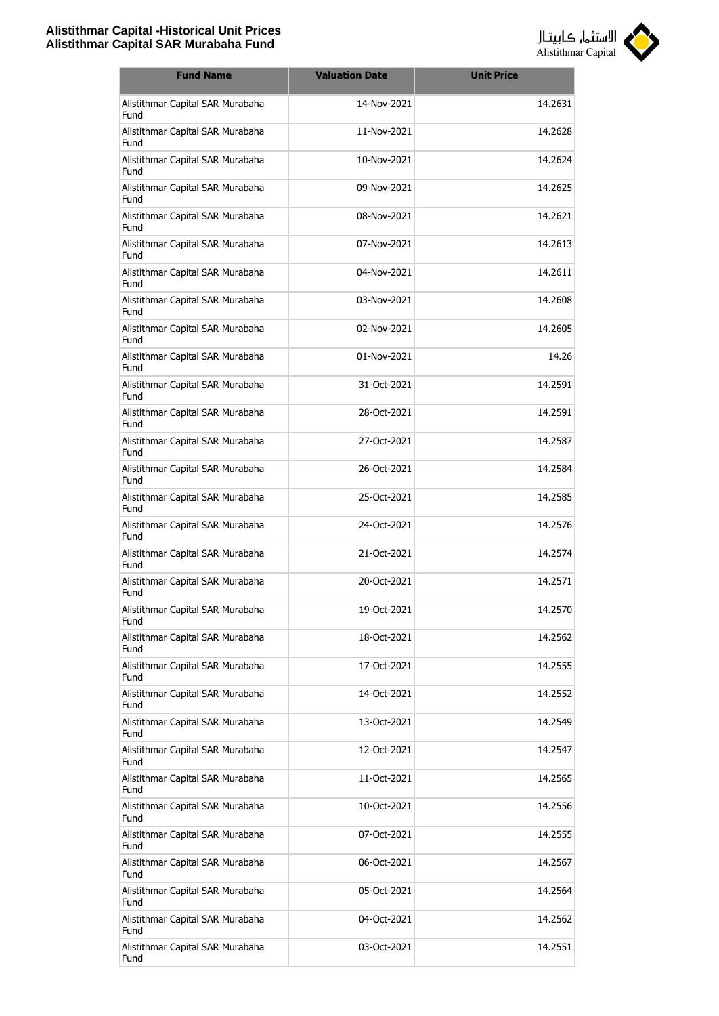

| <b>Fund Name</b>                         | <b>Valuation Date</b> | <b>Unit Price</b> |
|------------------------------------------|-----------------------|-------------------|
| Alistithmar Capital SAR Murabaha<br>Fund | 14-Nov-2021           | 14.2631           |
| Alistithmar Capital SAR Murabaha<br>Fund | 11-Nov-2021           | 14.2628           |
| Alistithmar Capital SAR Murabaha<br>Fund | 10-Nov-2021           | 14.2624           |
| Alistithmar Capital SAR Murabaha<br>Fund | 09-Nov-2021           | 14.2625           |
| Alistithmar Capital SAR Murabaha<br>Fund | 08-Nov-2021           | 14.2621           |
| Alistithmar Capital SAR Murabaha<br>Fund | 07-Nov-2021           | 14.2613           |
| Alistithmar Capital SAR Murabaha<br>Fund | 04-Nov-2021           | 14.2611           |
| Alistithmar Capital SAR Murabaha<br>Fund | 03-Nov-2021           | 14.2608           |
| Alistithmar Capital SAR Murabaha<br>Fund | 02-Nov-2021           | 14.2605           |
| Alistithmar Capital SAR Murabaha<br>Fund | 01-Nov-2021           | 14.26             |
| Alistithmar Capital SAR Murabaha<br>Fund | 31-Oct-2021           | 14.2591           |
| Alistithmar Capital SAR Murabaha<br>Fund | 28-Oct-2021           | 14.2591           |
| Alistithmar Capital SAR Murabaha<br>Fund | 27-Oct-2021           | 14.2587           |
| Alistithmar Capital SAR Murabaha<br>Fund | 26-Oct-2021           | 14.2584           |
| Alistithmar Capital SAR Murabaha<br>Fund | 25-Oct-2021           | 14.2585           |
| Alistithmar Capital SAR Murabaha<br>Fund | 24-Oct-2021           | 14.2576           |
| Alistithmar Capital SAR Murabaha<br>Fund | 21-Oct-2021           | 14.2574           |
| Alistithmar Capital SAR Murabaha<br>Fund | 20-Oct-2021           | 14.2571           |
| Alistithmar Capital SAR Murabaha<br>Fund | 19-Oct-2021           | 14.2570           |
| Alistithmar Capital SAR Murabaha<br>Fund | 18-Oct-2021           | 14.2562           |
| Alistithmar Capital SAR Murabaha<br>Fund | 17-Oct-2021           | 14.2555           |
| Alistithmar Capital SAR Murabaha<br>Fund | 14-Oct-2021           | 14.2552           |
| Alistithmar Capital SAR Murabaha<br>Fund | 13-Oct-2021           | 14.2549           |
| Alistithmar Capital SAR Murabaha<br>Fund | 12-Oct-2021           | 14.2547           |
| Alistithmar Capital SAR Murabaha<br>Fund | 11-Oct-2021           | 14.2565           |
| Alistithmar Capital SAR Murabaha<br>Fund | 10-Oct-2021           | 14.2556           |
| Alistithmar Capital SAR Murabaha<br>Fund | 07-Oct-2021           | 14.2555           |
| Alistithmar Capital SAR Murabaha<br>Fund | 06-Oct-2021           | 14.2567           |
| Alistithmar Capital SAR Murabaha<br>Fund | 05-Oct-2021           | 14.2564           |
| Alistithmar Capital SAR Murabaha<br>Fund | 04-Oct-2021           | 14.2562           |
| Alistithmar Capital SAR Murabaha<br>Fund | 03-Oct-2021           | 14.2551           |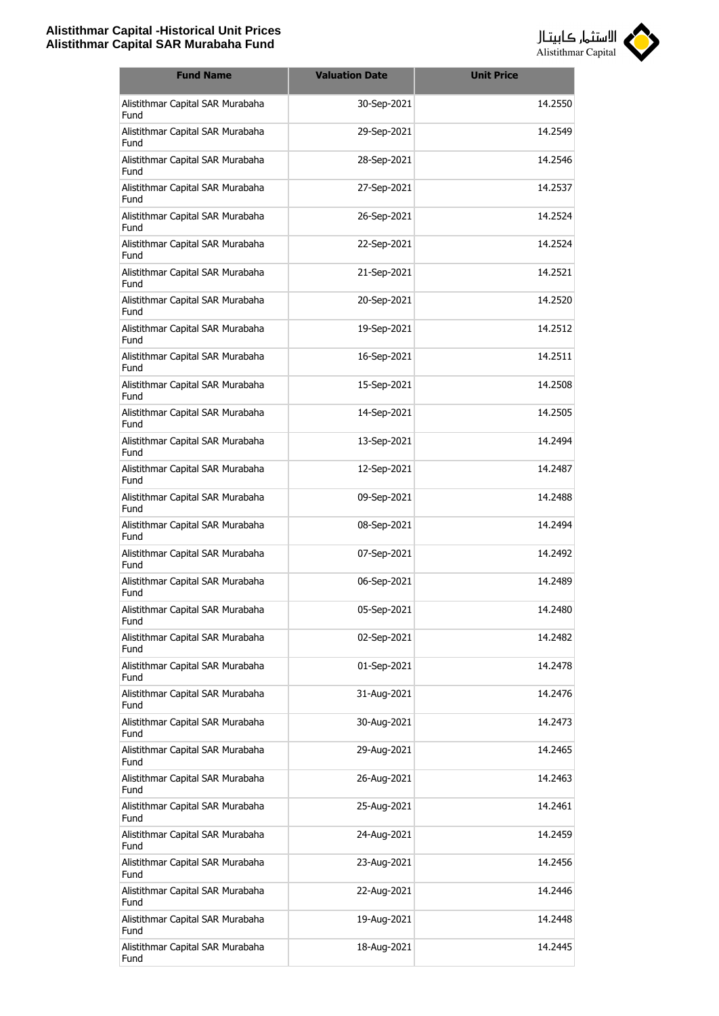

| <b>Fund Name</b>                         | <b>Valuation Date</b> | <b>Unit Price</b> |
|------------------------------------------|-----------------------|-------------------|
| Alistithmar Capital SAR Murabaha<br>Fund | 30-Sep-2021           | 14.2550           |
| Alistithmar Capital SAR Murabaha<br>Fund | 29-Sep-2021           | 14.2549           |
| Alistithmar Capital SAR Murabaha<br>Fund | 28-Sep-2021           | 14.2546           |
| Alistithmar Capital SAR Murabaha<br>Fund | 27-Sep-2021           | 14.2537           |
| Alistithmar Capital SAR Murabaha<br>Fund | 26-Sep-2021           | 14.2524           |
| Alistithmar Capital SAR Murabaha<br>Fund | 22-Sep-2021           | 14.2524           |
| Alistithmar Capital SAR Murabaha<br>Fund | 21-Sep-2021           | 14.2521           |
| Alistithmar Capital SAR Murabaha<br>Fund | 20-Sep-2021           | 14.2520           |
| Alistithmar Capital SAR Murabaha<br>Fund | 19-Sep-2021           | 14.2512           |
| Alistithmar Capital SAR Murabaha<br>Fund | 16-Sep-2021           | 14.2511           |
| Alistithmar Capital SAR Murabaha<br>Fund | 15-Sep-2021           | 14.2508           |
| Alistithmar Capital SAR Murabaha<br>Fund | 14-Sep-2021           | 14.2505           |
| Alistithmar Capital SAR Murabaha<br>Fund | 13-Sep-2021           | 14.2494           |
| Alistithmar Capital SAR Murabaha<br>Fund | 12-Sep-2021           | 14.2487           |
| Alistithmar Capital SAR Murabaha<br>Fund | 09-Sep-2021           | 14.2488           |
| Alistithmar Capital SAR Murabaha<br>Fund | 08-Sep-2021           | 14.2494           |
| Alistithmar Capital SAR Murabaha<br>Fund | 07-Sep-2021           | 14.2492           |
| Alistithmar Capital SAR Murabaha<br>Fund | 06-Sep-2021           | 14.2489           |
| Alistithmar Capital SAR Murabaha<br>Fund | 05-Sep-2021           | 14.2480           |
| Alistithmar Capital SAR Murabaha<br>Fund | 02-Sep-2021           | 14.2482           |
| Alistithmar Capital SAR Murabaha<br>Fund | 01-Sep-2021           | 14.2478           |
| Alistithmar Capital SAR Murabaha<br>Fund | 31-Aug-2021           | 14.2476           |
| Alistithmar Capital SAR Murabaha<br>Fund | 30-Aug-2021           | 14.2473           |
| Alistithmar Capital SAR Murabaha<br>Fund | 29-Aug-2021           | 14.2465           |
| Alistithmar Capital SAR Murabaha<br>Fund | 26-Aug-2021           | 14.2463           |
| Alistithmar Capital SAR Murabaha<br>Fund | 25-Aug-2021           | 14.2461           |
| Alistithmar Capital SAR Murabaha<br>Fund | 24-Aug-2021           | 14.2459           |
| Alistithmar Capital SAR Murabaha<br>Fund | 23-Aug-2021           | 14.2456           |
| Alistithmar Capital SAR Murabaha<br>Fund | 22-Aug-2021           | 14.2446           |
| Alistithmar Capital SAR Murabaha<br>Fund | 19-Aug-2021           | 14.2448           |
| Alistithmar Capital SAR Murabaha<br>Fund | 18-Aug-2021           | 14.2445           |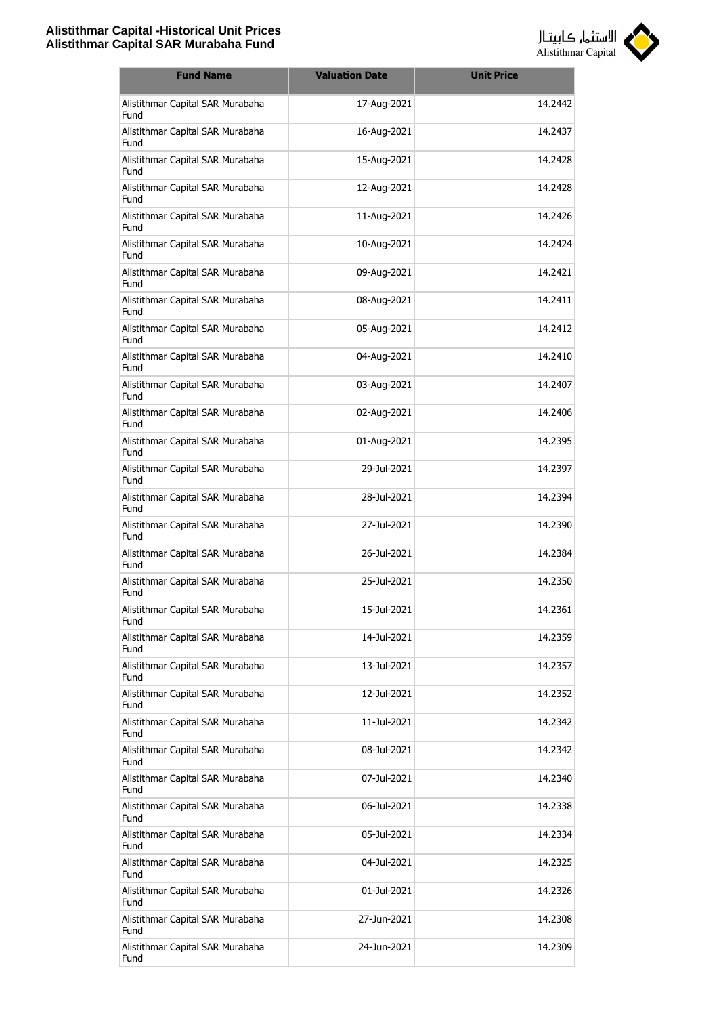

| <b>Fund Name</b>                         | <b>Valuation Date</b> | <b>Unit Price</b> |
|------------------------------------------|-----------------------|-------------------|
| Alistithmar Capital SAR Murabaha<br>Fund | 17-Aug-2021           | 14.2442           |
| Alistithmar Capital SAR Murabaha<br>Fund | 16-Aug-2021           | 14.2437           |
| Alistithmar Capital SAR Murabaha<br>Fund | 15-Aug-2021           | 14.2428           |
| Alistithmar Capital SAR Murabaha<br>Fund | 12-Aug-2021           | 14.2428           |
| Alistithmar Capital SAR Murabaha<br>Fund | 11-Aug-2021           | 14.2426           |
| Alistithmar Capital SAR Murabaha<br>Fund | 10-Aug-2021           | 14.2424           |
| Alistithmar Capital SAR Murabaha<br>Fund | 09-Aug-2021           | 14.2421           |
| Alistithmar Capital SAR Murabaha<br>Fund | 08-Aug-2021           | 14.2411           |
| Alistithmar Capital SAR Murabaha<br>Fund | 05-Aug-2021           | 14.2412           |
| Alistithmar Capital SAR Murabaha<br>Fund | 04-Aug-2021           | 14.2410           |
| Alistithmar Capital SAR Murabaha<br>Fund | 03-Aug-2021           | 14.2407           |
| Alistithmar Capital SAR Murabaha<br>Fund | 02-Aug-2021           | 14.2406           |
| Alistithmar Capital SAR Murabaha<br>Fund | 01-Aug-2021           | 14.2395           |
| Alistithmar Capital SAR Murabaha<br>Fund | 29-Jul-2021           | 14.2397           |
| Alistithmar Capital SAR Murabaha<br>Fund | 28-Jul-2021           | 14.2394           |
| Alistithmar Capital SAR Murabaha<br>Fund | 27-Jul-2021           | 14.2390           |
| Alistithmar Capital SAR Murabaha<br>Fund | 26-1ul-2021           | 14.2384           |
| Alistithmar Capital SAR Murabaha<br>Fund | 25-Jul-2021           | 14.2350           |
| Alistithmar Capital SAR Murabaha<br>Fund | 15-Jul-2021           | 14.2361           |
| Alistithmar Capital SAR Murabaha<br>Fund | 14-Jul-2021           | 14.2359           |
| Alistithmar Capital SAR Murabaha<br>Fund | 13-Jul-2021           | 14.2357           |
| Alistithmar Capital SAR Murabaha<br>Fund | 12-Jul-2021           | 14.2352           |
| Alistithmar Capital SAR Murabaha<br>Fund | 11-Jul-2021           | 14.2342           |
| Alistithmar Capital SAR Murabaha<br>Fund | 08-Jul-2021           | 14.2342           |
| Alistithmar Capital SAR Murabaha<br>Fund | 07-Jul-2021           | 14.2340           |
| Alistithmar Capital SAR Murabaha<br>Fund | 06-Jul-2021           | 14.2338           |
| Alistithmar Capital SAR Murabaha<br>Fund | 05-Jul-2021           | 14.2334           |
| Alistithmar Capital SAR Murabaha<br>Fund | 04-Jul-2021           | 14.2325           |
| Alistithmar Capital SAR Murabaha<br>Fund | 01-Jul-2021           | 14.2326           |
| Alistithmar Capital SAR Murabaha<br>Fund | 27-Jun-2021           | 14.2308           |
| Alistithmar Capital SAR Murabaha<br>Fund | 24-Jun-2021           | 14.2309           |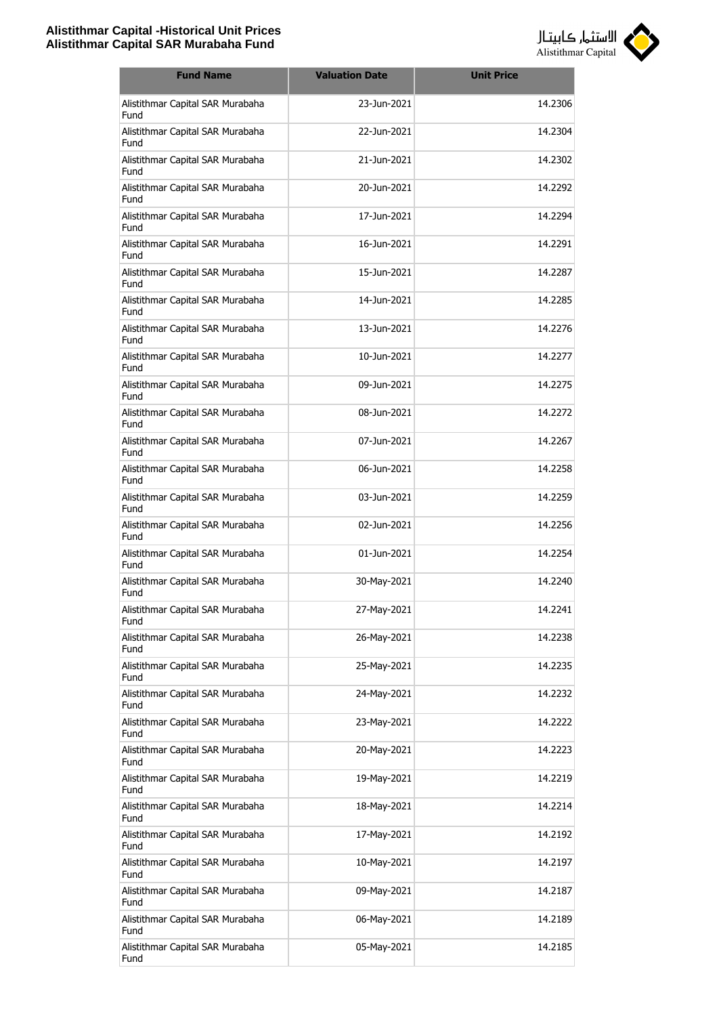

| <b>Fund Name</b>                         | <b>Valuation Date</b> | <b>Unit Price</b> |
|------------------------------------------|-----------------------|-------------------|
| Alistithmar Capital SAR Murabaha<br>Fund | 23-Jun-2021           | 14.2306           |
| Alistithmar Capital SAR Murabaha<br>Fund | 22-Jun-2021           | 14.2304           |
| Alistithmar Capital SAR Murabaha<br>Fund | 21-Jun-2021           | 14.2302           |
| Alistithmar Capital SAR Murabaha<br>Fund | 20-Jun-2021           | 14.2292           |
| Alistithmar Capital SAR Murabaha<br>Fund | 17-Jun-2021           | 14.2294           |
| Alistithmar Capital SAR Murabaha<br>Fund | 16-Jun-2021           | 14.2291           |
| Alistithmar Capital SAR Murabaha<br>Fund | 15-Jun-2021           | 14.2287           |
| Alistithmar Capital SAR Murabaha<br>Fund | 14-Jun-2021           | 14.2285           |
| Alistithmar Capital SAR Murabaha<br>Fund | 13-Jun-2021           | 14.2276           |
| Alistithmar Capital SAR Murabaha<br>Fund | 10-Jun-2021           | 14.2277           |
| Alistithmar Capital SAR Murabaha<br>Fund | 09-Jun-2021           | 14.2275           |
| Alistithmar Capital SAR Murabaha<br>Fund | 08-Jun-2021           | 14.2272           |
| Alistithmar Capital SAR Murabaha<br>Fund | 07-Jun-2021           | 14.2267           |
| Alistithmar Capital SAR Murabaha<br>Fund | 06-Jun-2021           | 14.2258           |
| Alistithmar Capital SAR Murabaha<br>Fund | 03-Jun-2021           | 14.2259           |
| Alistithmar Capital SAR Murabaha<br>Fund | 02-Jun-2021           | 14.2256           |
| Alistithmar Capital SAR Murabaha<br>Fund | 01-Jun-2021           | 14.2254           |
| Alistithmar Capital SAR Murabaha<br>Fund | 30-May-2021           | 14.2240           |
| Alistithmar Capital SAR Murabaha<br>Fund | 27-May-2021           | 14.2241           |
| Alistithmar Capital SAR Murabaha<br>Fund | 26-May-2021           | 14.2238           |
| Alistithmar Capital SAR Murabaha<br>Fund | 25-May-2021           | 14.2235           |
| Alistithmar Capital SAR Murabaha<br>Fund | 24-May-2021           | 14.2232           |
| Alistithmar Capital SAR Murabaha<br>Fund | 23-May-2021           | 14.2222           |
| Alistithmar Capital SAR Murabaha<br>Fund | 20-May-2021           | 14.2223           |
| Alistithmar Capital SAR Murabaha<br>Fund | 19-May-2021           | 14.2219           |
| Alistithmar Capital SAR Murabaha<br>Fund | 18-May-2021           | 14.2214           |
| Alistithmar Capital SAR Murabaha<br>Fund | 17-May-2021           | 14.2192           |
| Alistithmar Capital SAR Murabaha<br>Fund | 10-May-2021           | 14.2197           |
| Alistithmar Capital SAR Murabaha<br>Fund | 09-May-2021           | 14.2187           |
| Alistithmar Capital SAR Murabaha<br>Fund | 06-May-2021           | 14.2189           |
| Alistithmar Capital SAR Murabaha<br>Fund | 05-May-2021           | 14.2185           |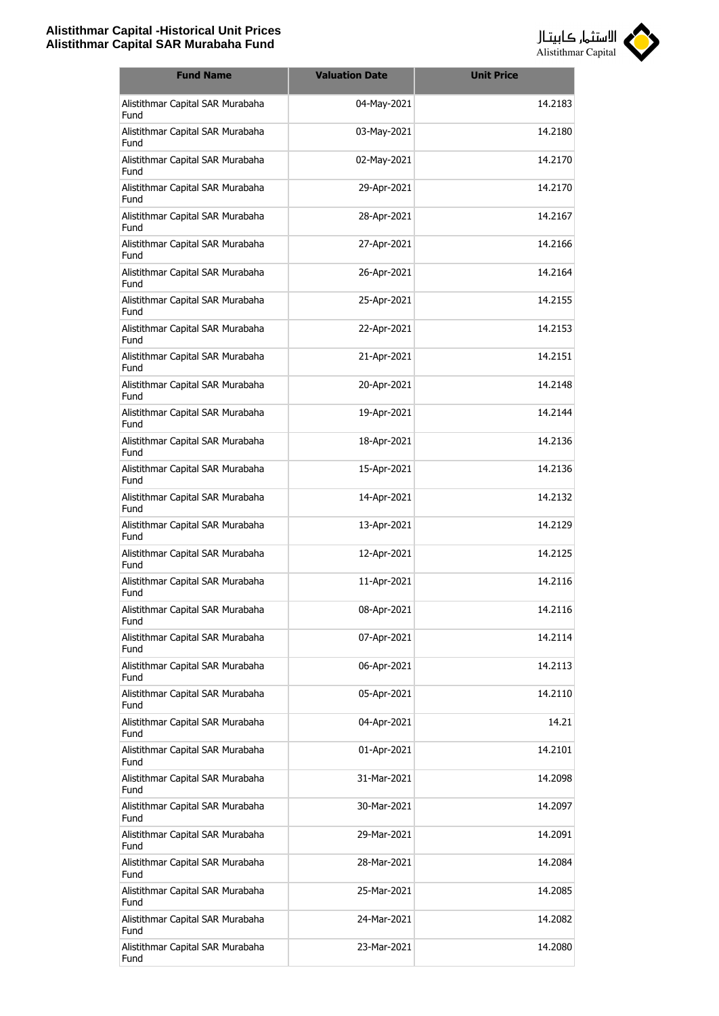

| <b>Fund Name</b>                         | <b>Valuation Date</b> | <b>Unit Price</b> |
|------------------------------------------|-----------------------|-------------------|
| Alistithmar Capital SAR Murabaha<br>Fund | 04-May-2021           | 14.2183           |
| Alistithmar Capital SAR Murabaha<br>Fund | 03-May-2021           | 14.2180           |
| Alistithmar Capital SAR Murabaha<br>Fund | 02-May-2021           | 14.2170           |
| Alistithmar Capital SAR Murabaha<br>Fund | 29-Apr-2021           | 14.2170           |
| Alistithmar Capital SAR Murabaha<br>Fund | 28-Apr-2021           | 14.2167           |
| Alistithmar Capital SAR Murabaha<br>Fund | 27-Apr-2021           | 14.2166           |
| Alistithmar Capital SAR Murabaha<br>Fund | 26-Apr-2021           | 14.2164           |
| Alistithmar Capital SAR Murabaha<br>Fund | 25-Apr-2021           | 14.2155           |
| Alistithmar Capital SAR Murabaha<br>Fund | 22-Apr-2021           | 14.2153           |
| Alistithmar Capital SAR Murabaha<br>Fund | 21-Apr-2021           | 14.2151           |
| Alistithmar Capital SAR Murabaha<br>Fund | 20-Apr-2021           | 14.2148           |
| Alistithmar Capital SAR Murabaha<br>Fund | 19-Apr-2021           | 14.2144           |
| Alistithmar Capital SAR Murabaha<br>Fund | 18-Apr-2021           | 14.2136           |
| Alistithmar Capital SAR Murabaha<br>Fund | 15-Apr-2021           | 14.2136           |
| Alistithmar Capital SAR Murabaha<br>Fund | 14-Apr-2021           | 14.2132           |
| Alistithmar Capital SAR Murabaha<br>Fund | 13-Apr-2021           | 14.2129           |
| Alistithmar Capital SAR Murabaha<br>Fund | 12-Apr-2021           | 14.2125           |
| Alistithmar Capital SAR Murabaha<br>Fund | 11-Apr-2021           | 14.2116           |
| Alistithmar Capital SAR Murabaha<br>Fund | 08-Apr-2021           | 14.2116           |
| Alistithmar Capital SAR Murabaha<br>Fund | 07-Apr-2021           | 14.2114           |
| Alistithmar Capital SAR Murabaha<br>Fund | 06-Apr-2021           | 14.2113           |
| Alistithmar Capital SAR Murabaha<br>Fund | 05-Apr-2021           | 14.2110           |
| Alistithmar Capital SAR Murabaha<br>Fund | 04-Apr-2021           | 14.21             |
| Alistithmar Capital SAR Murabaha<br>Fund | 01-Apr-2021           | 14.2101           |
| Alistithmar Capital SAR Murabaha<br>Fund | 31-Mar-2021           | 14.2098           |
| Alistithmar Capital SAR Murabaha<br>Fund | 30-Mar-2021           | 14.2097           |
| Alistithmar Capital SAR Murabaha<br>Fund | 29-Mar-2021           | 14.2091           |
| Alistithmar Capital SAR Murabaha<br>Fund | 28-Mar-2021           | 14.2084           |
| Alistithmar Capital SAR Murabaha<br>Fund | 25-Mar-2021           | 14.2085           |
| Alistithmar Capital SAR Murabaha<br>Fund | 24-Mar-2021           | 14.2082           |
| Alistithmar Capital SAR Murabaha<br>Fund | 23-Mar-2021           | 14.2080           |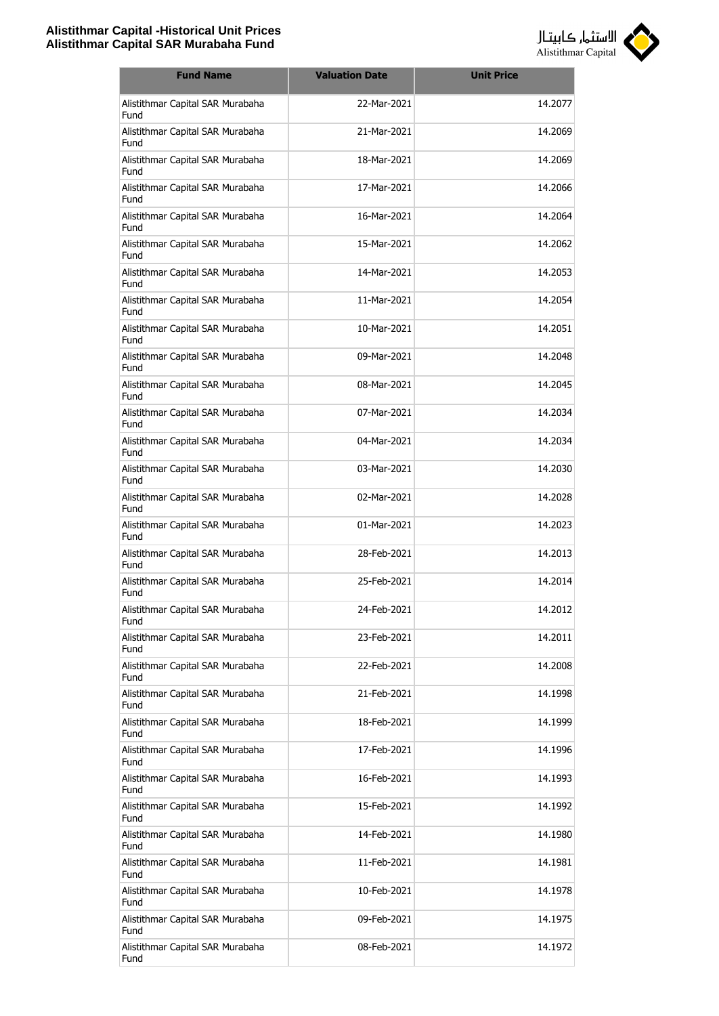

| <b>Fund Name</b>                         | <b>Valuation Date</b> | <b>Unit Price</b> |
|------------------------------------------|-----------------------|-------------------|
| Alistithmar Capital SAR Murabaha<br>Fund | 22-Mar-2021           | 14.2077           |
| Alistithmar Capital SAR Murabaha<br>Fund | 21-Mar-2021           | 14.2069           |
| Alistithmar Capital SAR Murabaha<br>Fund | 18-Mar-2021           | 14.2069           |
| Alistithmar Capital SAR Murabaha<br>Fund | 17-Mar-2021           | 14.2066           |
| Alistithmar Capital SAR Murabaha<br>Fund | 16-Mar-2021           | 14.2064           |
| Alistithmar Capital SAR Murabaha<br>Fund | 15-Mar-2021           | 14.2062           |
| Alistithmar Capital SAR Murabaha<br>Fund | 14-Mar-2021           | 14.2053           |
| Alistithmar Capital SAR Murabaha<br>Fund | 11-Mar-2021           | 14.2054           |
| Alistithmar Capital SAR Murabaha<br>Fund | 10-Mar-2021           | 14.2051           |
| Alistithmar Capital SAR Murabaha<br>Fund | 09-Mar-2021           | 14.2048           |
| Alistithmar Capital SAR Murabaha<br>Fund | 08-Mar-2021           | 14.2045           |
| Alistithmar Capital SAR Murabaha<br>Fund | 07-Mar-2021           | 14.2034           |
| Alistithmar Capital SAR Murabaha<br>Fund | 04-Mar-2021           | 14.2034           |
| Alistithmar Capital SAR Murabaha<br>Fund | 03-Mar-2021           | 14.2030           |
| Alistithmar Capital SAR Murabaha<br>Fund | 02-Mar-2021           | 14.2028           |
| Alistithmar Capital SAR Murabaha<br>Fund | 01-Mar-2021           | 14.2023           |
| Alistithmar Capital SAR Murabaha<br>Fund | 28-Feb-2021           | 14.2013           |
| Alistithmar Capital SAR Murabaha<br>Fund | 25-Feb-2021           | 14.2014           |
| Alistithmar Capital SAR Murabaha<br>Fund | 24-Feb-2021           | 14.2012           |
| Alistithmar Capital SAR Murabaha<br>Fund | 23-Feb-2021           | 14.2011           |
| Alistithmar Capital SAR Murabaha<br>Fund | 22-Feb-2021           | 14.2008           |
| Alistithmar Capital SAR Murabaha<br>Fund | 21-Feb-2021           | 14.1998           |
| Alistithmar Capital SAR Murabaha<br>Fund | 18-Feb-2021           | 14.1999           |
| Alistithmar Capital SAR Murabaha<br>Fund | 17-Feb-2021           | 14.1996           |
| Alistithmar Capital SAR Murabaha<br>Fund | 16-Feb-2021           | 14.1993           |
| Alistithmar Capital SAR Murabaha<br>Fund | 15-Feb-2021           | 14.1992           |
| Alistithmar Capital SAR Murabaha<br>Fund | 14-Feb-2021           | 14.1980           |
| Alistithmar Capital SAR Murabaha<br>Fund | 11-Feb-2021           | 14.1981           |
| Alistithmar Capital SAR Murabaha<br>Fund | 10-Feb-2021           | 14.1978           |
| Alistithmar Capital SAR Murabaha<br>Fund | 09-Feb-2021           | 14.1975           |
| Alistithmar Capital SAR Murabaha<br>Fund | 08-Feb-2021           | 14.1972           |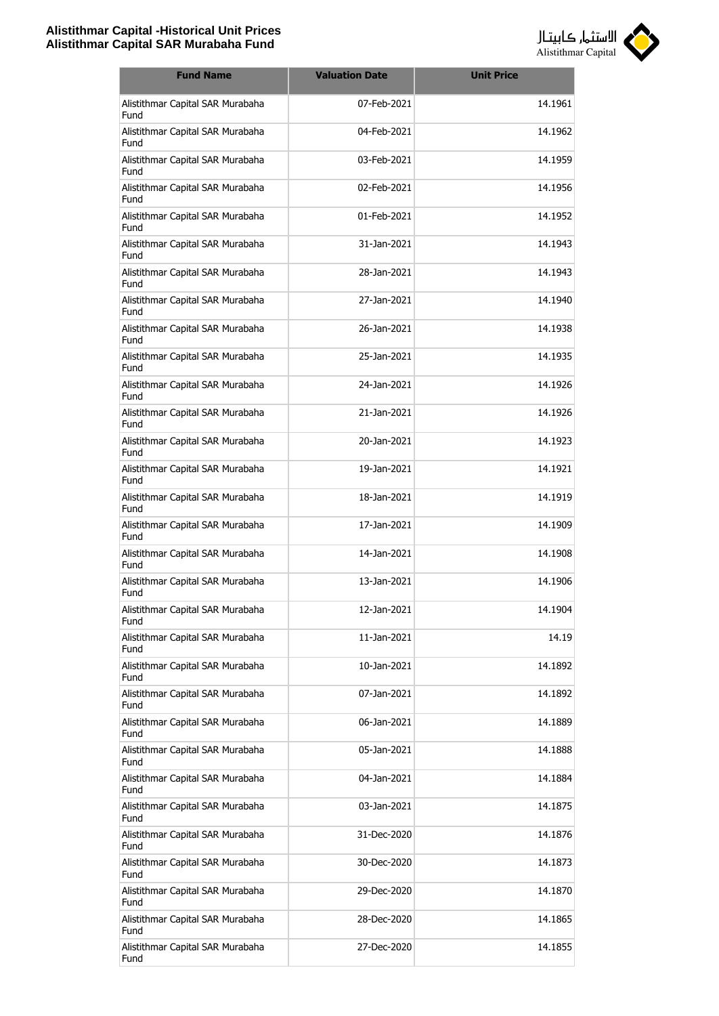

| <b>Fund Name</b>                         | <b>Valuation Date</b> | <b>Unit Price</b> |
|------------------------------------------|-----------------------|-------------------|
| Alistithmar Capital SAR Murabaha<br>Fund | 07-Feb-2021           | 14.1961           |
| Alistithmar Capital SAR Murabaha<br>Fund | 04-Feb-2021           | 14.1962           |
| Alistithmar Capital SAR Murabaha<br>Fund | 03-Feb-2021           | 14.1959           |
| Alistithmar Capital SAR Murabaha<br>Fund | 02-Feb-2021           | 14.1956           |
| Alistithmar Capital SAR Murabaha<br>Fund | 01-Feb-2021           | 14.1952           |
| Alistithmar Capital SAR Murabaha<br>Fund | 31-Jan-2021           | 14.1943           |
| Alistithmar Capital SAR Murabaha<br>Fund | 28-Jan-2021           | 14.1943           |
| Alistithmar Capital SAR Murabaha<br>Fund | 27-Jan-2021           | 14.1940           |
| Alistithmar Capital SAR Murabaha<br>Fund | 26-Jan-2021           | 14.1938           |
| Alistithmar Capital SAR Murabaha<br>Fund | 25-Jan-2021           | 14.1935           |
| Alistithmar Capital SAR Murabaha<br>Fund | 24-Jan-2021           | 14.1926           |
| Alistithmar Capital SAR Murabaha<br>Fund | 21-Jan-2021           | 14.1926           |
| Alistithmar Capital SAR Murabaha<br>Fund | 20-Jan-2021           | 14.1923           |
| Alistithmar Capital SAR Murabaha<br>Fund | 19-Jan-2021           | 14.1921           |
| Alistithmar Capital SAR Murabaha<br>Fund | 18-Jan-2021           | 14.1919           |
| Alistithmar Capital SAR Murabaha<br>Fund | 17-Jan-2021           | 14.1909           |
| Alistithmar Capital SAR Murabaha<br>Fund | 14-Jan-2021           | 14.1908           |
| Alistithmar Capital SAR Murabaha<br>Fund | 13-Jan-2021           | 14.1906           |
| Alistithmar Capital SAR Murabaha<br>Fund | 12-Jan-2021           | 14.1904           |
| Alistithmar Capital SAR Murabaha<br>Fund | 11-Jan-2021           | 14.19             |
| Alistithmar Capital SAR Murabaha<br>Fund | 10-Jan-2021           | 14.1892           |
| Alistithmar Capital SAR Murabaha<br>Fund | 07-Jan-2021           | 14.1892           |
| Alistithmar Capital SAR Murabaha<br>Fund | 06-Jan-2021           | 14.1889           |
| Alistithmar Capital SAR Murabaha<br>Fund | 05-Jan-2021           | 14.1888           |
| Alistithmar Capital SAR Murabaha<br>Fund | 04-Jan-2021           | 14.1884           |
| Alistithmar Capital SAR Murabaha<br>Fund | 03-Jan-2021           | 14.1875           |
| Alistithmar Capital SAR Murabaha<br>Fund | 31-Dec-2020           | 14.1876           |
| Alistithmar Capital SAR Murabaha<br>Fund | 30-Dec-2020           | 14.1873           |
| Alistithmar Capital SAR Murabaha<br>Fund | 29-Dec-2020           | 14.1870           |
| Alistithmar Capital SAR Murabaha<br>Fund | 28-Dec-2020           | 14.1865           |
| Alistithmar Capital SAR Murabaha<br>Fund | 27-Dec-2020           | 14.1855           |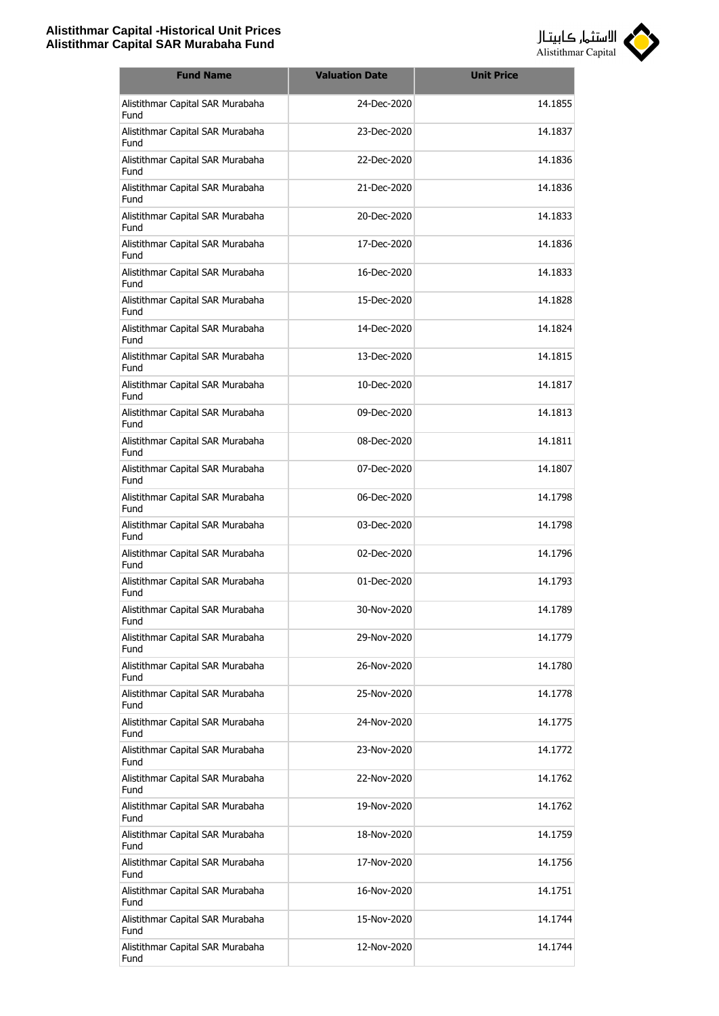

| <b>Fund Name</b>                         | <b>Valuation Date</b> | <b>Unit Price</b> |
|------------------------------------------|-----------------------|-------------------|
| Alistithmar Capital SAR Murabaha<br>Fund | 24-Dec-2020           | 14.1855           |
| Alistithmar Capital SAR Murabaha<br>Fund | 23-Dec-2020           | 14.1837           |
| Alistithmar Capital SAR Murabaha<br>Fund | 22-Dec-2020           | 14.1836           |
| Alistithmar Capital SAR Murabaha<br>Fund | 21-Dec-2020           | 14.1836           |
| Alistithmar Capital SAR Murabaha<br>Fund | 20-Dec-2020           | 14.1833           |
| Alistithmar Capital SAR Murabaha<br>Fund | 17-Dec-2020           | 14.1836           |
| Alistithmar Capital SAR Murabaha<br>Fund | 16-Dec-2020           | 14.1833           |
| Alistithmar Capital SAR Murabaha<br>Fund | 15-Dec-2020           | 14.1828           |
| Alistithmar Capital SAR Murabaha<br>Fund | 14-Dec-2020           | 14.1824           |
| Alistithmar Capital SAR Murabaha<br>Fund | 13-Dec-2020           | 14.1815           |
| Alistithmar Capital SAR Murabaha<br>Fund | 10-Dec-2020           | 14.1817           |
| Alistithmar Capital SAR Murabaha<br>Fund | 09-Dec-2020           | 14.1813           |
| Alistithmar Capital SAR Murabaha<br>Fund | 08-Dec-2020           | 14.1811           |
| Alistithmar Capital SAR Murabaha<br>Fund | 07-Dec-2020           | 14.1807           |
| Alistithmar Capital SAR Murabaha<br>Fund | 06-Dec-2020           | 14.1798           |
| Alistithmar Capital SAR Murabaha<br>Fund | 03-Dec-2020           | 14.1798           |
| Alistithmar Capital SAR Murabaha<br>Fund | 02-Dec-2020           | 14.1796           |
| Alistithmar Capital SAR Murabaha<br>Fund | 01-Dec-2020           | 14.1793           |
| Alistithmar Capital SAR Murabaha<br>Fund | 30-Nov-2020           | 14.1789           |
| Alistithmar Capital SAR Murabaha<br>Fund | 29-Nov-2020           | 14.1779           |
| Alistithmar Capital SAR Murabaha<br>Fund | 26-Nov-2020           | 14.1780           |
| Alistithmar Capital SAR Murabaha<br>Fund | 25-Nov-2020           | 14.1778           |
| Alistithmar Capital SAR Murabaha<br>Fund | 24-Nov-2020           | 14.1775           |
| Alistithmar Capital SAR Murabaha<br>Fund | 23-Nov-2020           | 14.1772           |
| Alistithmar Capital SAR Murabaha<br>Fund | 22-Nov-2020           | 14.1762           |
| Alistithmar Capital SAR Murabaha<br>Fund | 19-Nov-2020           | 14.1762           |
| Alistithmar Capital SAR Murabaha<br>Fund | 18-Nov-2020           | 14.1759           |
| Alistithmar Capital SAR Murabaha<br>Fund | 17-Nov-2020           | 14.1756           |
| Alistithmar Capital SAR Murabaha<br>Fund | 16-Nov-2020           | 14.1751           |
| Alistithmar Capital SAR Murabaha<br>Fund | 15-Nov-2020           | 14.1744           |
| Alistithmar Capital SAR Murabaha<br>Fund | 12-Nov-2020           | 14.1744           |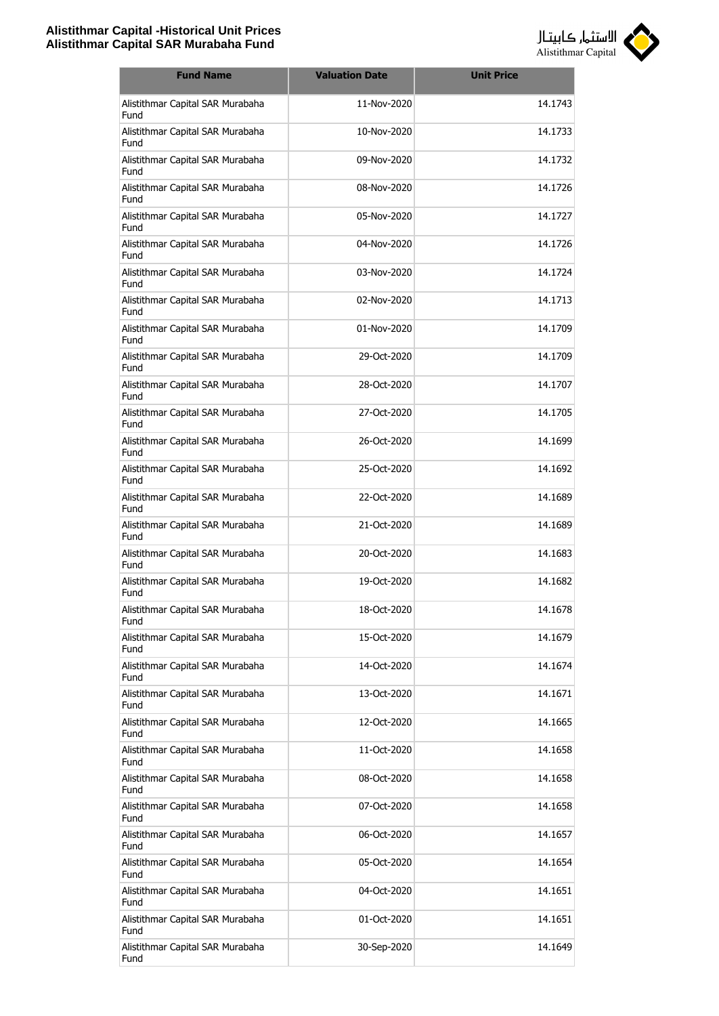

| <b>Fund Name</b>                         | <b>Valuation Date</b> | <b>Unit Price</b> |
|------------------------------------------|-----------------------|-------------------|
| Alistithmar Capital SAR Murabaha<br>Fund | 11-Nov-2020           | 14.1743           |
| Alistithmar Capital SAR Murabaha<br>Fund | 10-Nov-2020           | 14.1733           |
| Alistithmar Capital SAR Murabaha<br>Fund | 09-Nov-2020           | 14.1732           |
| Alistithmar Capital SAR Murabaha<br>Fund | 08-Nov-2020           | 14.1726           |
| Alistithmar Capital SAR Murabaha<br>Fund | 05-Nov-2020           | 14.1727           |
| Alistithmar Capital SAR Murabaha<br>Fund | 04-Nov-2020           | 14.1726           |
| Alistithmar Capital SAR Murabaha<br>Fund | 03-Nov-2020           | 14.1724           |
| Alistithmar Capital SAR Murabaha<br>Fund | 02-Nov-2020           | 14.1713           |
| Alistithmar Capital SAR Murabaha<br>Fund | 01-Nov-2020           | 14.1709           |
| Alistithmar Capital SAR Murabaha<br>Fund | 29-Oct-2020           | 14.1709           |
| Alistithmar Capital SAR Murabaha<br>Fund | 28-Oct-2020           | 14.1707           |
| Alistithmar Capital SAR Murabaha<br>Fund | 27-Oct-2020           | 14.1705           |
| Alistithmar Capital SAR Murabaha<br>Fund | 26-Oct-2020           | 14.1699           |
| Alistithmar Capital SAR Murabaha<br>Fund | 25-Oct-2020           | 14.1692           |
| Alistithmar Capital SAR Murabaha<br>Fund | 22-Oct-2020           | 14.1689           |
| Alistithmar Capital SAR Murabaha<br>Fund | 21-Oct-2020           | 14.1689           |
| Alistithmar Capital SAR Murabaha<br>Fund | 20-Oct-2020           | 14.1683           |
| Alistithmar Capital SAR Murabaha<br>Fund | 19-Oct-2020           | 14.1682           |
| Alistithmar Capital SAR Murabaha<br>Fund | 18-Oct-2020           | 14.1678           |
| Alistithmar Capital SAR Murabaha<br>Fund | 15-Oct-2020           | 14.1679           |
| Alistithmar Capital SAR Murabaha<br>Fund | 14-Oct-2020           | 14.1674           |
| Alistithmar Capital SAR Murabaha<br>Fund | 13-Oct-2020           | 14.1671           |
| Alistithmar Capital SAR Murabaha<br>Fund | 12-Oct-2020           | 14.1665           |
| Alistithmar Capital SAR Murabaha<br>Fund | 11-Oct-2020           | 14.1658           |
| Alistithmar Capital SAR Murabaha<br>Fund | 08-Oct-2020           | 14.1658           |
| Alistithmar Capital SAR Murabaha<br>Fund | 07-Oct-2020           | 14.1658           |
| Alistithmar Capital SAR Murabaha<br>Fund | 06-Oct-2020           | 14.1657           |
| Alistithmar Capital SAR Murabaha<br>Fund | 05-Oct-2020           | 14.1654           |
| Alistithmar Capital SAR Murabaha<br>Fund | 04-Oct-2020           | 14.1651           |
| Alistithmar Capital SAR Murabaha<br>Fund | 01-Oct-2020           | 14.1651           |
| Alistithmar Capital SAR Murabaha<br>Fund | 30-Sep-2020           | 14.1649           |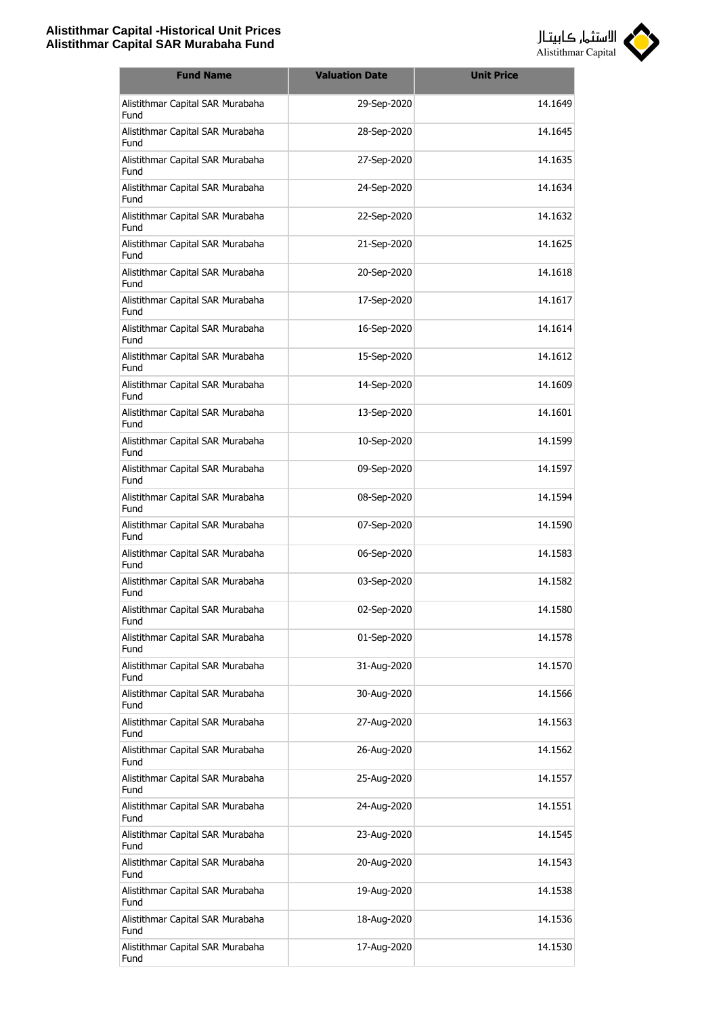

| <b>Fund Name</b>                         | <b>Valuation Date</b> | <b>Unit Price</b> |
|------------------------------------------|-----------------------|-------------------|
| Alistithmar Capital SAR Murabaha<br>Fund | 29-Sep-2020           | 14.1649           |
| Alistithmar Capital SAR Murabaha<br>Fund | 28-Sep-2020           | 14.1645           |
| Alistithmar Capital SAR Murabaha<br>Fund | 27-Sep-2020           | 14.1635           |
| Alistithmar Capital SAR Murabaha<br>Fund | 24-Sep-2020           | 14.1634           |
| Alistithmar Capital SAR Murabaha<br>Fund | 22-Sep-2020           | 14.1632           |
| Alistithmar Capital SAR Murabaha<br>Fund | 21-Sep-2020           | 14.1625           |
| Alistithmar Capital SAR Murabaha<br>Fund | 20-Sep-2020           | 14.1618           |
| Alistithmar Capital SAR Murabaha<br>Fund | 17-Sep-2020           | 14.1617           |
| Alistithmar Capital SAR Murabaha<br>Fund | 16-Sep-2020           | 14.1614           |
| Alistithmar Capital SAR Murabaha<br>Fund | 15-Sep-2020           | 14.1612           |
| Alistithmar Capital SAR Murabaha<br>Fund | 14-Sep-2020           | 14.1609           |
| Alistithmar Capital SAR Murabaha<br>Fund | 13-Sep-2020           | 14.1601           |
| Alistithmar Capital SAR Murabaha<br>Fund | 10-Sep-2020           | 14.1599           |
| Alistithmar Capital SAR Murabaha<br>Fund | 09-Sep-2020           | 14.1597           |
| Alistithmar Capital SAR Murabaha<br>Fund | 08-Sep-2020           | 14.1594           |
| Alistithmar Capital SAR Murabaha<br>Fund | 07-Sep-2020           | 14.1590           |
| Alistithmar Capital SAR Murabaha<br>Fund | 06-Sep-2020           | 14.1583           |
| Alistithmar Capital SAR Murabaha<br>Fund | 03-Sep-2020           | 14.1582           |
| Alistithmar Capital SAR Murabaha<br>Fund | 02-Sep-2020           | 14.1580           |
| Alistithmar Capital SAR Murabaha<br>Fund | 01-Sep-2020           | 14.1578           |
| Alistithmar Capital SAR Murabaha<br>Fund | 31-Aug-2020           | 14.1570           |
| Alistithmar Capital SAR Murabaha<br>Fund | 30-Aug-2020           | 14.1566           |
| Alistithmar Capital SAR Murabaha<br>Fund | 27-Aug-2020           | 14.1563           |
| Alistithmar Capital SAR Murabaha<br>Fund | 26-Aug-2020           | 14.1562           |
| Alistithmar Capital SAR Murabaha<br>Fund | 25-Aug-2020           | 14.1557           |
| Alistithmar Capital SAR Murabaha<br>Fund | 24-Aug-2020           | 14.1551           |
| Alistithmar Capital SAR Murabaha<br>Fund | 23-Aug-2020           | 14.1545           |
| Alistithmar Capital SAR Murabaha<br>Fund | 20-Aug-2020           | 14.1543           |
| Alistithmar Capital SAR Murabaha<br>Fund | 19-Aug-2020           | 14.1538           |
| Alistithmar Capital SAR Murabaha<br>Fund | 18-Aug-2020           | 14.1536           |
| Alistithmar Capital SAR Murabaha<br>Fund | 17-Aug-2020           | 14.1530           |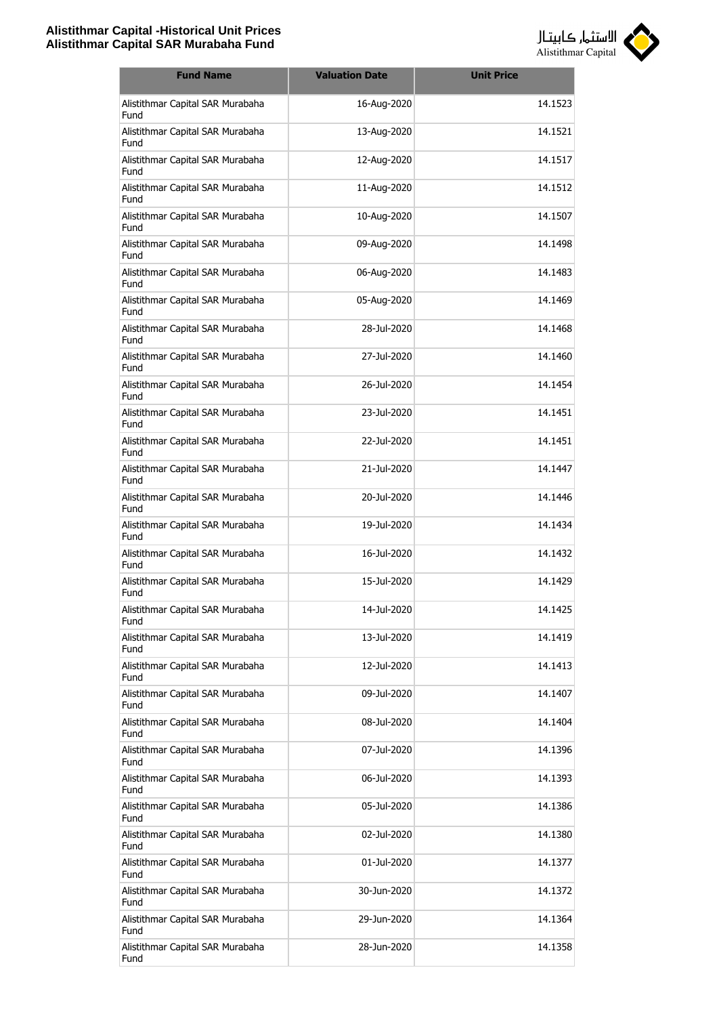

| <b>Fund Name</b>                         | <b>Valuation Date</b> | <b>Unit Price</b> |
|------------------------------------------|-----------------------|-------------------|
| Alistithmar Capital SAR Murabaha<br>Fund | 16-Aug-2020           | 14.1523           |
| Alistithmar Capital SAR Murabaha<br>Fund | 13-Aug-2020           | 14.1521           |
| Alistithmar Capital SAR Murabaha<br>Fund | 12-Aug-2020           | 14.1517           |
| Alistithmar Capital SAR Murabaha<br>Fund | 11-Aug-2020           | 14.1512           |
| Alistithmar Capital SAR Murabaha<br>Fund | 10-Aug-2020           | 14.1507           |
| Alistithmar Capital SAR Murabaha<br>Fund | 09-Aug-2020           | 14.1498           |
| Alistithmar Capital SAR Murabaha<br>Fund | 06-Aug-2020           | 14.1483           |
| Alistithmar Capital SAR Murabaha<br>Fund | 05-Aug-2020           | 14.1469           |
| Alistithmar Capital SAR Murabaha<br>Fund | 28-Jul-2020           | 14.1468           |
| Alistithmar Capital SAR Murabaha<br>Fund | 27-Jul-2020           | 14.1460           |
| Alistithmar Capital SAR Murabaha<br>Fund | 26-Jul-2020           | 14.1454           |
| Alistithmar Capital SAR Murabaha<br>Fund | 23-Jul-2020           | 14.1451           |
| Alistithmar Capital SAR Murabaha<br>Fund | 22-Jul-2020           | 14.1451           |
| Alistithmar Capital SAR Murabaha<br>Fund | 21-Jul-2020           | 14.1447           |
| Alistithmar Capital SAR Murabaha<br>Fund | 20-Jul-2020           | 14.1446           |
| Alistithmar Capital SAR Murabaha<br>Fund | 19-Jul-2020           | 14.1434           |
| Alistithmar Capital SAR Murabaha<br>Fund | 16-Jul-2020           | 14.1432           |
| Alistithmar Capital SAR Murabaha<br>Fund | 15-Jul-2020           | 14.1429           |
| Alistithmar Capital SAR Murabaha<br>Fund | 14-Jul-2020           | 14.1425           |
| Alistithmar Capital SAR Murabaha<br>Fund | 13-Jul-2020           | 14.1419           |
| Alistithmar Capital SAR Murabaha<br>Fund | 12-Jul-2020           | 14.1413           |
| Alistithmar Capital SAR Murabaha<br>Fund | 09-Jul-2020           | 14.1407           |
| Alistithmar Capital SAR Murabaha<br>Fund | 08-Jul-2020           | 14.1404           |
| Alistithmar Capital SAR Murabaha<br>Fund | 07-Jul-2020           | 14.1396           |
| Alistithmar Capital SAR Murabaha<br>Fund | 06-Jul-2020           | 14.1393           |
| Alistithmar Capital SAR Murabaha<br>Fund | 05-Jul-2020           | 14.1386           |
| Alistithmar Capital SAR Murabaha<br>Fund | 02-Jul-2020           | 14.1380           |
| Alistithmar Capital SAR Murabaha<br>Fund | 01-Jul-2020           | 14.1377           |
| Alistithmar Capital SAR Murabaha<br>Fund | 30-Jun-2020           | 14.1372           |
| Alistithmar Capital SAR Murabaha<br>Fund | 29-Jun-2020           | 14.1364           |
| Alistithmar Capital SAR Murabaha<br>Fund | 28-Jun-2020           | 14.1358           |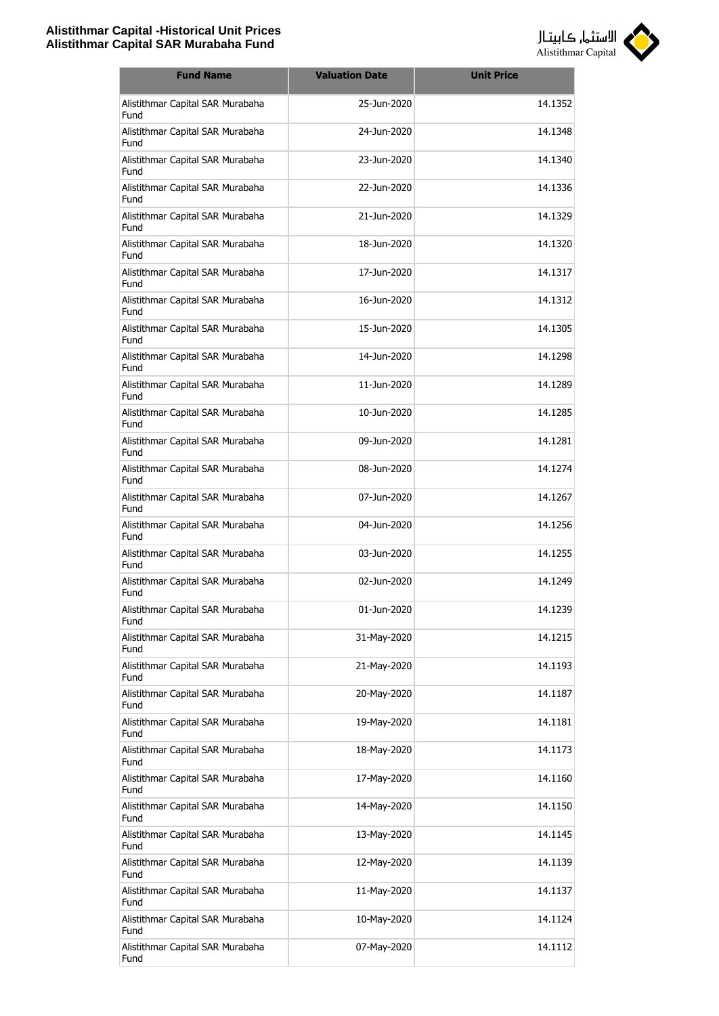

| <b>Fund Name</b>                         | <b>Valuation Date</b> | <b>Unit Price</b> |
|------------------------------------------|-----------------------|-------------------|
| Alistithmar Capital SAR Murabaha<br>Fund | 25-Jun-2020           | 14.1352           |
| Alistithmar Capital SAR Murabaha<br>Fund | 24-Jun-2020           | 14.1348           |
| Alistithmar Capital SAR Murabaha<br>Fund | 23-Jun-2020           | 14.1340           |
| Alistithmar Capital SAR Murabaha<br>Fund | 22-Jun-2020           | 14.1336           |
| Alistithmar Capital SAR Murabaha<br>Fund | 21-Jun-2020           | 14.1329           |
| Alistithmar Capital SAR Murabaha<br>Fund | 18-Jun-2020           | 14.1320           |
| Alistithmar Capital SAR Murabaha<br>Fund | 17-Jun-2020           | 14.1317           |
| Alistithmar Capital SAR Murabaha<br>Fund | 16-Jun-2020           | 14.1312           |
| Alistithmar Capital SAR Murabaha<br>Fund | 15-1un-2020           | 14.1305           |
| Alistithmar Capital SAR Murabaha<br>Fund | 14-Jun-2020           | 14.1298           |
| Alistithmar Capital SAR Murabaha<br>Fund | 11-Jun-2020           | 14.1289           |
| Alistithmar Capital SAR Murabaha<br>Fund | 10-Jun-2020           | 14.1285           |
| Alistithmar Capital SAR Murabaha<br>Fund | 09-Jun-2020           | 14.1281           |
| Alistithmar Capital SAR Murabaha<br>Fund | 08-Jun-2020           | 14.1274           |
| Alistithmar Capital SAR Murabaha<br>Fund | 07-Jun-2020           | 14.1267           |
| Alistithmar Capital SAR Murabaha<br>Fund | 04-Jun-2020           | 14.1256           |
| Alistithmar Capital SAR Murabaha<br>Fund | 03-Jun-2020           | 14.1255           |
| Alistithmar Capital SAR Murabaha<br>Fund | 02-Jun-2020           | 14.1249           |
| Alistithmar Capital SAR Murabaha<br>Fund | 01-Jun-2020           | 14.1239           |
| Alistithmar Capital SAR Murabaha<br>Fund | 31-May-2020           | 14.1215           |
| Alistithmar Capital SAR Murabaha<br>Fund | 21-May-2020           | 14.1193           |
| Alistithmar Capital SAR Murabaha<br>Fund | 20-May-2020           | 14.1187           |
| Alistithmar Capital SAR Murabaha<br>Fund | 19-May-2020           | 14.1181           |
| Alistithmar Capital SAR Murabaha<br>Fund | 18-May-2020           | 14.1173           |
| Alistithmar Capital SAR Murabaha<br>Fund | 17-May-2020           | 14.1160           |
| Alistithmar Capital SAR Murabaha<br>Fund | 14-May-2020           | 14.1150           |
| Alistithmar Capital SAR Murabaha<br>Fund | 13-May-2020           | 14.1145           |
| Alistithmar Capital SAR Murabaha<br>Fund | 12-May-2020           | 14.1139           |
| Alistithmar Capital SAR Murabaha<br>Fund | 11-May-2020           | 14.1137           |
| Alistithmar Capital SAR Murabaha<br>Fund | 10-May-2020           | 14.1124           |
| Alistithmar Capital SAR Murabaha<br>Fund | 07-May-2020           | 14.1112           |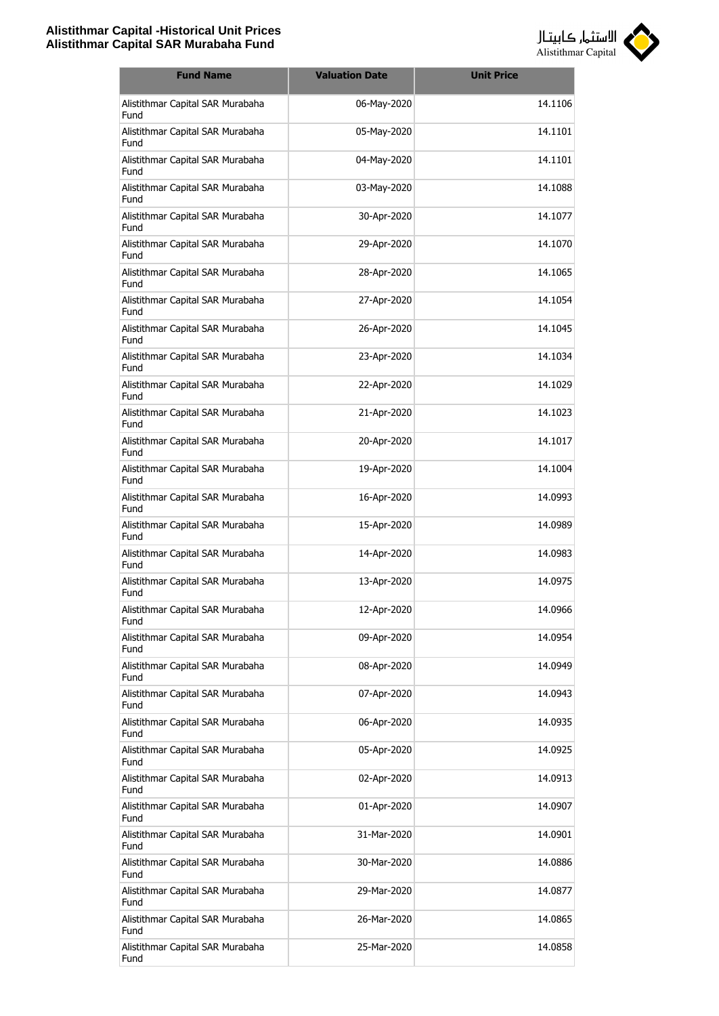

| <b>Fund Name</b>                         | <b>Valuation Date</b> | <b>Unit Price</b> |
|------------------------------------------|-----------------------|-------------------|
| Alistithmar Capital SAR Murabaha<br>Fund | 06-May-2020           | 14.1106           |
| Alistithmar Capital SAR Murabaha<br>Fund | 05-May-2020           | 14.1101           |
| Alistithmar Capital SAR Murabaha<br>Fund | 04-May-2020           | 14.1101           |
| Alistithmar Capital SAR Murabaha<br>Fund | 03-May-2020           | 14.1088           |
| Alistithmar Capital SAR Murabaha<br>Fund | 30-Apr-2020           | 14.1077           |
| Alistithmar Capital SAR Murabaha<br>Fund | 29-Apr-2020           | 14.1070           |
| Alistithmar Capital SAR Murabaha<br>Fund | 28-Apr-2020           | 14.1065           |
| Alistithmar Capital SAR Murabaha<br>Fund | 27-Apr-2020           | 14.1054           |
| Alistithmar Capital SAR Murabaha<br>Fund | 26-Apr-2020           | 14.1045           |
| Alistithmar Capital SAR Murabaha<br>Fund | 23-Apr-2020           | 14.1034           |
| Alistithmar Capital SAR Murabaha<br>Fund | 22-Apr-2020           | 14.1029           |
| Alistithmar Capital SAR Murabaha<br>Fund | 21-Apr-2020           | 14.1023           |
| Alistithmar Capital SAR Murabaha<br>Fund | 20-Apr-2020           | 14.1017           |
| Alistithmar Capital SAR Murabaha<br>Fund | 19-Apr-2020           | 14.1004           |
| Alistithmar Capital SAR Murabaha<br>Fund | 16-Apr-2020           | 14.0993           |
| Alistithmar Capital SAR Murabaha<br>Fund | 15-Apr-2020           | 14.0989           |
| Alistithmar Capital SAR Murabaha<br>Fund | 14-Apr-2020           | 14.0983           |
| Alistithmar Capital SAR Murabaha<br>Fund | 13-Apr-2020           | 14.0975           |
| Alistithmar Capital SAR Murabaha<br>Fund | 12-Apr-2020           | 14.0966           |
| Alistithmar Capital SAR Murabaha<br>Fund | 09-Apr-2020           | 14.0954           |
| Alistithmar Capital SAR Murabaha<br>Fund | 08-Apr-2020           | 14.0949           |
| Alistithmar Capital SAR Murabaha<br>Fund | 07-Apr-2020           | 14.0943           |
| Alistithmar Capital SAR Murabaha<br>Fund | 06-Apr-2020           | 14.0935           |
| Alistithmar Capital SAR Murabaha<br>Fund | 05-Apr-2020           | 14.0925           |
| Alistithmar Capital SAR Murabaha<br>Fund | 02-Apr-2020           | 14.0913           |
| Alistithmar Capital SAR Murabaha<br>Fund | 01-Apr-2020           | 14.0907           |
| Alistithmar Capital SAR Murabaha<br>Fund | 31-Mar-2020           | 14.0901           |
| Alistithmar Capital SAR Murabaha<br>Fund | 30-Mar-2020           | 14.0886           |
| Alistithmar Capital SAR Murabaha<br>Fund | 29-Mar-2020           | 14.0877           |
| Alistithmar Capital SAR Murabaha<br>Fund | 26-Mar-2020           | 14.0865           |
| Alistithmar Capital SAR Murabaha<br>Fund | 25-Mar-2020           | 14.0858           |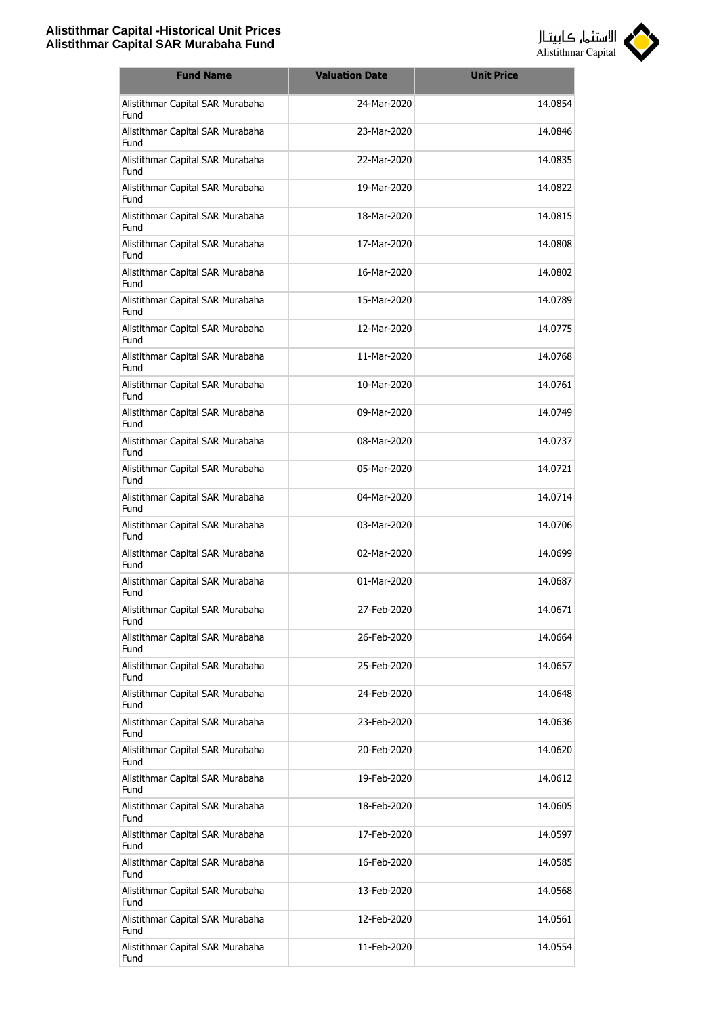

| <b>Fund Name</b>                         | <b>Valuation Date</b> | <b>Unit Price</b> |
|------------------------------------------|-----------------------|-------------------|
| Alistithmar Capital SAR Murabaha<br>Fund | 24-Mar-2020           | 14.0854           |
| Alistithmar Capital SAR Murabaha<br>Fund | 23-Mar-2020           | 14.0846           |
| Alistithmar Capital SAR Murabaha<br>Fund | 22-Mar-2020           | 14.0835           |
| Alistithmar Capital SAR Murabaha<br>Fund | 19-Mar-2020           | 14.0822           |
| Alistithmar Capital SAR Murabaha<br>Fund | 18-Mar-2020           | 14.0815           |
| Alistithmar Capital SAR Murabaha<br>Fund | 17-Mar-2020           | 14.0808           |
| Alistithmar Capital SAR Murabaha<br>Fund | 16-Mar-2020           | 14.0802           |
| Alistithmar Capital SAR Murabaha<br>Fund | 15-Mar-2020           | 14.0789           |
| Alistithmar Capital SAR Murabaha<br>Fund | 12-Mar-2020           | 14.0775           |
| Alistithmar Capital SAR Murabaha<br>Fund | 11-Mar-2020           | 14.0768           |
| Alistithmar Capital SAR Murabaha<br>Fund | 10-Mar-2020           | 14.0761           |
| Alistithmar Capital SAR Murabaha<br>Fund | 09-Mar-2020           | 14.0749           |
| Alistithmar Capital SAR Murabaha<br>Fund | 08-Mar-2020           | 14.0737           |
| Alistithmar Capital SAR Murabaha<br>Fund | 05-Mar-2020           | 14.0721           |
| Alistithmar Capital SAR Murabaha<br>Fund | 04-Mar-2020           | 14.0714           |
| Alistithmar Capital SAR Murabaha<br>Fund | 03-Mar-2020           | 14.0706           |
| Alistithmar Capital SAR Murabaha<br>Fund | 02-Mar-2020           | 14.0699           |
| Alistithmar Capital SAR Murabaha<br>Fund | 01-Mar-2020           | 14.0687           |
| Alistithmar Capital SAR Murabaha<br>Fund | 27-Feb-2020           | 14.0671           |
| Alistithmar Capital SAR Murabaha<br>Fund | 26-Feb-2020           | 14.0664           |
| Alistithmar Capital SAR Murabaha<br>Fund | 25-Feb-2020           | 14.0657           |
| Alistithmar Capital SAR Murabaha<br>Fund | 24-Feb-2020           | 14.0648           |
| Alistithmar Capital SAR Murabaha<br>Fund | 23-Feb-2020           | 14.0636           |
| Alistithmar Capital SAR Murabaha<br>Fund | 20-Feb-2020           | 14.0620           |
| Alistithmar Capital SAR Murabaha<br>Fund | 19-Feb-2020           | 14.0612           |
| Alistithmar Capital SAR Murabaha<br>Fund | 18-Feb-2020           | 14.0605           |
| Alistithmar Capital SAR Murabaha<br>Fund | 17-Feb-2020           | 14.0597           |
| Alistithmar Capital SAR Murabaha<br>Fund | 16-Feb-2020           | 14.0585           |
| Alistithmar Capital SAR Murabaha<br>Fund | 13-Feb-2020           | 14.0568           |
| Alistithmar Capital SAR Murabaha<br>Fund | 12-Feb-2020           | 14.0561           |
| Alistithmar Capital SAR Murabaha<br>Fund | 11-Feb-2020           | 14.0554           |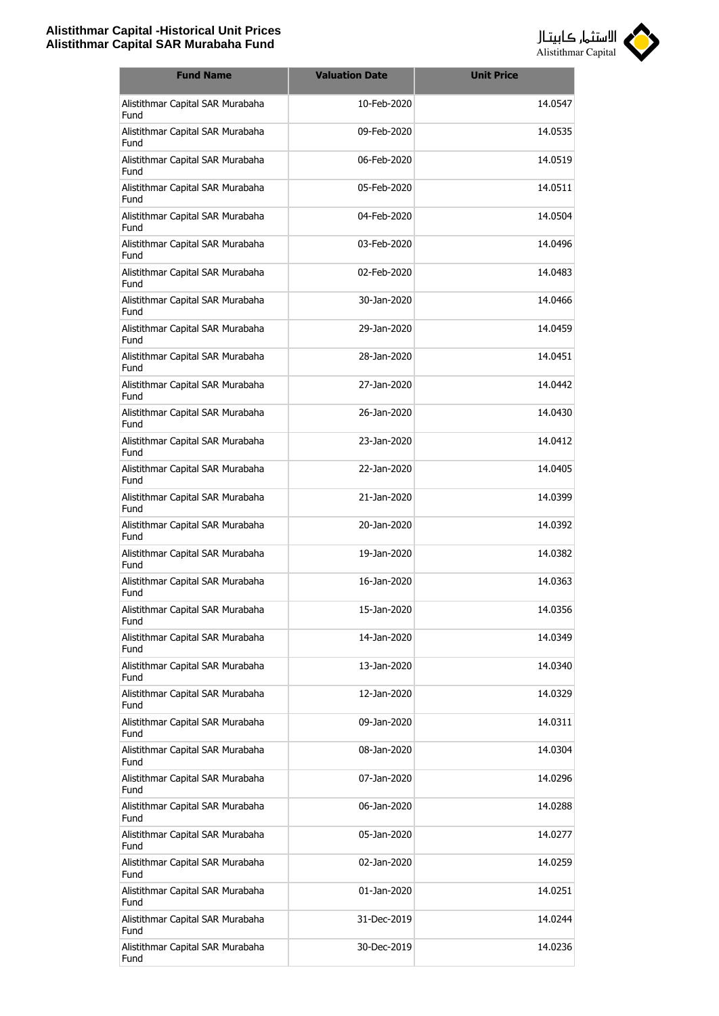

| <b>Fund Name</b>                         | <b>Valuation Date</b> | <b>Unit Price</b> |
|------------------------------------------|-----------------------|-------------------|
| Alistithmar Capital SAR Murabaha<br>Fund | 10-Feb-2020           | 14.0547           |
| Alistithmar Capital SAR Murabaha<br>Fund | 09-Feb-2020           | 14.0535           |
| Alistithmar Capital SAR Murabaha<br>Fund | 06-Feb-2020           | 14.0519           |
| Alistithmar Capital SAR Murabaha<br>Fund | 05-Feb-2020           | 14.0511           |
| Alistithmar Capital SAR Murabaha<br>Fund | 04-Feb-2020           | 14.0504           |
| Alistithmar Capital SAR Murabaha<br>Fund | 03-Feb-2020           | 14.0496           |
| Alistithmar Capital SAR Murabaha<br>Fund | 02-Feb-2020           | 14.0483           |
| Alistithmar Capital SAR Murabaha<br>Fund | 30-Jan-2020           | 14.0466           |
| Alistithmar Capital SAR Murabaha<br>Fund | 29-Jan-2020           | 14.0459           |
| Alistithmar Capital SAR Murabaha<br>Fund | 28-Jan-2020           | 14.0451           |
| Alistithmar Capital SAR Murabaha<br>Fund | 27-Jan-2020           | 14.0442           |
| Alistithmar Capital SAR Murabaha<br>Fund | 26-Jan-2020           | 14.0430           |
| Alistithmar Capital SAR Murabaha<br>Fund | 23-Jan-2020           | 14.0412           |
| Alistithmar Capital SAR Murabaha<br>Fund | 22-Jan-2020           | 14.0405           |
| Alistithmar Capital SAR Murabaha<br>Fund | 21-Jan-2020           | 14.0399           |
| Alistithmar Capital SAR Murabaha<br>Fund | 20-Jan-2020           | 14.0392           |
| Alistithmar Capital SAR Murabaha<br>Fund | 19-Jan-2020           | 14.0382           |
| Alistithmar Capital SAR Murabaha<br>Fund | 16-Jan-2020           | 14.0363           |
| Alistithmar Capital SAR Murabaha<br>Fund | 15-Jan-2020           | 14.0356           |
| Alistithmar Capital SAR Murabaha<br>Fund | 14-Jan-2020           | 14.0349           |
| Alistithmar Capital SAR Murabaha<br>Fund | 13-Jan-2020           | 14.0340           |
| Alistithmar Capital SAR Murabaha<br>Fund | 12-Jan-2020           | 14.0329           |
| Alistithmar Capital SAR Murabaha<br>Fund | 09-Jan-2020           | 14.0311           |
| Alistithmar Capital SAR Murabaha<br>Fund | 08-Jan-2020           | 14.0304           |
| Alistithmar Capital SAR Murabaha<br>Fund | 07-Jan-2020           | 14.0296           |
| Alistithmar Capital SAR Murabaha<br>Fund | 06-Jan-2020           | 14.0288           |
| Alistithmar Capital SAR Murabaha<br>Fund | 05-Jan-2020           | 14.0277           |
| Alistithmar Capital SAR Murabaha<br>Fund | 02-Jan-2020           | 14.0259           |
| Alistithmar Capital SAR Murabaha<br>Fund | 01-Jan-2020           | 14.0251           |
| Alistithmar Capital SAR Murabaha<br>Fund | 31-Dec-2019           | 14.0244           |
| Alistithmar Capital SAR Murabaha<br>Fund | 30-Dec-2019           | 14.0236           |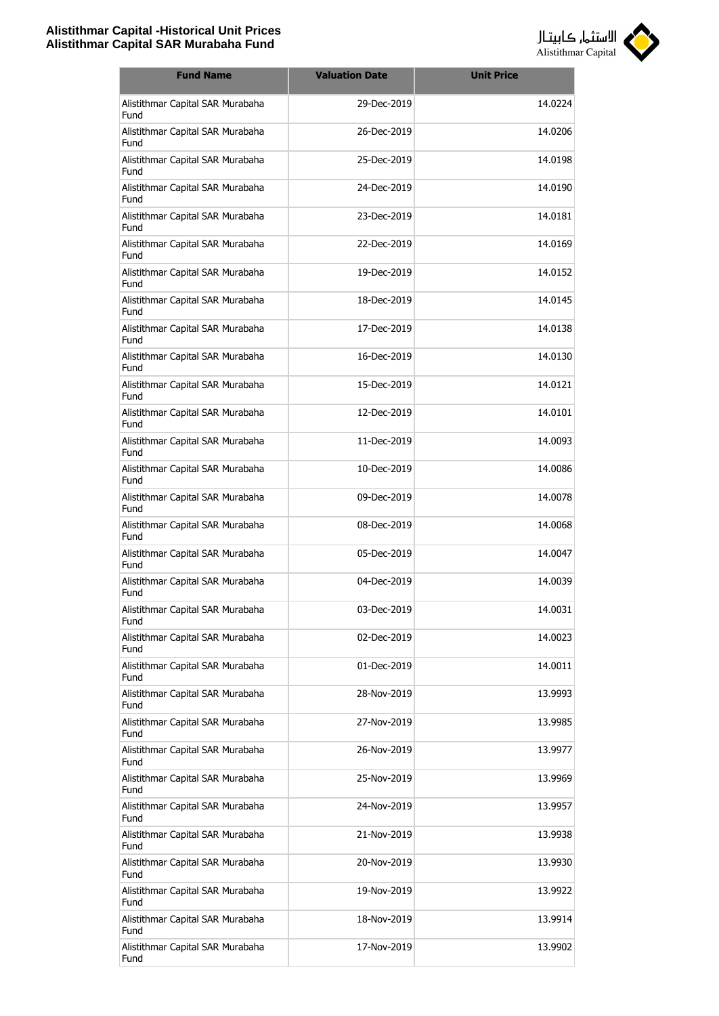

| <b>Fund Name</b>                                | <b>Valuation Date</b> | <b>Unit Price</b> |
|-------------------------------------------------|-----------------------|-------------------|
| Alistithmar Capital SAR Murabaha<br>Fund        | 29-Dec-2019           | 14.0224           |
| Alistithmar Capital SAR Murabaha<br>Fund        | 26-Dec-2019           | 14.0206           |
| Alistithmar Capital SAR Murabaha<br>Fund        | 25-Dec-2019           | 14.0198           |
| Alistithmar Capital SAR Murabaha<br>Fund        | 24-Dec-2019           | 14.0190           |
| Alistithmar Capital SAR Murabaha<br>Fund        | 23-Dec-2019           | 14.0181           |
| Alistithmar Capital SAR Murabaha<br>Fund        | 22-Dec-2019           | 14.0169           |
| Alistithmar Capital SAR Murabaha<br>Fund        | 19-Dec-2019           | 14.0152           |
| Alistithmar Capital SAR Murabaha<br>Fund        | 18-Dec-2019           | 14.0145           |
| Alistithmar Capital SAR Murabaha<br>Fund        | 17-Dec-2019           | 14.0138           |
| Alistithmar Capital SAR Murabaha<br>Fund        | 16-Dec-2019           | 14.0130           |
| Alistithmar Capital SAR Murabaha<br>Fund        | 15-Dec-2019           | 14.0121           |
| Alistithmar Capital SAR Murabaha<br>Fund        | 12-Dec-2019           | 14.0101           |
| Alistithmar Capital SAR Murabaha<br>Fund        | 11-Dec-2019           | 14.0093           |
| Alistithmar Capital SAR Murabaha<br>Fund        | 10-Dec-2019           | 14.0086           |
| Alistithmar Capital SAR Murabaha<br>Fund        | 09-Dec-2019           | 14.0078           |
| Alistithmar Capital SAR Murabaha<br>Fund        | 08-Dec-2019           | 14.0068           |
| Alistithmar Capital SAR Murabaha<br><b>Fund</b> | 05-Dec-2019           | 14.0047           |
| Alistithmar Capital SAR Murabaha<br>Fund        | 04-Dec-2019           | 14.0039           |
| Alistithmar Capital SAR Murabaha<br>Fund        | 03-Dec-2019           | 14.0031           |
| Alistithmar Capital SAR Murabaha<br>Fund        | 02-Dec-2019           | 14.0023           |
| Alistithmar Capital SAR Murabaha<br>Fund        | 01-Dec-2019           | 14.0011           |
| Alistithmar Capital SAR Murabaha<br>Fund        | 28-Nov-2019           | 13.9993           |
| Alistithmar Capital SAR Murabaha<br>Fund        | 27-Nov-2019           | 13.9985           |
| Alistithmar Capital SAR Murabaha<br>Fund        | 26-Nov-2019           | 13.9977           |
| Alistithmar Capital SAR Murabaha<br>Fund        | 25-Nov-2019           | 13.9969           |
| Alistithmar Capital SAR Murabaha<br>Fund        | 24-Nov-2019           | 13.9957           |
| Alistithmar Capital SAR Murabaha<br>Fund        | 21-Nov-2019           | 13.9938           |
| Alistithmar Capital SAR Murabaha<br>Fund        | 20-Nov-2019           | 13.9930           |
| Alistithmar Capital SAR Murabaha<br>Fund        | 19-Nov-2019           | 13.9922           |
| Alistithmar Capital SAR Murabaha<br>Fund        | 18-Nov-2019           | 13.9914           |
| Alistithmar Capital SAR Murabaha<br>Fund        | 17-Nov-2019           | 13.9902           |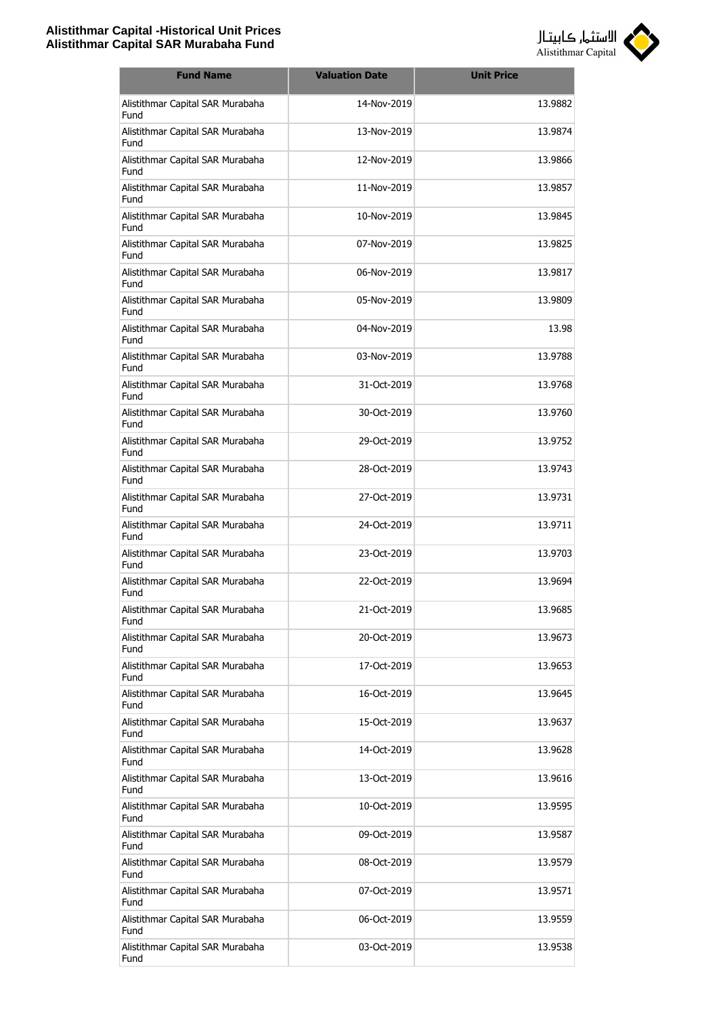

| <b>Fund Name</b>                         | <b>Valuation Date</b> | <b>Unit Price</b> |
|------------------------------------------|-----------------------|-------------------|
| Alistithmar Capital SAR Murabaha<br>Fund | 14-Nov-2019           | 13.9882           |
| Alistithmar Capital SAR Murabaha<br>Fund | 13-Nov-2019           | 13.9874           |
| Alistithmar Capital SAR Murabaha<br>Fund | 12-Nov-2019           | 13.9866           |
| Alistithmar Capital SAR Murabaha<br>Fund | 11-Nov-2019           | 13.9857           |
| Alistithmar Capital SAR Murabaha<br>Fund | 10-Nov-2019           | 13.9845           |
| Alistithmar Capital SAR Murabaha<br>Fund | 07-Nov-2019           | 13.9825           |
| Alistithmar Capital SAR Murabaha<br>Fund | 06-Nov-2019           | 13.9817           |
| Alistithmar Capital SAR Murabaha<br>Fund | 05-Nov-2019           | 13.9809           |
| Alistithmar Capital SAR Murabaha<br>Fund | 04-Nov-2019           | 13.98             |
| Alistithmar Capital SAR Murabaha<br>Fund | 03-Nov-2019           | 13.9788           |
| Alistithmar Capital SAR Murabaha<br>Fund | 31-Oct-2019           | 13.9768           |
| Alistithmar Capital SAR Murabaha<br>Fund | 30-Oct-2019           | 13.9760           |
| Alistithmar Capital SAR Murabaha<br>Fund | 29-Oct-2019           | 13.9752           |
| Alistithmar Capital SAR Murabaha<br>Fund | 28-Oct-2019           | 13.9743           |
| Alistithmar Capital SAR Murabaha<br>Fund | 27-Oct-2019           | 13.9731           |
| Alistithmar Capital SAR Murabaha<br>Fund | 24-Oct-2019           | 13.9711           |
| Alistithmar Capital SAR Murabaha<br>Fund | 23-Oct-2019           | 13.9703           |
| Alistithmar Capital SAR Murabaha<br>Fund | 22-Oct-2019           | 13.9694           |
| Alistithmar Capital SAR Murabaha<br>Fund | 21-Oct-2019           | 13.9685           |
| Alistithmar Capital SAR Murabaha<br>Fund | 20-Oct-2019           | 13.9673           |
| Alistithmar Capital SAR Murabaha<br>Fund | 17-Oct-2019           | 13.9653           |
| Alistithmar Capital SAR Murabaha<br>Fund | 16-Oct-2019           | 13.9645           |
| Alistithmar Capital SAR Murabaha<br>Fund | 15-Oct-2019           | 13.9637           |
| Alistithmar Capital SAR Murabaha<br>Fund | 14-Oct-2019           | 13.9628           |
| Alistithmar Capital SAR Murabaha<br>Fund | 13-Oct-2019           | 13.9616           |
| Alistithmar Capital SAR Murabaha<br>Fund | 10-Oct-2019           | 13.9595           |
| Alistithmar Capital SAR Murabaha<br>Fund | 09-Oct-2019           | 13.9587           |
| Alistithmar Capital SAR Murabaha<br>Fund | 08-Oct-2019           | 13.9579           |
| Alistithmar Capital SAR Murabaha<br>Fund | 07-Oct-2019           | 13.9571           |
| Alistithmar Capital SAR Murabaha<br>Fund | 06-Oct-2019           | 13.9559           |
| Alistithmar Capital SAR Murabaha<br>Fund | 03-Oct-2019           | 13.9538           |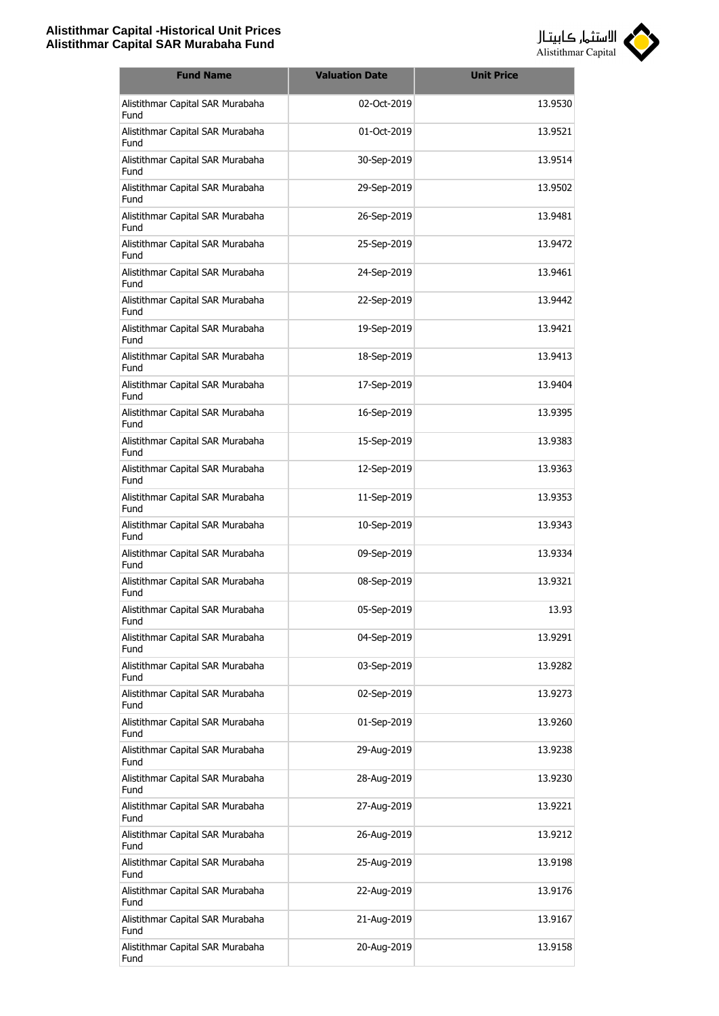

| <b>Fund Name</b>                         | <b>Valuation Date</b> | <b>Unit Price</b> |
|------------------------------------------|-----------------------|-------------------|
| Alistithmar Capital SAR Murabaha<br>Fund | 02-Oct-2019           | 13.9530           |
| Alistithmar Capital SAR Murabaha<br>Fund | 01-Oct-2019           | 13.9521           |
| Alistithmar Capital SAR Murabaha<br>Fund | 30-Sep-2019           | 13.9514           |
| Alistithmar Capital SAR Murabaha<br>Fund | 29-Sep-2019           | 13.9502           |
| Alistithmar Capital SAR Murabaha<br>Fund | 26-Sep-2019           | 13.9481           |
| Alistithmar Capital SAR Murabaha<br>Fund | 25-Sep-2019           | 13.9472           |
| Alistithmar Capital SAR Murabaha<br>Fund | 24-Sep-2019           | 13.9461           |
| Alistithmar Capital SAR Murabaha<br>Fund | 22-Sep-2019           | 13.9442           |
| Alistithmar Capital SAR Murabaha<br>Fund | 19-Sep-2019           | 13.9421           |
| Alistithmar Capital SAR Murabaha<br>Fund | 18-Sep-2019           | 13.9413           |
| Alistithmar Capital SAR Murabaha<br>Fund | 17-Sep-2019           | 13.9404           |
| Alistithmar Capital SAR Murabaha<br>Fund | 16-Sep-2019           | 13.9395           |
| Alistithmar Capital SAR Murabaha<br>Fund | 15-Sep-2019           | 13.9383           |
| Alistithmar Capital SAR Murabaha<br>Fund | 12-Sep-2019           | 13.9363           |
| Alistithmar Capital SAR Murabaha<br>Fund | 11-Sep-2019           | 13.9353           |
| Alistithmar Capital SAR Murabaha<br>Fund | 10-Sep-2019           | 13.9343           |
| Alistithmar Capital SAR Murabaha<br>Fund | 09-Sep-2019           | 13.9334           |
| Alistithmar Capital SAR Murabaha<br>Fund | 08-Sep-2019           | 13.9321           |
| Alistithmar Capital SAR Murabaha<br>Fund | 05-Sep-2019           | 13.93             |
| Alistithmar Capital SAR Murabaha<br>Fund | 04-Sep-2019           | 13.9291           |
| Alistithmar Capital SAR Murabaha<br>Fund | 03-Sep-2019           | 13.9282           |
| Alistithmar Capital SAR Murabaha<br>Fund | 02-Sep-2019           | 13.9273           |
| Alistithmar Capital SAR Murabaha<br>Fund | 01-Sep-2019           | 13.9260           |
| Alistithmar Capital SAR Murabaha<br>Fund | 29-Aug-2019           | 13.9238           |
| Alistithmar Capital SAR Murabaha<br>Fund | 28-Aug-2019           | 13.9230           |
| Alistithmar Capital SAR Murabaha<br>Fund | 27-Aug-2019           | 13.9221           |
| Alistithmar Capital SAR Murabaha<br>Fund | 26-Aug-2019           | 13.9212           |
| Alistithmar Capital SAR Murabaha<br>Fund | 25-Aug-2019           | 13.9198           |
| Alistithmar Capital SAR Murabaha<br>Fund | 22-Aug-2019           | 13.9176           |
| Alistithmar Capital SAR Murabaha<br>Fund | 21-Aug-2019           | 13.9167           |
| Alistithmar Capital SAR Murabaha<br>Fund | 20-Aug-2019           | 13.9158           |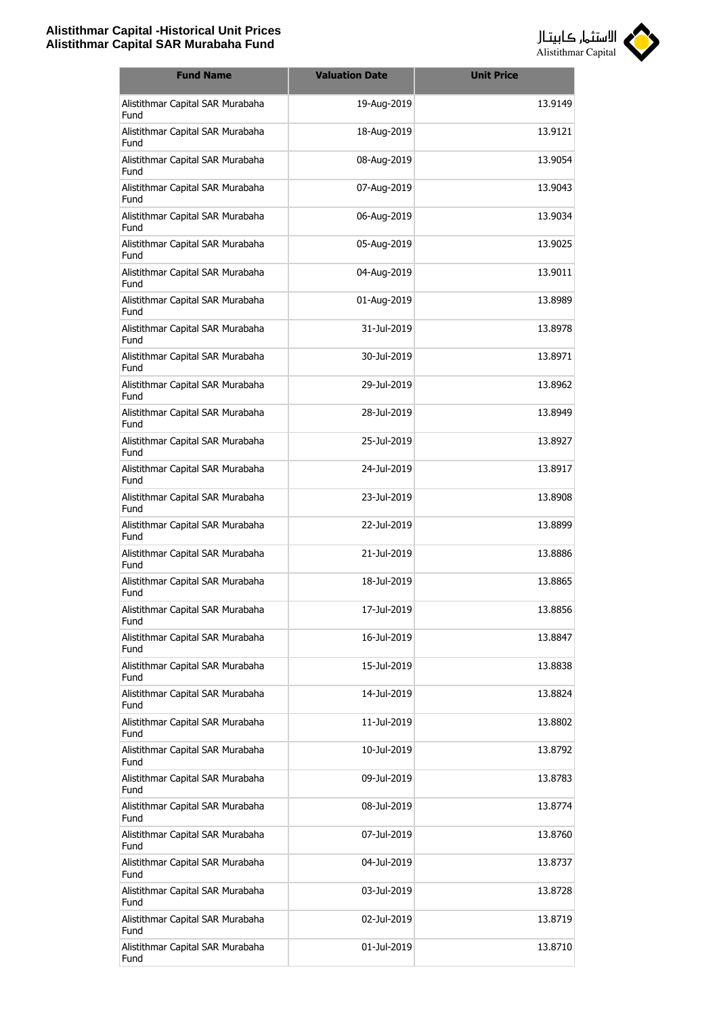

| <b>Fund Name</b>                         | <b>Valuation Date</b> | <b>Unit Price</b> |
|------------------------------------------|-----------------------|-------------------|
| Alistithmar Capital SAR Murabaha<br>Fund | 19-Aug-2019           | 13.9149           |
| Alistithmar Capital SAR Murabaha<br>Fund | 18-Aug-2019           | 13.9121           |
| Alistithmar Capital SAR Murabaha<br>Fund | 08-Aug-2019           | 13.9054           |
| Alistithmar Capital SAR Murabaha<br>Fund | 07-Aug-2019           | 13.9043           |
| Alistithmar Capital SAR Murabaha<br>Fund | 06-Aug-2019           | 13.9034           |
| Alistithmar Capital SAR Murabaha<br>Fund | 05-Aug-2019           | 13.9025           |
| Alistithmar Capital SAR Murabaha<br>Fund | 04-Aug-2019           | 13.9011           |
| Alistithmar Capital SAR Murabaha<br>Fund | 01-Aug-2019           | 13.8989           |
| Alistithmar Capital SAR Murabaha<br>Fund | 31-Jul-2019           | 13.8978           |
| Alistithmar Capital SAR Murabaha<br>Fund | 30-Jul-2019           | 13.8971           |
| Alistithmar Capital SAR Murabaha<br>Fund | 29-Jul-2019           | 13.8962           |
| Alistithmar Capital SAR Murabaha<br>Fund | 28-Jul-2019           | 13.8949           |
| Alistithmar Capital SAR Murabaha<br>Fund | 25-Jul-2019           | 13.8927           |
| Alistithmar Capital SAR Murabaha<br>Fund | 24-Jul-2019           | 13.8917           |
| Alistithmar Capital SAR Murabaha<br>Fund | 23-Jul-2019           | 13.8908           |
| Alistithmar Capital SAR Murabaha<br>Fund | 22-Jul-2019           | 13.8899           |
| Alistithmar Capital SAR Murabaha<br>Fund | 21-Jul-2019           | 13.8886           |
| Alistithmar Capital SAR Murabaha<br>Fund | 18-Jul-2019           | 13.8865           |
| Alistithmar Capital SAR Murabaha<br>Fund | 17-Jul-2019           | 13.8856           |
| Alistithmar Capital SAR Murabaha<br>Fund | 16-Jul-2019           | 13.8847           |
| Alistithmar Capital SAR Murabaha<br>Fund | 15-Jul-2019           | 13.8838           |
| Alistithmar Capital SAR Murabaha<br>Fund | 14-Jul-2019           | 13.8824           |
| Alistithmar Capital SAR Murabaha<br>Fund | 11-Jul-2019           | 13.8802           |
| Alistithmar Capital SAR Murabaha<br>Fund | 10-Jul-2019           | 13.8792           |
| Alistithmar Capital SAR Murabaha<br>Fund | 09-Jul-2019           | 13.8783           |
| Alistithmar Capital SAR Murabaha<br>Fund | 08-Jul-2019           | 13.8774           |
| Alistithmar Capital SAR Murabaha<br>Fund | 07-Jul-2019           | 13.8760           |
| Alistithmar Capital SAR Murabaha<br>Fund | 04-Jul-2019           | 13.8737           |
| Alistithmar Capital SAR Murabaha<br>Fund | 03-Jul-2019           | 13.8728           |
| Alistithmar Capital SAR Murabaha<br>Fund | 02-Jul-2019           | 13.8719           |
| Alistithmar Capital SAR Murabaha<br>Fund | 01-Jul-2019           | 13.8710           |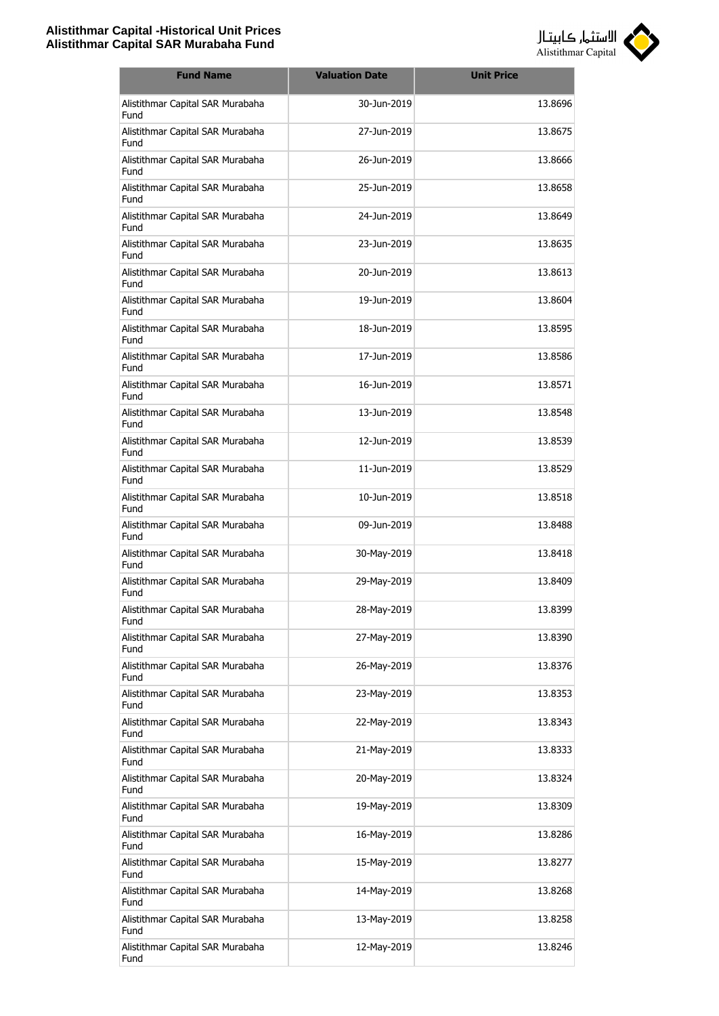

| <b>Fund Name</b>                         | <b>Valuation Date</b> | <b>Unit Price</b> |
|------------------------------------------|-----------------------|-------------------|
| Alistithmar Capital SAR Murabaha<br>Fund | 30-Jun-2019           | 13.8696           |
| Alistithmar Capital SAR Murabaha<br>Fund | 27-Jun-2019           | 13.8675           |
| Alistithmar Capital SAR Murabaha<br>Fund | 26-Jun-2019           | 13.8666           |
| Alistithmar Capital SAR Murabaha<br>Fund | 25-Jun-2019           | 13.8658           |
| Alistithmar Capital SAR Murabaha<br>Fund | 24-Jun-2019           | 13.8649           |
| Alistithmar Capital SAR Murabaha<br>Fund | 23-Jun-2019           | 13.8635           |
| Alistithmar Capital SAR Murabaha<br>Fund | 20-Jun-2019           | 13.8613           |
| Alistithmar Capital SAR Murabaha<br>Fund | 19-Jun-2019           | 13.8604           |
| Alistithmar Capital SAR Murabaha<br>Fund | 18-Jun-2019           | 13.8595           |
| Alistithmar Capital SAR Murabaha<br>Fund | 17-Jun-2019           | 13.8586           |
| Alistithmar Capital SAR Murabaha<br>Fund | 16-Jun-2019           | 13.8571           |
| Alistithmar Capital SAR Murabaha<br>Fund | 13-Jun-2019           | 13.8548           |
| Alistithmar Capital SAR Murabaha<br>Fund | 12-Jun-2019           | 13.8539           |
| Alistithmar Capital SAR Murabaha<br>Fund | 11-Jun-2019           | 13.8529           |
| Alistithmar Capital SAR Murabaha<br>Fund | 10-Jun-2019           | 13.8518           |
| Alistithmar Capital SAR Murabaha<br>Fund | 09-Jun-2019           | 13.8488           |
| Alistithmar Capital SAR Murabaha<br>Fund | 30-May-2019           | 13.8418           |
| Alistithmar Capital SAR Murabaha<br>Fund | 29-May-2019           | 13.8409           |
| Alistithmar Capital SAR Murabaha<br>Fund | 28-May-2019           | 13.8399           |
| Alistithmar Capital SAR Murabaha<br>Fund | 27-May-2019           | 13.8390           |
| Alistithmar Capital SAR Murabaha<br>Fund | 26-May-2019           | 13.8376           |
| Alistithmar Capital SAR Murabaha<br>Fund | 23-May-2019           | 13.8353           |
| Alistithmar Capital SAR Murabaha<br>Fund | 22-May-2019           | 13.8343           |
| Alistithmar Capital SAR Murabaha<br>Fund | 21-May-2019           | 13.8333           |
| Alistithmar Capital SAR Murabaha<br>Fund | 20-May-2019           | 13.8324           |
| Alistithmar Capital SAR Murabaha<br>Fund | 19-May-2019           | 13.8309           |
| Alistithmar Capital SAR Murabaha<br>Fund | 16-May-2019           | 13.8286           |
| Alistithmar Capital SAR Murabaha<br>Fund | 15-May-2019           | 13.8277           |
| Alistithmar Capital SAR Murabaha<br>Fund | 14-May-2019           | 13.8268           |
| Alistithmar Capital SAR Murabaha<br>Fund | 13-May-2019           | 13.8258           |
| Alistithmar Capital SAR Murabaha<br>Fund | 12-May-2019           | 13.8246           |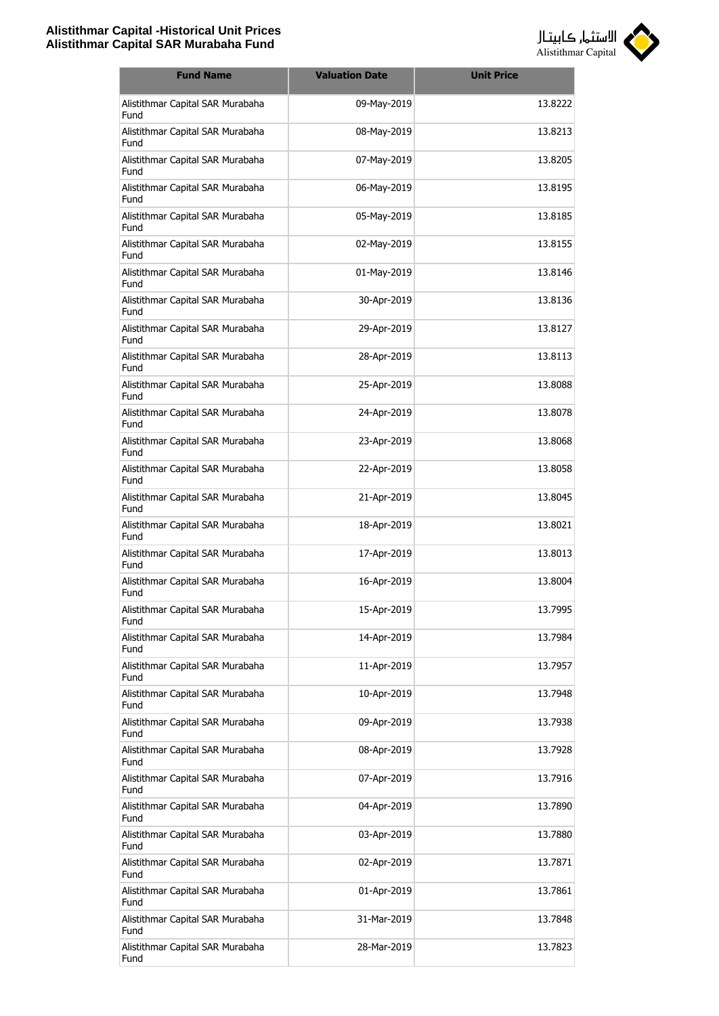

| <b>Fund Name</b>                                | <b>Valuation Date</b> | <b>Unit Price</b> |
|-------------------------------------------------|-----------------------|-------------------|
| Alistithmar Capital SAR Murabaha<br>Fund        | 09-May-2019           | 13.8222           |
| Alistithmar Capital SAR Murabaha<br>Fund        | 08-May-2019           | 13.8213           |
| Alistithmar Capital SAR Murabaha<br>Fund        | 07-May-2019           | 13.8205           |
| Alistithmar Capital SAR Murabaha<br>Fund        | 06-May-2019           | 13.8195           |
| Alistithmar Capital SAR Murabaha<br>Fund        | 05-May-2019           | 13.8185           |
| Alistithmar Capital SAR Murabaha<br>Fund        | 02-May-2019           | 13.8155           |
| Alistithmar Capital SAR Murabaha<br>Fund        | 01-May-2019           | 13.8146           |
| Alistithmar Capital SAR Murabaha<br>Fund        | 30-Apr-2019           | 13.8136           |
| Alistithmar Capital SAR Murabaha<br>Fund        | 29-Apr-2019           | 13.8127           |
| Alistithmar Capital SAR Murabaha<br>Fund        | 28-Apr-2019           | 13.8113           |
| Alistithmar Capital SAR Murabaha<br>Fund        | 25-Apr-2019           | 13.8088           |
| Alistithmar Capital SAR Murabaha<br>Fund        | 24-Apr-2019           | 13.8078           |
| Alistithmar Capital SAR Murabaha<br>Fund        | 23-Apr-2019           | 13.8068           |
| Alistithmar Capital SAR Murabaha<br>Fund        | 22-Apr-2019           | 13.8058           |
| Alistithmar Capital SAR Murabaha<br>Fund        | 21-Apr-2019           | 13.8045           |
| Alistithmar Capital SAR Murabaha<br><b>Fund</b> | 18-Apr-2019           | 13.8021           |
| Alistithmar Capital SAR Murabaha<br>Fund        | 17-Apr-2019           | 13.8013           |
| Alistithmar Capital SAR Murabaha<br>Fund        | 16-Apr-2019           | 13.8004           |
| Alistithmar Capital SAR Murabaha<br>Fund        | 15-Apr-2019           | 13.7995           |
| Alistithmar Capital SAR Murabaha<br>Fund        | 14-Apr-2019           | 13.7984           |
| Alistithmar Capital SAR Murabaha<br>Fund        | 11-Apr-2019           | 13.7957           |
| Alistithmar Capital SAR Murabaha<br>Fund        | 10-Apr-2019           | 13.7948           |
| Alistithmar Capital SAR Murabaha<br>Fund        | 09-Apr-2019           | 13.7938           |
| Alistithmar Capital SAR Murabaha<br>Fund        | 08-Apr-2019           | 13.7928           |
| Alistithmar Capital SAR Murabaha<br>Fund        | 07-Apr-2019           | 13.7916           |
| Alistithmar Capital SAR Murabaha<br>Fund        | 04-Apr-2019           | 13.7890           |
| Alistithmar Capital SAR Murabaha<br>Fund        | 03-Apr-2019           | 13.7880           |
| Alistithmar Capital SAR Murabaha<br>Fund        | 02-Apr-2019           | 13.7871           |
| Alistithmar Capital SAR Murabaha<br>Fund        | 01-Apr-2019           | 13.7861           |
| Alistithmar Capital SAR Murabaha<br>Fund        | 31-Mar-2019           | 13.7848           |
| Alistithmar Capital SAR Murabaha<br>Fund        | 28-Mar-2019           | 13.7823           |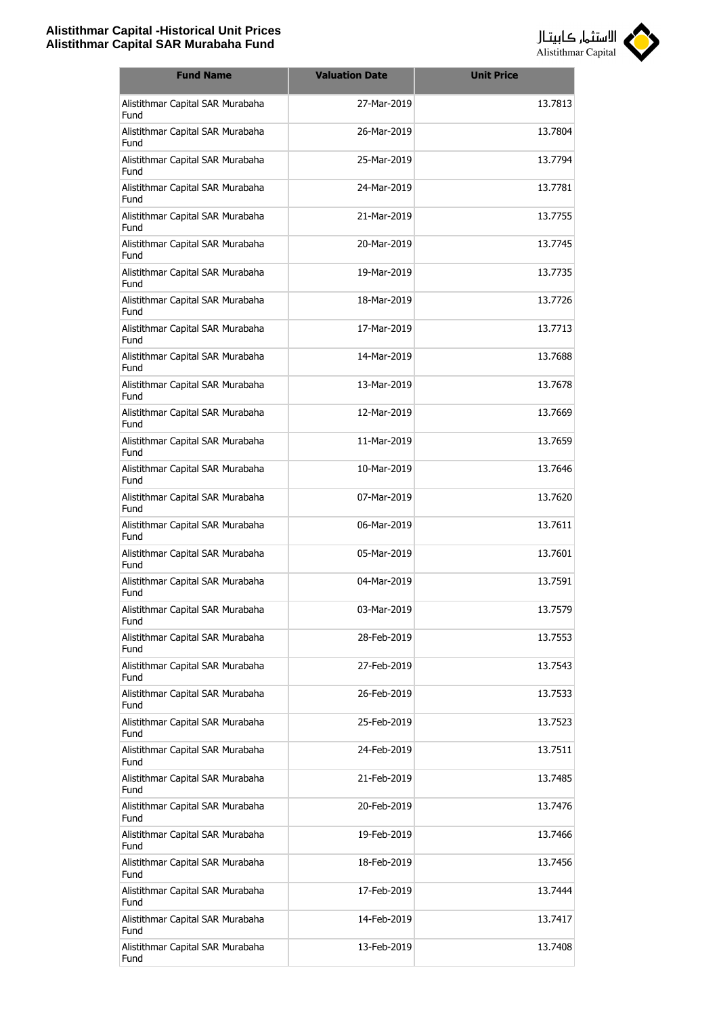

| <b>Fund Name</b>                         | <b>Valuation Date</b> | <b>Unit Price</b> |
|------------------------------------------|-----------------------|-------------------|
| Alistithmar Capital SAR Murabaha<br>Fund | 27-Mar-2019           | 13.7813           |
| Alistithmar Capital SAR Murabaha<br>Fund | 26-Mar-2019           | 13.7804           |
| Alistithmar Capital SAR Murabaha<br>Fund | 25-Mar-2019           | 13.7794           |
| Alistithmar Capital SAR Murabaha<br>Fund | 24-Mar-2019           | 13.7781           |
| Alistithmar Capital SAR Murabaha<br>Fund | 21-Mar-2019           | 13.7755           |
| Alistithmar Capital SAR Murabaha<br>Fund | 20-Mar-2019           | 13.7745           |
| Alistithmar Capital SAR Murabaha<br>Fund | 19-Mar-2019           | 13.7735           |
| Alistithmar Capital SAR Murabaha<br>Fund | 18-Mar-2019           | 13.7726           |
| Alistithmar Capital SAR Murabaha<br>Fund | 17-Mar-2019           | 13.7713           |
| Alistithmar Capital SAR Murabaha<br>Fund | 14-Mar-2019           | 13.7688           |
| Alistithmar Capital SAR Murabaha<br>Fund | 13-Mar-2019           | 13.7678           |
| Alistithmar Capital SAR Murabaha<br>Fund | 12-Mar-2019           | 13.7669           |
| Alistithmar Capital SAR Murabaha<br>Fund | 11-Mar-2019           | 13.7659           |
| Alistithmar Capital SAR Murabaha<br>Fund | 10-Mar-2019           | 13.7646           |
| Alistithmar Capital SAR Murabaha<br>Fund | 07-Mar-2019           | 13.7620           |
| Alistithmar Capital SAR Murabaha<br>Fund | 06-Mar-2019           | 13.7611           |
| Alistithmar Capital SAR Murabaha<br>Fund | 05-Mar-2019           | 13.7601           |
| Alistithmar Capital SAR Murabaha<br>Fund | 04-Mar-2019           | 13.7591           |
| Alistithmar Capital SAR Murabaha<br>Fund | 03-Mar-2019           | 13.7579           |
| Alistithmar Capital SAR Murabaha<br>Fund | 28-Feb-2019           | 13.7553           |
| Alistithmar Capital SAR Murabaha<br>Fund | 27-Feb-2019           | 13.7543           |
| Alistithmar Capital SAR Murabaha<br>Fund | 26-Feb-2019           | 13.7533           |
| Alistithmar Capital SAR Murabaha<br>Fund | 25-Feb-2019           | 13.7523           |
| Alistithmar Capital SAR Murabaha<br>Fund | 24-Feb-2019           | 13.7511           |
| Alistithmar Capital SAR Murabaha<br>Fund | 21-Feb-2019           | 13.7485           |
| Alistithmar Capital SAR Murabaha<br>Fund | 20-Feb-2019           | 13.7476           |
| Alistithmar Capital SAR Murabaha<br>Fund | 19-Feb-2019           | 13.7466           |
| Alistithmar Capital SAR Murabaha<br>Fund | 18-Feb-2019           | 13.7456           |
| Alistithmar Capital SAR Murabaha<br>Fund | 17-Feb-2019           | 13.7444           |
| Alistithmar Capital SAR Murabaha<br>Fund | 14-Feb-2019           | 13.7417           |
| Alistithmar Capital SAR Murabaha<br>Fund | 13-Feb-2019           | 13.7408           |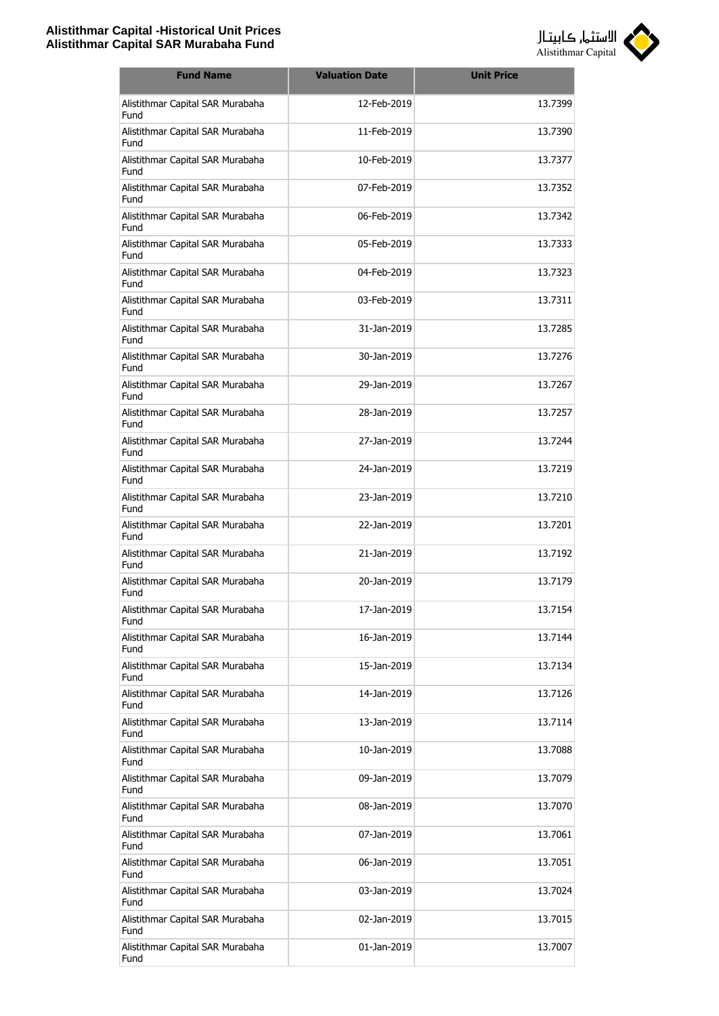

| <b>Fund Name</b>                         | <b>Valuation Date</b> | <b>Unit Price</b> |
|------------------------------------------|-----------------------|-------------------|
| Alistithmar Capital SAR Murabaha<br>Fund | 12-Feb-2019           | 13.7399           |
| Alistithmar Capital SAR Murabaha<br>Fund | 11-Feb-2019           | 13.7390           |
| Alistithmar Capital SAR Murabaha<br>Fund | 10-Feb-2019           | 13.7377           |
| Alistithmar Capital SAR Murabaha<br>Fund | 07-Feb-2019           | 13.7352           |
| Alistithmar Capital SAR Murabaha<br>Fund | 06-Feb-2019           | 13.7342           |
| Alistithmar Capital SAR Murabaha<br>Fund | 05-Feb-2019           | 13.7333           |
| Alistithmar Capital SAR Murabaha<br>Fund | 04-Feb-2019           | 13.7323           |
| Alistithmar Capital SAR Murabaha<br>Fund | 03-Feb-2019           | 13.7311           |
| Alistithmar Capital SAR Murabaha<br>Fund | 31-Jan-2019           | 13.7285           |
| Alistithmar Capital SAR Murabaha<br>Fund | 30-Jan-2019           | 13.7276           |
| Alistithmar Capital SAR Murabaha<br>Fund | 29-Jan-2019           | 13.7267           |
| Alistithmar Capital SAR Murabaha<br>Fund | 28-Jan-2019           | 13.7257           |
| Alistithmar Capital SAR Murabaha<br>Fund | 27-Jan-2019           | 13.7244           |
| Alistithmar Capital SAR Murabaha<br>Fund | 24-Jan-2019           | 13.7219           |
| Alistithmar Capital SAR Murabaha<br>Fund | 23-Jan-2019           | 13.7210           |
| Alistithmar Capital SAR Murabaha<br>Fund | 22-Jan-2019           | 13.7201           |
| Alistithmar Capital SAR Murabaha<br>Fund | 21-Jan-2019           | 13.7192           |
| Alistithmar Capital SAR Murabaha<br>Fund | 20-Jan-2019           | 13.7179           |
| Alistithmar Capital SAR Murabaha<br>Fund | 17-Jan-2019           | 13.7154           |
| Alistithmar Capital SAR Murabaha<br>Fund | 16-Jan-2019           | 13.7144           |
| Alistithmar Capital SAR Murabaha<br>Fund | 15-Jan-2019           | 13.7134           |
| Alistithmar Capital SAR Murabaha<br>Fund | 14-Jan-2019           | 13.7126           |
| Alistithmar Capital SAR Murabaha<br>Fund | 13-Jan-2019           | 13.7114           |
| Alistithmar Capital SAR Murabaha<br>Fund | 10-Jan-2019           | 13.7088           |
| Alistithmar Capital SAR Murabaha<br>Fund | 09-Jan-2019           | 13.7079           |
| Alistithmar Capital SAR Murabaha<br>Fund | 08-Jan-2019           | 13.7070           |
| Alistithmar Capital SAR Murabaha<br>Fund | 07-Jan-2019           | 13.7061           |
| Alistithmar Capital SAR Murabaha<br>Fund | 06-Jan-2019           | 13.7051           |
| Alistithmar Capital SAR Murabaha<br>Fund | 03-Jan-2019           | 13.7024           |
| Alistithmar Capital SAR Murabaha<br>Fund | 02-Jan-2019           | 13.7015           |
| Alistithmar Capital SAR Murabaha<br>Fund | 01-Jan-2019           | 13.7007           |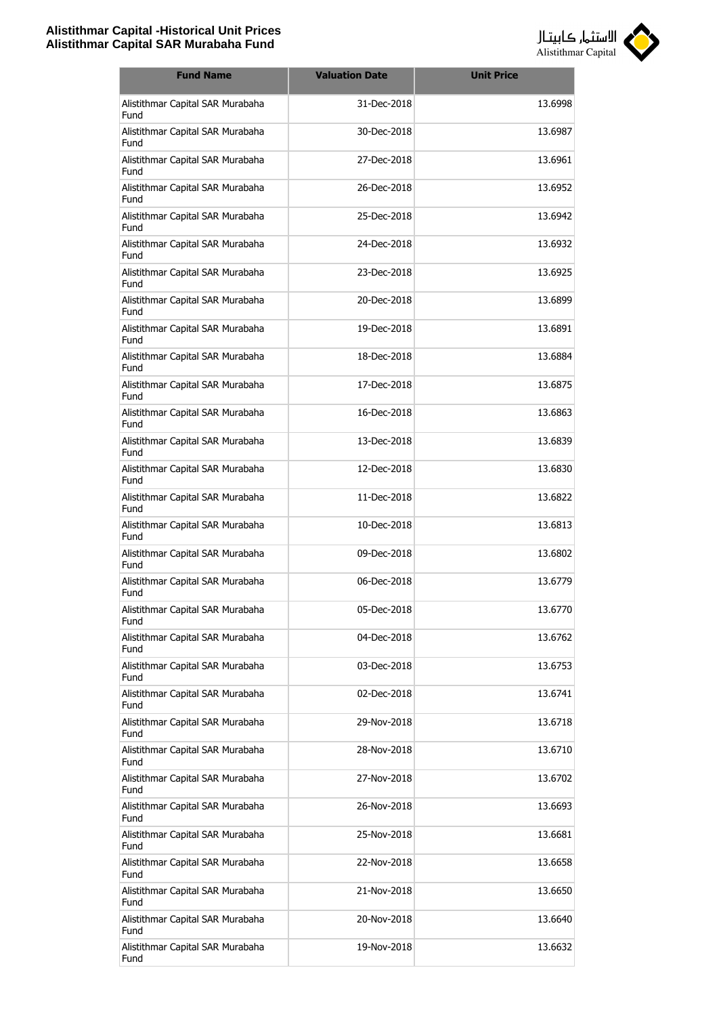

| <b>Fund Name</b>                         | <b>Valuation Date</b> | <b>Unit Price</b> |
|------------------------------------------|-----------------------|-------------------|
| Alistithmar Capital SAR Murabaha<br>Fund | 31-Dec-2018           | 13.6998           |
| Alistithmar Capital SAR Murabaha<br>Fund | 30-Dec-2018           | 13.6987           |
| Alistithmar Capital SAR Murabaha<br>Fund | 27-Dec-2018           | 13.6961           |
| Alistithmar Capital SAR Murabaha<br>Fund | 26-Dec-2018           | 13.6952           |
| Alistithmar Capital SAR Murabaha<br>Fund | 25-Dec-2018           | 13.6942           |
| Alistithmar Capital SAR Murabaha<br>Fund | 24-Dec-2018           | 13.6932           |
| Alistithmar Capital SAR Murabaha<br>Fund | 23-Dec-2018           | 13.6925           |
| Alistithmar Capital SAR Murabaha<br>Fund | 20-Dec-2018           | 13.6899           |
| Alistithmar Capital SAR Murabaha<br>Fund | 19-Dec-2018           | 13.6891           |
| Alistithmar Capital SAR Murabaha<br>Fund | 18-Dec-2018           | 13.6884           |
| Alistithmar Capital SAR Murabaha<br>Fund | 17-Dec-2018           | 13.6875           |
| Alistithmar Capital SAR Murabaha<br>Fund | 16-Dec-2018           | 13.6863           |
| Alistithmar Capital SAR Murabaha<br>Fund | 13-Dec-2018           | 13.6839           |
| Alistithmar Capital SAR Murabaha<br>Fund | 12-Dec-2018           | 13.6830           |
| Alistithmar Capital SAR Murabaha<br>Fund | 11-Dec-2018           | 13.6822           |
| Alistithmar Capital SAR Murabaha<br>Fund | 10-Dec-2018           | 13.6813           |
| Alistithmar Capital SAR Murabaha<br>Fund | 09-Dec-2018           | 13.6802           |
| Alistithmar Capital SAR Murabaha<br>Fund | 06-Dec-2018           | 13.6779           |
| Alistithmar Capital SAR Murabaha<br>Fund | 05-Dec-2018           | 13.6770           |
| Alistithmar Capital SAR Murabaha<br>Fund | 04-Dec-2018           | 13.6762           |
| Alistithmar Capital SAR Murabaha<br>Fund | 03-Dec-2018           | 13.6753           |
| Alistithmar Capital SAR Murabaha<br>Fund | 02-Dec-2018           | 13.6741           |
| Alistithmar Capital SAR Murabaha<br>Fund | 29-Nov-2018           | 13.6718           |
| Alistithmar Capital SAR Murabaha<br>Fund | 28-Nov-2018           | 13.6710           |
| Alistithmar Capital SAR Murabaha<br>Fund | 27-Nov-2018           | 13.6702           |
| Alistithmar Capital SAR Murabaha<br>Fund | 26-Nov-2018           | 13.6693           |
| Alistithmar Capital SAR Murabaha<br>Fund | 25-Nov-2018           | 13.6681           |
| Alistithmar Capital SAR Murabaha<br>Fund | 22-Nov-2018           | 13.6658           |
| Alistithmar Capital SAR Murabaha<br>Fund | 21-Nov-2018           | 13.6650           |
| Alistithmar Capital SAR Murabaha<br>Fund | 20-Nov-2018           | 13.6640           |
| Alistithmar Capital SAR Murabaha<br>Fund | 19-Nov-2018           | 13.6632           |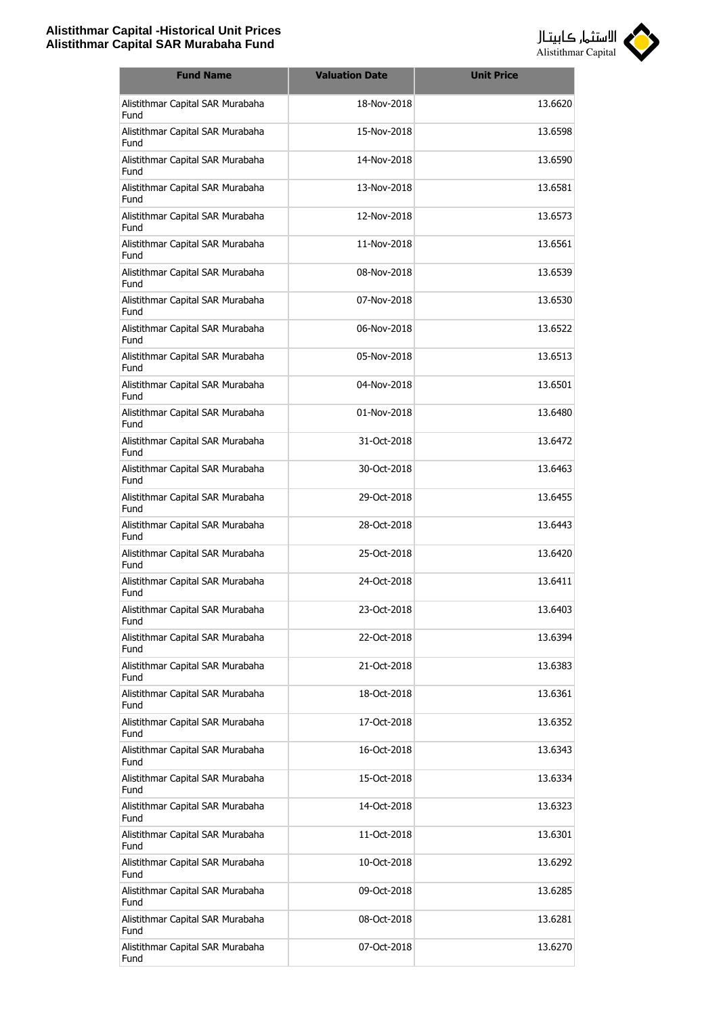

| <b>Fund Name</b>                         | <b>Valuation Date</b> | <b>Unit Price</b> |
|------------------------------------------|-----------------------|-------------------|
| Alistithmar Capital SAR Murabaha<br>Fund | 18-Nov-2018           | 13.6620           |
| Alistithmar Capital SAR Murabaha<br>Fund | 15-Nov-2018           | 13.6598           |
| Alistithmar Capital SAR Murabaha<br>Fund | 14-Nov-2018           | 13.6590           |
| Alistithmar Capital SAR Murabaha<br>Fund | 13-Nov-2018           | 13.6581           |
| Alistithmar Capital SAR Murabaha<br>Fund | 12-Nov-2018           | 13.6573           |
| Alistithmar Capital SAR Murabaha<br>Fund | 11-Nov-2018           | 13.6561           |
| Alistithmar Capital SAR Murabaha<br>Fund | 08-Nov-2018           | 13.6539           |
| Alistithmar Capital SAR Murabaha<br>Fund | 07-Nov-2018           | 13.6530           |
| Alistithmar Capital SAR Murabaha<br>Fund | 06-Nov-2018           | 13.6522           |
| Alistithmar Capital SAR Murabaha<br>Fund | 05-Nov-2018           | 13.6513           |
| Alistithmar Capital SAR Murabaha<br>Fund | 04-Nov-2018           | 13.6501           |
| Alistithmar Capital SAR Murabaha<br>Fund | 01-Nov-2018           | 13.6480           |
| Alistithmar Capital SAR Murabaha<br>Fund | 31-Oct-2018           | 13.6472           |
| Alistithmar Capital SAR Murabaha<br>Fund | 30-Oct-2018           | 13.6463           |
| Alistithmar Capital SAR Murabaha<br>Fund | 29-Oct-2018           | 13.6455           |
| Alistithmar Capital SAR Murabaha<br>Fund | 28-Oct-2018           | 13.6443           |
| Alistithmar Capital SAR Murabaha<br>Fund | 25-Oct-2018           | 13.6420           |
| Alistithmar Capital SAR Murabaha<br>Fund | 24-Oct-2018           | 13.6411           |
| Alistithmar Capital SAR Murabaha<br>Fund | 23-Oct-2018           | 13.6403           |
| Alistithmar Capital SAR Murabaha<br>Fund | 22-Oct-2018           | 13.6394           |
| Alistithmar Capital SAR Murabaha<br>Fund | 21-Oct-2018           | 13.6383           |
| Alistithmar Capital SAR Murabaha<br>Fund | 18-Oct-2018           | 13.6361           |
| Alistithmar Capital SAR Murabaha<br>Fund | 17-Oct-2018           | 13.6352           |
| Alistithmar Capital SAR Murabaha<br>Fund | 16-Oct-2018           | 13.6343           |
| Alistithmar Capital SAR Murabaha<br>Fund | 15-Oct-2018           | 13.6334           |
| Alistithmar Capital SAR Murabaha<br>Fund | 14-Oct-2018           | 13.6323           |
| Alistithmar Capital SAR Murabaha<br>Fund | 11-Oct-2018           | 13.6301           |
| Alistithmar Capital SAR Murabaha<br>Fund | 10-Oct-2018           | 13.6292           |
| Alistithmar Capital SAR Murabaha<br>Fund | 09-Oct-2018           | 13.6285           |
| Alistithmar Capital SAR Murabaha<br>Fund | 08-Oct-2018           | 13.6281           |
| Alistithmar Capital SAR Murabaha<br>Fund | 07-Oct-2018           | 13.6270           |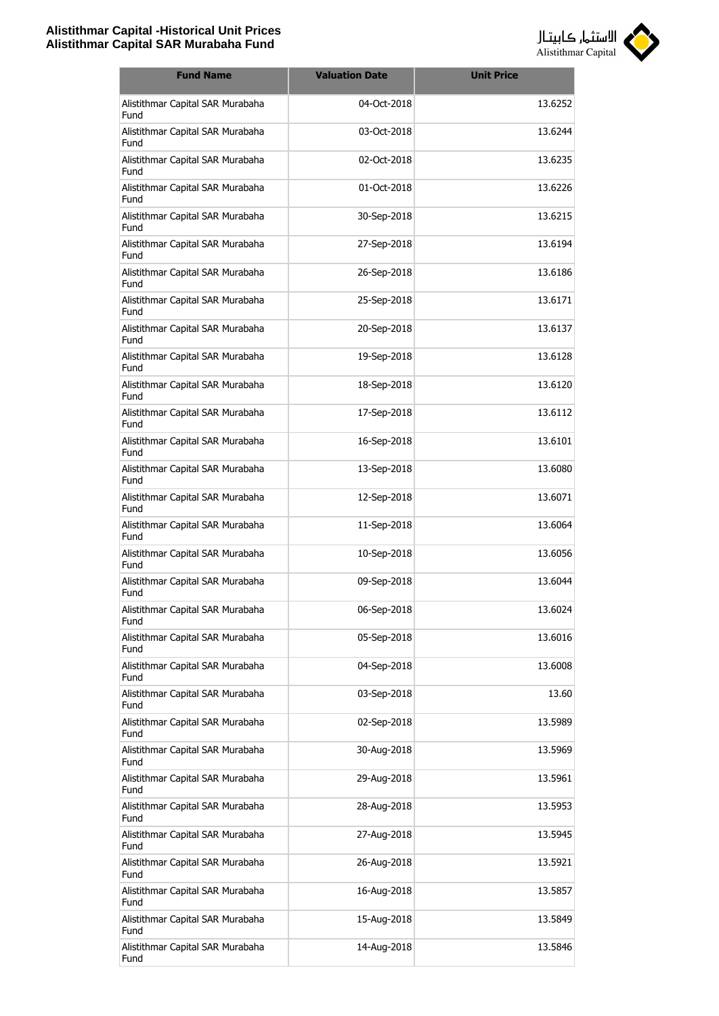

| <b>Fund Name</b>                         | <b>Valuation Date</b> | <b>Unit Price</b> |
|------------------------------------------|-----------------------|-------------------|
| Alistithmar Capital SAR Murabaha<br>Fund | 04-Oct-2018           | 13.6252           |
| Alistithmar Capital SAR Murabaha<br>Fund | 03-Oct-2018           | 13.6244           |
| Alistithmar Capital SAR Murabaha<br>Fund | 02-Oct-2018           | 13.6235           |
| Alistithmar Capital SAR Murabaha<br>Fund | 01-Oct-2018           | 13.6226           |
| Alistithmar Capital SAR Murabaha<br>Fund | 30-Sep-2018           | 13.6215           |
| Alistithmar Capital SAR Murabaha<br>Fund | 27-Sep-2018           | 13.6194           |
| Alistithmar Capital SAR Murabaha<br>Fund | 26-Sep-2018           | 13.6186           |
| Alistithmar Capital SAR Murabaha<br>Fund | 25-Sep-2018           | 13.6171           |
| Alistithmar Capital SAR Murabaha<br>Fund | 20-Sep-2018           | 13.6137           |
| Alistithmar Capital SAR Murabaha<br>Fund | 19-Sep-2018           | 13.6128           |
| Alistithmar Capital SAR Murabaha<br>Fund | 18-Sep-2018           | 13.6120           |
| Alistithmar Capital SAR Murabaha<br>Fund | 17-Sep-2018           | 13.6112           |
| Alistithmar Capital SAR Murabaha<br>Fund | 16-Sep-2018           | 13.6101           |
| Alistithmar Capital SAR Murabaha<br>Fund | 13-Sep-2018           | 13.6080           |
| Alistithmar Capital SAR Murabaha<br>Fund | 12-Sep-2018           | 13.6071           |
| Alistithmar Capital SAR Murabaha<br>Fund | 11-Sep-2018           | 13.6064           |
| Alistithmar Capital SAR Murabaha<br>Fund | 10-Sep-2018           | 13.6056           |
| Alistithmar Capital SAR Murabaha<br>Fund | 09-Sep-2018           | 13.6044           |
| Alistithmar Capital SAR Murabaha<br>Fund | 06-Sep-2018           | 13.6024           |
| Alistithmar Capital SAR Murabaha<br>Fund | 05-Sep-2018           | 13.6016           |
| Alistithmar Capital SAR Murabaha<br>Fund | 04-Sep-2018           | 13.6008           |
| Alistithmar Capital SAR Murabaha<br>Fund | 03-Sep-2018           | 13.60             |
| Alistithmar Capital SAR Murabaha<br>Fund | 02-Sep-2018           | 13.5989           |
| Alistithmar Capital SAR Murabaha<br>Fund | 30-Aug-2018           | 13.5969           |
| Alistithmar Capital SAR Murabaha<br>Fund | 29-Aug-2018           | 13.5961           |
| Alistithmar Capital SAR Murabaha<br>Fund | 28-Aug-2018           | 13.5953           |
| Alistithmar Capital SAR Murabaha<br>Fund | 27-Aug-2018           | 13.5945           |
| Alistithmar Capital SAR Murabaha<br>Fund | 26-Aug-2018           | 13.5921           |
| Alistithmar Capital SAR Murabaha<br>Fund | 16-Aug-2018           | 13.5857           |
| Alistithmar Capital SAR Murabaha<br>Fund | 15-Aug-2018           | 13.5849           |
| Alistithmar Capital SAR Murabaha<br>Fund | 14-Aug-2018           | 13.5846           |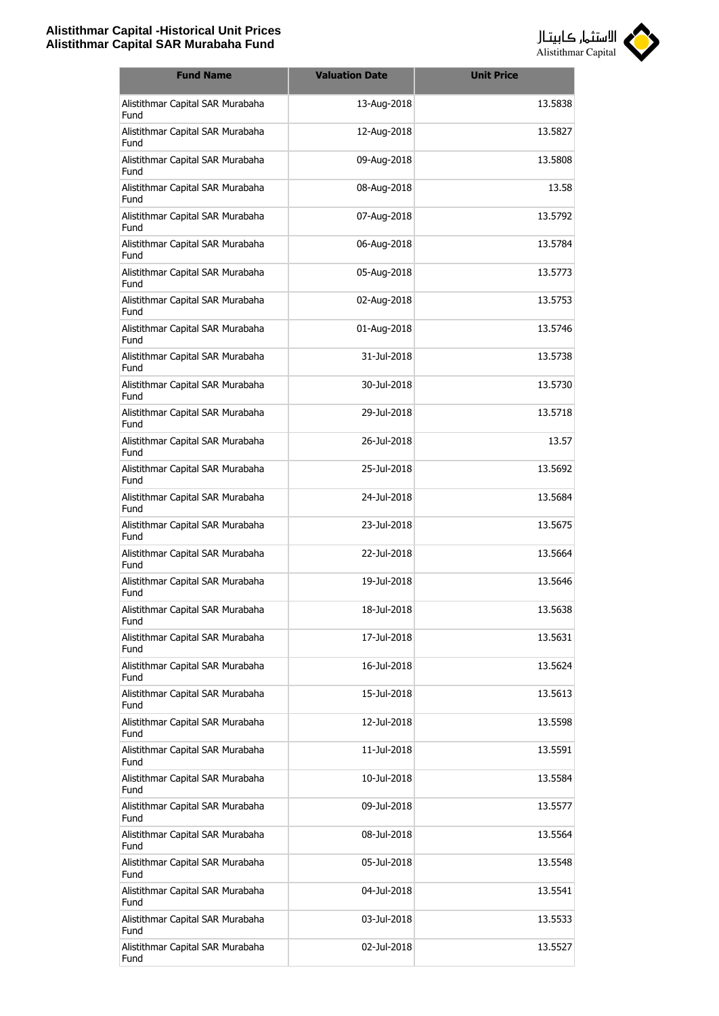

| <b>Fund Name</b>                         | <b>Valuation Date</b> | <b>Unit Price</b> |
|------------------------------------------|-----------------------|-------------------|
| Alistithmar Capital SAR Murabaha<br>Fund | 13-Aug-2018           | 13.5838           |
| Alistithmar Capital SAR Murabaha<br>Fund | 12-Aug-2018           | 13.5827           |
| Alistithmar Capital SAR Murabaha<br>Fund | 09-Aug-2018           | 13.5808           |
| Alistithmar Capital SAR Murabaha<br>Fund | 08-Aug-2018           | 13.58             |
| Alistithmar Capital SAR Murabaha<br>Fund | 07-Aug-2018           | 13.5792           |
| Alistithmar Capital SAR Murabaha<br>Fund | 06-Aug-2018           | 13.5784           |
| Alistithmar Capital SAR Murabaha<br>Fund | 05-Aug-2018           | 13.5773           |
| Alistithmar Capital SAR Murabaha<br>Fund | 02-Aug-2018           | 13.5753           |
| Alistithmar Capital SAR Murabaha<br>Fund | 01-Aug-2018           | 13.5746           |
| Alistithmar Capital SAR Murabaha<br>Fund | 31-Jul-2018           | 13.5738           |
| Alistithmar Capital SAR Murabaha<br>Fund | 30-Jul-2018           | 13.5730           |
| Alistithmar Capital SAR Murabaha<br>Fund | 29-Jul-2018           | 13.5718           |
| Alistithmar Capital SAR Murabaha<br>Fund | 26-Jul-2018           | 13.57             |
| Alistithmar Capital SAR Murabaha<br>Fund | 25-Jul-2018           | 13.5692           |
| Alistithmar Capital SAR Murabaha<br>Fund | 24-Jul-2018           | 13.5684           |
| Alistithmar Capital SAR Murabaha<br>Fund | 23-Jul-2018           | 13.5675           |
| Alistithmar Capital SAR Murabaha<br>Fund | 22-Jul-2018           | 13.5664           |
| Alistithmar Capital SAR Murabaha<br>Fund | 19-Jul-2018           | 13.5646           |
| Alistithmar Capital SAR Murabaha<br>Fund | 18-Jul-2018           | 13.5638           |
| Alistithmar Capital SAR Murabaha<br>Fund | 17-Jul-2018           | 13.5631           |
| Alistithmar Capital SAR Murabaha<br>Fund | 16-Jul-2018           | 13.5624           |
| Alistithmar Capital SAR Murabaha<br>Fund | 15-Jul-2018           | 13.5613           |
| Alistithmar Capital SAR Murabaha<br>Fund | 12-Jul-2018           | 13.5598           |
| Alistithmar Capital SAR Murabaha<br>Fund | 11-Jul-2018           | 13.5591           |
| Alistithmar Capital SAR Murabaha<br>Fund | 10-Jul-2018           | 13.5584           |
| Alistithmar Capital SAR Murabaha<br>Fund | 09-Jul-2018           | 13.5577           |
| Alistithmar Capital SAR Murabaha<br>Fund | 08-Jul-2018           | 13.5564           |
| Alistithmar Capital SAR Murabaha<br>Fund | 05-Jul-2018           | 13.5548           |
| Alistithmar Capital SAR Murabaha<br>Fund | 04-Jul-2018           | 13.5541           |
| Alistithmar Capital SAR Murabaha<br>Fund | 03-Jul-2018           | 13.5533           |
| Alistithmar Capital SAR Murabaha<br>Fund | 02-Jul-2018           | 13.5527           |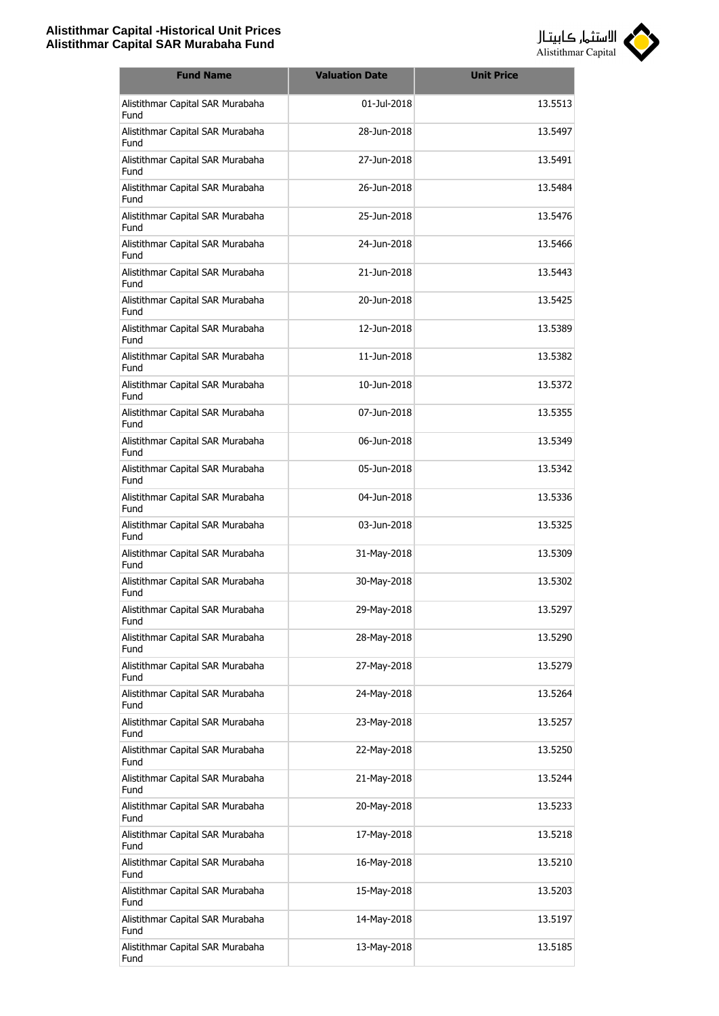

| <b>Fund Name</b>                         | <b>Valuation Date</b> | <b>Unit Price</b> |
|------------------------------------------|-----------------------|-------------------|
| Alistithmar Capital SAR Murabaha<br>Fund | 01-Jul-2018           | 13.5513           |
| Alistithmar Capital SAR Murabaha<br>Fund | 28-Jun-2018           | 13.5497           |
| Alistithmar Capital SAR Murabaha<br>Fund | 27-Jun-2018           | 13.5491           |
| Alistithmar Capital SAR Murabaha<br>Fund | 26-Jun-2018           | 13.5484           |
| Alistithmar Capital SAR Murabaha<br>Fund | 25-Jun-2018           | 13.5476           |
| Alistithmar Capital SAR Murabaha<br>Fund | 24-Jun-2018           | 13.5466           |
| Alistithmar Capital SAR Murabaha<br>Fund | 21-Jun-2018           | 13.5443           |
| Alistithmar Capital SAR Murabaha<br>Fund | 20-Jun-2018           | 13.5425           |
| Alistithmar Capital SAR Murabaha<br>Fund | 12-Jun-2018           | 13.5389           |
| Alistithmar Capital SAR Murabaha<br>Fund | 11-Jun-2018           | 13.5382           |
| Alistithmar Capital SAR Murabaha<br>Fund | 10-Jun-2018           | 13.5372           |
| Alistithmar Capital SAR Murabaha<br>Fund | 07-Jun-2018           | 13.5355           |
| Alistithmar Capital SAR Murabaha<br>Fund | 06-Jun-2018           | 13.5349           |
| Alistithmar Capital SAR Murabaha<br>Fund | 05-Jun-2018           | 13.5342           |
| Alistithmar Capital SAR Murabaha<br>Fund | 04-Jun-2018           | 13.5336           |
| Alistithmar Capital SAR Murabaha<br>Fund | 03-Jun-2018           | 13.5325           |
| Alistithmar Capital SAR Murabaha<br>Fund | 31-May-2018           | 13.5309           |
| Alistithmar Capital SAR Murabaha<br>Fund | 30-May-2018           | 13.5302           |
| Alistithmar Capital SAR Murabaha<br>Fund | 29-May-2018           | 13.5297           |
| Alistithmar Capital SAR Murabaha<br>Fund | 28-May-2018           | 13.5290           |
| Alistithmar Capital SAR Murabaha<br>Fund | 27-May-2018           | 13.5279           |
| Alistithmar Capital SAR Murabaha<br>Fund | 24-May-2018           | 13.5264           |
| Alistithmar Capital SAR Murabaha<br>Fund | 23-May-2018           | 13.5257           |
| Alistithmar Capital SAR Murabaha<br>Fund | 22-May-2018           | 13.5250           |
| Alistithmar Capital SAR Murabaha<br>Fund | 21-May-2018           | 13.5244           |
| Alistithmar Capital SAR Murabaha<br>Fund | 20-May-2018           | 13.5233           |
| Alistithmar Capital SAR Murabaha<br>Fund | 17-May-2018           | 13.5218           |
| Alistithmar Capital SAR Murabaha<br>Fund | 16-May-2018           | 13.5210           |
| Alistithmar Capital SAR Murabaha<br>Fund | 15-May-2018           | 13.5203           |
| Alistithmar Capital SAR Murabaha<br>Fund | 14-May-2018           | 13.5197           |
| Alistithmar Capital SAR Murabaha<br>Fund | 13-May-2018           | 13.5185           |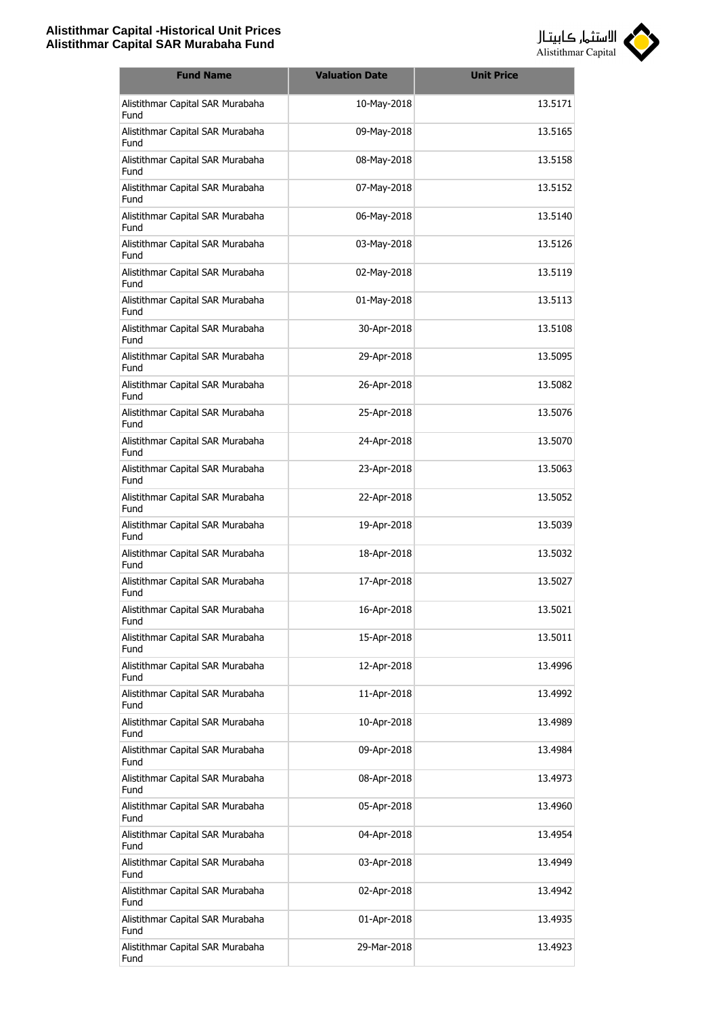

| <b>Fund Name</b>                         | <b>Valuation Date</b> | <b>Unit Price</b> |
|------------------------------------------|-----------------------|-------------------|
| Alistithmar Capital SAR Murabaha<br>Fund | 10-May-2018           | 13.5171           |
| Alistithmar Capital SAR Murabaha<br>Fund | 09-May-2018           | 13.5165           |
| Alistithmar Capital SAR Murabaha<br>Fund | 08-May-2018           | 13.5158           |
| Alistithmar Capital SAR Murabaha<br>Fund | 07-May-2018           | 13.5152           |
| Alistithmar Capital SAR Murabaha<br>Fund | 06-May-2018           | 13.5140           |
| Alistithmar Capital SAR Murabaha<br>Fund | 03-May-2018           | 13.5126           |
| Alistithmar Capital SAR Murabaha<br>Fund | 02-May-2018           | 13.5119           |
| Alistithmar Capital SAR Murabaha<br>Fund | 01-May-2018           | 13.5113           |
| Alistithmar Capital SAR Murabaha<br>Fund | 30-Apr-2018           | 13.5108           |
| Alistithmar Capital SAR Murabaha<br>Fund | 29-Apr-2018           | 13.5095           |
| Alistithmar Capital SAR Murabaha<br>Fund | 26-Apr-2018           | 13.5082           |
| Alistithmar Capital SAR Murabaha<br>Fund | 25-Apr-2018           | 13.5076           |
| Alistithmar Capital SAR Murabaha<br>Fund | 24-Apr-2018           | 13.5070           |
| Alistithmar Capital SAR Murabaha<br>Fund | 23-Apr-2018           | 13.5063           |
| Alistithmar Capital SAR Murabaha<br>Fund | 22-Apr-2018           | 13.5052           |
| Alistithmar Capital SAR Murabaha<br>Fund | 19-Apr-2018           | 13.5039           |
| Alistithmar Capital SAR Murabaha<br>Fund | 18-Apr-2018           | 13.5032           |
| Alistithmar Capital SAR Murabaha<br>Fund | 17-Apr-2018           | 13.5027           |
| Alistithmar Capital SAR Murabaha<br>Fund | 16-Apr-2018           | 13.5021           |
| Alistithmar Capital SAR Murabaha<br>Fund | 15-Apr-2018           | 13.5011           |
| Alistithmar Capital SAR Murabaha<br>Fund | 12-Apr-2018           | 13.4996           |
| Alistithmar Capital SAR Murabaha<br>Fund | 11-Apr-2018           | 13.4992           |
| Alistithmar Capital SAR Murabaha<br>Fund | 10-Apr-2018           | 13.4989           |
| Alistithmar Capital SAR Murabaha<br>Fund | 09-Apr-2018           | 13.4984           |
| Alistithmar Capital SAR Murabaha<br>Fund | 08-Apr-2018           | 13.4973           |
| Alistithmar Capital SAR Murabaha<br>Fund | 05-Apr-2018           | 13.4960           |
| Alistithmar Capital SAR Murabaha<br>Fund | 04-Apr-2018           | 13.4954           |
| Alistithmar Capital SAR Murabaha<br>Fund | 03-Apr-2018           | 13.4949           |
| Alistithmar Capital SAR Murabaha<br>Fund | 02-Apr-2018           | 13.4942           |
| Alistithmar Capital SAR Murabaha<br>Fund | 01-Apr-2018           | 13.4935           |
| Alistithmar Capital SAR Murabaha<br>Fund | 29-Mar-2018           | 13.4923           |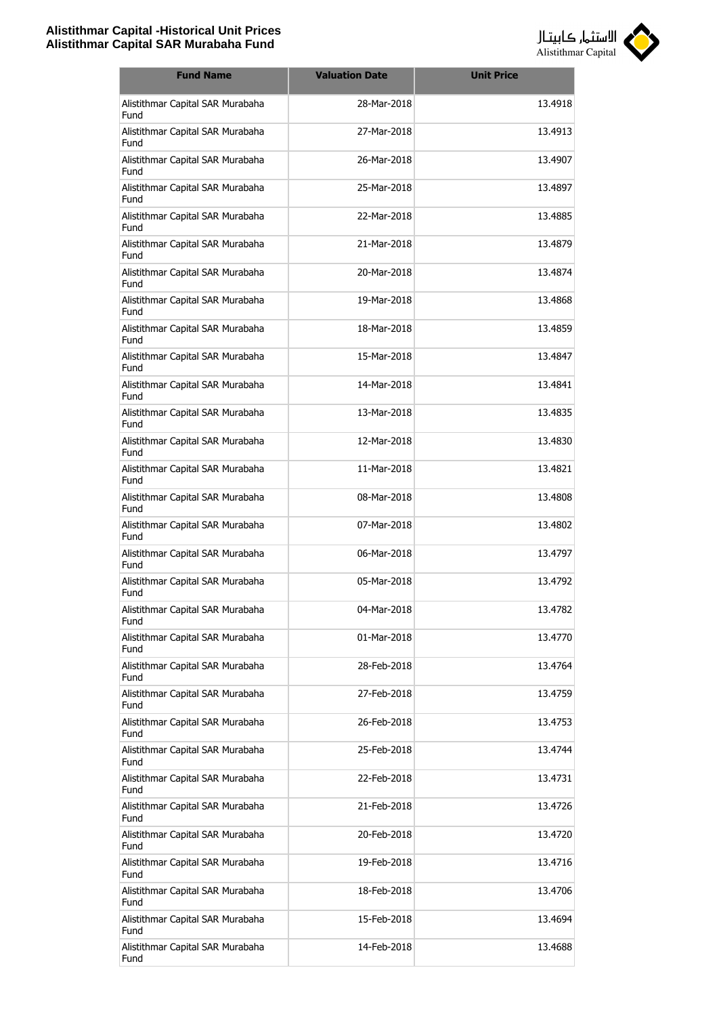

| <b>Fund Name</b>                         | <b>Valuation Date</b> | <b>Unit Price</b> |
|------------------------------------------|-----------------------|-------------------|
| Alistithmar Capital SAR Murabaha<br>Fund | 28-Mar-2018           | 13.4918           |
| Alistithmar Capital SAR Murabaha<br>Fund | 27-Mar-2018           | 13.4913           |
| Alistithmar Capital SAR Murabaha<br>Fund | 26-Mar-2018           | 13.4907           |
| Alistithmar Capital SAR Murabaha<br>Fund | 25-Mar-2018           | 13.4897           |
| Alistithmar Capital SAR Murabaha<br>Fund | 22-Mar-2018           | 13.4885           |
| Alistithmar Capital SAR Murabaha<br>Fund | 21-Mar-2018           | 13.4879           |
| Alistithmar Capital SAR Murabaha<br>Fund | 20-Mar-2018           | 13.4874           |
| Alistithmar Capital SAR Murabaha<br>Fund | 19-Mar-2018           | 13.4868           |
| Alistithmar Capital SAR Murabaha<br>Fund | 18-Mar-2018           | 13.4859           |
| Alistithmar Capital SAR Murabaha<br>Fund | 15-Mar-2018           | 13.4847           |
| Alistithmar Capital SAR Murabaha<br>Fund | 14-Mar-2018           | 13.4841           |
| Alistithmar Capital SAR Murabaha<br>Fund | 13-Mar-2018           | 13.4835           |
| Alistithmar Capital SAR Murabaha<br>Fund | 12-Mar-2018           | 13.4830           |
| Alistithmar Capital SAR Murabaha<br>Fund | 11-Mar-2018           | 13.4821           |
| Alistithmar Capital SAR Murabaha<br>Fund | 08-Mar-2018           | 13.4808           |
| Alistithmar Capital SAR Murabaha<br>Fund | 07-Mar-2018           | 13.4802           |
| Alistithmar Capital SAR Murabaha<br>Fund | 06-Mar-2018           | 13.4797           |
| Alistithmar Capital SAR Murabaha<br>Fund | 05-Mar-2018           | 13.4792           |
| Alistithmar Capital SAR Murabaha<br>Fund | 04-Mar-2018           | 13.4782           |
| Alistithmar Capital SAR Murabaha<br>Fund | 01-Mar-2018           | 13.4770           |
| Alistithmar Capital SAR Murabaha<br>Fund | 28-Feb-2018           | 13.4764           |
| Alistithmar Capital SAR Murabaha<br>Fund | 27-Feb-2018           | 13.4759           |
| Alistithmar Capital SAR Murabaha<br>Fund | 26-Feb-2018           | 13.4753           |
| Alistithmar Capital SAR Murabaha<br>Fund | 25-Feb-2018           | 13.4744           |
| Alistithmar Capital SAR Murabaha<br>Fund | 22-Feb-2018           | 13.4731           |
| Alistithmar Capital SAR Murabaha<br>Fund | 21-Feb-2018           | 13.4726           |
| Alistithmar Capital SAR Murabaha<br>Fund | 20-Feb-2018           | 13.4720           |
| Alistithmar Capital SAR Murabaha<br>Fund | 19-Feb-2018           | 13.4716           |
| Alistithmar Capital SAR Murabaha<br>Fund | 18-Feb-2018           | 13.4706           |
| Alistithmar Capital SAR Murabaha<br>Fund | 15-Feb-2018           | 13.4694           |
| Alistithmar Capital SAR Murabaha<br>Fund | 14-Feb-2018           | 13.4688           |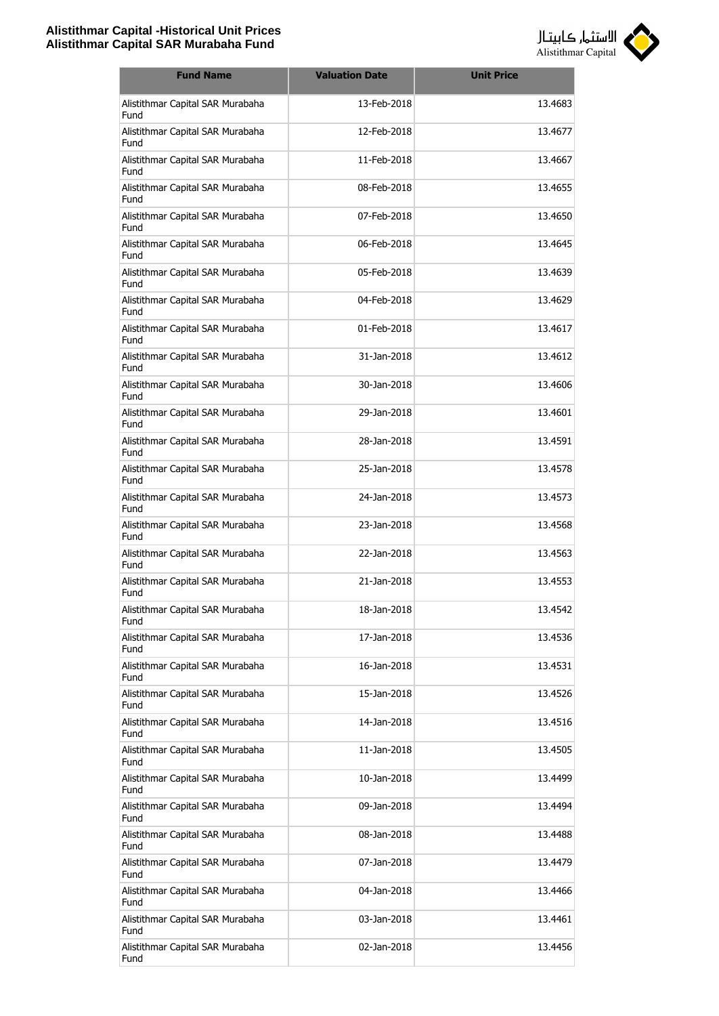

| <b>Fund Name</b>                         | <b>Valuation Date</b> | <b>Unit Price</b> |
|------------------------------------------|-----------------------|-------------------|
| Alistithmar Capital SAR Murabaha<br>Fund | 13-Feb-2018           | 13.4683           |
| Alistithmar Capital SAR Murabaha<br>Fund | 12-Feb-2018           | 13.4677           |
| Alistithmar Capital SAR Murabaha<br>Fund | 11-Feb-2018           | 13.4667           |
| Alistithmar Capital SAR Murabaha<br>Fund | 08-Feb-2018           | 13.4655           |
| Alistithmar Capital SAR Murabaha<br>Fund | 07-Feb-2018           | 13.4650           |
| Alistithmar Capital SAR Murabaha<br>Fund | 06-Feb-2018           | 13.4645           |
| Alistithmar Capital SAR Murabaha<br>Fund | 05-Feb-2018           | 13.4639           |
| Alistithmar Capital SAR Murabaha<br>Fund | 04-Feb-2018           | 13.4629           |
| Alistithmar Capital SAR Murabaha<br>Fund | 01-Feb-2018           | 13.4617           |
| Alistithmar Capital SAR Murabaha<br>Fund | 31-Jan-2018           | 13.4612           |
| Alistithmar Capital SAR Murabaha<br>Fund | 30-Jan-2018           | 13.4606           |
| Alistithmar Capital SAR Murabaha<br>Fund | 29-Jan-2018           | 13.4601           |
| Alistithmar Capital SAR Murabaha<br>Fund | 28-Jan-2018           | 13.4591           |
| Alistithmar Capital SAR Murabaha<br>Fund | 25-Jan-2018           | 13.4578           |
| Alistithmar Capital SAR Murabaha<br>Fund | 24-Jan-2018           | 13.4573           |
| Alistithmar Capital SAR Murabaha<br>Fund | 23-Jan-2018           | 13.4568           |
| Alistithmar Capital SAR Murabaha<br>Fund | 22-Jan-2018           | 13.4563           |
| Alistithmar Capital SAR Murabaha<br>Fund | 21-Jan-2018           | 13.4553           |
| Alistithmar Capital SAR Murabaha<br>Fund | 18-Jan-2018           | 13.4542           |
| Alistithmar Capital SAR Murabaha<br>Fund | 17-Jan-2018           | 13.4536           |
| Alistithmar Capital SAR Murabaha<br>Fund | 16-Jan-2018           | 13.4531           |
| Alistithmar Capital SAR Murabaha<br>Fund | 15-Jan-2018           | 13.4526           |
| Alistithmar Capital SAR Murabaha<br>Fund | 14-Jan-2018           | 13.4516           |
| Alistithmar Capital SAR Murabaha<br>Fund | 11-Jan-2018           | 13.4505           |
| Alistithmar Capital SAR Murabaha<br>Fund | 10-Jan-2018           | 13.4499           |
| Alistithmar Capital SAR Murabaha<br>Fund | 09-Jan-2018           | 13.4494           |
| Alistithmar Capital SAR Murabaha<br>Fund | 08-Jan-2018           | 13.4488           |
| Alistithmar Capital SAR Murabaha<br>Fund | 07-Jan-2018           | 13.4479           |
| Alistithmar Capital SAR Murabaha<br>Fund | 04-Jan-2018           | 13.4466           |
| Alistithmar Capital SAR Murabaha<br>Fund | 03-Jan-2018           | 13.4461           |
| Alistithmar Capital SAR Murabaha<br>Fund | 02-Jan-2018           | 13.4456           |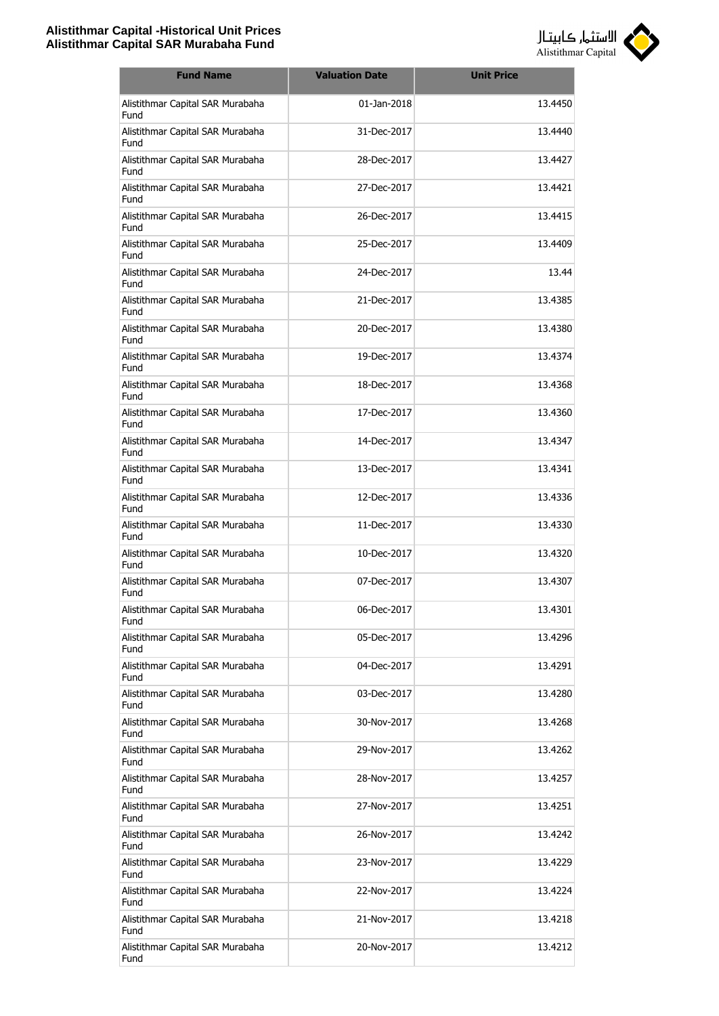

| <b>Fund Name</b>                         | <b>Valuation Date</b> | <b>Unit Price</b> |
|------------------------------------------|-----------------------|-------------------|
| Alistithmar Capital SAR Murabaha<br>Fund | 01-Jan-2018           | 13.4450           |
| Alistithmar Capital SAR Murabaha<br>Fund | 31-Dec-2017           | 13.4440           |
| Alistithmar Capital SAR Murabaha<br>Fund | 28-Dec-2017           | 13.4427           |
| Alistithmar Capital SAR Murabaha<br>Fund | 27-Dec-2017           | 13.4421           |
| Alistithmar Capital SAR Murabaha<br>Fund | 26-Dec-2017           | 13.4415           |
| Alistithmar Capital SAR Murabaha<br>Fund | 25-Dec-2017           | 13.4409           |
| Alistithmar Capital SAR Murabaha<br>Fund | 24-Dec-2017           | 13.44             |
| Alistithmar Capital SAR Murabaha<br>Fund | 21-Dec-2017           | 13.4385           |
| Alistithmar Capital SAR Murabaha<br>Fund | 20-Dec-2017           | 13.4380           |
| Alistithmar Capital SAR Murabaha<br>Fund | 19-Dec-2017           | 13.4374           |
| Alistithmar Capital SAR Murabaha<br>Fund | 18-Dec-2017           | 13.4368           |
| Alistithmar Capital SAR Murabaha<br>Fund | 17-Dec-2017           | 13.4360           |
| Alistithmar Capital SAR Murabaha<br>Fund | 14-Dec-2017           | 13.4347           |
| Alistithmar Capital SAR Murabaha<br>Fund | 13-Dec-2017           | 13.4341           |
| Alistithmar Capital SAR Murabaha<br>Fund | 12-Dec-2017           | 13.4336           |
| Alistithmar Capital SAR Murabaha<br>Fund | 11-Dec-2017           | 13.4330           |
| Alistithmar Capital SAR Murabaha<br>Fund | 10-Dec-2017           | 13.4320           |
| Alistithmar Capital SAR Murabaha<br>Fund | 07-Dec-2017           | 13.4307           |
| Alistithmar Capital SAR Murabaha<br>Fund | 06-Dec-2017           | 13.4301           |
| Alistithmar Capital SAR Murabaha<br>Fund | 05-Dec-2017           | 13.4296           |
| Alistithmar Capital SAR Murabaha<br>Fund | 04-Dec-2017           | 13.4291           |
| Alistithmar Capital SAR Murabaha<br>Fund | 03-Dec-2017           | 13.4280           |
| Alistithmar Capital SAR Murabaha<br>Fund | 30-Nov-2017           | 13.4268           |
| Alistithmar Capital SAR Murabaha<br>Fund | 29-Nov-2017           | 13.4262           |
| Alistithmar Capital SAR Murabaha<br>Fund | 28-Nov-2017           | 13.4257           |
| Alistithmar Capital SAR Murabaha<br>Fund | 27-Nov-2017           | 13.4251           |
| Alistithmar Capital SAR Murabaha<br>Fund | 26-Nov-2017           | 13.4242           |
| Alistithmar Capital SAR Murabaha<br>Fund | 23-Nov-2017           | 13.4229           |
| Alistithmar Capital SAR Murabaha<br>Fund | 22-Nov-2017           | 13.4224           |
| Alistithmar Capital SAR Murabaha<br>Fund | 21-Nov-2017           | 13.4218           |
| Alistithmar Capital SAR Murabaha<br>Fund | 20-Nov-2017           | 13.4212           |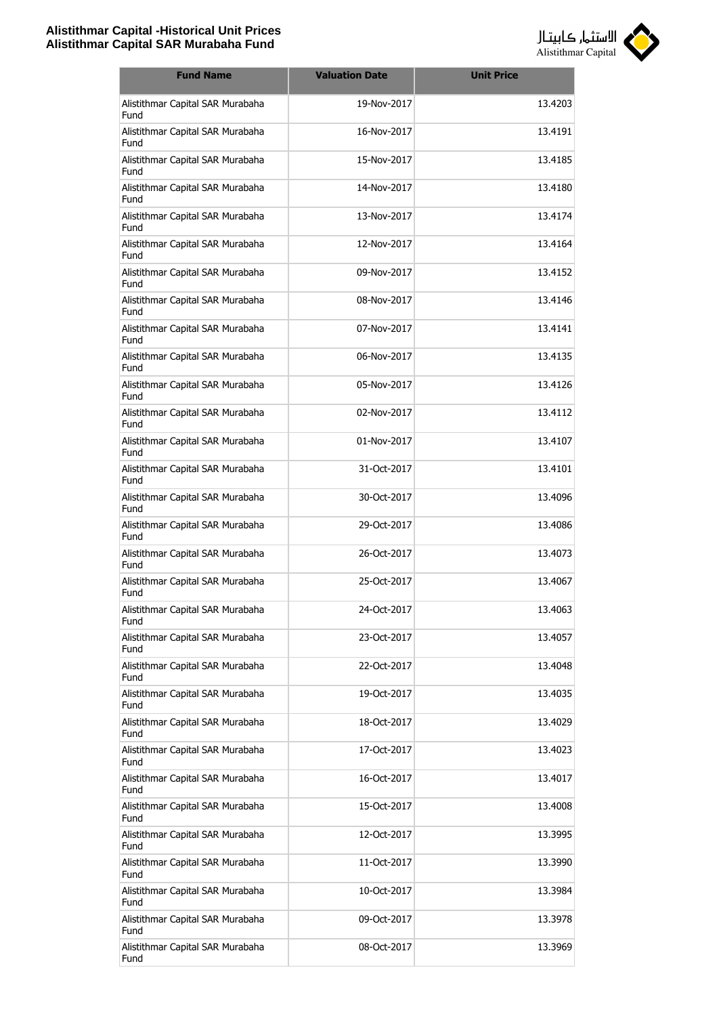

| <b>Fund Name</b>                         | <b>Valuation Date</b> | <b>Unit Price</b> |
|------------------------------------------|-----------------------|-------------------|
| Alistithmar Capital SAR Murabaha<br>Fund | 19-Nov-2017           | 13.4203           |
| Alistithmar Capital SAR Murabaha<br>Fund | 16-Nov-2017           | 13.4191           |
| Alistithmar Capital SAR Murabaha<br>Fund | 15-Nov-2017           | 13.4185           |
| Alistithmar Capital SAR Murabaha<br>Fund | 14-Nov-2017           | 13.4180           |
| Alistithmar Capital SAR Murabaha<br>Fund | 13-Nov-2017           | 13.4174           |
| Alistithmar Capital SAR Murabaha<br>Fund | 12-Nov-2017           | 13.4164           |
| Alistithmar Capital SAR Murabaha<br>Fund | 09-Nov-2017           | 13.4152           |
| Alistithmar Capital SAR Murabaha<br>Fund | 08-Nov-2017           | 13.4146           |
| Alistithmar Capital SAR Murabaha<br>Fund | 07-Nov-2017           | 13.4141           |
| Alistithmar Capital SAR Murabaha<br>Fund | 06-Nov-2017           | 13.4135           |
| Alistithmar Capital SAR Murabaha<br>Fund | 05-Nov-2017           | 13.4126           |
| Alistithmar Capital SAR Murabaha<br>Fund | 02-Nov-2017           | 13.4112           |
| Alistithmar Capital SAR Murabaha<br>Fund | 01-Nov-2017           | 13.4107           |
| Alistithmar Capital SAR Murabaha<br>Fund | 31-Oct-2017           | 13.4101           |
| Alistithmar Capital SAR Murabaha<br>Fund | 30-Oct-2017           | 13.4096           |
| Alistithmar Capital SAR Murabaha<br>Fund | 29-Oct-2017           | 13.4086           |
| Alistithmar Capital SAR Murabaha<br>Fund | 26-Oct-2017           | 13.4073           |
| Alistithmar Capital SAR Murabaha<br>Fund | 25-Oct-2017           | 13.4067           |
| Alistithmar Capital SAR Murabaha<br>Fund | 24-Oct-2017           | 13.4063           |
| Alistithmar Capital SAR Murabaha<br>Fund | 23-Oct-2017           | 13.4057           |
| Alistithmar Capital SAR Murabaha<br>Fund | 22-Oct-2017           | 13.4048           |
| Alistithmar Capital SAR Murabaha<br>Fund | 19-Oct-2017           | 13.4035           |
| Alistithmar Capital SAR Murabaha<br>Fund | 18-Oct-2017           | 13.4029           |
| Alistithmar Capital SAR Murabaha<br>Fund | 17-Oct-2017           | 13.4023           |
| Alistithmar Capital SAR Murabaha<br>Fund | 16-Oct-2017           | 13.4017           |
| Alistithmar Capital SAR Murabaha<br>Fund | 15-Oct-2017           | 13.4008           |
| Alistithmar Capital SAR Murabaha<br>Fund | 12-Oct-2017           | 13.3995           |
| Alistithmar Capital SAR Murabaha<br>Fund | 11-Oct-2017           | 13.3990           |
| Alistithmar Capital SAR Murabaha<br>Fund | 10-Oct-2017           | 13.3984           |
| Alistithmar Capital SAR Murabaha<br>Fund | 09-Oct-2017           | 13.3978           |
| Alistithmar Capital SAR Murabaha<br>Fund | 08-Oct-2017           | 13.3969           |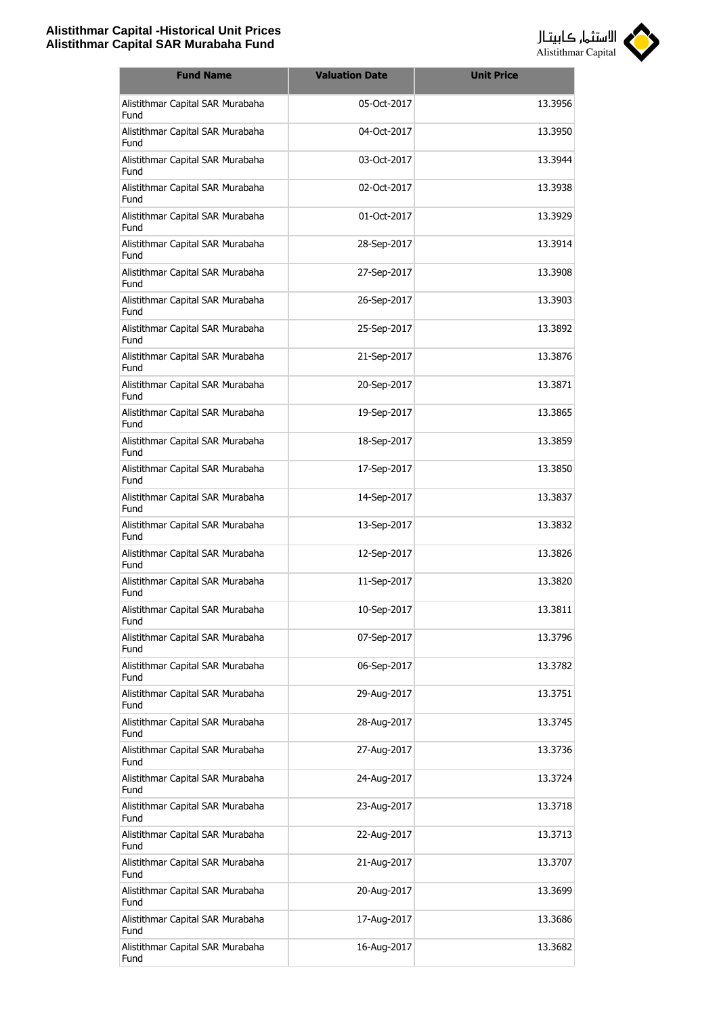

| <b>Fund Name</b>                         | <b>Valuation Date</b> | <b>Unit Price</b> |
|------------------------------------------|-----------------------|-------------------|
| Alistithmar Capital SAR Murabaha<br>Fund | 05-Oct-2017           | 13.3956           |
| Alistithmar Capital SAR Murabaha<br>Fund | 04-Oct-2017           | 13.3950           |
| Alistithmar Capital SAR Murabaha<br>Fund | 03-Oct-2017           | 13.3944           |
| Alistithmar Capital SAR Murabaha<br>Fund | 02-Oct-2017           | 13.3938           |
| Alistithmar Capital SAR Murabaha<br>Fund | 01-Oct-2017           | 13.3929           |
| Alistithmar Capital SAR Murabaha<br>Fund | 28-Sep-2017           | 13.3914           |
| Alistithmar Capital SAR Murabaha<br>Fund | 27-Sep-2017           | 13.3908           |
| Alistithmar Capital SAR Murabaha<br>Fund | 26-Sep-2017           | 13.3903           |
| Alistithmar Capital SAR Murabaha<br>Fund | 25-Sep-2017           | 13.3892           |
| Alistithmar Capital SAR Murabaha<br>Fund | 21-Sep-2017           | 13.3876           |
| Alistithmar Capital SAR Murabaha<br>Fund | 20-Sep-2017           | 13.3871           |
| Alistithmar Capital SAR Murabaha<br>Fund | 19-Sep-2017           | 13.3865           |
| Alistithmar Capital SAR Murabaha<br>Fund | 18-Sep-2017           | 13.3859           |
| Alistithmar Capital SAR Murabaha<br>Fund | 17-Sep-2017           | 13.3850           |
| Alistithmar Capital SAR Murabaha<br>Fund | 14-Sep-2017           | 13.3837           |
| Alistithmar Capital SAR Murabaha<br>Fund | 13-Sep-2017           | 13.3832           |
| Alistithmar Capital SAR Murabaha<br>Fund | 12-Sep-2017           | 13.3826           |
| Alistithmar Capital SAR Murabaha<br>Fund | 11-Sep-2017           | 13.3820           |
| Alistithmar Capital SAR Murabaha<br>Fund | 10-Sep-2017           | 13.3811           |
| Alistithmar Capital SAR Murabaha<br>Fund | 07-Sep-2017           | 13.3796           |
| Alistithmar Capital SAR Murabaha<br>Fund | 06-Sep-2017           | 13.3782           |
| Alistithmar Capital SAR Murabaha<br>Fund | 29-Aug-2017           | 13.3751           |
| Alistithmar Capital SAR Murabaha<br>Fund | 28-Aug-2017           | 13.3745           |
| Alistithmar Capital SAR Murabaha<br>Fund | 27-Aug-2017           | 13.3736           |
| Alistithmar Capital SAR Murabaha<br>Fund | 24-Aug-2017           | 13.3724           |
| Alistithmar Capital SAR Murabaha<br>Fund | 23-Aug-2017           | 13.3718           |
| Alistithmar Capital SAR Murabaha<br>Fund | 22-Aug-2017           | 13.3713           |
| Alistithmar Capital SAR Murabaha<br>Fund | 21-Aug-2017           | 13.3707           |
| Alistithmar Capital SAR Murabaha<br>Fund | 20-Aug-2017           | 13.3699           |
| Alistithmar Capital SAR Murabaha<br>Fund | 17-Aug-2017           | 13.3686           |
| Alistithmar Capital SAR Murabaha<br>Fund | 16-Aug-2017           | 13.3682           |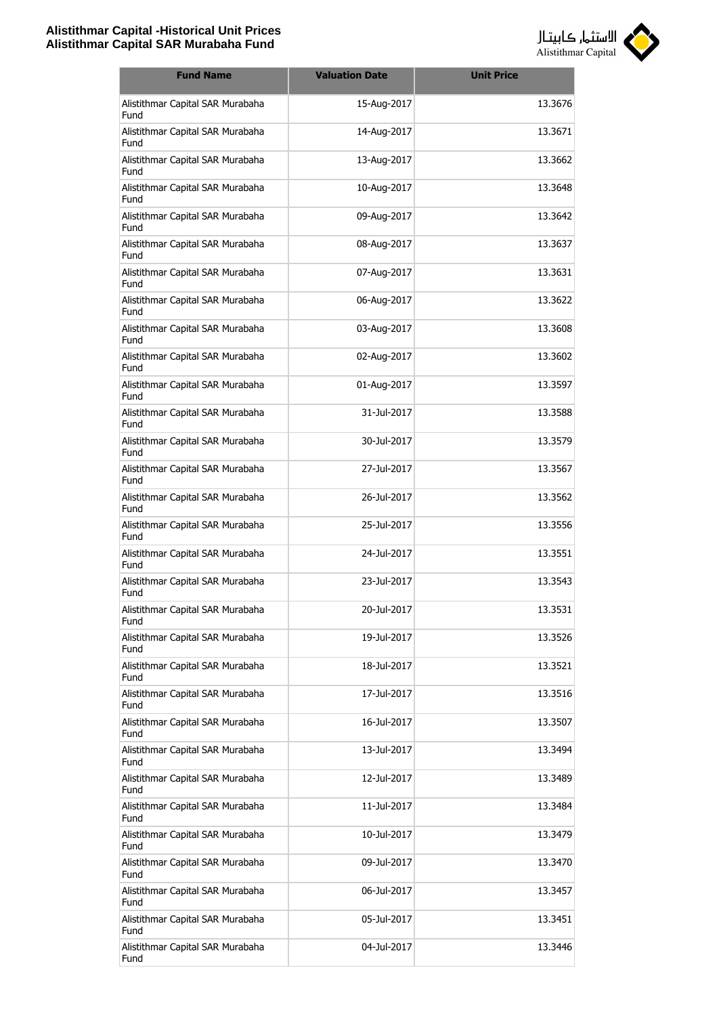

| <b>Fund Name</b>                         | <b>Valuation Date</b> | <b>Unit Price</b> |
|------------------------------------------|-----------------------|-------------------|
| Alistithmar Capital SAR Murabaha<br>Fund | 15-Aug-2017           | 13.3676           |
| Alistithmar Capital SAR Murabaha<br>Fund | 14-Aug-2017           | 13.3671           |
| Alistithmar Capital SAR Murabaha<br>Fund | 13-Aug-2017           | 13.3662           |
| Alistithmar Capital SAR Murabaha<br>Fund | 10-Aug-2017           | 13.3648           |
| Alistithmar Capital SAR Murabaha<br>Fund | 09-Aug-2017           | 13.3642           |
| Alistithmar Capital SAR Murabaha<br>Fund | 08-Aug-2017           | 13.3637           |
| Alistithmar Capital SAR Murabaha<br>Fund | 07-Aug-2017           | 13.3631           |
| Alistithmar Capital SAR Murabaha<br>Fund | 06-Aug-2017           | 13.3622           |
| Alistithmar Capital SAR Murabaha<br>Fund | 03-Aug-2017           | 13.3608           |
| Alistithmar Capital SAR Murabaha<br>Fund | 02-Aug-2017           | 13.3602           |
| Alistithmar Capital SAR Murabaha<br>Fund | 01-Aug-2017           | 13.3597           |
| Alistithmar Capital SAR Murabaha<br>Fund | 31-Jul-2017           | 13.3588           |
| Alistithmar Capital SAR Murabaha<br>Fund | 30-Jul-2017           | 13.3579           |
| Alistithmar Capital SAR Murabaha<br>Fund | 27-Jul-2017           | 13.3567           |
| Alistithmar Capital SAR Murabaha<br>Fund | 26-Jul-2017           | 13.3562           |
| Alistithmar Capital SAR Murabaha<br>Fund | 25-Jul-2017           | 13.3556           |
| Alistithmar Capital SAR Murabaha<br>Fund | 24-Jul-2017           | 13.3551           |
| Alistithmar Capital SAR Murabaha<br>Fund | 23-Jul-2017           | 13.3543           |
| Alistithmar Capital SAR Murabaha<br>Fund | 20-Jul-2017           | 13.3531           |
| Alistithmar Capital SAR Murabaha<br>Fund | 19-Jul-2017           | 13.3526           |
| Alistithmar Capital SAR Murabaha<br>Fund | 18-Jul-2017           | 13.3521           |
| Alistithmar Capital SAR Murabaha<br>Fund | 17-Jul-2017           | 13.3516           |
| Alistithmar Capital SAR Murabaha<br>Fund | 16-Jul-2017           | 13.3507           |
| Alistithmar Capital SAR Murabaha<br>Fund | 13-Jul-2017           | 13.3494           |
| Alistithmar Capital SAR Murabaha<br>Fund | 12-Jul-2017           | 13.3489           |
| Alistithmar Capital SAR Murabaha<br>Fund | 11-Jul-2017           | 13.3484           |
| Alistithmar Capital SAR Murabaha<br>Fund | 10-Jul-2017           | 13.3479           |
| Alistithmar Capital SAR Murabaha<br>Fund | 09-Jul-2017           | 13.3470           |
| Alistithmar Capital SAR Murabaha<br>Fund | 06-Jul-2017           | 13.3457           |
| Alistithmar Capital SAR Murabaha<br>Fund | 05-Jul-2017           | 13.3451           |
| Alistithmar Capital SAR Murabaha<br>Fund | 04-Jul-2017           | 13.3446           |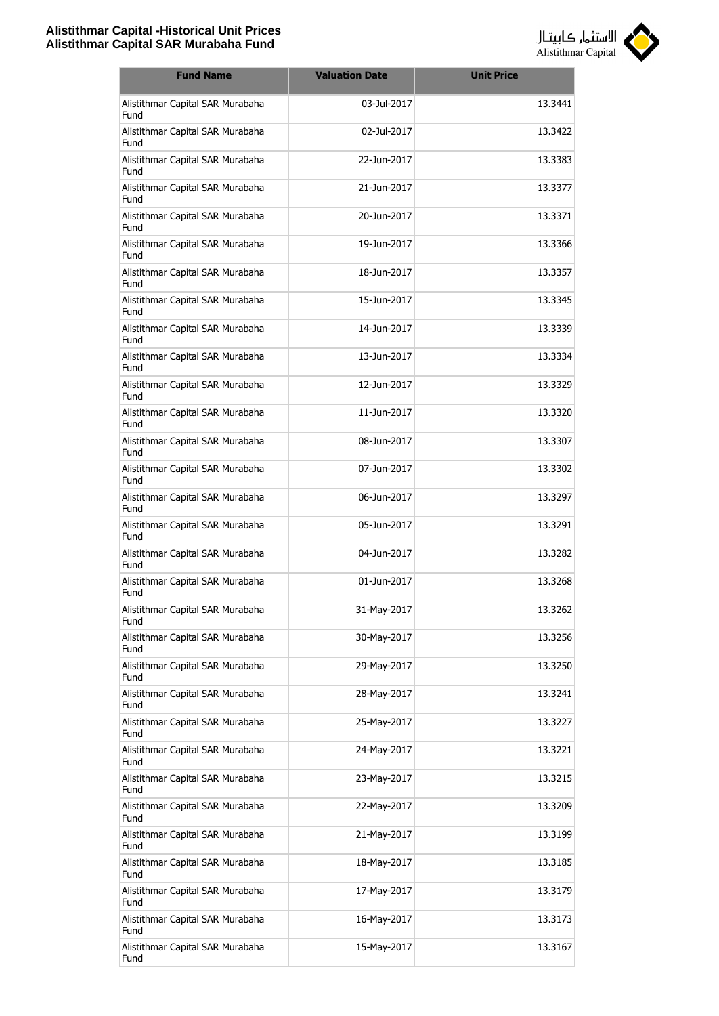

| <b>Fund Name</b>                         | <b>Valuation Date</b> | <b>Unit Price</b> |
|------------------------------------------|-----------------------|-------------------|
| Alistithmar Capital SAR Murabaha<br>Fund | 03-Jul-2017           | 13.3441           |
| Alistithmar Capital SAR Murabaha<br>Fund | 02-Jul-2017           | 13.3422           |
| Alistithmar Capital SAR Murabaha<br>Fund | 22-Jun-2017           | 13.3383           |
| Alistithmar Capital SAR Murabaha<br>Fund | 21-Jun-2017           | 13.3377           |
| Alistithmar Capital SAR Murabaha<br>Fund | 20-Jun-2017           | 13.3371           |
| Alistithmar Capital SAR Murabaha<br>Fund | 19-Jun-2017           | 13.3366           |
| Alistithmar Capital SAR Murabaha<br>Fund | 18-Jun-2017           | 13.3357           |
| Alistithmar Capital SAR Murabaha<br>Fund | 15-Jun-2017           | 13.3345           |
| Alistithmar Capital SAR Murabaha<br>Fund | 14-Jun-2017           | 13.3339           |
| Alistithmar Capital SAR Murabaha<br>Fund | 13-Jun-2017           | 13.3334           |
| Alistithmar Capital SAR Murabaha<br>Fund | 12-Jun-2017           | 13.3329           |
| Alistithmar Capital SAR Murabaha<br>Fund | 11-Jun-2017           | 13.3320           |
| Alistithmar Capital SAR Murabaha<br>Fund | 08-Jun-2017           | 13.3307           |
| Alistithmar Capital SAR Murabaha<br>Fund | 07-Jun-2017           | 13.3302           |
| Alistithmar Capital SAR Murabaha<br>Fund | 06-Jun-2017           | 13.3297           |
| Alistithmar Capital SAR Murabaha<br>Fund | 05-Jun-2017           | 13.3291           |
| Alistithmar Capital SAR Murabaha<br>Fund | 04-Jun-2017           | 13.3282           |
| Alistithmar Capital SAR Murabaha<br>Fund | 01-Jun-2017           | 13.3268           |
| Alistithmar Capital SAR Murabaha<br>Fund | 31-May-2017           | 13.3262           |
| Alistithmar Capital SAR Murabaha<br>Fund | 30-May-2017           | 13.3256           |
| Alistithmar Capital SAR Murabaha<br>Fund | 29-May-2017           | 13.3250           |
| Alistithmar Capital SAR Murabaha<br>Fund | 28-May-2017           | 13.3241           |
| Alistithmar Capital SAR Murabaha<br>Fund | 25-May-2017           | 13.3227           |
| Alistithmar Capital SAR Murabaha<br>Fund | 24-May-2017           | 13.3221           |
| Alistithmar Capital SAR Murabaha<br>Fund | 23-May-2017           | 13.3215           |
| Alistithmar Capital SAR Murabaha<br>Fund | 22-May-2017           | 13.3209           |
| Alistithmar Capital SAR Murabaha<br>Fund | 21-May-2017           | 13.3199           |
| Alistithmar Capital SAR Murabaha<br>Fund | 18-May-2017           | 13.3185           |
| Alistithmar Capital SAR Murabaha<br>Fund | 17-May-2017           | 13.3179           |
| Alistithmar Capital SAR Murabaha<br>Fund | 16-May-2017           | 13.3173           |
| Alistithmar Capital SAR Murabaha<br>Fund | 15-May-2017           | 13.3167           |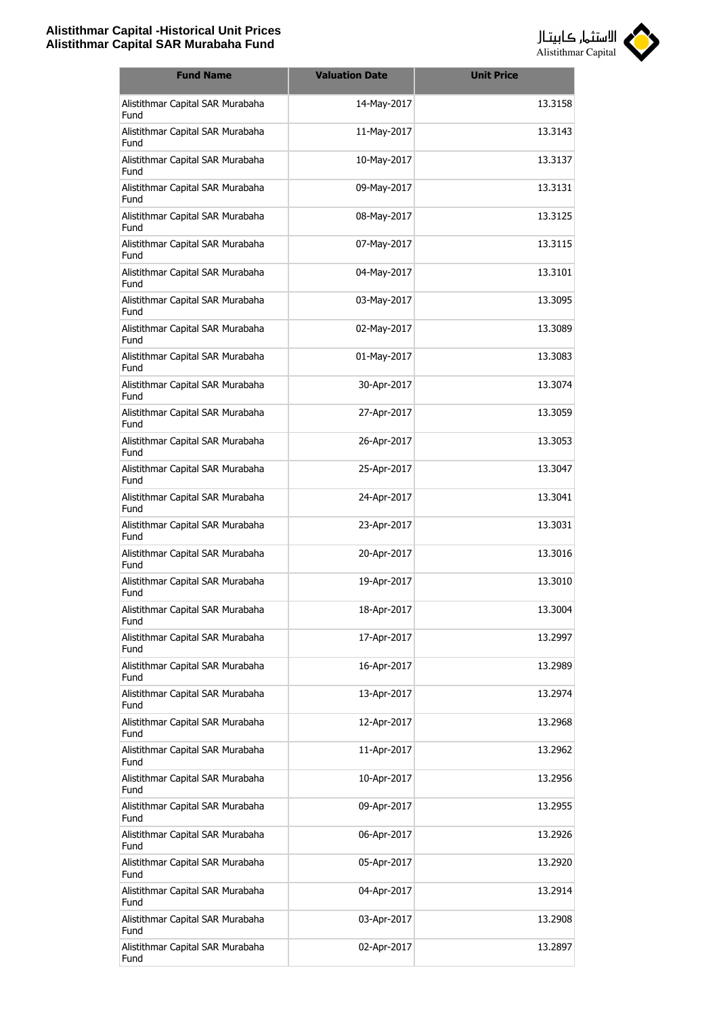

| <b>Fund Name</b>                         | <b>Valuation Date</b> | <b>Unit Price</b> |
|------------------------------------------|-----------------------|-------------------|
| Alistithmar Capital SAR Murabaha<br>Fund | 14-May-2017           | 13.3158           |
| Alistithmar Capital SAR Murabaha<br>Fund | 11-May-2017           | 13.3143           |
| Alistithmar Capital SAR Murabaha<br>Fund | 10-May-2017           | 13.3137           |
| Alistithmar Capital SAR Murabaha<br>Fund | 09-May-2017           | 13.3131           |
| Alistithmar Capital SAR Murabaha<br>Fund | 08-May-2017           | 13.3125           |
| Alistithmar Capital SAR Murabaha<br>Fund | 07-May-2017           | 13.3115           |
| Alistithmar Capital SAR Murabaha<br>Fund | 04-May-2017           | 13.3101           |
| Alistithmar Capital SAR Murabaha<br>Fund | 03-May-2017           | 13.3095           |
| Alistithmar Capital SAR Murabaha<br>Fund | 02-May-2017           | 13.3089           |
| Alistithmar Capital SAR Murabaha<br>Fund | 01-May-2017           | 13.3083           |
| Alistithmar Capital SAR Murabaha<br>Fund | 30-Apr-2017           | 13.3074           |
| Alistithmar Capital SAR Murabaha<br>Fund | 27-Apr-2017           | 13.3059           |
| Alistithmar Capital SAR Murabaha<br>Fund | 26-Apr-2017           | 13.3053           |
| Alistithmar Capital SAR Murabaha<br>Fund | 25-Apr-2017           | 13.3047           |
| Alistithmar Capital SAR Murabaha<br>Fund | 24-Apr-2017           | 13.3041           |
| Alistithmar Capital SAR Murabaha<br>Fund | 23-Apr-2017           | 13.3031           |
| Alistithmar Capital SAR Murabaha<br>Fund | 20-Apr-2017           | 13.3016           |
| Alistithmar Capital SAR Murabaha<br>Fund | 19-Apr-2017           | 13.3010           |
| Alistithmar Capital SAR Murabaha<br>Fund | 18-Apr-2017           | 13.3004           |
| Alistithmar Capital SAR Murabaha<br>Fund | 17-Apr-2017           | 13.2997           |
| Alistithmar Capital SAR Murabaha<br>Fund | 16-Apr-2017           | 13.2989           |
| Alistithmar Capital SAR Murabaha<br>Fund | 13-Apr-2017           | 13.2974           |
| Alistithmar Capital SAR Murabaha<br>Fund | 12-Apr-2017           | 13.2968           |
| Alistithmar Capital SAR Murabaha<br>Fund | 11-Apr-2017           | 13.2962           |
| Alistithmar Capital SAR Murabaha<br>Fund | 10-Apr-2017           | 13.2956           |
| Alistithmar Capital SAR Murabaha<br>Fund | 09-Apr-2017           | 13.2955           |
| Alistithmar Capital SAR Murabaha<br>Fund | 06-Apr-2017           | 13.2926           |
| Alistithmar Capital SAR Murabaha<br>Fund | 05-Apr-2017           | 13.2920           |
| Alistithmar Capital SAR Murabaha<br>Fund | 04-Apr-2017           | 13.2914           |
| Alistithmar Capital SAR Murabaha<br>Fund | 03-Apr-2017           | 13.2908           |
| Alistithmar Capital SAR Murabaha<br>Fund | 02-Apr-2017           | 13.2897           |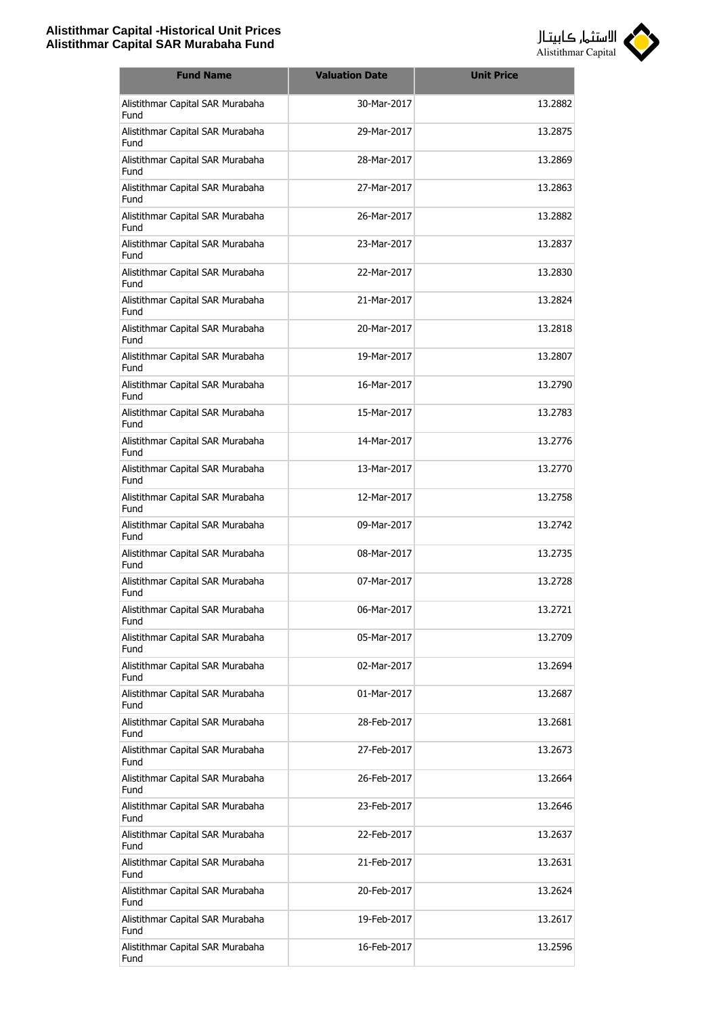

| <b>Fund Name</b>                         | <b>Valuation Date</b> | <b>Unit Price</b> |
|------------------------------------------|-----------------------|-------------------|
| Alistithmar Capital SAR Murabaha<br>Fund | 30-Mar-2017           | 13.2882           |
| Alistithmar Capital SAR Murabaha<br>Fund | 29-Mar-2017           | 13.2875           |
| Alistithmar Capital SAR Murabaha<br>Fund | 28-Mar-2017           | 13.2869           |
| Alistithmar Capital SAR Murabaha<br>Fund | 27-Mar-2017           | 13.2863           |
| Alistithmar Capital SAR Murabaha<br>Fund | 26-Mar-2017           | 13.2882           |
| Alistithmar Capital SAR Murabaha<br>Fund | 23-Mar-2017           | 13.2837           |
| Alistithmar Capital SAR Murabaha<br>Fund | 22-Mar-2017           | 13.2830           |
| Alistithmar Capital SAR Murabaha<br>Fund | 21-Mar-2017           | 13.2824           |
| Alistithmar Capital SAR Murabaha<br>Fund | 20-Mar-2017           | 13.2818           |
| Alistithmar Capital SAR Murabaha<br>Fund | 19-Mar-2017           | 13.2807           |
| Alistithmar Capital SAR Murabaha<br>Fund | 16-Mar-2017           | 13.2790           |
| Alistithmar Capital SAR Murabaha<br>Fund | 15-Mar-2017           | 13.2783           |
| Alistithmar Capital SAR Murabaha<br>Fund | 14-Mar-2017           | 13.2776           |
| Alistithmar Capital SAR Murabaha<br>Fund | 13-Mar-2017           | 13.2770           |
| Alistithmar Capital SAR Murabaha<br>Fund | 12-Mar-2017           | 13.2758           |
| Alistithmar Capital SAR Murabaha<br>Fund | 09-Mar-2017           | 13.2742           |
| Alistithmar Capital SAR Murabaha<br>Fund | 08-Mar-2017           | 13.2735           |
| Alistithmar Capital SAR Murabaha<br>Fund | 07-Mar-2017           | 13.2728           |
| Alistithmar Capital SAR Murabaha<br>Fund | 06-Mar-2017           | 13.2721           |
| Alistithmar Capital SAR Murabaha<br>Fund | 05-Mar-2017           | 13.2709           |
| Alistithmar Capital SAR Murabaha<br>Fund | 02-Mar-2017           | 13.2694           |
| Alistithmar Capital SAR Murabaha<br>Fund | 01-Mar-2017           | 13.2687           |
| Alistithmar Capital SAR Murabaha<br>Fund | 28-Feb-2017           | 13.2681           |
| Alistithmar Capital SAR Murabaha<br>Fund | 27-Feb-2017           | 13.2673           |
| Alistithmar Capital SAR Murabaha<br>Fund | 26-Feb-2017           | 13.2664           |
| Alistithmar Capital SAR Murabaha<br>Fund | 23-Feb-2017           | 13.2646           |
| Alistithmar Capital SAR Murabaha<br>Fund | 22-Feb-2017           | 13.2637           |
| Alistithmar Capital SAR Murabaha<br>Fund | 21-Feb-2017           | 13.2631           |
| Alistithmar Capital SAR Murabaha<br>Fund | 20-Feb-2017           | 13.2624           |
| Alistithmar Capital SAR Murabaha<br>Fund | 19-Feb-2017           | 13.2617           |
| Alistithmar Capital SAR Murabaha<br>Fund | 16-Feb-2017           | 13.2596           |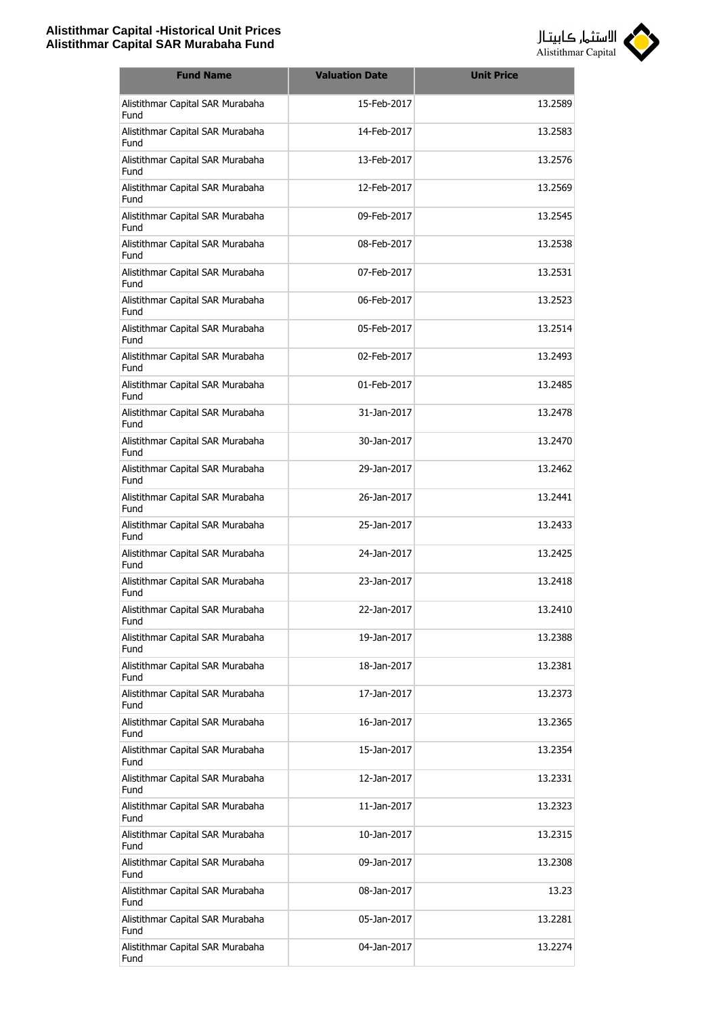

| <b>Fund Name</b>                         | <b>Valuation Date</b> | <b>Unit Price</b> |
|------------------------------------------|-----------------------|-------------------|
| Alistithmar Capital SAR Murabaha<br>Fund | 15-Feb-2017           | 13.2589           |
| Alistithmar Capital SAR Murabaha<br>Fund | 14-Feb-2017           | 13.2583           |
| Alistithmar Capital SAR Murabaha<br>Fund | 13-Feb-2017           | 13.2576           |
| Alistithmar Capital SAR Murabaha<br>Fund | 12-Feb-2017           | 13.2569           |
| Alistithmar Capital SAR Murabaha<br>Fund | 09-Feb-2017           | 13.2545           |
| Alistithmar Capital SAR Murabaha<br>Fund | 08-Feb-2017           | 13.2538           |
| Alistithmar Capital SAR Murabaha<br>Fund | 07-Feb-2017           | 13.2531           |
| Alistithmar Capital SAR Murabaha<br>Fund | 06-Feb-2017           | 13.2523           |
| Alistithmar Capital SAR Murabaha<br>Fund | 05-Feb-2017           | 13.2514           |
| Alistithmar Capital SAR Murabaha<br>Fund | 02-Feb-2017           | 13.2493           |
| Alistithmar Capital SAR Murabaha<br>Fund | 01-Feb-2017           | 13.2485           |
| Alistithmar Capital SAR Murabaha<br>Fund | 31-Jan-2017           | 13.2478           |
| Alistithmar Capital SAR Murabaha<br>Fund | 30-Jan-2017           | 13.2470           |
| Alistithmar Capital SAR Murabaha<br>Fund | 29-Jan-2017           | 13.2462           |
| Alistithmar Capital SAR Murabaha<br>Fund | 26-Jan-2017           | 13.2441           |
| Alistithmar Capital SAR Murabaha<br>Fund | 25-Jan-2017           | 13.2433           |
| Alistithmar Capital SAR Murabaha<br>Fund | 24-Jan-2017           | 13.2425           |
| Alistithmar Capital SAR Murabaha<br>Fund | 23-Jan-2017           | 13.2418           |
| Alistithmar Capital SAR Murabaha<br>Fund | 22-Jan-2017           | 13.2410           |
| Alistithmar Capital SAR Murabaha<br>Fund | 19-Jan-2017           | 13.2388           |
| Alistithmar Capital SAR Murabaha<br>Fund | 18-Jan-2017           | 13.2381           |
| Alistithmar Capital SAR Murabaha<br>Fund | 17-Jan-2017           | 13.2373           |
| Alistithmar Capital SAR Murabaha<br>Fund | 16-Jan-2017           | 13.2365           |
| Alistithmar Capital SAR Murabaha<br>Fund | 15-Jan-2017           | 13.2354           |
| Alistithmar Capital SAR Murabaha<br>Fund | 12-Jan-2017           | 13.2331           |
| Alistithmar Capital SAR Murabaha<br>Fund | 11-Jan-2017           | 13.2323           |
| Alistithmar Capital SAR Murabaha<br>Fund | 10-Jan-2017           | 13.2315           |
| Alistithmar Capital SAR Murabaha<br>Fund | 09-Jan-2017           | 13.2308           |
| Alistithmar Capital SAR Murabaha<br>Fund | 08-Jan-2017           | 13.23             |
| Alistithmar Capital SAR Murabaha<br>Fund | 05-Jan-2017           | 13.2281           |
| Alistithmar Capital SAR Murabaha<br>Fund | 04-Jan-2017           | 13.2274           |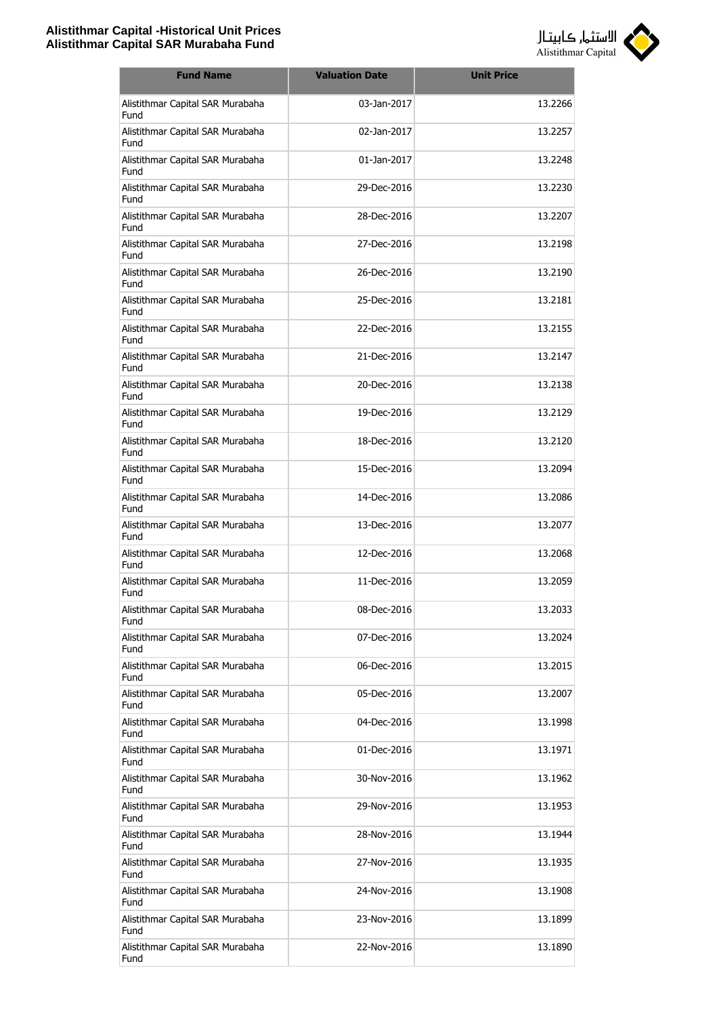

| <b>Fund Name</b>                         | <b>Valuation Date</b> | <b>Unit Price</b> |
|------------------------------------------|-----------------------|-------------------|
| Alistithmar Capital SAR Murabaha<br>Fund | 03-Jan-2017           | 13.2266           |
| Alistithmar Capital SAR Murabaha<br>Fund | 02-Jan-2017           | 13.2257           |
| Alistithmar Capital SAR Murabaha<br>Fund | 01-Jan-2017           | 13.2248           |
| Alistithmar Capital SAR Murabaha<br>Fund | 29-Dec-2016           | 13.2230           |
| Alistithmar Capital SAR Murabaha<br>Fund | 28-Dec-2016           | 13.2207           |
| Alistithmar Capital SAR Murabaha<br>Fund | 27-Dec-2016           | 13.2198           |
| Alistithmar Capital SAR Murabaha<br>Fund | 26-Dec-2016           | 13.2190           |
| Alistithmar Capital SAR Murabaha<br>Fund | 25-Dec-2016           | 13.2181           |
| Alistithmar Capital SAR Murabaha<br>Fund | 22-Dec-2016           | 13.2155           |
| Alistithmar Capital SAR Murabaha<br>Fund | 21-Dec-2016           | 13.2147           |
| Alistithmar Capital SAR Murabaha<br>Fund | 20-Dec-2016           | 13.2138           |
| Alistithmar Capital SAR Murabaha<br>Fund | 19-Dec-2016           | 13.2129           |
| Alistithmar Capital SAR Murabaha<br>Fund | 18-Dec-2016           | 13.2120           |
| Alistithmar Capital SAR Murabaha<br>Fund | 15-Dec-2016           | 13.2094           |
| Alistithmar Capital SAR Murabaha<br>Fund | 14-Dec-2016           | 13.2086           |
| Alistithmar Capital SAR Murabaha<br>Fund | 13-Dec-2016           | 13.2077           |
| Alistithmar Capital SAR Murabaha<br>Fund | 12-Dec-2016           | 13.2068           |
| Alistithmar Capital SAR Murabaha<br>Fund | 11-Dec-2016           | 13.2059           |
| Alistithmar Capital SAR Murabaha<br>Fund | 08-Dec-2016           | 13.2033           |
| Alistithmar Capital SAR Murabaha<br>Fund | 07-Dec-2016           | 13.2024           |
| Alistithmar Capital SAR Murabaha<br>Fund | 06-Dec-2016           | 13.2015           |
| Alistithmar Capital SAR Murabaha<br>Fund | 05-Dec-2016           | 13.2007           |
| Alistithmar Capital SAR Murabaha<br>Fund | 04-Dec-2016           | 13.1998           |
| Alistithmar Capital SAR Murabaha<br>Fund | 01-Dec-2016           | 13.1971           |
| Alistithmar Capital SAR Murabaha<br>Fund | 30-Nov-2016           | 13.1962           |
| Alistithmar Capital SAR Murabaha<br>Fund | 29-Nov-2016           | 13.1953           |
| Alistithmar Capital SAR Murabaha<br>Fund | 28-Nov-2016           | 13.1944           |
| Alistithmar Capital SAR Murabaha<br>Fund | 27-Nov-2016           | 13.1935           |
| Alistithmar Capital SAR Murabaha<br>Fund | 24-Nov-2016           | 13.1908           |
| Alistithmar Capital SAR Murabaha<br>Fund | 23-Nov-2016           | 13.1899           |
| Alistithmar Capital SAR Murabaha<br>Fund | 22-Nov-2016           | 13.1890           |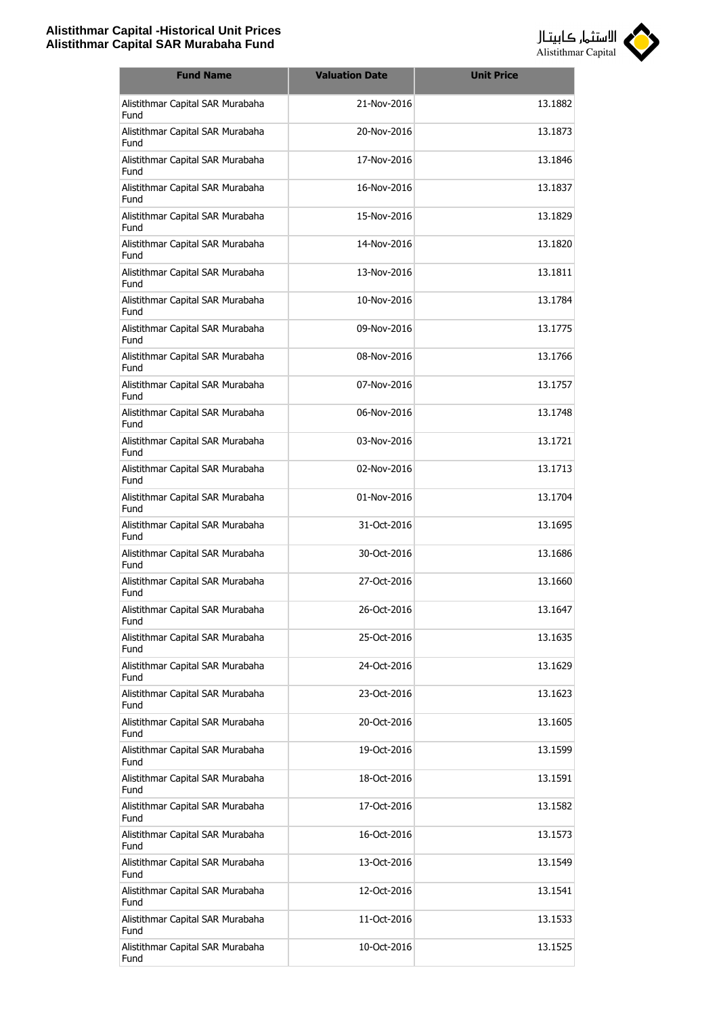

| <b>Fund Name</b>                         | <b>Valuation Date</b> | <b>Unit Price</b> |
|------------------------------------------|-----------------------|-------------------|
| Alistithmar Capital SAR Murabaha<br>Fund | 21-Nov-2016           | 13.1882           |
| Alistithmar Capital SAR Murabaha<br>Fund | 20-Nov-2016           | 13.1873           |
| Alistithmar Capital SAR Murabaha<br>Fund | 17-Nov-2016           | 13.1846           |
| Alistithmar Capital SAR Murabaha<br>Fund | 16-Nov-2016           | 13.1837           |
| Alistithmar Capital SAR Murabaha<br>Fund | 15-Nov-2016           | 13.1829           |
| Alistithmar Capital SAR Murabaha<br>Fund | 14-Nov-2016           | 13.1820           |
| Alistithmar Capital SAR Murabaha<br>Fund | 13-Nov-2016           | 13.1811           |
| Alistithmar Capital SAR Murabaha<br>Fund | 10-Nov-2016           | 13.1784           |
| Alistithmar Capital SAR Murabaha<br>Fund | 09-Nov-2016           | 13.1775           |
| Alistithmar Capital SAR Murabaha<br>Fund | 08-Nov-2016           | 13.1766           |
| Alistithmar Capital SAR Murabaha<br>Fund | 07-Nov-2016           | 13.1757           |
| Alistithmar Capital SAR Murabaha<br>Fund | 06-Nov-2016           | 13.1748           |
| Alistithmar Capital SAR Murabaha<br>Fund | 03-Nov-2016           | 13.1721           |
| Alistithmar Capital SAR Murabaha<br>Fund | 02-Nov-2016           | 13.1713           |
| Alistithmar Capital SAR Murabaha<br>Fund | 01-Nov-2016           | 13.1704           |
| Alistithmar Capital SAR Murabaha<br>Fund | 31-Oct-2016           | 13.1695           |
| Alistithmar Capital SAR Murabaha<br>Fund | 30-Oct-2016           | 13.1686           |
| Alistithmar Capital SAR Murabaha<br>Fund | 27-Oct-2016           | 13.1660           |
| Alistithmar Capital SAR Murabaha<br>Fund | 26-Oct-2016           | 13.1647           |
| Alistithmar Capital SAR Murabaha<br>Fund | 25-Oct-2016           | 13.1635           |
| Alistithmar Capital SAR Murabaha<br>Fund | 24-Oct-2016           | 13.1629           |
| Alistithmar Capital SAR Murabaha<br>Fund | 23-Oct-2016           | 13.1623           |
| Alistithmar Capital SAR Murabaha<br>Fund | 20-Oct-2016           | 13.1605           |
| Alistithmar Capital SAR Murabaha<br>Fund | 19-Oct-2016           | 13.1599           |
| Alistithmar Capital SAR Murabaha<br>Fund | 18-Oct-2016           | 13.1591           |
| Alistithmar Capital SAR Murabaha<br>Fund | 17-Oct-2016           | 13.1582           |
| Alistithmar Capital SAR Murabaha<br>Fund | 16-Oct-2016           | 13.1573           |
| Alistithmar Capital SAR Murabaha<br>Fund | 13-Oct-2016           | 13.1549           |
| Alistithmar Capital SAR Murabaha<br>Fund | 12-Oct-2016           | 13.1541           |
| Alistithmar Capital SAR Murabaha<br>Fund | 11-Oct-2016           | 13.1533           |
| Alistithmar Capital SAR Murabaha<br>Fund | 10-Oct-2016           | 13.1525           |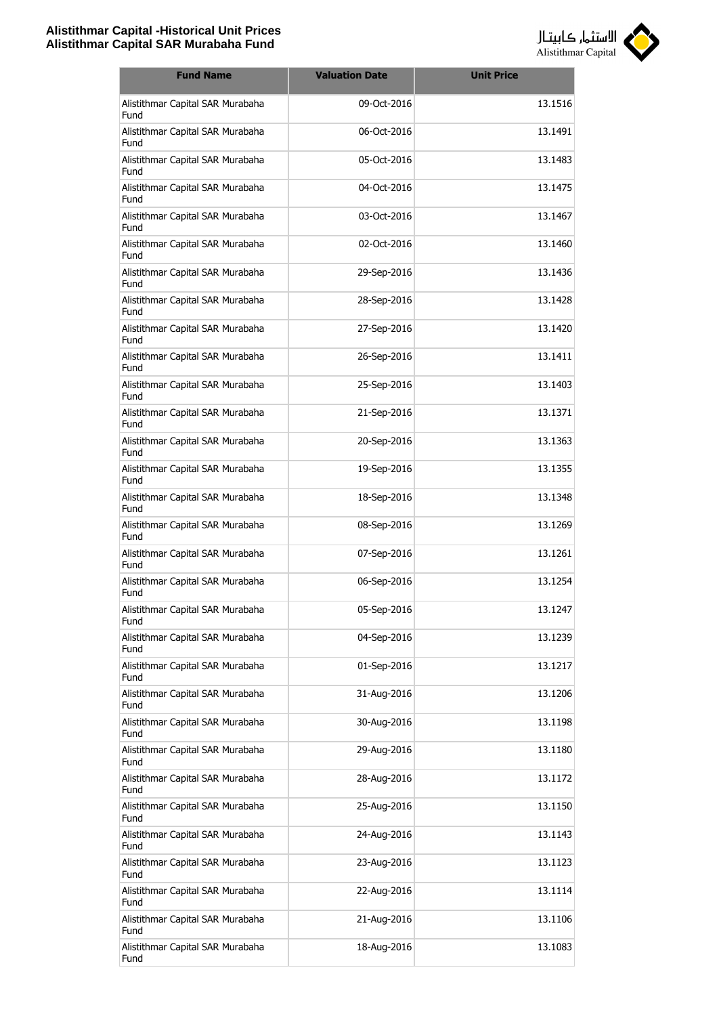

| <b>Fund Name</b>                         | <b>Valuation Date</b> | <b>Unit Price</b> |
|------------------------------------------|-----------------------|-------------------|
| Alistithmar Capital SAR Murabaha<br>Fund | 09-Oct-2016           | 13.1516           |
| Alistithmar Capital SAR Murabaha<br>Fund | 06-Oct-2016           | 13.1491           |
| Alistithmar Capital SAR Murabaha<br>Fund | 05-Oct-2016           | 13.1483           |
| Alistithmar Capital SAR Murabaha<br>Fund | 04-Oct-2016           | 13.1475           |
| Alistithmar Capital SAR Murabaha<br>Fund | 03-Oct-2016           | 13.1467           |
| Alistithmar Capital SAR Murabaha<br>Fund | 02-Oct-2016           | 13.1460           |
| Alistithmar Capital SAR Murabaha<br>Fund | 29-Sep-2016           | 13.1436           |
| Alistithmar Capital SAR Murabaha<br>Fund | 28-Sep-2016           | 13.1428           |
| Alistithmar Capital SAR Murabaha<br>Fund | 27-Sep-2016           | 13.1420           |
| Alistithmar Capital SAR Murabaha<br>Fund | 26-Sep-2016           | 13.1411           |
| Alistithmar Capital SAR Murabaha<br>Fund | 25-Sep-2016           | 13.1403           |
| Alistithmar Capital SAR Murabaha<br>Fund | 21-Sep-2016           | 13.1371           |
| Alistithmar Capital SAR Murabaha<br>Fund | 20-Sep-2016           | 13.1363           |
| Alistithmar Capital SAR Murabaha<br>Fund | 19-Sep-2016           | 13.1355           |
| Alistithmar Capital SAR Murabaha<br>Fund | 18-Sep-2016           | 13.1348           |
| Alistithmar Capital SAR Murabaha<br>Fund | 08-Sep-2016           | 13.1269           |
| Alistithmar Capital SAR Murabaha<br>Fund | 07-Sep-2016           | 13.1261           |
| Alistithmar Capital SAR Murabaha<br>Fund | 06-Sep-2016           | 13.1254           |
| Alistithmar Capital SAR Murabaha<br>Fund | 05-Sep-2016           | 13.1247           |
| Alistithmar Capital SAR Murabaha<br>Fund | 04-Sep-2016           | 13.1239           |
| Alistithmar Capital SAR Murabaha<br>Fund | 01-Sep-2016           | 13.1217           |
| Alistithmar Capital SAR Murabaha<br>Fund | 31-Aug-2016           | 13.1206           |
| Alistithmar Capital SAR Murabaha<br>Fund | 30-Aug-2016           | 13.1198           |
| Alistithmar Capital SAR Murabaha<br>Fund | 29-Aug-2016           | 13.1180           |
| Alistithmar Capital SAR Murabaha<br>Fund | 28-Aug-2016           | 13.1172           |
| Alistithmar Capital SAR Murabaha<br>Fund | 25-Aug-2016           | 13.1150           |
| Alistithmar Capital SAR Murabaha<br>Fund | 24-Aug-2016           | 13.1143           |
| Alistithmar Capital SAR Murabaha<br>Fund | 23-Aug-2016           | 13.1123           |
| Alistithmar Capital SAR Murabaha<br>Fund | 22-Aug-2016           | 13.1114           |
| Alistithmar Capital SAR Murabaha<br>Fund | 21-Aug-2016           | 13.1106           |
| Alistithmar Capital SAR Murabaha<br>Fund | 18-Aug-2016           | 13.1083           |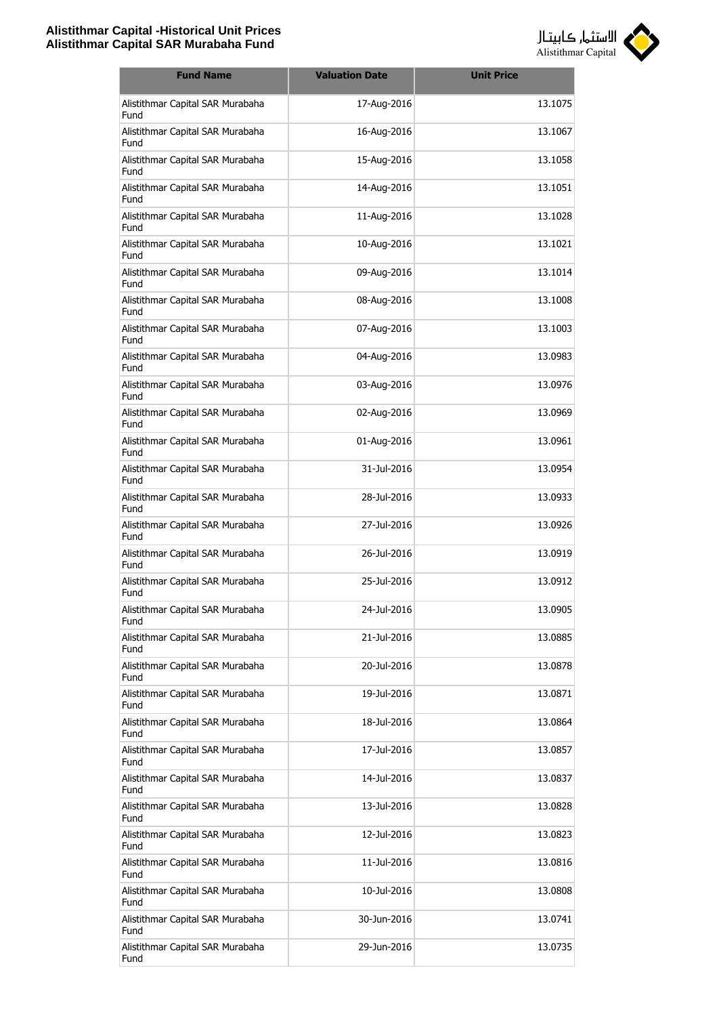

| <b>Fund Name</b>                         | <b>Valuation Date</b> | <b>Unit Price</b> |
|------------------------------------------|-----------------------|-------------------|
| Alistithmar Capital SAR Murabaha<br>Fund | 17-Aug-2016           | 13.1075           |
| Alistithmar Capital SAR Murabaha<br>Fund | 16-Aug-2016           | 13.1067           |
| Alistithmar Capital SAR Murabaha<br>Fund | 15-Aug-2016           | 13.1058           |
| Alistithmar Capital SAR Murabaha<br>Fund | 14-Aug-2016           | 13.1051           |
| Alistithmar Capital SAR Murabaha<br>Fund | 11-Aug-2016           | 13.1028           |
| Alistithmar Capital SAR Murabaha<br>Fund | 10-Aug-2016           | 13.1021           |
| Alistithmar Capital SAR Murabaha<br>Fund | 09-Aug-2016           | 13.1014           |
| Alistithmar Capital SAR Murabaha<br>Fund | 08-Aug-2016           | 13.1008           |
| Alistithmar Capital SAR Murabaha<br>Fund | 07-Aug-2016           | 13.1003           |
| Alistithmar Capital SAR Murabaha<br>Fund | 04-Aug-2016           | 13.0983           |
| Alistithmar Capital SAR Murabaha<br>Fund | 03-Aug-2016           | 13.0976           |
| Alistithmar Capital SAR Murabaha<br>Fund | 02-Aug-2016           | 13.0969           |
| Alistithmar Capital SAR Murabaha<br>Fund | 01-Aug-2016           | 13.0961           |
| Alistithmar Capital SAR Murabaha<br>Fund | 31-Jul-2016           | 13.0954           |
| Alistithmar Capital SAR Murabaha<br>Fund | 28-Jul-2016           | 13.0933           |
| Alistithmar Capital SAR Murabaha<br>Fund | 27-Jul-2016           | 13.0926           |
| Alistithmar Capital SAR Murabaha<br>Fund | 26-Jul-2016           | 13.0919           |
| Alistithmar Capital SAR Murabaha<br>Fund | 25-Jul-2016           | 13.0912           |
| Alistithmar Capital SAR Murabaha<br>Fund | 24-Jul-2016           | 13.0905           |
| Alistithmar Capital SAR Murabaha<br>Fund | 21-Jul-2016           | 13.0885           |
| Alistithmar Capital SAR Murabaha<br>Fund | 20-Jul-2016           | 13.0878           |
| Alistithmar Capital SAR Murabaha<br>Fund | 19-Jul-2016           | 13.0871           |
| Alistithmar Capital SAR Murabaha<br>Fund | 18-Jul-2016           | 13.0864           |
| Alistithmar Capital SAR Murabaha<br>Fund | 17-Jul-2016           | 13.0857           |
| Alistithmar Capital SAR Murabaha<br>Fund | 14-Jul-2016           | 13.0837           |
| Alistithmar Capital SAR Murabaha<br>Fund | 13-Jul-2016           | 13.0828           |
| Alistithmar Capital SAR Murabaha<br>Fund | 12-Jul-2016           | 13.0823           |
| Alistithmar Capital SAR Murabaha<br>Fund | 11-Jul-2016           | 13.0816           |
| Alistithmar Capital SAR Murabaha<br>Fund | 10-Jul-2016           | 13.0808           |
| Alistithmar Capital SAR Murabaha<br>Fund | 30-Jun-2016           | 13.0741           |
| Alistithmar Capital SAR Murabaha<br>Fund | 29-Jun-2016           | 13.0735           |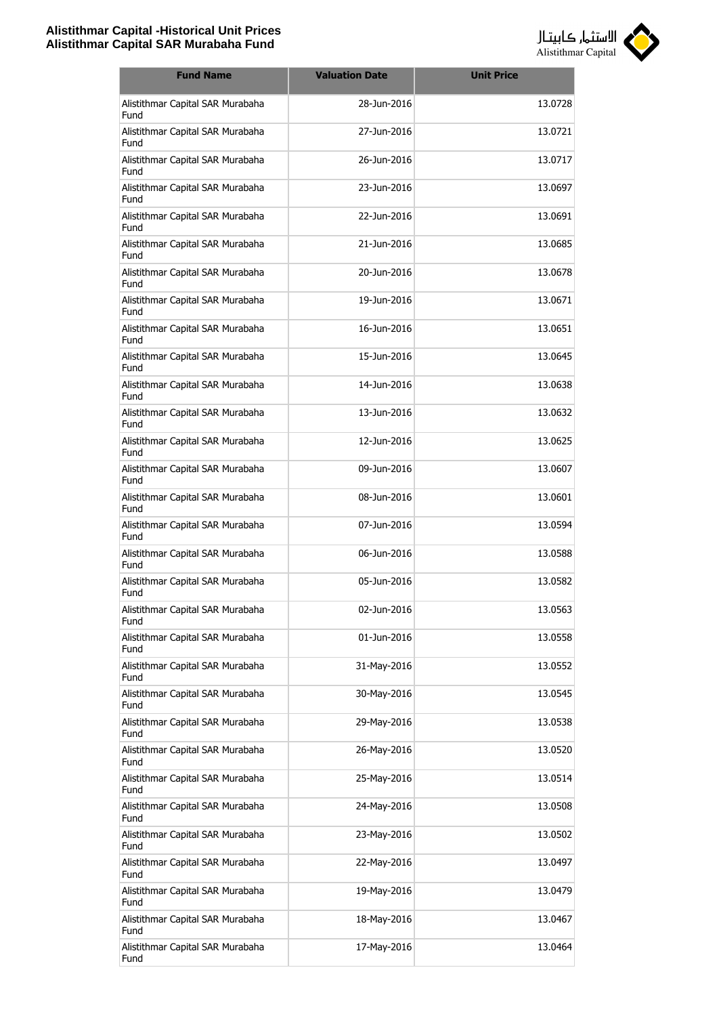

| <b>Fund Name</b>                         | <b>Valuation Date</b> | <b>Unit Price</b> |
|------------------------------------------|-----------------------|-------------------|
| Alistithmar Capital SAR Murabaha<br>Fund | 28-Jun-2016           | 13.0728           |
| Alistithmar Capital SAR Murabaha<br>Fund | 27-Jun-2016           | 13.0721           |
| Alistithmar Capital SAR Murabaha<br>Fund | 26-Jun-2016           | 13.0717           |
| Alistithmar Capital SAR Murabaha<br>Fund | 23-Jun-2016           | 13.0697           |
| Alistithmar Capital SAR Murabaha<br>Fund | 22-Jun-2016           | 13.0691           |
| Alistithmar Capital SAR Murabaha<br>Fund | 21-Jun-2016           | 13.0685           |
| Alistithmar Capital SAR Murabaha<br>Fund | 20-Jun-2016           | 13.0678           |
| Alistithmar Capital SAR Murabaha<br>Fund | 19-Jun-2016           | 13.0671           |
| Alistithmar Capital SAR Murabaha<br>Fund | 16-Jun-2016           | 13.0651           |
| Alistithmar Capital SAR Murabaha<br>Fund | 15-Jun-2016           | 13.0645           |
| Alistithmar Capital SAR Murabaha<br>Fund | 14-Jun-2016           | 13.0638           |
| Alistithmar Capital SAR Murabaha<br>Fund | 13-Jun-2016           | 13.0632           |
| Alistithmar Capital SAR Murabaha<br>Fund | 12-Jun-2016           | 13.0625           |
| Alistithmar Capital SAR Murabaha<br>Fund | 09-Jun-2016           | 13.0607           |
| Alistithmar Capital SAR Murabaha<br>Fund | 08-Jun-2016           | 13.0601           |
| Alistithmar Capital SAR Murabaha<br>Fund | 07-Jun-2016           | 13.0594           |
| Alistithmar Capital SAR Murabaha<br>Fund | 06-Jun-2016           | 13.0588           |
| Alistithmar Capital SAR Murabaha<br>Fund | 05-Jun-2016           | 13.0582           |
| Alistithmar Capital SAR Murabaha<br>Fund | 02-Jun-2016           | 13.0563           |
| Alistithmar Capital SAR Murabaha<br>Fund | 01-Jun-2016           | 13.0558           |
| Alistithmar Capital SAR Murabaha<br>Fund | 31-May-2016           | 13.0552           |
| Alistithmar Capital SAR Murabaha<br>Fund | 30-May-2016           | 13.0545           |
| Alistithmar Capital SAR Murabaha<br>Fund | 29-May-2016           | 13.0538           |
| Alistithmar Capital SAR Murabaha<br>Fund | 26-May-2016           | 13.0520           |
| Alistithmar Capital SAR Murabaha<br>Fund | 25-May-2016           | 13.0514           |
| Alistithmar Capital SAR Murabaha<br>Fund | 24-May-2016           | 13.0508           |
| Alistithmar Capital SAR Murabaha<br>Fund | 23-May-2016           | 13.0502           |
| Alistithmar Capital SAR Murabaha<br>Fund | 22-May-2016           | 13.0497           |
| Alistithmar Capital SAR Murabaha<br>Fund | 19-May-2016           | 13.0479           |
| Alistithmar Capital SAR Murabaha<br>Fund | 18-May-2016           | 13.0467           |
| Alistithmar Capital SAR Murabaha<br>Fund | 17-May-2016           | 13.0464           |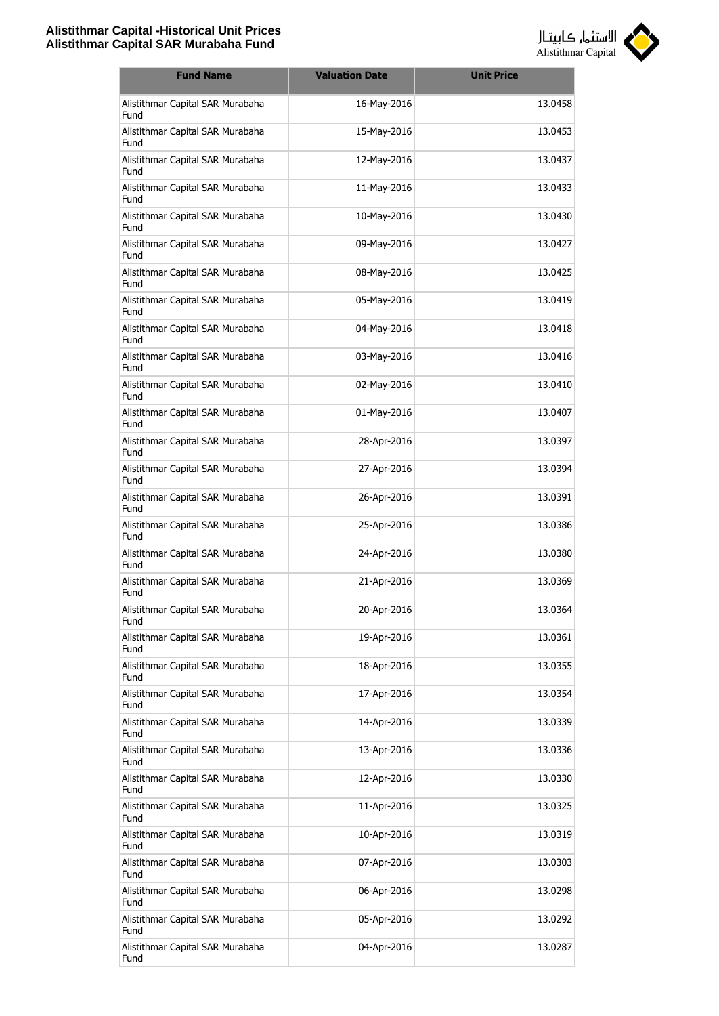

| <b>Fund Name</b>                         | <b>Valuation Date</b> | <b>Unit Price</b> |
|------------------------------------------|-----------------------|-------------------|
| Alistithmar Capital SAR Murabaha<br>Fund | 16-May-2016           | 13.0458           |
| Alistithmar Capital SAR Murabaha<br>Fund | 15-May-2016           | 13.0453           |
| Alistithmar Capital SAR Murabaha<br>Fund | 12-May-2016           | 13.0437           |
| Alistithmar Capital SAR Murabaha<br>Fund | 11-May-2016           | 13.0433           |
| Alistithmar Capital SAR Murabaha<br>Fund | 10-May-2016           | 13.0430           |
| Alistithmar Capital SAR Murabaha<br>Fund | 09-May-2016           | 13.0427           |
| Alistithmar Capital SAR Murabaha<br>Fund | 08-May-2016           | 13.0425           |
| Alistithmar Capital SAR Murabaha<br>Fund | 05-May-2016           | 13.0419           |
| Alistithmar Capital SAR Murabaha<br>Fund | 04-May-2016           | 13.0418           |
| Alistithmar Capital SAR Murabaha<br>Fund | 03-May-2016           | 13.0416           |
| Alistithmar Capital SAR Murabaha<br>Fund | 02-May-2016           | 13.0410           |
| Alistithmar Capital SAR Murabaha<br>Fund | 01-May-2016           | 13.0407           |
| Alistithmar Capital SAR Murabaha<br>Fund | 28-Apr-2016           | 13.0397           |
| Alistithmar Capital SAR Murabaha<br>Fund | 27-Apr-2016           | 13.0394           |
| Alistithmar Capital SAR Murabaha<br>Fund | 26-Apr-2016           | 13.0391           |
| Alistithmar Capital SAR Murabaha<br>Fund | 25-Apr-2016           | 13.0386           |
| Alistithmar Capital SAR Murabaha<br>Fund | 24-Apr-2016           | 13.0380           |
| Alistithmar Capital SAR Murabaha<br>Fund | 21-Apr-2016           | 13.0369           |
| Alistithmar Capital SAR Murabaha<br>Fund | 20-Apr-2016           | 13.0364           |
| Alistithmar Capital SAR Murabaha<br>Fund | 19-Apr-2016           | 13.0361           |
| Alistithmar Capital SAR Murabaha<br>Fund | 18-Apr-2016           | 13.0355           |
| Alistithmar Capital SAR Murabaha<br>Fund | 17-Apr-2016           | 13.0354           |
| Alistithmar Capital SAR Murabaha<br>Fund | 14-Apr-2016           | 13.0339           |
| Alistithmar Capital SAR Murabaha<br>Fund | 13-Apr-2016           | 13.0336           |
| Alistithmar Capital SAR Murabaha<br>Fund | 12-Apr-2016           | 13.0330           |
| Alistithmar Capital SAR Murabaha<br>Fund | 11-Apr-2016           | 13.0325           |
| Alistithmar Capital SAR Murabaha<br>Fund | 10-Apr-2016           | 13.0319           |
| Alistithmar Capital SAR Murabaha<br>Fund | 07-Apr-2016           | 13.0303           |
| Alistithmar Capital SAR Murabaha<br>Fund | 06-Apr-2016           | 13.0298           |
| Alistithmar Capital SAR Murabaha<br>Fund | 05-Apr-2016           | 13.0292           |
| Alistithmar Capital SAR Murabaha<br>Fund | 04-Apr-2016           | 13.0287           |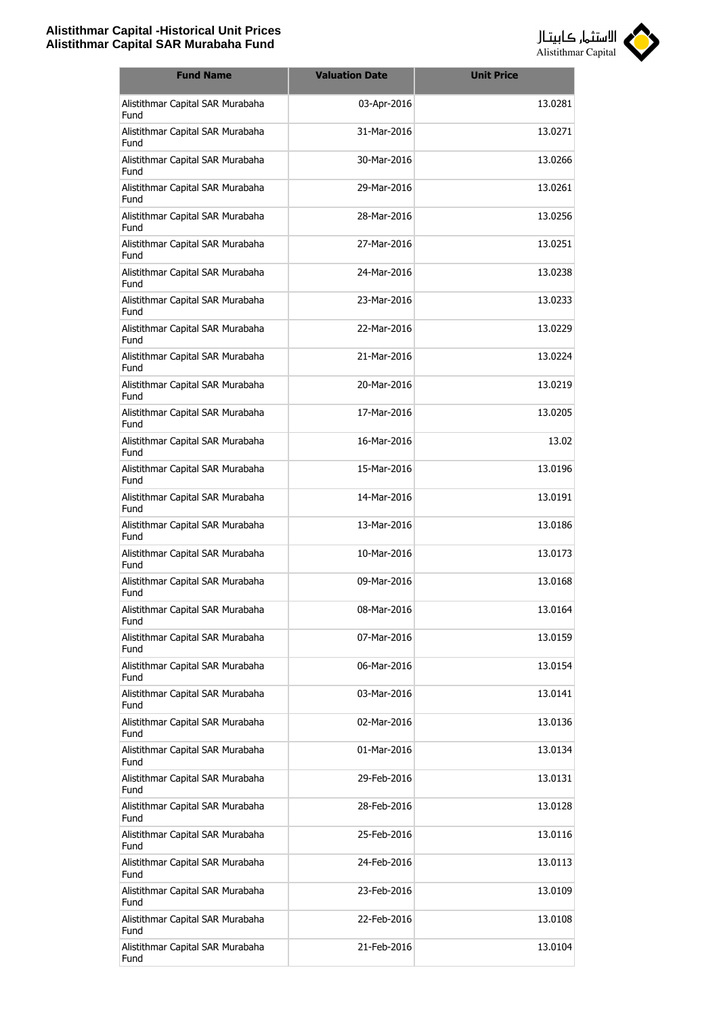

| <b>Fund Name</b>                         | <b>Valuation Date</b> | <b>Unit Price</b> |
|------------------------------------------|-----------------------|-------------------|
| Alistithmar Capital SAR Murabaha<br>Fund | 03-Apr-2016           | 13.0281           |
| Alistithmar Capital SAR Murabaha<br>Fund | 31-Mar-2016           | 13.0271           |
| Alistithmar Capital SAR Murabaha<br>Fund | 30-Mar-2016           | 13.0266           |
| Alistithmar Capital SAR Murabaha<br>Fund | 29-Mar-2016           | 13.0261           |
| Alistithmar Capital SAR Murabaha<br>Fund | 28-Mar-2016           | 13.0256           |
| Alistithmar Capital SAR Murabaha<br>Fund | 27-Mar-2016           | 13.0251           |
| Alistithmar Capital SAR Murabaha<br>Fund | 24-Mar-2016           | 13.0238           |
| Alistithmar Capital SAR Murabaha<br>Fund | 23-Mar-2016           | 13.0233           |
| Alistithmar Capital SAR Murabaha<br>Fund | 22-Mar-2016           | 13.0229           |
| Alistithmar Capital SAR Murabaha<br>Fund | 21-Mar-2016           | 13.0224           |
| Alistithmar Capital SAR Murabaha<br>Fund | 20-Mar-2016           | 13.0219           |
| Alistithmar Capital SAR Murabaha<br>Fund | 17-Mar-2016           | 13.0205           |
| Alistithmar Capital SAR Murabaha<br>Fund | 16-Mar-2016           | 13.02             |
| Alistithmar Capital SAR Murabaha<br>Fund | 15-Mar-2016           | 13.0196           |
| Alistithmar Capital SAR Murabaha<br>Fund | 14-Mar-2016           | 13.0191           |
| Alistithmar Capital SAR Murabaha<br>Fund | 13-Mar-2016           | 13.0186           |
| Alistithmar Capital SAR Murabaha<br>Fund | 10-Mar-2016           | 13.0173           |
| Alistithmar Capital SAR Murabaha<br>Fund | 09-Mar-2016           | 13.0168           |
| Alistithmar Capital SAR Murabaha<br>Fund | 08-Mar-2016           | 13.0164           |
| Alistithmar Capital SAR Murabaha<br>Fund | 07-Mar-2016           | 13.0159           |
| Alistithmar Capital SAR Murabaha<br>Fund | 06-Mar-2016           | 13.0154           |
| Alistithmar Capital SAR Murabaha<br>Fund | 03-Mar-2016           | 13.0141           |
| Alistithmar Capital SAR Murabaha<br>Fund | 02-Mar-2016           | 13.0136           |
| Alistithmar Capital SAR Murabaha<br>Fund | 01-Mar-2016           | 13.0134           |
| Alistithmar Capital SAR Murabaha<br>Fund | 29-Feb-2016           | 13.0131           |
| Alistithmar Capital SAR Murabaha<br>Fund | 28-Feb-2016           | 13.0128           |
| Alistithmar Capital SAR Murabaha<br>Fund | 25-Feb-2016           | 13.0116           |
| Alistithmar Capital SAR Murabaha<br>Fund | 24-Feb-2016           | 13.0113           |
| Alistithmar Capital SAR Murabaha<br>Fund | 23-Feb-2016           | 13.0109           |
| Alistithmar Capital SAR Murabaha<br>Fund | 22-Feb-2016           | 13.0108           |
| Alistithmar Capital SAR Murabaha<br>Fund | 21-Feb-2016           | 13.0104           |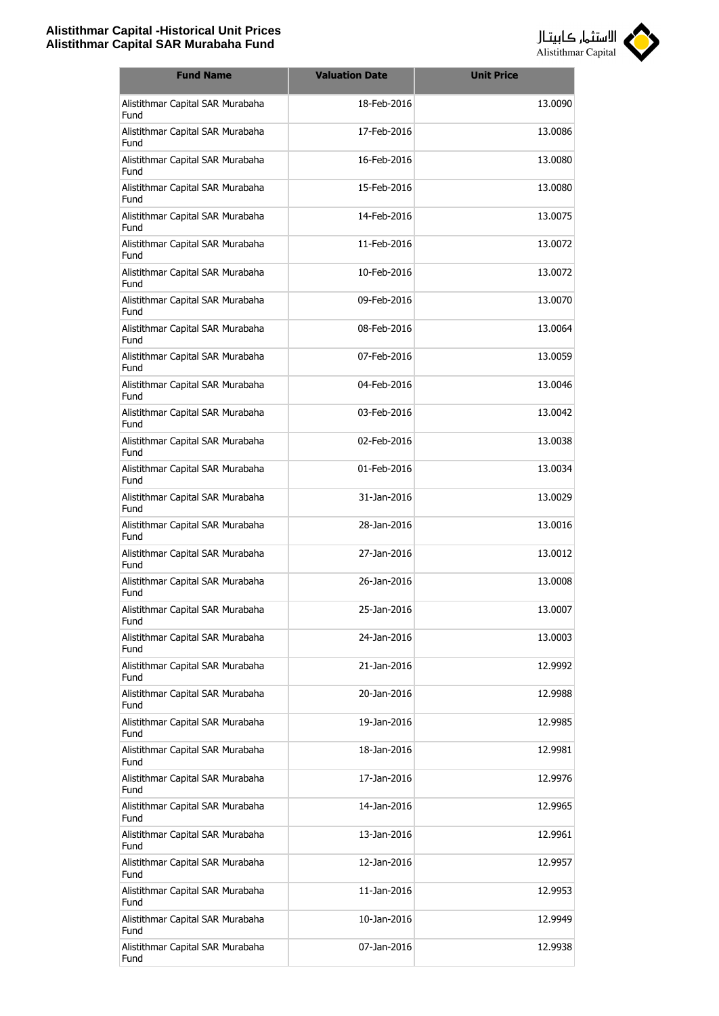

| <b>Fund Name</b>                         | <b>Valuation Date</b> | <b>Unit Price</b> |
|------------------------------------------|-----------------------|-------------------|
| Alistithmar Capital SAR Murabaha<br>Fund | 18-Feb-2016           | 13.0090           |
| Alistithmar Capital SAR Murabaha<br>Fund | 17-Feb-2016           | 13.0086           |
| Alistithmar Capital SAR Murabaha<br>Fund | 16-Feb-2016           | 13.0080           |
| Alistithmar Capital SAR Murabaha<br>Fund | 15-Feb-2016           | 13.0080           |
| Alistithmar Capital SAR Murabaha<br>Fund | 14-Feb-2016           | 13.0075           |
| Alistithmar Capital SAR Murabaha<br>Fund | 11-Feb-2016           | 13.0072           |
| Alistithmar Capital SAR Murabaha<br>Fund | 10-Feb-2016           | 13.0072           |
| Alistithmar Capital SAR Murabaha<br>Fund | 09-Feb-2016           | 13.0070           |
| Alistithmar Capital SAR Murabaha<br>Fund | 08-Feb-2016           | 13.0064           |
| Alistithmar Capital SAR Murabaha<br>Fund | 07-Feb-2016           | 13.0059           |
| Alistithmar Capital SAR Murabaha<br>Fund | 04-Feb-2016           | 13.0046           |
| Alistithmar Capital SAR Murabaha<br>Fund | 03-Feb-2016           | 13.0042           |
| Alistithmar Capital SAR Murabaha<br>Fund | 02-Feb-2016           | 13.0038           |
| Alistithmar Capital SAR Murabaha<br>Fund | 01-Feb-2016           | 13.0034           |
| Alistithmar Capital SAR Murabaha<br>Fund | 31-Jan-2016           | 13.0029           |
| Alistithmar Capital SAR Murabaha<br>Fund | 28-Jan-2016           | 13.0016           |
| Alistithmar Capital SAR Murabaha<br>Fund | 27-Jan-2016           | 13.0012           |
| Alistithmar Capital SAR Murabaha<br>Fund | 26-Jan-2016           | 13.0008           |
| Alistithmar Capital SAR Murabaha<br>Fund | 25-Jan-2016           | 13.0007           |
| Alistithmar Capital SAR Murabaha<br>Fund | 24-Jan-2016           | 13.0003           |
| Alistithmar Capital SAR Murabaha<br>Fund | 21-Jan-2016           | 12.9992           |
| Alistithmar Capital SAR Murabaha<br>Fund | 20-Jan-2016           | 12.9988           |
| Alistithmar Capital SAR Murabaha<br>Fund | 19-Jan-2016           | 12.9985           |
| Alistithmar Capital SAR Murabaha<br>Fund | 18-Jan-2016           | 12.9981           |
| Alistithmar Capital SAR Murabaha<br>Fund | 17-Jan-2016           | 12.9976           |
| Alistithmar Capital SAR Murabaha<br>Fund | 14-Jan-2016           | 12.9965           |
| Alistithmar Capital SAR Murabaha<br>Fund | 13-Jan-2016           | 12.9961           |
| Alistithmar Capital SAR Murabaha<br>Fund | 12-Jan-2016           | 12.9957           |
| Alistithmar Capital SAR Murabaha<br>Fund | 11-Jan-2016           | 12.9953           |
| Alistithmar Capital SAR Murabaha<br>Fund | 10-Jan-2016           | 12.9949           |
| Alistithmar Capital SAR Murabaha<br>Fund | 07-Jan-2016           | 12.9938           |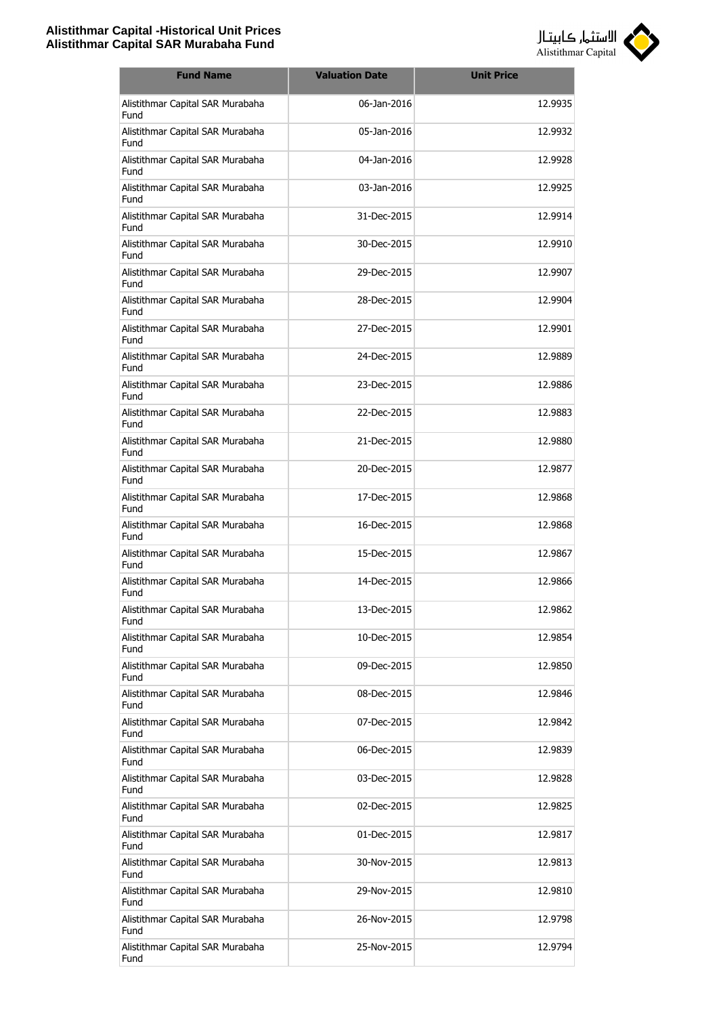

| <b>Fund Name</b>                         | <b>Valuation Date</b> | <b>Unit Price</b> |
|------------------------------------------|-----------------------|-------------------|
| Alistithmar Capital SAR Murabaha<br>Fund | 06-Jan-2016           | 12.9935           |
| Alistithmar Capital SAR Murabaha<br>Fund | 05-Jan-2016           | 12.9932           |
| Alistithmar Capital SAR Murabaha<br>Fund | 04-Jan-2016           | 12.9928           |
| Alistithmar Capital SAR Murabaha<br>Fund | 03-Jan-2016           | 12.9925           |
| Alistithmar Capital SAR Murabaha<br>Fund | 31-Dec-2015           | 12.9914           |
| Alistithmar Capital SAR Murabaha<br>Fund | 30-Dec-2015           | 12.9910           |
| Alistithmar Capital SAR Murabaha<br>Fund | 29-Dec-2015           | 12.9907           |
| Alistithmar Capital SAR Murabaha<br>Fund | 28-Dec-2015           | 12.9904           |
| Alistithmar Capital SAR Murabaha<br>Fund | 27-Dec-2015           | 12.9901           |
| Alistithmar Capital SAR Murabaha<br>Fund | 24-Dec-2015           | 12.9889           |
| Alistithmar Capital SAR Murabaha<br>Fund | 23-Dec-2015           | 12.9886           |
| Alistithmar Capital SAR Murabaha<br>Fund | 22-Dec-2015           | 12.9883           |
| Alistithmar Capital SAR Murabaha<br>Fund | 21-Dec-2015           | 12.9880           |
| Alistithmar Capital SAR Murabaha<br>Fund | 20-Dec-2015           | 12.9877           |
| Alistithmar Capital SAR Murabaha<br>Fund | 17-Dec-2015           | 12.9868           |
| Alistithmar Capital SAR Murabaha<br>Fund | 16-Dec-2015           | 12.9868           |
| Alistithmar Capital SAR Murabaha<br>Fund | 15-Dec-2015           | 12.9867           |
| Alistithmar Capital SAR Murabaha<br>Fund | 14-Dec-2015           | 12.9866           |
| Alistithmar Capital SAR Murabaha<br>Fund | 13-Dec-2015           | 12.9862           |
| Alistithmar Capital SAR Murabaha<br>Fund | 10-Dec-2015           | 12.9854           |
| Alistithmar Capital SAR Murabaha<br>Fund | 09-Dec-2015           | 12.9850           |
| Alistithmar Capital SAR Murabaha<br>Fund | 08-Dec-2015           | 12.9846           |
| Alistithmar Capital SAR Murabaha<br>Fund | 07-Dec-2015           | 12.9842           |
| Alistithmar Capital SAR Murabaha<br>Fund | 06-Dec-2015           | 12.9839           |
| Alistithmar Capital SAR Murabaha<br>Fund | 03-Dec-2015           | 12.9828           |
| Alistithmar Capital SAR Murabaha<br>Fund | 02-Dec-2015           | 12.9825           |
| Alistithmar Capital SAR Murabaha<br>Fund | 01-Dec-2015           | 12.9817           |
| Alistithmar Capital SAR Murabaha<br>Fund | 30-Nov-2015           | 12.9813           |
| Alistithmar Capital SAR Murabaha<br>Fund | 29-Nov-2015           | 12.9810           |
| Alistithmar Capital SAR Murabaha<br>Fund | 26-Nov-2015           | 12.9798           |
| Alistithmar Capital SAR Murabaha<br>Fund | 25-Nov-2015           | 12.9794           |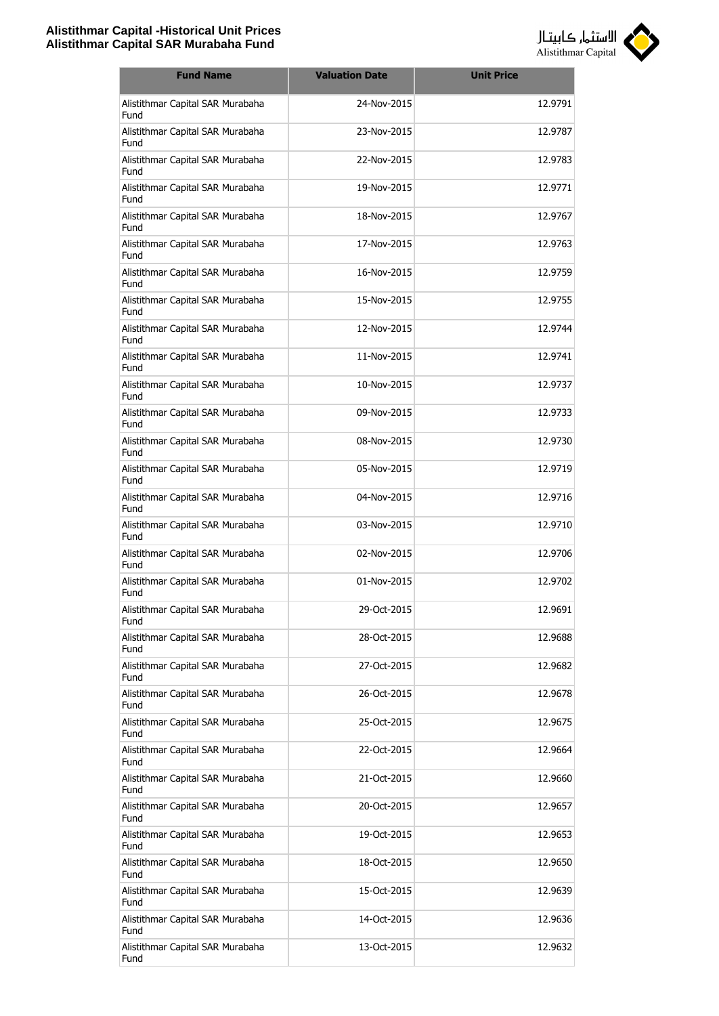

| <b>Fund Name</b>                         | <b>Valuation Date</b> | <b>Unit Price</b> |
|------------------------------------------|-----------------------|-------------------|
| Alistithmar Capital SAR Murabaha<br>Fund | 24-Nov-2015           | 12.9791           |
| Alistithmar Capital SAR Murabaha<br>Fund | 23-Nov-2015           | 12.9787           |
| Alistithmar Capital SAR Murabaha<br>Fund | 22-Nov-2015           | 12.9783           |
| Alistithmar Capital SAR Murabaha<br>Fund | 19-Nov-2015           | 12.9771           |
| Alistithmar Capital SAR Murabaha<br>Fund | 18-Nov-2015           | 12.9767           |
| Alistithmar Capital SAR Murabaha<br>Fund | 17-Nov-2015           | 12.9763           |
| Alistithmar Capital SAR Murabaha<br>Fund | 16-Nov-2015           | 12.9759           |
| Alistithmar Capital SAR Murabaha<br>Fund | 15-Nov-2015           | 12.9755           |
| Alistithmar Capital SAR Murabaha<br>Fund | 12-Nov-2015           | 12.9744           |
| Alistithmar Capital SAR Murabaha<br>Fund | 11-Nov-2015           | 12.9741           |
| Alistithmar Capital SAR Murabaha<br>Fund | 10-Nov-2015           | 12.9737           |
| Alistithmar Capital SAR Murabaha<br>Fund | 09-Nov-2015           | 12.9733           |
| Alistithmar Capital SAR Murabaha<br>Fund | 08-Nov-2015           | 12.9730           |
| Alistithmar Capital SAR Murabaha<br>Fund | 05-Nov-2015           | 12.9719           |
| Alistithmar Capital SAR Murabaha<br>Fund | 04-Nov-2015           | 12.9716           |
| Alistithmar Capital SAR Murabaha<br>Fund | 03-Nov-2015           | 12.9710           |
| Alistithmar Capital SAR Murabaha<br>Fund | 02-Nov-2015           | 12.9706           |
| Alistithmar Capital SAR Murabaha<br>Fund | 01-Nov-2015           | 12.9702           |
| Alistithmar Capital SAR Murabaha<br>Fund | 29-Oct-2015           | 12.9691           |
| Alistithmar Capital SAR Murabaha<br>Fund | 28-Oct-2015           | 12.9688           |
| Alistithmar Capital SAR Murabaha<br>Fund | 27-Oct-2015           | 12.9682           |
| Alistithmar Capital SAR Murabaha<br>Fund | 26-Oct-2015           | 12.9678           |
| Alistithmar Capital SAR Murabaha<br>Fund | 25-Oct-2015           | 12.9675           |
| Alistithmar Capital SAR Murabaha<br>Fund | 22-Oct-2015           | 12.9664           |
| Alistithmar Capital SAR Murabaha<br>Fund | 21-Oct-2015           | 12.9660           |
| Alistithmar Capital SAR Murabaha<br>Fund | 20-Oct-2015           | 12.9657           |
| Alistithmar Capital SAR Murabaha<br>Fund | 19-Oct-2015           | 12.9653           |
| Alistithmar Capital SAR Murabaha<br>Fund | 18-Oct-2015           | 12.9650           |
| Alistithmar Capital SAR Murabaha<br>Fund | 15-Oct-2015           | 12.9639           |
| Alistithmar Capital SAR Murabaha<br>Fund | 14-Oct-2015           | 12.9636           |
| Alistithmar Capital SAR Murabaha<br>Fund | 13-Oct-2015           | 12.9632           |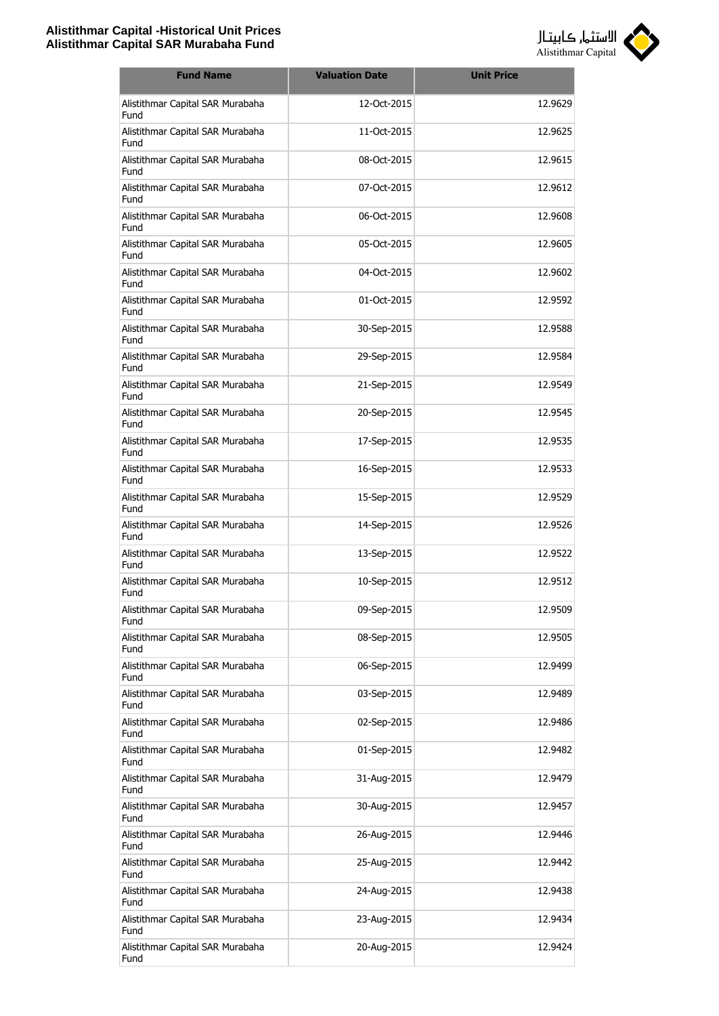

| <b>Fund Name</b>                         | <b>Valuation Date</b> | <b>Unit Price</b> |
|------------------------------------------|-----------------------|-------------------|
| Alistithmar Capital SAR Murabaha<br>Fund | 12-Oct-2015           | 12.9629           |
| Alistithmar Capital SAR Murabaha<br>Fund | 11-Oct-2015           | 12.9625           |
| Alistithmar Capital SAR Murabaha<br>Fund | 08-Oct-2015           | 12.9615           |
| Alistithmar Capital SAR Murabaha<br>Fund | 07-Oct-2015           | 12.9612           |
| Alistithmar Capital SAR Murabaha<br>Fund | 06-Oct-2015           | 12.9608           |
| Alistithmar Capital SAR Murabaha<br>Fund | 05-Oct-2015           | 12.9605           |
| Alistithmar Capital SAR Murabaha<br>Fund | 04-Oct-2015           | 12.9602           |
| Alistithmar Capital SAR Murabaha<br>Fund | 01-Oct-2015           | 12.9592           |
| Alistithmar Capital SAR Murabaha<br>Fund | 30-Sep-2015           | 12.9588           |
| Alistithmar Capital SAR Murabaha<br>Fund | 29-Sep-2015           | 12.9584           |
| Alistithmar Capital SAR Murabaha<br>Fund | 21-Sep-2015           | 12.9549           |
| Alistithmar Capital SAR Murabaha<br>Fund | 20-Sep-2015           | 12.9545           |
| Alistithmar Capital SAR Murabaha<br>Fund | 17-Sep-2015           | 12.9535           |
| Alistithmar Capital SAR Murabaha<br>Fund | 16-Sep-2015           | 12.9533           |
| Alistithmar Capital SAR Murabaha<br>Fund | 15-Sep-2015           | 12.9529           |
| Alistithmar Capital SAR Murabaha<br>Fund | 14-Sep-2015           | 12.9526           |
| Alistithmar Capital SAR Murabaha<br>Fund | 13-Sep-2015           | 12.9522           |
| Alistithmar Capital SAR Murabaha<br>Fund | 10-Sep-2015           | 12.9512           |
| Alistithmar Capital SAR Murabaha<br>Fund | 09-Sep-2015           | 12.9509           |
| Alistithmar Capital SAR Murabaha<br>Fund | 08-Sep-2015           | 12.9505           |
| Alistithmar Capital SAR Murabaha<br>Fund | 06-Sep-2015           | 12.9499           |
| Alistithmar Capital SAR Murabaha<br>Fund | 03-Sep-2015           | 12.9489           |
| Alistithmar Capital SAR Murabaha<br>Fund | 02-Sep-2015           | 12.9486           |
| Alistithmar Capital SAR Murabaha<br>Fund | 01-Sep-2015           | 12.9482           |
| Alistithmar Capital SAR Murabaha<br>Fund | 31-Aug-2015           | 12.9479           |
| Alistithmar Capital SAR Murabaha<br>Fund | 30-Aug-2015           | 12.9457           |
| Alistithmar Capital SAR Murabaha<br>Fund | 26-Aug-2015           | 12.9446           |
| Alistithmar Capital SAR Murabaha<br>Fund | 25-Aug-2015           | 12.9442           |
| Alistithmar Capital SAR Murabaha<br>Fund | 24-Aug-2015           | 12.9438           |
| Alistithmar Capital SAR Murabaha<br>Fund | 23-Aug-2015           | 12.9434           |
| Alistithmar Capital SAR Murabaha<br>Fund | 20-Aug-2015           | 12.9424           |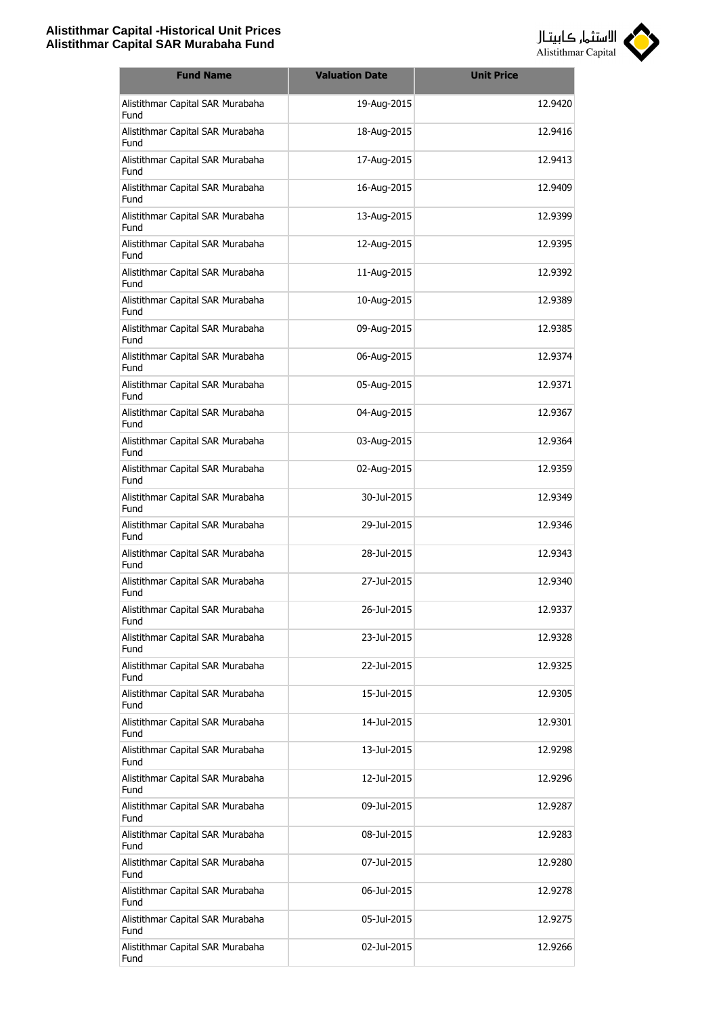

| <b>Fund Name</b>                                | <b>Valuation Date</b> | <b>Unit Price</b> |
|-------------------------------------------------|-----------------------|-------------------|
| Alistithmar Capital SAR Murabaha<br>Fund        | 19-Aug-2015           | 12.9420           |
| Alistithmar Capital SAR Murabaha<br>Fund        | 18-Aug-2015           | 12.9416           |
| Alistithmar Capital SAR Murabaha<br>Fund        | 17-Aug-2015           | 12.9413           |
| Alistithmar Capital SAR Murabaha<br>Fund        | 16-Aug-2015           | 12.9409           |
| Alistithmar Capital SAR Murabaha<br>Fund        | 13-Aug-2015           | 12.9399           |
| Alistithmar Capital SAR Murabaha<br>Fund        | 12-Aug-2015           | 12.9395           |
| Alistithmar Capital SAR Murabaha<br>Fund        | 11-Aug-2015           | 12.9392           |
| Alistithmar Capital SAR Murabaha<br>Fund        | 10-Aug-2015           | 12.9389           |
| Alistithmar Capital SAR Murabaha<br>Fund        | 09-Aug-2015           | 12.9385           |
| Alistithmar Capital SAR Murabaha<br>Fund        | 06-Aug-2015           | 12.9374           |
| Alistithmar Capital SAR Murabaha<br>Fund        | 05-Aug-2015           | 12.9371           |
| Alistithmar Capital SAR Murabaha<br>Fund        | 04-Aug-2015           | 12.9367           |
| Alistithmar Capital SAR Murabaha<br>Fund        | 03-Aug-2015           | 12.9364           |
| Alistithmar Capital SAR Murabaha<br>Fund        | 02-Aug-2015           | 12.9359           |
| Alistithmar Capital SAR Murabaha<br>Fund        | 30-Jul-2015           | 12.9349           |
| Alistithmar Capital SAR Murabaha<br>Fund        | 29-Jul-2015           | 12.9346           |
| Alistithmar Capital SAR Murabaha<br><b>Fund</b> | 28-Jul-2015           | 12.9343           |
| Alistithmar Capital SAR Murabaha<br>Fund        | 27-Jul-2015           | 12.9340           |
| Alistithmar Capital SAR Murabaha<br>Fund        | 26-Jul-2015           | 12.9337           |
| Alistithmar Capital SAR Murabaha<br>Fund        | 23-Jul-2015           | 12.9328           |
| Alistithmar Capital SAR Murabaha<br>Fund        | 22-Jul-2015           | 12.9325           |
| Alistithmar Capital SAR Murabaha<br>Fund        | 15-Jul-2015           | 12.9305           |
| Alistithmar Capital SAR Murabaha<br>Fund        | 14-Jul-2015           | 12.9301           |
| Alistithmar Capital SAR Murabaha<br>Fund        | 13-Jul-2015           | 12.9298           |
| Alistithmar Capital SAR Murabaha<br>Fund        | 12-Jul-2015           | 12.9296           |
| Alistithmar Capital SAR Murabaha<br>Fund        | 09-Jul-2015           | 12.9287           |
| Alistithmar Capital SAR Murabaha<br>Fund        | 08-Jul-2015           | 12.9283           |
| Alistithmar Capital SAR Murabaha<br>Fund        | 07-Jul-2015           | 12.9280           |
| Alistithmar Capital SAR Murabaha<br>Fund        | 06-Jul-2015           | 12.9278           |
| Alistithmar Capital SAR Murabaha<br>Fund        | 05-Jul-2015           | 12.9275           |
| Alistithmar Capital SAR Murabaha<br>Fund        | 02-Jul-2015           | 12.9266           |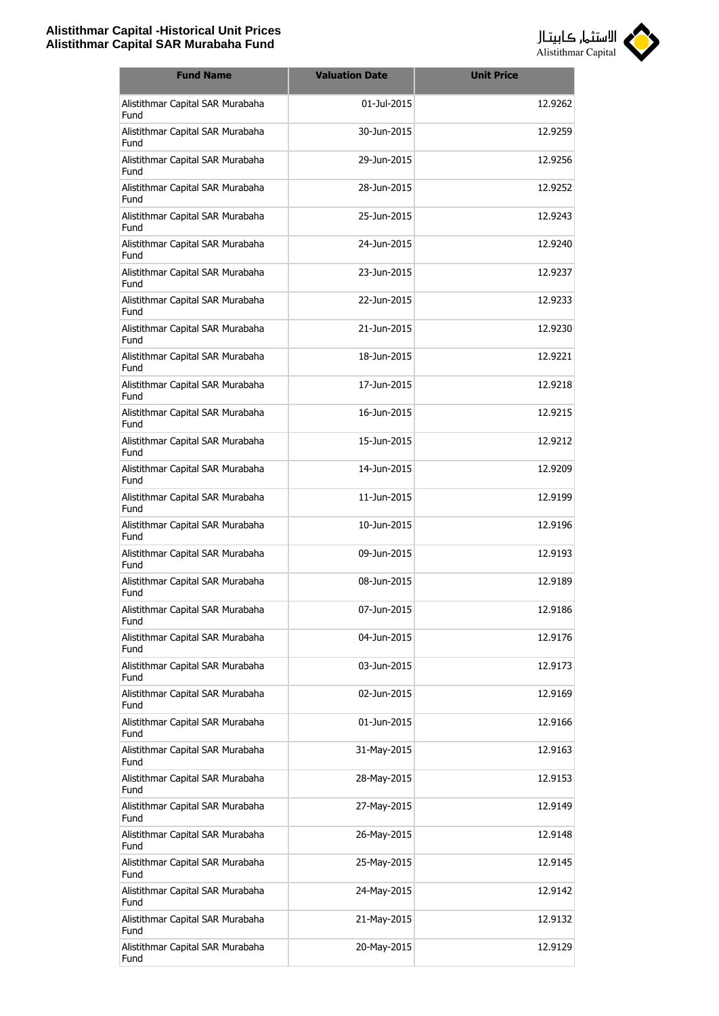

| <b>Fund Name</b>                         | <b>Valuation Date</b> | <b>Unit Price</b> |
|------------------------------------------|-----------------------|-------------------|
| Alistithmar Capital SAR Murabaha<br>Fund | 01-Jul-2015           | 12.9262           |
| Alistithmar Capital SAR Murabaha<br>Fund | 30-Jun-2015           | 12.9259           |
| Alistithmar Capital SAR Murabaha<br>Fund | 29-Jun-2015           | 12.9256           |
| Alistithmar Capital SAR Murabaha<br>Fund | 28-Jun-2015           | 12.9252           |
| Alistithmar Capital SAR Murabaha<br>Fund | 25-Jun-2015           | 12.9243           |
| Alistithmar Capital SAR Murabaha<br>Fund | 24-Jun-2015           | 12.9240           |
| Alistithmar Capital SAR Murabaha<br>Fund | 23-Jun-2015           | 12.9237           |
| Alistithmar Capital SAR Murabaha<br>Fund | 22-Jun-2015           | 12.9233           |
| Alistithmar Capital SAR Murabaha<br>Fund | 21-Jun-2015           | 12.9230           |
| Alistithmar Capital SAR Murabaha<br>Fund | 18-Jun-2015           | 12.9221           |
| Alistithmar Capital SAR Murabaha<br>Fund | 17-Jun-2015           | 12.9218           |
| Alistithmar Capital SAR Murabaha<br>Fund | 16-Jun-2015           | 12.9215           |
| Alistithmar Capital SAR Murabaha<br>Fund | 15-Jun-2015           | 12.9212           |
| Alistithmar Capital SAR Murabaha<br>Fund | 14-Jun-2015           | 12.9209           |
| Alistithmar Capital SAR Murabaha<br>Fund | 11-Jun-2015           | 12.9199           |
| Alistithmar Capital SAR Murabaha<br>Fund | 10-Jun-2015           | 12.9196           |
| Alistithmar Capital SAR Murabaha<br>Fund | 09-Jun-2015           | 12.9193           |
| Alistithmar Capital SAR Murabaha<br>Fund | 08-Jun-2015           | 12.9189           |
| Alistithmar Capital SAR Murabaha<br>Fund | 07-Jun-2015           | 12.9186           |
| Alistithmar Capital SAR Murabaha<br>Fund | 04-Jun-2015           | 12.9176           |
| Alistithmar Capital SAR Murabaha<br>Fund | 03-Jun-2015           | 12.9173           |
| Alistithmar Capital SAR Murabaha<br>Fund | 02-Jun-2015           | 12.9169           |
| Alistithmar Capital SAR Murabaha<br>Fund | 01-Jun-2015           | 12.9166           |
| Alistithmar Capital SAR Murabaha<br>Fund | 31-May-2015           | 12.9163           |
| Alistithmar Capital SAR Murabaha<br>Fund | 28-May-2015           | 12.9153           |
| Alistithmar Capital SAR Murabaha<br>Fund | 27-May-2015           | 12.9149           |
| Alistithmar Capital SAR Murabaha<br>Fund | 26-May-2015           | 12.9148           |
| Alistithmar Capital SAR Murabaha<br>Fund | 25-May-2015           | 12.9145           |
| Alistithmar Capital SAR Murabaha<br>Fund | 24-May-2015           | 12.9142           |
| Alistithmar Capital SAR Murabaha<br>Fund | 21-May-2015           | 12.9132           |
| Alistithmar Capital SAR Murabaha<br>Fund | 20-May-2015           | 12.9129           |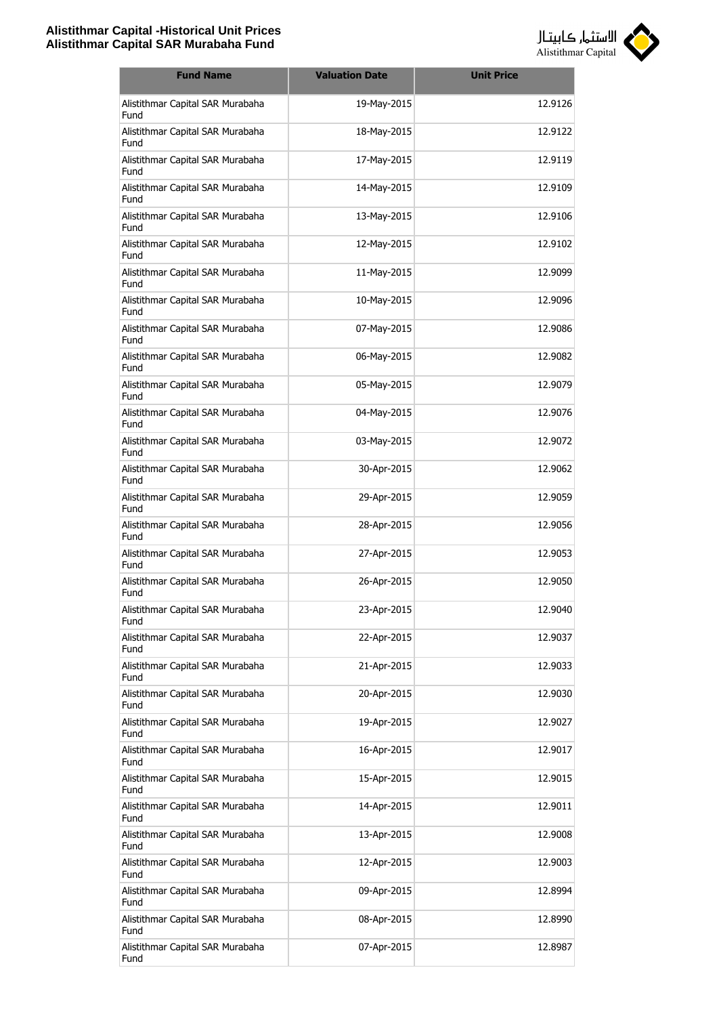

| <b>Fund Name</b>                         | <b>Valuation Date</b> | <b>Unit Price</b> |
|------------------------------------------|-----------------------|-------------------|
| Alistithmar Capital SAR Murabaha<br>Fund | 19-May-2015           | 12.9126           |
| Alistithmar Capital SAR Murabaha<br>Fund | 18-May-2015           | 12.9122           |
| Alistithmar Capital SAR Murabaha<br>Fund | 17-May-2015           | 12.9119           |
| Alistithmar Capital SAR Murabaha<br>Fund | 14-May-2015           | 12.9109           |
| Alistithmar Capital SAR Murabaha<br>Fund | 13-May-2015           | 12.9106           |
| Alistithmar Capital SAR Murabaha<br>Fund | 12-May-2015           | 12.9102           |
| Alistithmar Capital SAR Murabaha<br>Fund | 11-May-2015           | 12.9099           |
| Alistithmar Capital SAR Murabaha<br>Fund | 10-May-2015           | 12.9096           |
| Alistithmar Capital SAR Murabaha<br>Fund | 07-May-2015           | 12.9086           |
| Alistithmar Capital SAR Murabaha<br>Fund | 06-May-2015           | 12.9082           |
| Alistithmar Capital SAR Murabaha<br>Fund | 05-May-2015           | 12.9079           |
| Alistithmar Capital SAR Murabaha<br>Fund | 04-May-2015           | 12.9076           |
| Alistithmar Capital SAR Murabaha<br>Fund | 03-May-2015           | 12.9072           |
| Alistithmar Capital SAR Murabaha<br>Fund | 30-Apr-2015           | 12.9062           |
| Alistithmar Capital SAR Murabaha<br>Fund | 29-Apr-2015           | 12.9059           |
| Alistithmar Capital SAR Murabaha<br>Fund | 28-Apr-2015           | 12.9056           |
| Alistithmar Capital SAR Murabaha<br>Fund | 27-Apr-2015           | 12.9053           |
| Alistithmar Capital SAR Murabaha<br>Fund | 26-Apr-2015           | 12.9050           |
| Alistithmar Capital SAR Murabaha<br>Fund | 23-Apr-2015           | 12.9040           |
| Alistithmar Capital SAR Murabaha<br>Fund | 22-Apr-2015           | 12.9037           |
| Alistithmar Capital SAR Murabaha<br>Fund | 21-Apr-2015           | 12.9033           |
| Alistithmar Capital SAR Murabaha<br>Fund | 20-Apr-2015           | 12.9030           |
| Alistithmar Capital SAR Murabaha<br>Fund | 19-Apr-2015           | 12.9027           |
| Alistithmar Capital SAR Murabaha<br>Fund | 16-Apr-2015           | 12.9017           |
| Alistithmar Capital SAR Murabaha<br>Fund | 15-Apr-2015           | 12.9015           |
| Alistithmar Capital SAR Murabaha<br>Fund | 14-Apr-2015           | 12.9011           |
| Alistithmar Capital SAR Murabaha<br>Fund | 13-Apr-2015           | 12.9008           |
| Alistithmar Capital SAR Murabaha<br>Fund | 12-Apr-2015           | 12.9003           |
| Alistithmar Capital SAR Murabaha<br>Fund | 09-Apr-2015           | 12.8994           |
| Alistithmar Capital SAR Murabaha<br>Fund | 08-Apr-2015           | 12.8990           |
| Alistithmar Capital SAR Murabaha<br>Fund | 07-Apr-2015           | 12.8987           |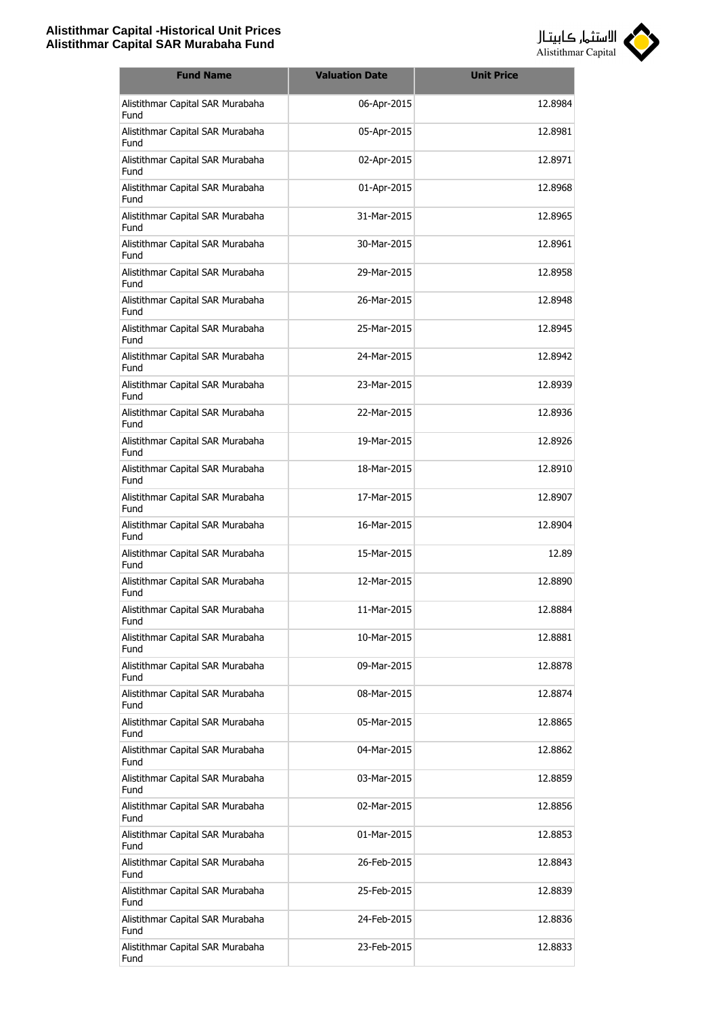

| <b>Fund Name</b>                         | <b>Valuation Date</b> | <b>Unit Price</b> |
|------------------------------------------|-----------------------|-------------------|
| Alistithmar Capital SAR Murabaha<br>Fund | 06-Apr-2015           | 12.8984           |
| Alistithmar Capital SAR Murabaha<br>Fund | 05-Apr-2015           | 12.8981           |
| Alistithmar Capital SAR Murabaha<br>Fund | 02-Apr-2015           | 12.8971           |
| Alistithmar Capital SAR Murabaha<br>Fund | 01-Apr-2015           | 12.8968           |
| Alistithmar Capital SAR Murabaha<br>Fund | 31-Mar-2015           | 12.8965           |
| Alistithmar Capital SAR Murabaha<br>Fund | 30-Mar-2015           | 12.8961           |
| Alistithmar Capital SAR Murabaha<br>Fund | 29-Mar-2015           | 12.8958           |
| Alistithmar Capital SAR Murabaha<br>Fund | 26-Mar-2015           | 12.8948           |
| Alistithmar Capital SAR Murabaha<br>Fund | 25-Mar-2015           | 12.8945           |
| Alistithmar Capital SAR Murabaha<br>Fund | 24-Mar-2015           | 12.8942           |
| Alistithmar Capital SAR Murabaha<br>Fund | 23-Mar-2015           | 12.8939           |
| Alistithmar Capital SAR Murabaha<br>Fund | 22-Mar-2015           | 12.8936           |
| Alistithmar Capital SAR Murabaha<br>Fund | 19-Mar-2015           | 12.8926           |
| Alistithmar Capital SAR Murabaha<br>Fund | 18-Mar-2015           | 12.8910           |
| Alistithmar Capital SAR Murabaha<br>Fund | 17-Mar-2015           | 12.8907           |
| Alistithmar Capital SAR Murabaha<br>Fund | 16-Mar-2015           | 12.8904           |
| Alistithmar Capital SAR Murabaha<br>Fund | 15-Mar-2015           | 12.89             |
| Alistithmar Capital SAR Murabaha<br>Fund | 12-Mar-2015           | 12.8890           |
| Alistithmar Capital SAR Murabaha<br>Fund | 11-Mar-2015           | 12.8884           |
| Alistithmar Capital SAR Murabaha<br>Fund | 10-Mar-2015           | 12.8881           |
| Alistithmar Capital SAR Murabaha<br>Fund | 09-Mar-2015           | 12.8878           |
| Alistithmar Capital SAR Murabaha<br>Fund | 08-Mar-2015           | 12.8874           |
| Alistithmar Capital SAR Murabaha<br>Fund | 05-Mar-2015           | 12.8865           |
| Alistithmar Capital SAR Murabaha<br>Fund | 04-Mar-2015           | 12.8862           |
| Alistithmar Capital SAR Murabaha<br>Fund | 03-Mar-2015           | 12.8859           |
| Alistithmar Capital SAR Murabaha<br>Fund | 02-Mar-2015           | 12.8856           |
| Alistithmar Capital SAR Murabaha<br>Fund | 01-Mar-2015           | 12.8853           |
| Alistithmar Capital SAR Murabaha<br>Fund | 26-Feb-2015           | 12.8843           |
| Alistithmar Capital SAR Murabaha<br>Fund | 25-Feb-2015           | 12.8839           |
| Alistithmar Capital SAR Murabaha<br>Fund | 24-Feb-2015           | 12.8836           |
| Alistithmar Capital SAR Murabaha<br>Fund | 23-Feb-2015           | 12.8833           |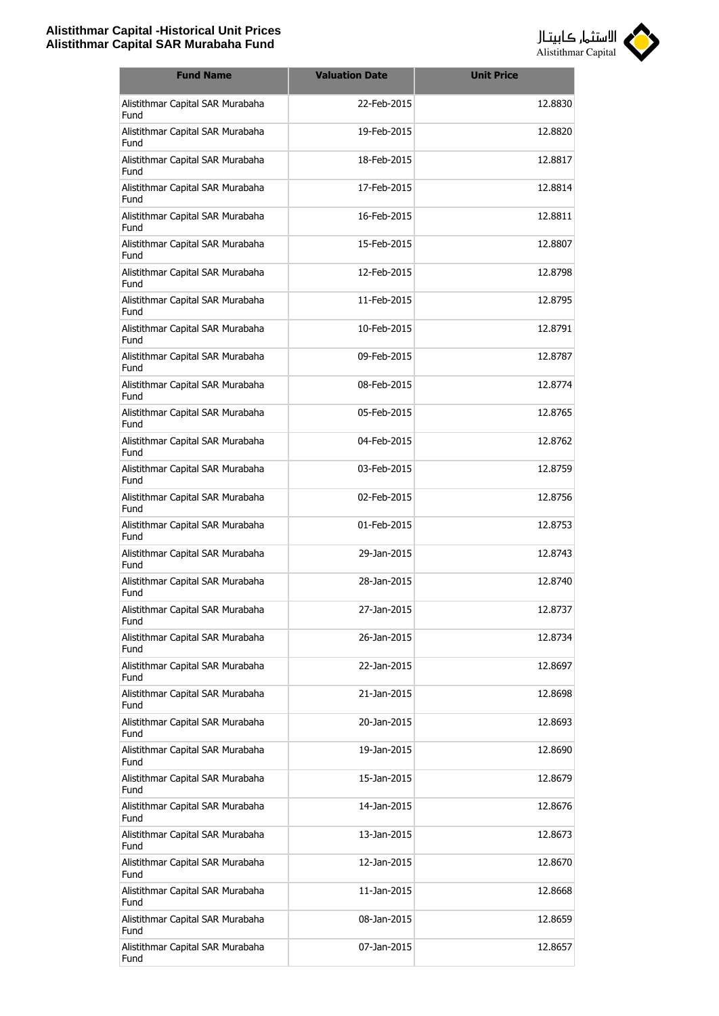

| <b>Fund Name</b>                         | <b>Valuation Date</b> | <b>Unit Price</b> |
|------------------------------------------|-----------------------|-------------------|
| Alistithmar Capital SAR Murabaha<br>Fund | 22-Feb-2015           | 12.8830           |
| Alistithmar Capital SAR Murabaha<br>Fund | 19-Feb-2015           | 12.8820           |
| Alistithmar Capital SAR Murabaha<br>Fund | 18-Feb-2015           | 12.8817           |
| Alistithmar Capital SAR Murabaha<br>Fund | 17-Feb-2015           | 12.8814           |
| Alistithmar Capital SAR Murabaha<br>Fund | 16-Feb-2015           | 12.8811           |
| Alistithmar Capital SAR Murabaha<br>Fund | 15-Feb-2015           | 12,8807           |
| Alistithmar Capital SAR Murabaha<br>Fund | 12-Feb-2015           | 12.8798           |
| Alistithmar Capital SAR Murabaha<br>Fund | 11-Feb-2015           | 12.8795           |
| Alistithmar Capital SAR Murabaha<br>Fund | 10-Feb-2015           | 12.8791           |
| Alistithmar Capital SAR Murabaha<br>Fund | 09-Feb-2015           | 12.8787           |
| Alistithmar Capital SAR Murabaha<br>Fund | 08-Feb-2015           | 12.8774           |
| Alistithmar Capital SAR Murabaha<br>Fund | 05-Feb-2015           | 12.8765           |
| Alistithmar Capital SAR Murabaha<br>Fund | 04-Feb-2015           | 12.8762           |
| Alistithmar Capital SAR Murabaha<br>Fund | 03-Feb-2015           | 12.8759           |
| Alistithmar Capital SAR Murabaha<br>Fund | 02-Feb-2015           | 12.8756           |
| Alistithmar Capital SAR Murabaha<br>Fund | 01-Feb-2015           | 12.8753           |
| Alistithmar Capital SAR Murabaha<br>Fund | 29-Jan-2015           | 12.8743           |
| Alistithmar Capital SAR Murabaha<br>Fund | 28-Jan-2015           | 12.8740           |
| Alistithmar Capital SAR Murabaha<br>Fund | 27-Jan-2015           | 12.8737           |
| Alistithmar Capital SAR Murabaha<br>Fund | 26-Jan-2015           | 12.8734           |
| Alistithmar Capital SAR Murabaha<br>Fund | 22-Jan-2015           | 12.8697           |
| Alistithmar Capital SAR Murabaha<br>Fund | 21-Jan-2015           | 12.8698           |
| Alistithmar Capital SAR Murabaha<br>Fund | 20-Jan-2015           | 12.8693           |
| Alistithmar Capital SAR Murabaha<br>Fund | 19-Jan-2015           | 12.8690           |
| Alistithmar Capital SAR Murabaha<br>Fund | 15-Jan-2015           | 12.8679           |
| Alistithmar Capital SAR Murabaha<br>Fund | 14-Jan-2015           | 12.8676           |
| Alistithmar Capital SAR Murabaha<br>Fund | 13-Jan-2015           | 12.8673           |
| Alistithmar Capital SAR Murabaha<br>Fund | 12-Jan-2015           | 12.8670           |
| Alistithmar Capital SAR Murabaha<br>Fund | 11-Jan-2015           | 12.8668           |
| Alistithmar Capital SAR Murabaha<br>Fund | 08-Jan-2015           | 12.8659           |
| Alistithmar Capital SAR Murabaha<br>Fund | 07-Jan-2015           | 12.8657           |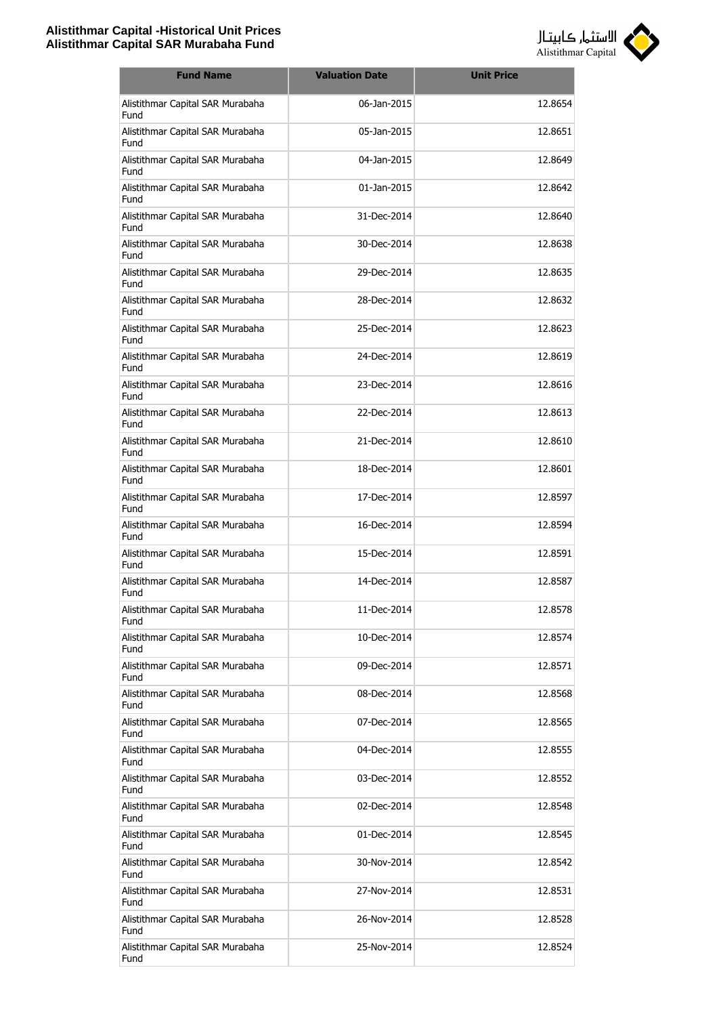

| <b>Fund Name</b>                         | <b>Valuation Date</b> | <b>Unit Price</b> |
|------------------------------------------|-----------------------|-------------------|
| Alistithmar Capital SAR Murabaha<br>Fund | 06-Jan-2015           | 12.8654           |
| Alistithmar Capital SAR Murabaha<br>Fund | 05-Jan-2015           | 12.8651           |
| Alistithmar Capital SAR Murabaha<br>Fund | 04-Jan-2015           | 12.8649           |
| Alistithmar Capital SAR Murabaha<br>Fund | 01-Jan-2015           | 12.8642           |
| Alistithmar Capital SAR Murabaha<br>Fund | 31-Dec-2014           | 12.8640           |
| Alistithmar Capital SAR Murabaha<br>Fund | 30-Dec-2014           | 12.8638           |
| Alistithmar Capital SAR Murabaha<br>Fund | 29-Dec-2014           | 12.8635           |
| Alistithmar Capital SAR Murabaha<br>Fund | 28-Dec-2014           | 12.8632           |
| Alistithmar Capital SAR Murabaha<br>Fund | 25-Dec-2014           | 12.8623           |
| Alistithmar Capital SAR Murabaha<br>Fund | 24-Dec-2014           | 12.8619           |
| Alistithmar Capital SAR Murabaha<br>Fund | 23-Dec-2014           | 12.8616           |
| Alistithmar Capital SAR Murabaha<br>Fund | 22-Dec-2014           | 12.8613           |
| Alistithmar Capital SAR Murabaha<br>Fund | 21-Dec-2014           | 12.8610           |
| Alistithmar Capital SAR Murabaha<br>Fund | 18-Dec-2014           | 12.8601           |
| Alistithmar Capital SAR Murabaha<br>Fund | 17-Dec-2014           | 12.8597           |
| Alistithmar Capital SAR Murabaha<br>Fund | 16-Dec-2014           | 12.8594           |
| Alistithmar Capital SAR Murabaha<br>Fund | 15-Dec-2014           | 12.8591           |
| Alistithmar Capital SAR Murabaha<br>Fund | 14-Dec-2014           | 12.8587           |
| Alistithmar Capital SAR Murabaha<br>Fund | 11-Dec-2014           | 12.8578           |
| Alistithmar Capital SAR Murabaha<br>Fund | 10-Dec-2014           | 12.8574           |
| Alistithmar Capital SAR Murabaha<br>Fund | 09-Dec-2014           | 12.8571           |
| Alistithmar Capital SAR Murabaha<br>Fund | 08-Dec-2014           | 12.8568           |
| Alistithmar Capital SAR Murabaha<br>Fund | 07-Dec-2014           | 12.8565           |
| Alistithmar Capital SAR Murabaha<br>Fund | 04-Dec-2014           | 12.8555           |
| Alistithmar Capital SAR Murabaha<br>Fund | 03-Dec-2014           | 12.8552           |
| Alistithmar Capital SAR Murabaha<br>Fund | 02-Dec-2014           | 12.8548           |
| Alistithmar Capital SAR Murabaha<br>Fund | 01-Dec-2014           | 12.8545           |
| Alistithmar Capital SAR Murabaha<br>Fund | 30-Nov-2014           | 12.8542           |
| Alistithmar Capital SAR Murabaha<br>Fund | 27-Nov-2014           | 12.8531           |
| Alistithmar Capital SAR Murabaha<br>Fund | 26-Nov-2014           | 12.8528           |
| Alistithmar Capital SAR Murabaha<br>Fund | 25-Nov-2014           | 12.8524           |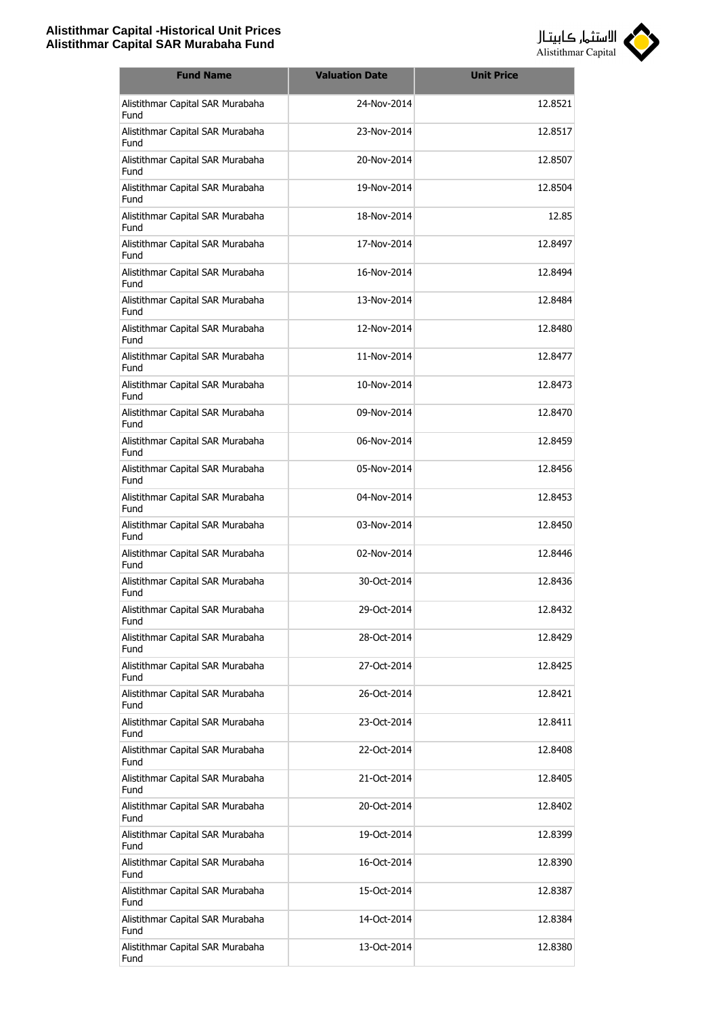

| <b>Fund Name</b>                         | <b>Valuation Date</b> | <b>Unit Price</b> |
|------------------------------------------|-----------------------|-------------------|
| Alistithmar Capital SAR Murabaha<br>Fund | 24-Nov-2014           | 12.8521           |
| Alistithmar Capital SAR Murabaha<br>Fund | 23-Nov-2014           | 12.8517           |
| Alistithmar Capital SAR Murabaha<br>Fund | 20-Nov-2014           | 12.8507           |
| Alistithmar Capital SAR Murabaha<br>Fund | 19-Nov-2014           | 12.8504           |
| Alistithmar Capital SAR Murabaha<br>Fund | 18-Nov-2014           | 12.85             |
| Alistithmar Capital SAR Murabaha<br>Fund | 17-Nov-2014           | 12.8497           |
| Alistithmar Capital SAR Murabaha<br>Fund | 16-Nov-2014           | 12.8494           |
| Alistithmar Capital SAR Murabaha<br>Fund | 13-Nov-2014           | 12.8484           |
| Alistithmar Capital SAR Murabaha<br>Fund | 12-Nov-2014           | 12.8480           |
| Alistithmar Capital SAR Murabaha<br>Fund | 11-Nov-2014           | 12.8477           |
| Alistithmar Capital SAR Murabaha<br>Fund | 10-Nov-2014           | 12.8473           |
| Alistithmar Capital SAR Murabaha<br>Fund | 09-Nov-2014           | 12.8470           |
| Alistithmar Capital SAR Murabaha<br>Fund | 06-Nov-2014           | 12.8459           |
| Alistithmar Capital SAR Murabaha<br>Fund | 05-Nov-2014           | 12.8456           |
| Alistithmar Capital SAR Murabaha<br>Fund | 04-Nov-2014           | 12.8453           |
| Alistithmar Capital SAR Murabaha<br>Fund | 03-Nov-2014           | 12.8450           |
| Alistithmar Capital SAR Murabaha<br>Fund | 02-Nov-2014           | 12.8446           |
| Alistithmar Capital SAR Murabaha<br>Fund | 30-Oct-2014           | 12.8436           |
| Alistithmar Capital SAR Murabaha<br>Fund | 29-Oct-2014           | 12.8432           |
| Alistithmar Capital SAR Murabaha<br>Fund | 28-Oct-2014           | 12.8429           |
| Alistithmar Capital SAR Murabaha<br>Fund | 27-Oct-2014           | 12.8425           |
| Alistithmar Capital SAR Murabaha<br>Fund | 26-Oct-2014           | 12.8421           |
| Alistithmar Capital SAR Murabaha<br>Fund | 23-Oct-2014           | 12.8411           |
| Alistithmar Capital SAR Murabaha<br>Fund | 22-Oct-2014           | 12.8408           |
| Alistithmar Capital SAR Murabaha<br>Fund | 21-Oct-2014           | 12.8405           |
| Alistithmar Capital SAR Murabaha<br>Fund | 20-Oct-2014           | 12.8402           |
| Alistithmar Capital SAR Murabaha<br>Fund | 19-Oct-2014           | 12.8399           |
| Alistithmar Capital SAR Murabaha<br>Fund | 16-Oct-2014           | 12.8390           |
| Alistithmar Capital SAR Murabaha<br>Fund | 15-Oct-2014           | 12.8387           |
| Alistithmar Capital SAR Murabaha<br>Fund | 14-Oct-2014           | 12.8384           |
| Alistithmar Capital SAR Murabaha<br>Fund | 13-Oct-2014           | 12.8380           |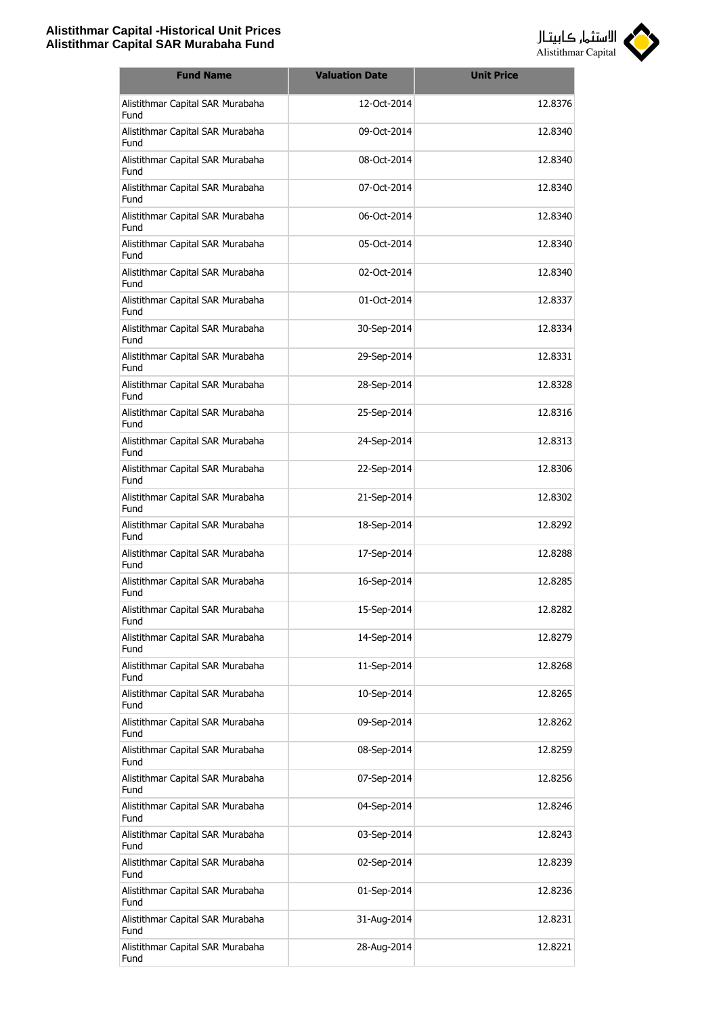

| <b>Fund Name</b>                         | <b>Valuation Date</b> | <b>Unit Price</b> |
|------------------------------------------|-----------------------|-------------------|
| Alistithmar Capital SAR Murabaha<br>Fund | 12-Oct-2014           | 12.8376           |
| Alistithmar Capital SAR Murabaha<br>Fund | 09-Oct-2014           | 12.8340           |
| Alistithmar Capital SAR Murabaha<br>Fund | 08-Oct-2014           | 12.8340           |
| Alistithmar Capital SAR Murabaha<br>Fund | 07-Oct-2014           | 12.8340           |
| Alistithmar Capital SAR Murabaha<br>Fund | 06-Oct-2014           | 12.8340           |
| Alistithmar Capital SAR Murabaha<br>Fund | 05-Oct-2014           | 12.8340           |
| Alistithmar Capital SAR Murabaha<br>Fund | 02-Oct-2014           | 12.8340           |
| Alistithmar Capital SAR Murabaha<br>Fund | 01-Oct-2014           | 12.8337           |
| Alistithmar Capital SAR Murabaha<br>Fund | 30-Sep-2014           | 12.8334           |
| Alistithmar Capital SAR Murabaha<br>Fund | 29-Sep-2014           | 12.8331           |
| Alistithmar Capital SAR Murabaha<br>Fund | 28-Sep-2014           | 12.8328           |
| Alistithmar Capital SAR Murabaha<br>Fund | 25-Sep-2014           | 12.8316           |
| Alistithmar Capital SAR Murabaha<br>Fund | 24-Sep-2014           | 12.8313           |
| Alistithmar Capital SAR Murabaha<br>Fund | 22-Sep-2014           | 12.8306           |
| Alistithmar Capital SAR Murabaha<br>Fund | 21-Sep-2014           | 12.8302           |
| Alistithmar Capital SAR Murabaha<br>Fund | 18-Sep-2014           | 12.8292           |
| Alistithmar Capital SAR Murabaha<br>Fund | 17-Sep-2014           | 12.8288           |
| Alistithmar Capital SAR Murabaha<br>Fund | 16-Sep-2014           | 12.8285           |
| Alistithmar Capital SAR Murabaha<br>Fund | 15-Sep-2014           | 12.8282           |
| Alistithmar Capital SAR Murabaha<br>Fund | 14-Sep-2014           | 12.8279           |
| Alistithmar Capital SAR Murabaha<br>Fund | 11-Sep-2014           | 12.8268           |
| Alistithmar Capital SAR Murabaha<br>Fund | 10-Sep-2014           | 12.8265           |
| Alistithmar Capital SAR Murabaha<br>Fund | 09-Sep-2014           | 12.8262           |
| Alistithmar Capital SAR Murabaha<br>Fund | 08-Sep-2014           | 12.8259           |
| Alistithmar Capital SAR Murabaha<br>Fund | 07-Sep-2014           | 12.8256           |
| Alistithmar Capital SAR Murabaha<br>Fund | 04-Sep-2014           | 12.8246           |
| Alistithmar Capital SAR Murabaha<br>Fund | 03-Sep-2014           | 12.8243           |
| Alistithmar Capital SAR Murabaha<br>Fund | 02-Sep-2014           | 12.8239           |
| Alistithmar Capital SAR Murabaha<br>Fund | 01-Sep-2014           | 12.8236           |
| Alistithmar Capital SAR Murabaha<br>Fund | 31-Aug-2014           | 12.8231           |
| Alistithmar Capital SAR Murabaha<br>Fund | 28-Aug-2014           | 12.8221           |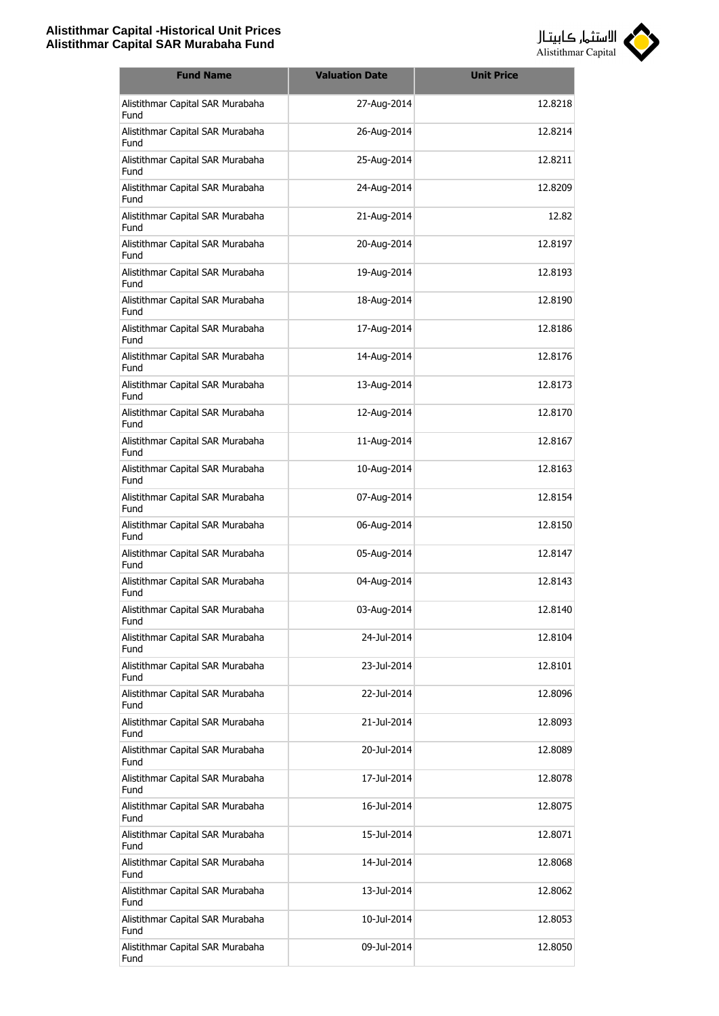

| <b>Fund Name</b>                         | <b>Valuation Date</b> | <b>Unit Price</b> |
|------------------------------------------|-----------------------|-------------------|
| Alistithmar Capital SAR Murabaha<br>Fund | 27-Aug-2014           | 12.8218           |
| Alistithmar Capital SAR Murabaha<br>Fund | 26-Aug-2014           | 12.8214           |
| Alistithmar Capital SAR Murabaha<br>Fund | 25-Aug-2014           | 12.8211           |
| Alistithmar Capital SAR Murabaha<br>Fund | 24-Aug-2014           | 12.8209           |
| Alistithmar Capital SAR Murabaha<br>Fund | 21-Aug-2014           | 12.82             |
| Alistithmar Capital SAR Murabaha<br>Fund | 20-Aug-2014           | 12.8197           |
| Alistithmar Capital SAR Murabaha<br>Fund | 19-Aug-2014           | 12.8193           |
| Alistithmar Capital SAR Murabaha<br>Fund | 18-Aug-2014           | 12.8190           |
| Alistithmar Capital SAR Murabaha<br>Fund | 17-Aug-2014           | 12.8186           |
| Alistithmar Capital SAR Murabaha<br>Fund | 14-Aug-2014           | 12.8176           |
| Alistithmar Capital SAR Murabaha<br>Fund | 13-Aug-2014           | 12.8173           |
| Alistithmar Capital SAR Murabaha<br>Fund | 12-Aug-2014           | 12.8170           |
| Alistithmar Capital SAR Murabaha<br>Fund | 11-Aug-2014           | 12.8167           |
| Alistithmar Capital SAR Murabaha<br>Fund | 10-Aug-2014           | 12.8163           |
| Alistithmar Capital SAR Murabaha<br>Fund | 07-Aug-2014           | 12.8154           |
| Alistithmar Capital SAR Murabaha<br>Fund | 06-Aug-2014           | 12.8150           |
| Alistithmar Capital SAR Murabaha<br>Fund | 05-Aug-2014           | 12.8147           |
| Alistithmar Capital SAR Murabaha<br>Fund | 04-Aug-2014           | 12.8143           |
| Alistithmar Capital SAR Murabaha<br>Fund | 03-Aug-2014           | 12.8140           |
| Alistithmar Capital SAR Murabaha<br>Fund | 24-Jul-2014           | 12.8104           |
| Alistithmar Capital SAR Murabaha<br>Fund | 23-Jul-2014           | 12.8101           |
| Alistithmar Capital SAR Murabaha<br>Fund | 22-Jul-2014           | 12.8096           |
| Alistithmar Capital SAR Murabaha<br>Fund | 21-Jul-2014           | 12.8093           |
| Alistithmar Capital SAR Murabaha<br>Fund | 20-Jul-2014           | 12.8089           |
| Alistithmar Capital SAR Murabaha<br>Fund | 17-Jul-2014           | 12.8078           |
| Alistithmar Capital SAR Murabaha<br>Fund | 16-Jul-2014           | 12.8075           |
| Alistithmar Capital SAR Murabaha<br>Fund | 15-Jul-2014           | 12.8071           |
| Alistithmar Capital SAR Murabaha<br>Fund | 14-Jul-2014           | 12.8068           |
| Alistithmar Capital SAR Murabaha<br>Fund | 13-Jul-2014           | 12.8062           |
| Alistithmar Capital SAR Murabaha<br>Fund | 10-Jul-2014           | 12.8053           |
| Alistithmar Capital SAR Murabaha<br>Fund | 09-Jul-2014           | 12.8050           |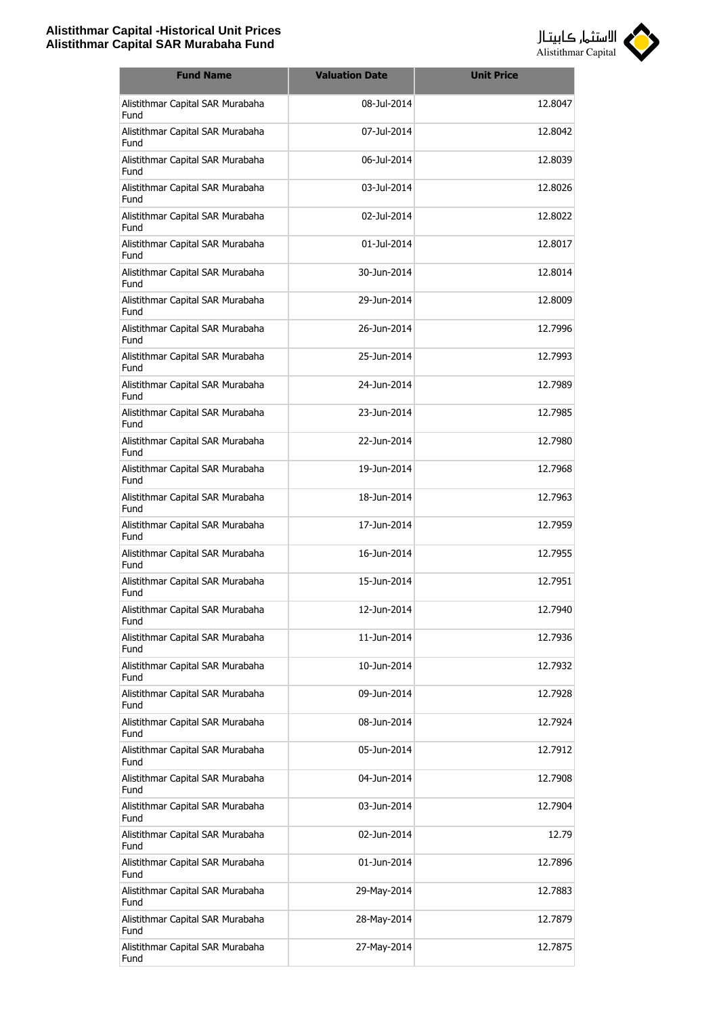

| <b>Fund Name</b>                         | <b>Valuation Date</b> | <b>Unit Price</b> |
|------------------------------------------|-----------------------|-------------------|
| Alistithmar Capital SAR Murabaha<br>Fund | 08-Jul-2014           | 12.8047           |
| Alistithmar Capital SAR Murabaha<br>Fund | 07-Jul-2014           | 12.8042           |
| Alistithmar Capital SAR Murabaha<br>Fund | 06-Jul-2014           | 12.8039           |
| Alistithmar Capital SAR Murabaha<br>Fund | 03-Jul-2014           | 12.8026           |
| Alistithmar Capital SAR Murabaha<br>Fund | 02-Jul-2014           | 12.8022           |
| Alistithmar Capital SAR Murabaha<br>Fund | 01-Jul-2014           | 12.8017           |
| Alistithmar Capital SAR Murabaha<br>Fund | 30-Jun-2014           | 12.8014           |
| Alistithmar Capital SAR Murabaha<br>Fund | 29-1un-2014           | 12.8009           |
| Alistithmar Capital SAR Murabaha<br>Fund | 26-Jun-2014           | 12.7996           |
| Alistithmar Capital SAR Murabaha<br>Fund | 25-Jun-2014           | 12.7993           |
| Alistithmar Capital SAR Murabaha<br>Fund | 24-Jun-2014           | 12.7989           |
| Alistithmar Capital SAR Murabaha<br>Fund | 23-Jun-2014           | 12.7985           |
| Alistithmar Capital SAR Murabaha<br>Fund | 22-Jun-2014           | 12.7980           |
| Alistithmar Capital SAR Murabaha<br>Fund | 19-Jun-2014           | 12.7968           |
| Alistithmar Capital SAR Murabaha<br>Fund | 18-Jun-2014           | 12.7963           |
| Alistithmar Capital SAR Murabaha<br>Fund | 17-Jun-2014           | 12.7959           |
| Alistithmar Capital SAR Murabaha<br>Fund | 16-Jun-2014           | 12.7955           |
| Alistithmar Capital SAR Murabaha<br>Fund | 15-Jun-2014           | 12.7951           |
| Alistithmar Capital SAR Murabaha<br>Fund | 12-Jun-2014           | 12.7940           |
| Alistithmar Capital SAR Murabaha<br>Fund | 11-Jun-2014           | 12.7936           |
| Alistithmar Capital SAR Murabaha<br>Fund | 10-Jun-2014           | 12.7932           |
| Alistithmar Capital SAR Murabaha<br>Fund | 09-Jun-2014           | 12.7928           |
| Alistithmar Capital SAR Murabaha<br>Fund | 08-Jun-2014           | 12.7924           |
| Alistithmar Capital SAR Murabaha<br>Fund | 05-Jun-2014           | 12.7912           |
| Alistithmar Capital SAR Murabaha<br>Fund | 04-Jun-2014           | 12.7908           |
| Alistithmar Capital SAR Murabaha<br>Fund | 03-Jun-2014           | 12.7904           |
| Alistithmar Capital SAR Murabaha<br>Fund | 02-Jun-2014           | 12.79             |
| Alistithmar Capital SAR Murabaha<br>Fund | 01-Jun-2014           | 12.7896           |
| Alistithmar Capital SAR Murabaha<br>Fund | 29-May-2014           | 12.7883           |
| Alistithmar Capital SAR Murabaha<br>Fund | 28-May-2014           | 12.7879           |
| Alistithmar Capital SAR Murabaha<br>Fund | 27-May-2014           | 12.7875           |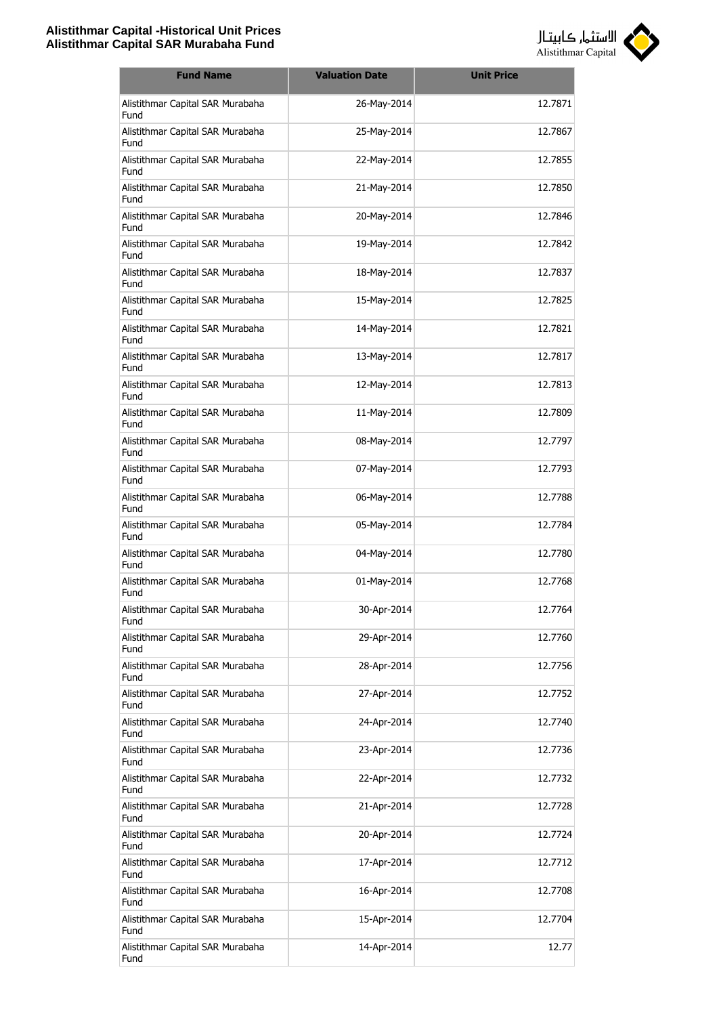

| <b>Fund Name</b>                         | <b>Valuation Date</b> | <b>Unit Price</b> |
|------------------------------------------|-----------------------|-------------------|
| Alistithmar Capital SAR Murabaha<br>Fund | 26-May-2014           | 12.7871           |
| Alistithmar Capital SAR Murabaha<br>Fund | 25-May-2014           | 12.7867           |
| Alistithmar Capital SAR Murabaha<br>Fund | 22-May-2014           | 12.7855           |
| Alistithmar Capital SAR Murabaha<br>Fund | 21-May-2014           | 12.7850           |
| Alistithmar Capital SAR Murabaha<br>Fund | 20-May-2014           | 12.7846           |
| Alistithmar Capital SAR Murabaha<br>Fund | 19-May-2014           | 12.7842           |
| Alistithmar Capital SAR Murabaha<br>Fund | 18-May-2014           | 12.7837           |
| Alistithmar Capital SAR Murabaha<br>Fund | 15-May-2014           | 12.7825           |
| Alistithmar Capital SAR Murabaha<br>Fund | 14-May-2014           | 12.7821           |
| Alistithmar Capital SAR Murabaha<br>Fund | 13-May-2014           | 12.7817           |
| Alistithmar Capital SAR Murabaha<br>Fund | 12-May-2014           | 12.7813           |
| Alistithmar Capital SAR Murabaha<br>Fund | 11-May-2014           | 12.7809           |
| Alistithmar Capital SAR Murabaha<br>Fund | 08-May-2014           | 12.7797           |
| Alistithmar Capital SAR Murabaha<br>Fund | 07-May-2014           | 12.7793           |
| Alistithmar Capital SAR Murabaha<br>Fund | 06-May-2014           | 12.7788           |
| Alistithmar Capital SAR Murabaha<br>Fund | 05-May-2014           | 12.7784           |
| Alistithmar Capital SAR Murabaha<br>Fund | 04-May-2014           | 12.7780           |
| Alistithmar Capital SAR Murabaha<br>Fund | 01-May-2014           | 12.7768           |
| Alistithmar Capital SAR Murabaha<br>Fund | 30-Apr-2014           | 12.7764           |
| Alistithmar Capital SAR Murabaha<br>Fund | 29-Apr-2014           | 12.7760           |
| Alistithmar Capital SAR Murabaha<br>Fund | 28-Apr-2014           | 12.7756           |
| Alistithmar Capital SAR Murabaha<br>Fund | 27-Apr-2014           | 12.7752           |
| Alistithmar Capital SAR Murabaha<br>Fund | 24-Apr-2014           | 12.7740           |
| Alistithmar Capital SAR Murabaha<br>Fund | 23-Apr-2014           | 12.7736           |
| Alistithmar Capital SAR Murabaha<br>Fund | 22-Apr-2014           | 12.7732           |
| Alistithmar Capital SAR Murabaha<br>Fund | 21-Apr-2014           | 12.7728           |
| Alistithmar Capital SAR Murabaha<br>Fund | 20-Apr-2014           | 12.7724           |
| Alistithmar Capital SAR Murabaha<br>Fund | 17-Apr-2014           | 12.7712           |
| Alistithmar Capital SAR Murabaha<br>Fund | 16-Apr-2014           | 12.7708           |
| Alistithmar Capital SAR Murabaha<br>Fund | 15-Apr-2014           | 12.7704           |
| Alistithmar Capital SAR Murabaha<br>Fund | 14-Apr-2014           | 12.77             |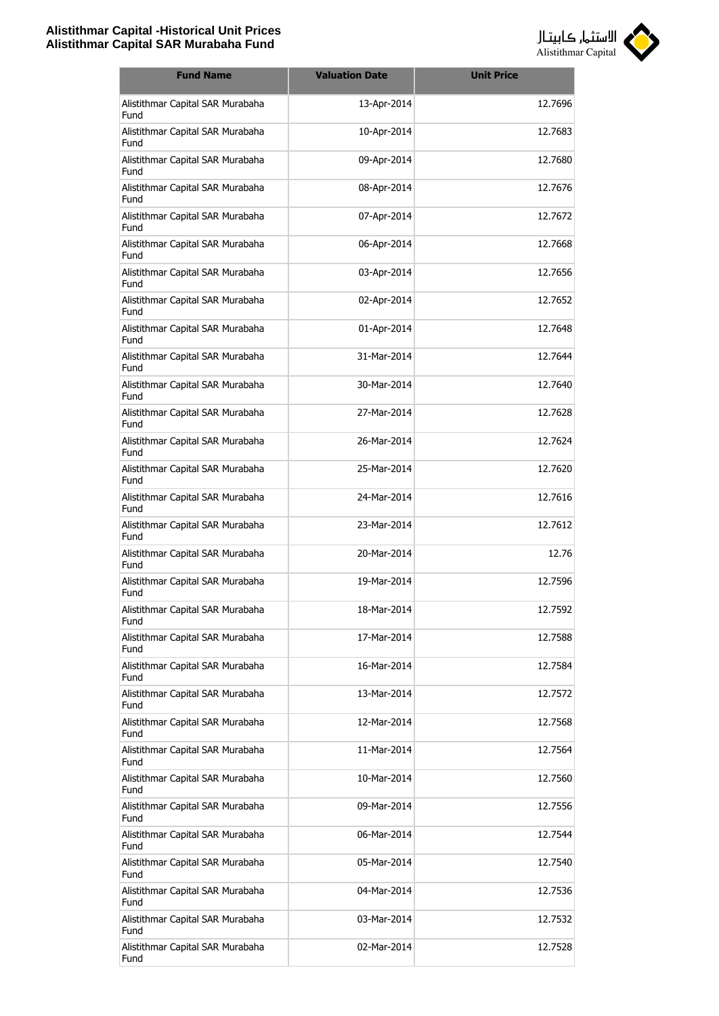

| <b>Fund Name</b>                         | <b>Valuation Date</b> | <b>Unit Price</b> |
|------------------------------------------|-----------------------|-------------------|
| Alistithmar Capital SAR Murabaha<br>Fund | 13-Apr-2014           | 12.7696           |
| Alistithmar Capital SAR Murabaha<br>Fund | 10-Apr-2014           | 12.7683           |
| Alistithmar Capital SAR Murabaha<br>Fund | 09-Apr-2014           | 12.7680           |
| Alistithmar Capital SAR Murabaha<br>Fund | 08-Apr-2014           | 12.7676           |
| Alistithmar Capital SAR Murabaha<br>Fund | 07-Apr-2014           | 12.7672           |
| Alistithmar Capital SAR Murabaha<br>Fund | 06-Apr-2014           | 12.7668           |
| Alistithmar Capital SAR Murabaha<br>Fund | 03-Apr-2014           | 12.7656           |
| Alistithmar Capital SAR Murabaha<br>Fund | 02-Apr-2014           | 12.7652           |
| Alistithmar Capital SAR Murabaha<br>Fund | 01-Apr-2014           | 12.7648           |
| Alistithmar Capital SAR Murabaha<br>Fund | 31-Mar-2014           | 12.7644           |
| Alistithmar Capital SAR Murabaha<br>Fund | 30-Mar-2014           | 12.7640           |
| Alistithmar Capital SAR Murabaha<br>Fund | 27-Mar-2014           | 12.7628           |
| Alistithmar Capital SAR Murabaha<br>Fund | 26-Mar-2014           | 12.7624           |
| Alistithmar Capital SAR Murabaha<br>Fund | 25-Mar-2014           | 12.7620           |
| Alistithmar Capital SAR Murabaha<br>Fund | 24-Mar-2014           | 12.7616           |
| Alistithmar Capital SAR Murabaha<br>Fund | 23-Mar-2014           | 12.7612           |
| Alistithmar Capital SAR Murabaha<br>Fund | 20-Mar-2014           | 12.76             |
| Alistithmar Capital SAR Murabaha<br>Fund | 19-Mar-2014           | 12.7596           |
| Alistithmar Capital SAR Murabaha<br>Fund | 18-Mar-2014           | 12.7592           |
| Alistithmar Capital SAR Murabaha<br>Fund | 17-Mar-2014           | 12.7588           |
| Alistithmar Capital SAR Murabaha<br>Fund | 16-Mar-2014           | 12.7584           |
| Alistithmar Capital SAR Murabaha<br>Fund | 13-Mar-2014           | 12.7572           |
| Alistithmar Capital SAR Murabaha<br>Fund | 12-Mar-2014           | 12.7568           |
| Alistithmar Capital SAR Murabaha<br>Fund | 11-Mar-2014           | 12.7564           |
| Alistithmar Capital SAR Murabaha<br>Fund | 10-Mar-2014           | 12.7560           |
| Alistithmar Capital SAR Murabaha<br>Fund | 09-Mar-2014           | 12.7556           |
| Alistithmar Capital SAR Murabaha<br>Fund | 06-Mar-2014           | 12.7544           |
| Alistithmar Capital SAR Murabaha<br>Fund | 05-Mar-2014           | 12.7540           |
| Alistithmar Capital SAR Murabaha<br>Fund | 04-Mar-2014           | 12.7536           |
| Alistithmar Capital SAR Murabaha<br>Fund | 03-Mar-2014           | 12.7532           |
| Alistithmar Capital SAR Murabaha<br>Fund | 02-Mar-2014           | 12.7528           |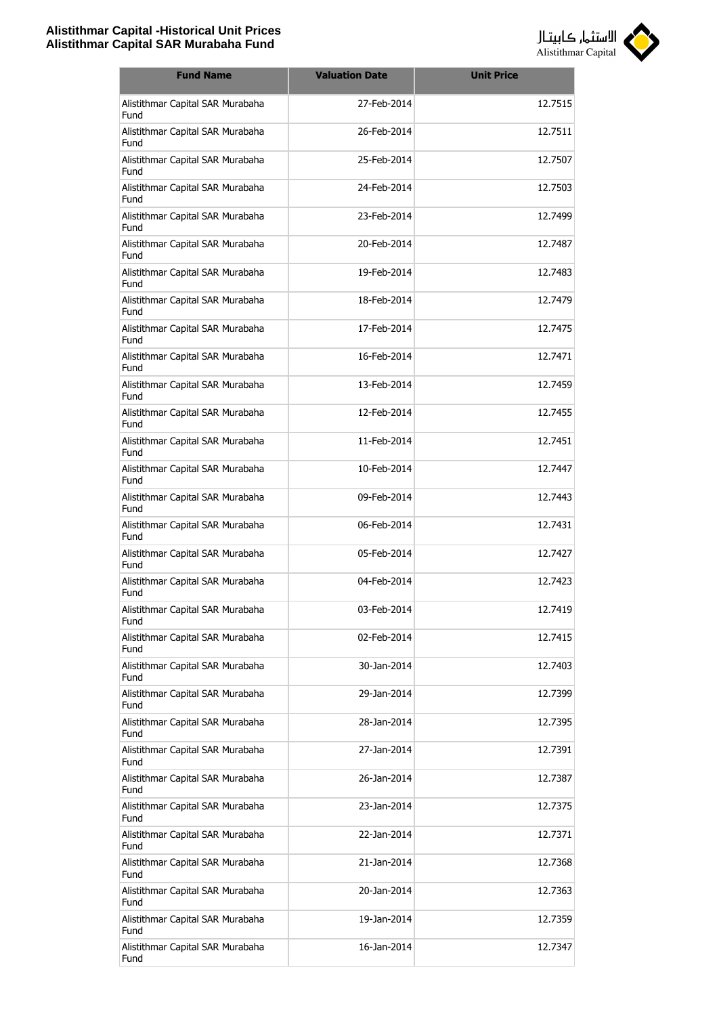

| <b>Fund Name</b>                                | <b>Valuation Date</b> | <b>Unit Price</b> |
|-------------------------------------------------|-----------------------|-------------------|
| Alistithmar Capital SAR Murabaha<br>Fund        | 27-Feb-2014           | 12.7515           |
| Alistithmar Capital SAR Murabaha<br>Fund        | 26-Feb-2014           | 12.7511           |
| Alistithmar Capital SAR Murabaha<br>Fund        | 25-Feb-2014           | 12.7507           |
| Alistithmar Capital SAR Murabaha<br>Fund        | 24-Feb-2014           | 12.7503           |
| Alistithmar Capital SAR Murabaha<br>Fund        | 23-Feb-2014           | 12.7499           |
| Alistithmar Capital SAR Murabaha<br>Fund        | 20-Feb-2014           | 12.7487           |
| Alistithmar Capital SAR Murabaha<br>Fund        | 19-Feb-2014           | 12.7483           |
| Alistithmar Capital SAR Murabaha<br>Fund        | 18-Feb-2014           | 12.7479           |
| Alistithmar Capital SAR Murabaha<br>Fund        | 17-Feb-2014           | 12.7475           |
| Alistithmar Capital SAR Murabaha<br>Fund        | 16-Feb-2014           | 12.7471           |
| Alistithmar Capital SAR Murabaha<br>Fund        | 13-Feb-2014           | 12.7459           |
| Alistithmar Capital SAR Murabaha<br>Fund        | 12-Feb-2014           | 12.7455           |
| Alistithmar Capital SAR Murabaha<br>Fund        | 11-Feb-2014           | 12.7451           |
| Alistithmar Capital SAR Murabaha<br>Fund        | 10-Feb-2014           | 12.7447           |
| Alistithmar Capital SAR Murabaha<br>Fund        | 09-Feb-2014           | 12.7443           |
| Alistithmar Capital SAR Murabaha<br>Fund        | 06-Feb-2014           | 12.7431           |
| Alistithmar Capital SAR Murabaha<br><b>Fund</b> | 05-Feb-2014           | 12.7427           |
| Alistithmar Capital SAR Murabaha<br>Fund        | 04-Feb-2014           | 12.7423           |
| Alistithmar Capital SAR Murabaha<br>Fund        | 03-Feb-2014           | 12.7419           |
| Alistithmar Capital SAR Murabaha<br>Fund        | 02-Feb-2014           | 12.7415           |
| Alistithmar Capital SAR Murabaha<br>Fund        | 30-Jan-2014           | 12.7403           |
| Alistithmar Capital SAR Murabaha<br>Fund        | 29-Jan-2014           | 12.7399           |
| Alistithmar Capital SAR Murabaha<br>Fund        | 28-Jan-2014           | 12.7395           |
| Alistithmar Capital SAR Murabaha<br>Fund        | 27-Jan-2014           | 12.7391           |
| Alistithmar Capital SAR Murabaha<br>Fund        | 26-Jan-2014           | 12.7387           |
| Alistithmar Capital SAR Murabaha<br>Fund        | 23-Jan-2014           | 12.7375           |
| Alistithmar Capital SAR Murabaha<br>Fund        | 22-Jan-2014           | 12.7371           |
| Alistithmar Capital SAR Murabaha<br>Fund        | 21-Jan-2014           | 12.7368           |
| Alistithmar Capital SAR Murabaha<br>Fund        | 20-Jan-2014           | 12.7363           |
| Alistithmar Capital SAR Murabaha<br>Fund        | 19-Jan-2014           | 12.7359           |
| Alistithmar Capital SAR Murabaha<br>Fund        | 16-Jan-2014           | 12.7347           |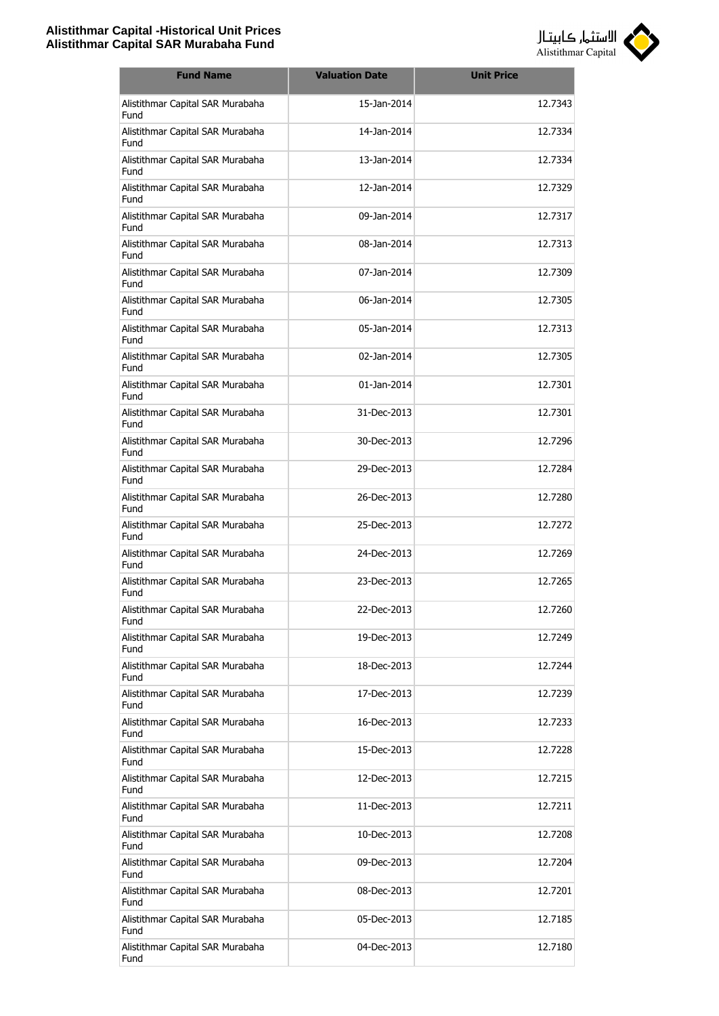

| <b>Fund Name</b>                         | <b>Valuation Date</b> | <b>Unit Price</b> |
|------------------------------------------|-----------------------|-------------------|
| Alistithmar Capital SAR Murabaha<br>Fund | 15-Jan-2014           | 12.7343           |
| Alistithmar Capital SAR Murabaha<br>Fund | 14-Jan-2014           | 12.7334           |
| Alistithmar Capital SAR Murabaha<br>Fund | 13-Jan-2014           | 12.7334           |
| Alistithmar Capital SAR Murabaha<br>Fund | 12-Jan-2014           | 12.7329           |
| Alistithmar Capital SAR Murabaha<br>Fund | 09-1an-2014           | 12.7317           |
| Alistithmar Capital SAR Murabaha<br>Fund | 08-Jan-2014           | 12.7313           |
| Alistithmar Capital SAR Murabaha<br>Fund | 07-Jan-2014           | 12.7309           |
| Alistithmar Capital SAR Murabaha<br>Fund | 06-Jan-2014           | 12.7305           |
| Alistithmar Capital SAR Murabaha<br>Fund | 05-Jan-2014           | 12.7313           |
| Alistithmar Capital SAR Murabaha<br>Fund | 02-Jan-2014           | 12.7305           |
| Alistithmar Capital SAR Murabaha<br>Fund | 01-Jan-2014           | 12.7301           |
| Alistithmar Capital SAR Murabaha<br>Fund | 31-Dec-2013           | 12.7301           |
| Alistithmar Capital SAR Murabaha<br>Fund | 30-Dec-2013           | 12.7296           |
| Alistithmar Capital SAR Murabaha<br>Fund | 29-Dec-2013           | 12.7284           |
| Alistithmar Capital SAR Murabaha<br>Fund | 26-Dec-2013           | 12.7280           |
| Alistithmar Capital SAR Murabaha<br>Fund | 25-Dec-2013           | 12.7272           |
| Alistithmar Capital SAR Murabaha<br>Fund | 24-Dec-2013           | 12.7269           |
| Alistithmar Capital SAR Murabaha<br>Fund | 23-Dec-2013           | 12.7265           |
| Alistithmar Capital SAR Murabaha<br>Fund | 22-Dec-2013           | 12.7260           |
| Alistithmar Capital SAR Murabaha<br>Fund | 19-Dec-2013           | 12.7249           |
| Alistithmar Capital SAR Murabaha<br>Fund | 18-Dec-2013           | 12.7244           |
| Alistithmar Capital SAR Murabaha<br>Fund | 17-Dec-2013           | 12.7239           |
| Alistithmar Capital SAR Murabaha<br>Fund | 16-Dec-2013           | 12.7233           |
| Alistithmar Capital SAR Murabaha<br>Fund | 15-Dec-2013           | 12.7228           |
| Alistithmar Capital SAR Murabaha<br>Fund | 12-Dec-2013           | 12.7215           |
| Alistithmar Capital SAR Murabaha<br>Fund | 11-Dec-2013           | 12.7211           |
| Alistithmar Capital SAR Murabaha<br>Fund | 10-Dec-2013           | 12.7208           |
| Alistithmar Capital SAR Murabaha<br>Fund | 09-Dec-2013           | 12.7204           |
| Alistithmar Capital SAR Murabaha<br>Fund | 08-Dec-2013           | 12.7201           |
| Alistithmar Capital SAR Murabaha<br>Fund | 05-Dec-2013           | 12.7185           |
| Alistithmar Capital SAR Murabaha<br>Fund | 04-Dec-2013           | 12.7180           |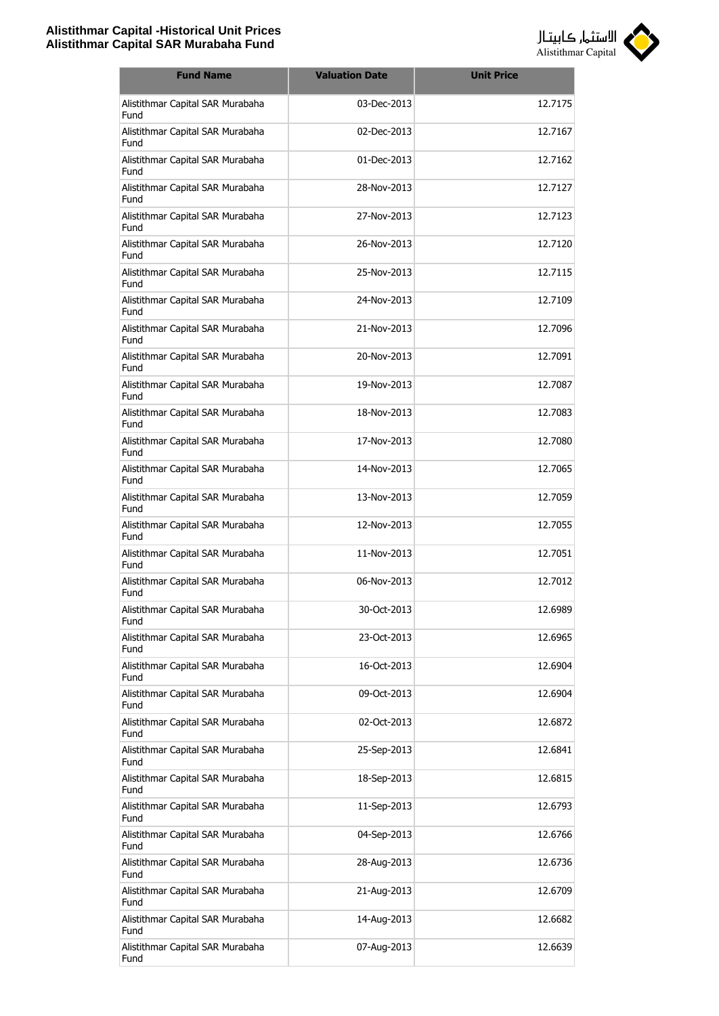

| <b>Fund Name</b>                         | <b>Valuation Date</b> | <b>Unit Price</b> |
|------------------------------------------|-----------------------|-------------------|
| Alistithmar Capital SAR Murabaha<br>Fund | 03-Dec-2013           | 12.7175           |
| Alistithmar Capital SAR Murabaha<br>Fund | 02-Dec-2013           | 12.7167           |
| Alistithmar Capital SAR Murabaha<br>Fund | 01-Dec-2013           | 12.7162           |
| Alistithmar Capital SAR Murabaha<br>Fund | 28-Nov-2013           | 12.7127           |
| Alistithmar Capital SAR Murabaha<br>Fund | 27-Nov-2013           | 12.7123           |
| Alistithmar Capital SAR Murabaha<br>Fund | 26-Nov-2013           | 12.7120           |
| Alistithmar Capital SAR Murabaha<br>Fund | 25-Nov-2013           | 12.7115           |
| Alistithmar Capital SAR Murabaha<br>Fund | 24-Nov-2013           | 12.7109           |
| Alistithmar Capital SAR Murabaha<br>Fund | 21-Nov-2013           | 12.7096           |
| Alistithmar Capital SAR Murabaha<br>Fund | 20-Nov-2013           | 12.7091           |
| Alistithmar Capital SAR Murabaha<br>Fund | 19-Nov-2013           | 12.7087           |
| Alistithmar Capital SAR Murabaha<br>Fund | 18-Nov-2013           | 12.7083           |
| Alistithmar Capital SAR Murabaha<br>Fund | 17-Nov-2013           | 12.7080           |
| Alistithmar Capital SAR Murabaha<br>Fund | 14-Nov-2013           | 12.7065           |
| Alistithmar Capital SAR Murabaha<br>Fund | 13-Nov-2013           | 12.7059           |
| Alistithmar Capital SAR Murabaha<br>Fund | 12-Nov-2013           | 12.7055           |
| Alistithmar Capital SAR Murabaha<br>Fund | 11-Nov-2013           | 12.7051           |
| Alistithmar Capital SAR Murabaha<br>Fund | 06-Nov-2013           | 12.7012           |
| Alistithmar Capital SAR Murabaha<br>Fund | 30-Oct-2013           | 12.6989           |
| Alistithmar Capital SAR Murabaha<br>Fund | 23-Oct-2013           | 12.6965           |
| Alistithmar Capital SAR Murabaha<br>Fund | 16-Oct-2013           | 12.6904           |
| Alistithmar Capital SAR Murabaha<br>Fund | 09-Oct-2013           | 12.6904           |
| Alistithmar Capital SAR Murabaha<br>Fund | 02-Oct-2013           | 12.6872           |
| Alistithmar Capital SAR Murabaha<br>Fund | 25-Sep-2013           | 12.6841           |
| Alistithmar Capital SAR Murabaha<br>Fund | 18-Sep-2013           | 12.6815           |
| Alistithmar Capital SAR Murabaha<br>Fund | 11-Sep-2013           | 12.6793           |
| Alistithmar Capital SAR Murabaha<br>Fund | 04-Sep-2013           | 12.6766           |
| Alistithmar Capital SAR Murabaha<br>Fund | 28-Aug-2013           | 12.6736           |
| Alistithmar Capital SAR Murabaha<br>Fund | 21-Aug-2013           | 12.6709           |
| Alistithmar Capital SAR Murabaha<br>Fund | 14-Aug-2013           | 12.6682           |
| Alistithmar Capital SAR Murabaha<br>Fund | 07-Aug-2013           | 12.6639           |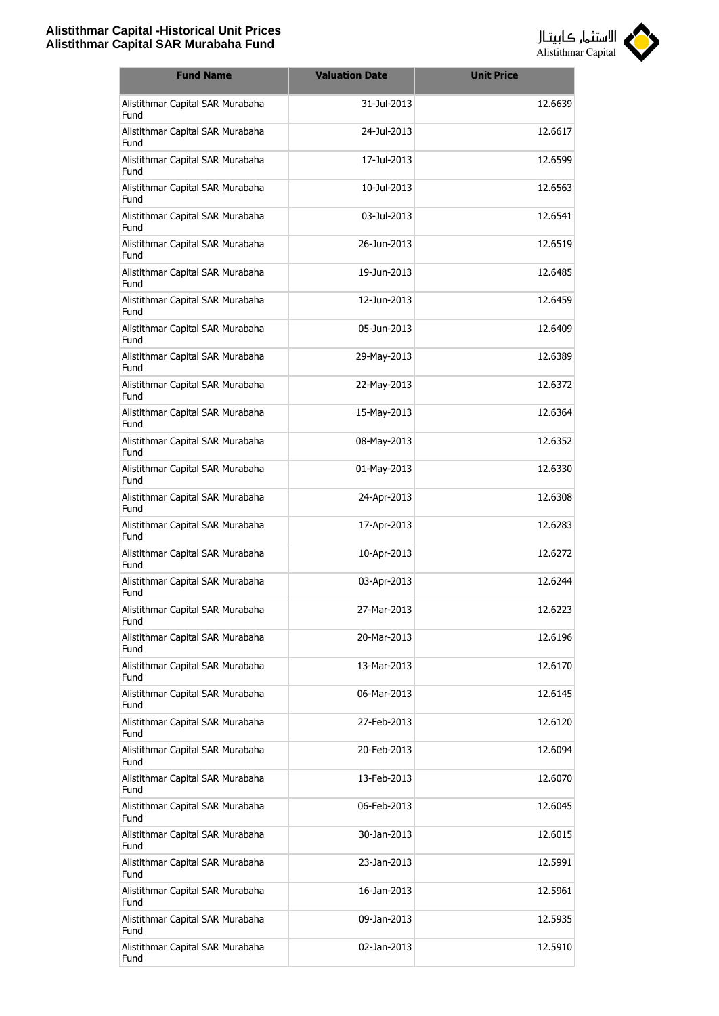

| <b>Fund Name</b>                         | <b>Valuation Date</b> | <b>Unit Price</b> |
|------------------------------------------|-----------------------|-------------------|
| Alistithmar Capital SAR Murabaha<br>Fund | 31-Jul-2013           | 12.6639           |
| Alistithmar Capital SAR Murabaha<br>Fund | 24-Jul-2013           | 12.6617           |
| Alistithmar Capital SAR Murabaha<br>Fund | 17-Jul-2013           | 12.6599           |
| Alistithmar Capital SAR Murabaha<br>Fund | 10-Jul-2013           | 12.6563           |
| Alistithmar Capital SAR Murabaha<br>Fund | 03-Jul-2013           | 12.6541           |
| Alistithmar Capital SAR Murabaha<br>Fund | 26-Jun-2013           | 12.6519           |
| Alistithmar Capital SAR Murabaha<br>Fund | 19-Jun-2013           | 12.6485           |
| Alistithmar Capital SAR Murabaha<br>Fund | 12-Jun-2013           | 12.6459           |
| Alistithmar Capital SAR Murabaha<br>Fund | 05-Jun-2013           | 12.6409           |
| Alistithmar Capital SAR Murabaha<br>Fund | 29-May-2013           | 12.6389           |
| Alistithmar Capital SAR Murabaha<br>Fund | 22-May-2013           | 12.6372           |
| Alistithmar Capital SAR Murabaha<br>Fund | 15-May-2013           | 12.6364           |
| Alistithmar Capital SAR Murabaha<br>Fund | 08-May-2013           | 12.6352           |
| Alistithmar Capital SAR Murabaha<br>Fund | 01-May-2013           | 12.6330           |
| Alistithmar Capital SAR Murabaha<br>Fund | 24-Apr-2013           | 12.6308           |
| Alistithmar Capital SAR Murabaha<br>Fund | 17-Apr-2013           | 12.6283           |
| Alistithmar Capital SAR Murabaha<br>Fund | 10-Apr-2013           | 12.6272           |
| Alistithmar Capital SAR Murabaha<br>Fund | 03-Apr-2013           | 12.6244           |
| Alistithmar Capital SAR Murabaha<br>Fund | 27-Mar-2013           | 12.6223           |
| Alistithmar Capital SAR Murabaha<br>Fund | 20-Mar-2013           | 12.6196           |
| Alistithmar Capital SAR Murabaha<br>Fund | 13-Mar-2013           | 12.6170           |
| Alistithmar Capital SAR Murabaha<br>Fund | 06-Mar-2013           | 12.6145           |
| Alistithmar Capital SAR Murabaha<br>Fund | 27-Feb-2013           | 12.6120           |
| Alistithmar Capital SAR Murabaha<br>Fund | 20-Feb-2013           | 12.6094           |
| Alistithmar Capital SAR Murabaha<br>Fund | 13-Feb-2013           | 12.6070           |
| Alistithmar Capital SAR Murabaha<br>Fund | 06-Feb-2013           | 12.6045           |
| Alistithmar Capital SAR Murabaha<br>Fund | 30-Jan-2013           | 12.6015           |
| Alistithmar Capital SAR Murabaha<br>Fund | 23-Jan-2013           | 12.5991           |
| Alistithmar Capital SAR Murabaha<br>Fund | 16-Jan-2013           | 12.5961           |
| Alistithmar Capital SAR Murabaha<br>Fund | 09-Jan-2013           | 12.5935           |
| Alistithmar Capital SAR Murabaha<br>Fund | 02-Jan-2013           | 12.5910           |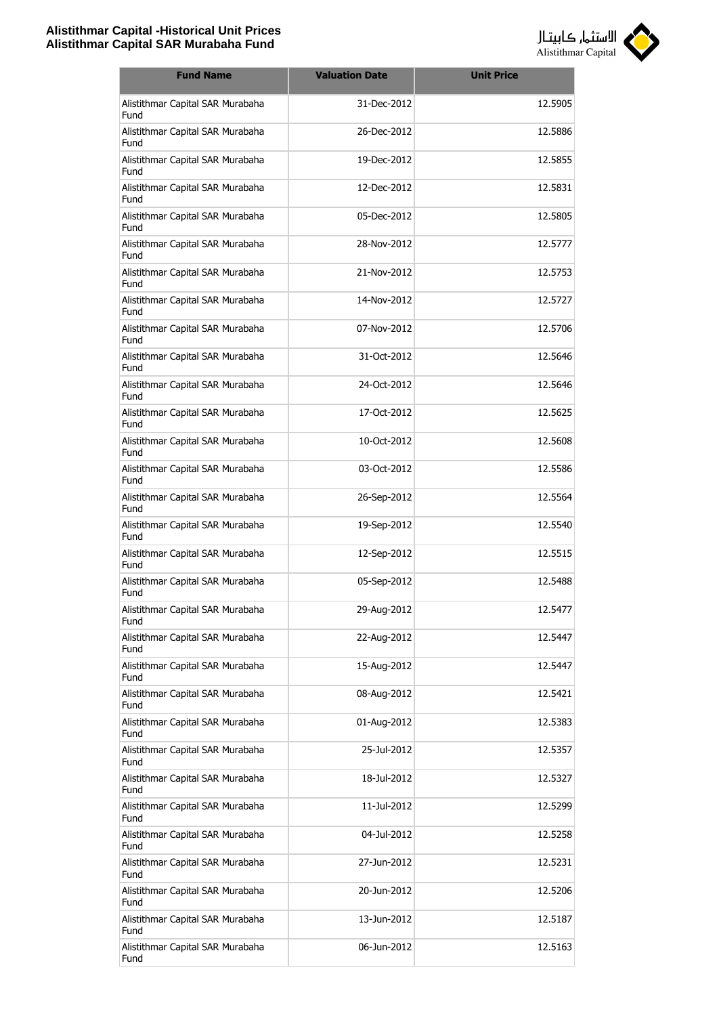

| <b>Fund Name</b>                         | <b>Valuation Date</b> | <b>Unit Price</b> |
|------------------------------------------|-----------------------|-------------------|
| Alistithmar Capital SAR Murabaha<br>Fund | 31-Dec-2012           | 12.5905           |
| Alistithmar Capital SAR Murabaha<br>Fund | 26-Dec-2012           | 12.5886           |
| Alistithmar Capital SAR Murabaha<br>Fund | 19-Dec-2012           | 12.5855           |
| Alistithmar Capital SAR Murabaha<br>Fund | 12-Dec-2012           | 12.5831           |
| Alistithmar Capital SAR Murabaha<br>Fund | 05-Dec-2012           | 12.5805           |
| Alistithmar Capital SAR Murabaha<br>Fund | 28-Nov-2012           | 12.5777           |
| Alistithmar Capital SAR Murabaha<br>Fund | 21-Nov-2012           | 12.5753           |
| Alistithmar Capital SAR Murabaha<br>Fund | 14-Nov-2012           | 12.5727           |
| Alistithmar Capital SAR Murabaha<br>Fund | 07-Nov-2012           | 12.5706           |
| Alistithmar Capital SAR Murabaha<br>Fund | 31-Oct-2012           | 12.5646           |
| Alistithmar Capital SAR Murabaha<br>Fund | 24-Oct-2012           | 12.5646           |
| Alistithmar Capital SAR Murabaha<br>Fund | 17-Oct-2012           | 12.5625           |
| Alistithmar Capital SAR Murabaha<br>Fund | 10-Oct-2012           | 12.5608           |
| Alistithmar Capital SAR Murabaha<br>Fund | 03-Oct-2012           | 12.5586           |
| Alistithmar Capital SAR Murabaha<br>Fund | 26-Sep-2012           | 12.5564           |
| Alistithmar Capital SAR Murabaha<br>Fund | 19-Sep-2012           | 12.5540           |
| Alistithmar Capital SAR Murabaha<br>Fund | 12-Sep-2012           | 12.5515           |
| Alistithmar Capital SAR Murabaha<br>Fund | 05-Sep-2012           | 12.5488           |
| Alistithmar Capital SAR Murabaha<br>Fund | 29-Aug-2012           | 12.5477           |
| Alistithmar Capital SAR Murabaha<br>Fund | 22-Aug-2012           | 12.5447           |
| Alistithmar Capital SAR Murabaha<br>Fund | 15-Aug-2012           | 12.5447           |
| Alistithmar Capital SAR Murabaha<br>Fund | 08-Aug-2012           | 12.5421           |
| Alistithmar Capital SAR Murabaha<br>Fund | 01-Aug-2012           | 12.5383           |
| Alistithmar Capital SAR Murabaha<br>Fund | 25-Jul-2012           | 12.5357           |
| Alistithmar Capital SAR Murabaha<br>Fund | 18-Jul-2012           | 12.5327           |
| Alistithmar Capital SAR Murabaha<br>Fund | 11-Jul-2012           | 12.5299           |
| Alistithmar Capital SAR Murabaha<br>Fund | 04-Jul-2012           | 12.5258           |
| Alistithmar Capital SAR Murabaha<br>Fund | 27-Jun-2012           | 12.5231           |
| Alistithmar Capital SAR Murabaha<br>Fund | 20-Jun-2012           | 12.5206           |
| Alistithmar Capital SAR Murabaha<br>Fund | 13-Jun-2012           | 12.5187           |
| Alistithmar Capital SAR Murabaha<br>Fund | 06-Jun-2012           | 12.5163           |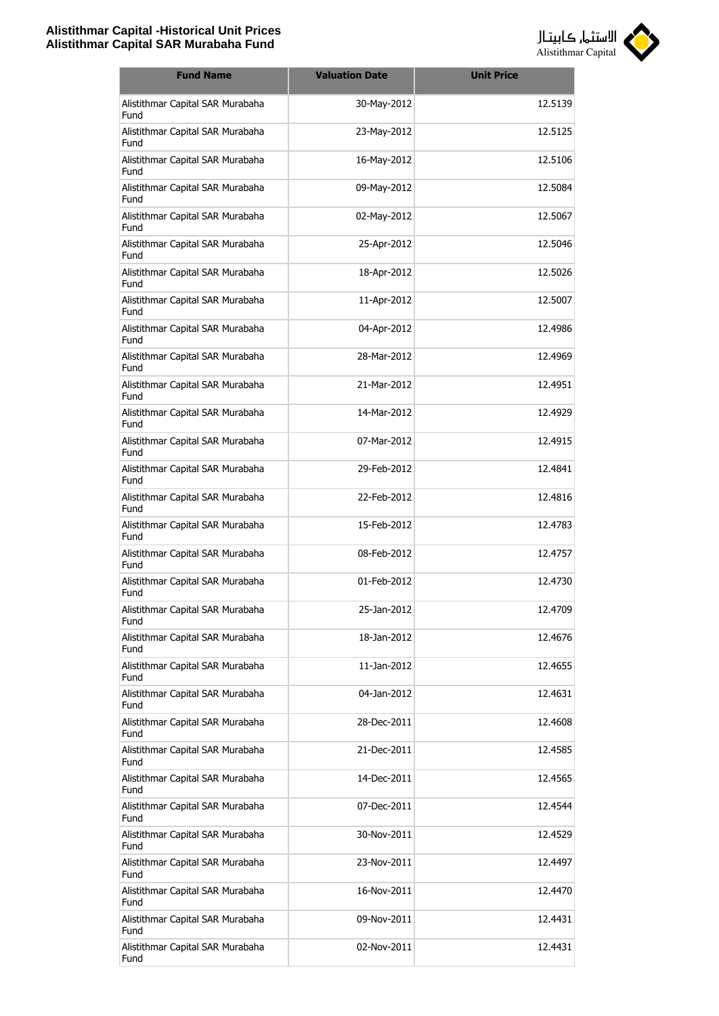

| <b>Fund Name</b>                                | <b>Valuation Date</b> | <b>Unit Price</b> |
|-------------------------------------------------|-----------------------|-------------------|
| Alistithmar Capital SAR Murabaha<br>Fund        | 30-May-2012           | 12.5139           |
| Alistithmar Capital SAR Murabaha<br>Fund        | 23-May-2012           | 12.5125           |
| Alistithmar Capital SAR Murabaha<br>Fund        | 16-May-2012           | 12.5106           |
| Alistithmar Capital SAR Murabaha<br>Fund        | 09-May-2012           | 12.5084           |
| Alistithmar Capital SAR Murabaha<br>Fund        | 02-May-2012           | 12.5067           |
| Alistithmar Capital SAR Murabaha<br>Fund        | 25-Apr-2012           | 12.5046           |
| Alistithmar Capital SAR Murabaha<br>Fund        | 18-Apr-2012           | 12.5026           |
| Alistithmar Capital SAR Murabaha<br>Fund        | 11-Apr-2012           | 12.5007           |
| Alistithmar Capital SAR Murabaha<br>Fund        | 04-Apr-2012           | 12.4986           |
| Alistithmar Capital SAR Murabaha<br>Fund        | 28-Mar-2012           | 12.4969           |
| Alistithmar Capital SAR Murabaha<br>Fund        | 21-Mar-2012           | 12.4951           |
| Alistithmar Capital SAR Murabaha<br>Fund        | 14-Mar-2012           | 12.4929           |
| Alistithmar Capital SAR Murabaha<br>Fund        | 07-Mar-2012           | 12.4915           |
| Alistithmar Capital SAR Murabaha<br>Fund        | 29-Feb-2012           | 12.4841           |
| Alistithmar Capital SAR Murabaha<br>Fund        | 22-Feb-2012           | 12.4816           |
| Alistithmar Capital SAR Murabaha<br>Fund        | 15-Feb-2012           | 12.4783           |
| Alistithmar Capital SAR Murabaha<br><b>Fund</b> | 08-Feb-2012           | 12.4757           |
| Alistithmar Capital SAR Murabaha<br>Fund        | 01-Feb-2012           | 12.4730           |
| Alistithmar Capital SAR Murabaha<br>Fund        | 25-Jan-2012           | 12.4709           |
| Alistithmar Capital SAR Murabaha<br>Fund        | 18-Jan-2012           | 12.4676           |
| Alistithmar Capital SAR Murabaha<br>Fund        | 11-Jan-2012           | 12.4655           |
| Alistithmar Capital SAR Murabaha<br>Fund        | 04-Jan-2012           | 12.4631           |
| Alistithmar Capital SAR Murabaha<br>Fund        | 28-Dec-2011           | 12.4608           |
| Alistithmar Capital SAR Murabaha<br>Fund        | 21-Dec-2011           | 12.4585           |
| Alistithmar Capital SAR Murabaha<br>Fund        | 14-Dec-2011           | 12.4565           |
| Alistithmar Capital SAR Murabaha<br>Fund        | 07-Dec-2011           | 12.4544           |
| Alistithmar Capital SAR Murabaha<br>Fund        | 30-Nov-2011           | 12.4529           |
| Alistithmar Capital SAR Murabaha<br>Fund        | 23-Nov-2011           | 12.4497           |
| Alistithmar Capital SAR Murabaha<br>Fund        | 16-Nov-2011           | 12.4470           |
| Alistithmar Capital SAR Murabaha<br>Fund        | 09-Nov-2011           | 12.4431           |
| Alistithmar Capital SAR Murabaha<br>Fund        | 02-Nov-2011           | 12.4431           |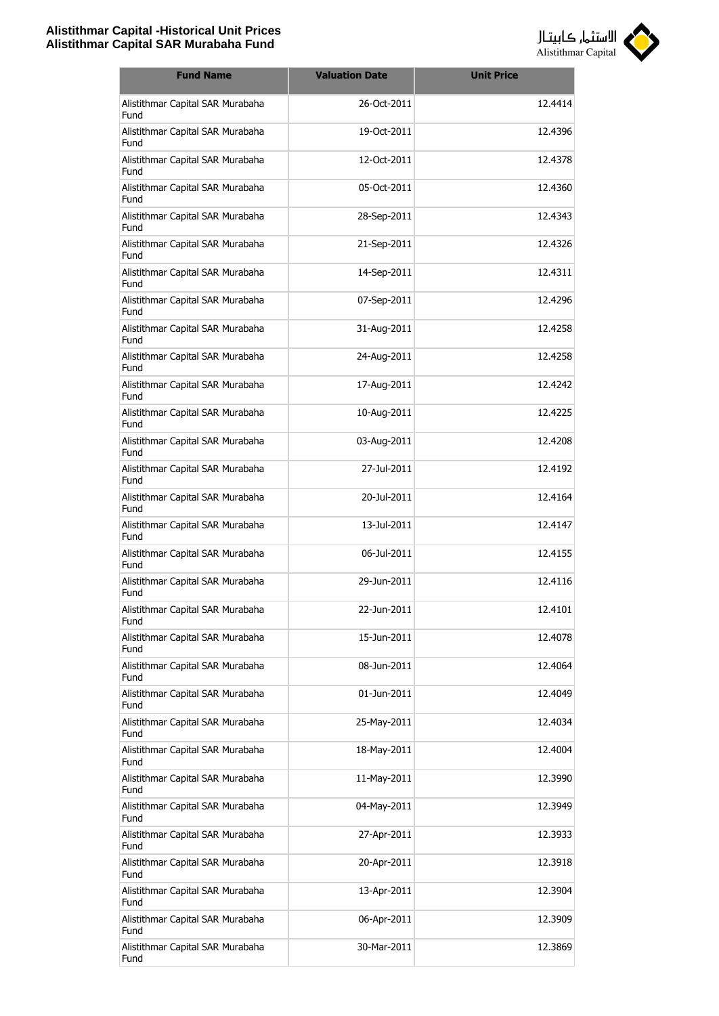

| <b>Fund Name</b>                         | <b>Valuation Date</b> | <b>Unit Price</b> |
|------------------------------------------|-----------------------|-------------------|
| Alistithmar Capital SAR Murabaha<br>Fund | 26-Oct-2011           | 12.4414           |
| Alistithmar Capital SAR Murabaha<br>Fund | 19-Oct-2011           | 12.4396           |
| Alistithmar Capital SAR Murabaha<br>Fund | 12-Oct-2011           | 12.4378           |
| Alistithmar Capital SAR Murabaha<br>Fund | 05-Oct-2011           | 12.4360           |
| Alistithmar Capital SAR Murabaha<br>Fund | 28-Sep-2011           | 12.4343           |
| Alistithmar Capital SAR Murabaha<br>Fund | 21-Sep-2011           | 12.4326           |
| Alistithmar Capital SAR Murabaha<br>Fund | 14-Sep-2011           | 12.4311           |
| Alistithmar Capital SAR Murabaha<br>Fund | 07-Sep-2011           | 12.4296           |
| Alistithmar Capital SAR Murabaha<br>Fund | 31-Aug-2011           | 12.4258           |
| Alistithmar Capital SAR Murabaha<br>Fund | 24-Aug-2011           | 12.4258           |
| Alistithmar Capital SAR Murabaha<br>Fund | 17-Aug-2011           | 12.4242           |
| Alistithmar Capital SAR Murabaha<br>Fund | 10-Aug-2011           | 12.4225           |
| Alistithmar Capital SAR Murabaha<br>Fund | 03-Aug-2011           | 12.4208           |
| Alistithmar Capital SAR Murabaha<br>Fund | 27-Jul-2011           | 12.4192           |
| Alistithmar Capital SAR Murabaha<br>Fund | 20-Jul-2011           | 12.4164           |
| Alistithmar Capital SAR Murabaha<br>Fund | 13-Jul-2011           | 12.4147           |
| Alistithmar Capital SAR Murabaha<br>Fund | 06-Jul-2011           | 12.4155           |
| Alistithmar Capital SAR Murabaha<br>Fund | 29-Jun-2011           | 12.4116           |
| Alistithmar Capital SAR Murabaha<br>Fund | 22-Jun-2011           | 12.4101           |
| Alistithmar Capital SAR Murabaha<br>Fund | 15-Jun-2011           | 12.4078           |
| Alistithmar Capital SAR Murabaha<br>Fund | 08-Jun-2011           | 12.4064           |
| Alistithmar Capital SAR Murabaha<br>Fund | 01-Jun-2011           | 12.4049           |
| Alistithmar Capital SAR Murabaha<br>Fund | 25-May-2011           | 12.4034           |
| Alistithmar Capital SAR Murabaha<br>Fund | 18-May-2011           | 12.4004           |
| Alistithmar Capital SAR Murabaha<br>Fund | 11-May-2011           | 12.3990           |
| Alistithmar Capital SAR Murabaha<br>Fund | 04-May-2011           | 12.3949           |
| Alistithmar Capital SAR Murabaha<br>Fund | 27-Apr-2011           | 12.3933           |
| Alistithmar Capital SAR Murabaha<br>Fund | 20-Apr-2011           | 12.3918           |
| Alistithmar Capital SAR Murabaha<br>Fund | 13-Apr-2011           | 12.3904           |
| Alistithmar Capital SAR Murabaha<br>Fund | 06-Apr-2011           | 12.3909           |
| Alistithmar Capital SAR Murabaha<br>Fund | 30-Mar-2011           | 12.3869           |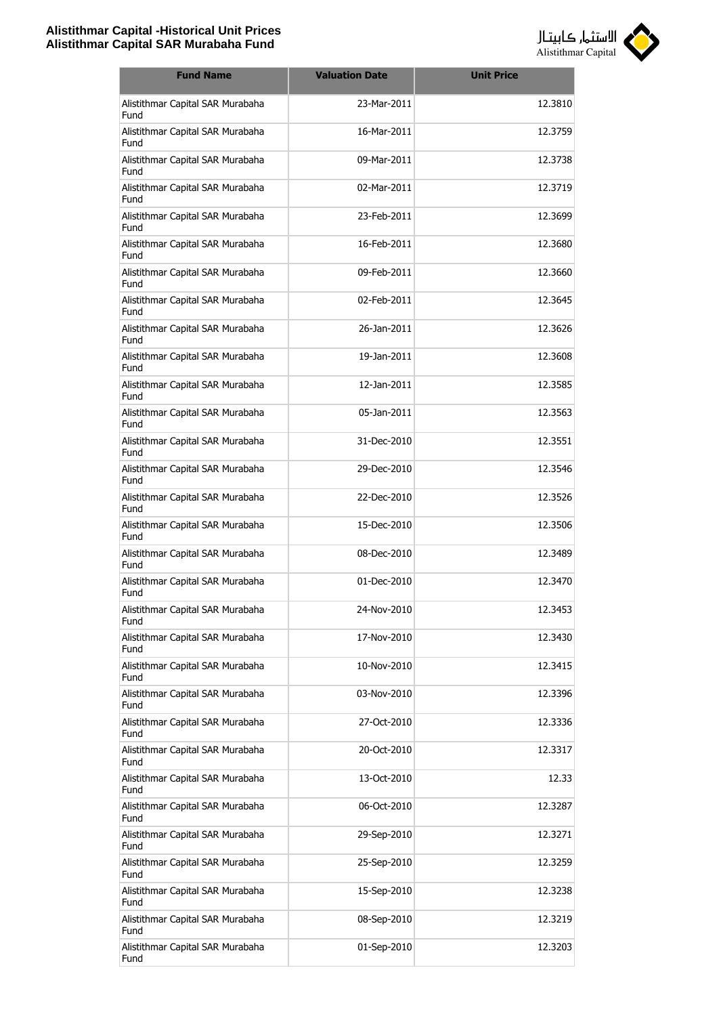

| <b>Fund Name</b>                         | <b>Valuation Date</b> | <b>Unit Price</b> |
|------------------------------------------|-----------------------|-------------------|
| Alistithmar Capital SAR Murabaha<br>Fund | 23-Mar-2011           | 12.3810           |
| Alistithmar Capital SAR Murabaha<br>Fund | 16-Mar-2011           | 12.3759           |
| Alistithmar Capital SAR Murabaha<br>Fund | 09-Mar-2011           | 12.3738           |
| Alistithmar Capital SAR Murabaha<br>Fund | 02-Mar-2011           | 12.3719           |
| Alistithmar Capital SAR Murabaha<br>Fund | 23-Feb-2011           | 12.3699           |
| Alistithmar Capital SAR Murabaha<br>Fund | 16-Feb-2011           | 12.3680           |
| Alistithmar Capital SAR Murabaha<br>Fund | 09-Feb-2011           | 12.3660           |
| Alistithmar Capital SAR Murabaha<br>Fund | 02-Feb-2011           | 12.3645           |
| Alistithmar Capital SAR Murabaha<br>Fund | 26-Jan-2011           | 12.3626           |
| Alistithmar Capital SAR Murabaha<br>Fund | 19-Jan-2011           | 12.3608           |
| Alistithmar Capital SAR Murabaha<br>Fund | 12-Jan-2011           | 12.3585           |
| Alistithmar Capital SAR Murabaha<br>Fund | 05-Jan-2011           | 12.3563           |
| Alistithmar Capital SAR Murabaha<br>Fund | 31-Dec-2010           | 12.3551           |
| Alistithmar Capital SAR Murabaha<br>Fund | 29-Dec-2010           | 12.3546           |
| Alistithmar Capital SAR Murabaha<br>Fund | 22-Dec-2010           | 12.3526           |
| Alistithmar Capital SAR Murabaha<br>Fund | 15-Dec-2010           | 12.3506           |
| Alistithmar Capital SAR Murabaha<br>Fund | 08-Dec-2010           | 12.3489           |
| Alistithmar Capital SAR Murabaha<br>Fund | 01-Dec-2010           | 12.3470           |
| Alistithmar Capital SAR Murabaha<br>Fund | 24-Nov-2010           | 12.3453           |
| Alistithmar Capital SAR Murabaha<br>Fund | 17-Nov-2010           | 12.3430           |
| Alistithmar Capital SAR Murabaha<br>Fund | 10-Nov-2010           | 12.3415           |
| Alistithmar Capital SAR Murabaha<br>Fund | 03-Nov-2010           | 12.3396           |
| Alistithmar Capital SAR Murabaha<br>Fund | 27-Oct-2010           | 12.3336           |
| Alistithmar Capital SAR Murabaha<br>Fund | 20-Oct-2010           | 12.3317           |
| Alistithmar Capital SAR Murabaha<br>Fund | 13-Oct-2010           | 12.33             |
| Alistithmar Capital SAR Murabaha<br>Fund | 06-Oct-2010           | 12.3287           |
| Alistithmar Capital SAR Murabaha<br>Fund | 29-Sep-2010           | 12.3271           |
| Alistithmar Capital SAR Murabaha<br>Fund | 25-Sep-2010           | 12.3259           |
| Alistithmar Capital SAR Murabaha<br>Fund | 15-Sep-2010           | 12.3238           |
| Alistithmar Capital SAR Murabaha<br>Fund | 08-Sep-2010           | 12.3219           |
| Alistithmar Capital SAR Murabaha<br>Fund | 01-Sep-2010           | 12.3203           |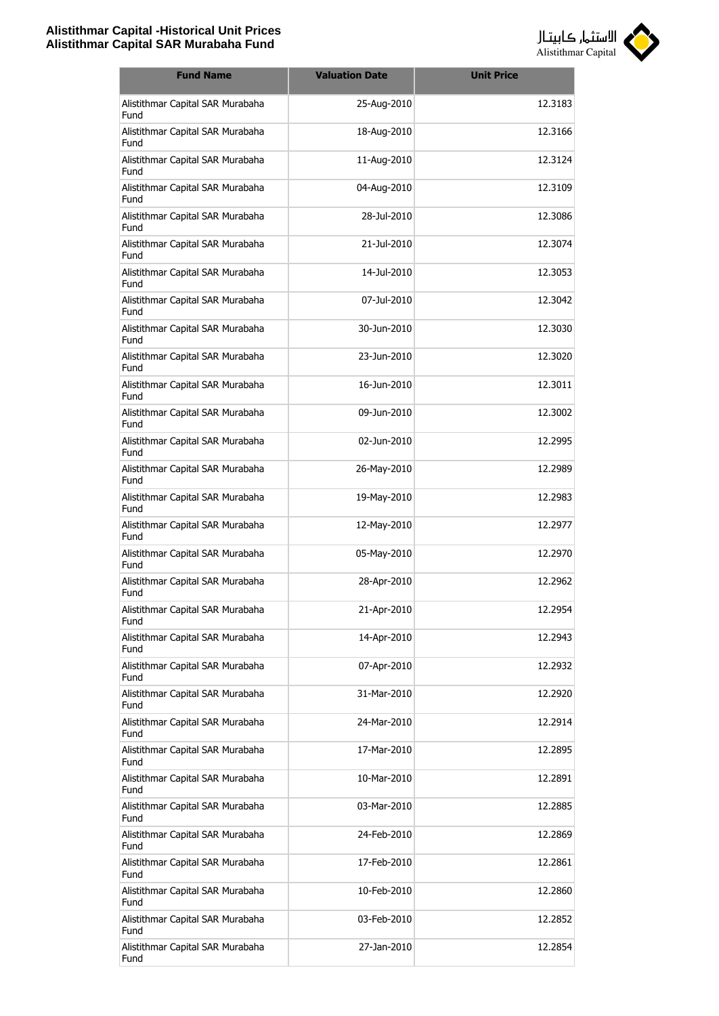

| <b>Fund Name</b>                         | <b>Valuation Date</b> | <b>Unit Price</b> |
|------------------------------------------|-----------------------|-------------------|
| Alistithmar Capital SAR Murabaha<br>Fund | 25-Aug-2010           | 12.3183           |
| Alistithmar Capital SAR Murabaha<br>Fund | 18-Aug-2010           | 12.3166           |
| Alistithmar Capital SAR Murabaha<br>Fund | 11-Aug-2010           | 12.3124           |
| Alistithmar Capital SAR Murabaha<br>Fund | 04-Aug-2010           | 12.3109           |
| Alistithmar Capital SAR Murabaha<br>Fund | 28-Jul-2010           | 12.3086           |
| Alistithmar Capital SAR Murabaha<br>Fund | 21-Jul-2010           | 12.3074           |
| Alistithmar Capital SAR Murabaha<br>Fund | 14-Jul-2010           | 12.3053           |
| Alistithmar Capital SAR Murabaha<br>Fund | 07-Jul-2010           | 12.3042           |
| Alistithmar Capital SAR Murabaha<br>Fund | 30-Jun-2010           | 12.3030           |
| Alistithmar Capital SAR Murabaha<br>Fund | 23-Jun-2010           | 12.3020           |
| Alistithmar Capital SAR Murabaha<br>Fund | 16-Jun-2010           | 12.3011           |
| Alistithmar Capital SAR Murabaha<br>Fund | 09-Jun-2010           | 12.3002           |
| Alistithmar Capital SAR Murabaha<br>Fund | 02-Jun-2010           | 12.2995           |
| Alistithmar Capital SAR Murabaha<br>Fund | 26-May-2010           | 12.2989           |
| Alistithmar Capital SAR Murabaha<br>Fund | 19-May-2010           | 12.2983           |
| Alistithmar Capital SAR Murabaha<br>Fund | 12-May-2010           | 12.2977           |
| Alistithmar Capital SAR Murabaha<br>Fund | 05-May-2010           | 12.2970           |
| Alistithmar Capital SAR Murabaha<br>Fund | 28-Apr-2010           | 12.2962           |
| Alistithmar Capital SAR Murabaha<br>Fund | 21-Apr-2010           | 12.2954           |
| Alistithmar Capital SAR Murabaha<br>Fund | 14-Apr-2010           | 12.2943           |
| Alistithmar Capital SAR Murabaha<br>Fund | 07-Apr-2010           | 12.2932           |
| Alistithmar Capital SAR Murabaha<br>Fund | 31-Mar-2010           | 12.2920           |
| Alistithmar Capital SAR Murabaha<br>Fund | 24-Mar-2010           | 12.2914           |
| Alistithmar Capital SAR Murabaha<br>Fund | 17-Mar-2010           | 12.2895           |
| Alistithmar Capital SAR Murabaha<br>Fund | 10-Mar-2010           | 12.2891           |
| Alistithmar Capital SAR Murabaha<br>Fund | 03-Mar-2010           | 12.2885           |
| Alistithmar Capital SAR Murabaha<br>Fund | 24-Feb-2010           | 12.2869           |
| Alistithmar Capital SAR Murabaha<br>Fund | 17-Feb-2010           | 12.2861           |
| Alistithmar Capital SAR Murabaha<br>Fund | 10-Feb-2010           | 12.2860           |
| Alistithmar Capital SAR Murabaha<br>Fund | 03-Feb-2010           | 12.2852           |
| Alistithmar Capital SAR Murabaha<br>Fund | 27-Jan-2010           | 12.2854           |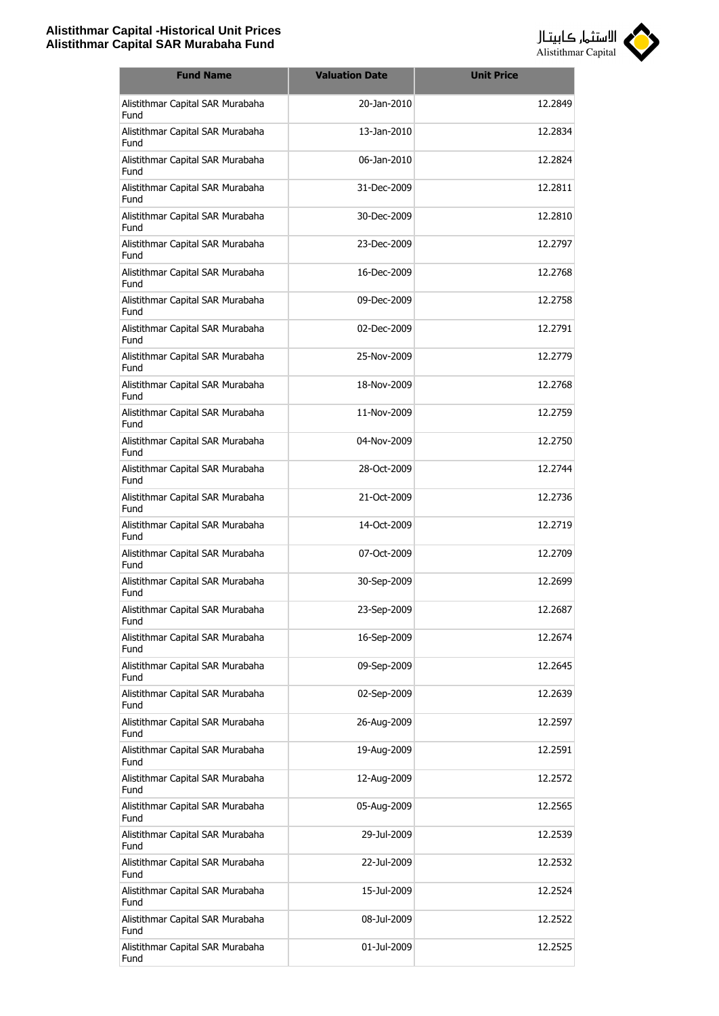

| <b>Fund Name</b>                         | <b>Valuation Date</b> | <b>Unit Price</b> |
|------------------------------------------|-----------------------|-------------------|
| Alistithmar Capital SAR Murabaha<br>Fund | 20-Jan-2010           | 12.2849           |
| Alistithmar Capital SAR Murabaha<br>Fund | 13-Jan-2010           | 12.2834           |
| Alistithmar Capital SAR Murabaha<br>Fund | 06-Jan-2010           | 12.2824           |
| Alistithmar Capital SAR Murabaha<br>Fund | 31-Dec-2009           | 12.2811           |
| Alistithmar Capital SAR Murabaha<br>Fund | 30-Dec-2009           | 12.2810           |
| Alistithmar Capital SAR Murabaha<br>Fund | 23-Dec-2009           | 12.2797           |
| Alistithmar Capital SAR Murabaha<br>Fund | 16-Dec-2009           | 12.2768           |
| Alistithmar Capital SAR Murabaha<br>Fund | 09-Dec-2009           | 12.2758           |
| Alistithmar Capital SAR Murabaha<br>Fund | 02-Dec-2009           | 12.2791           |
| Alistithmar Capital SAR Murabaha<br>Fund | 25-Nov-2009           | 12.2779           |
| Alistithmar Capital SAR Murabaha<br>Fund | 18-Nov-2009           | 12.2768           |
| Alistithmar Capital SAR Murabaha<br>Fund | 11-Nov-2009           | 12.2759           |
| Alistithmar Capital SAR Murabaha<br>Fund | 04-Nov-2009           | 12.2750           |
| Alistithmar Capital SAR Murabaha<br>Fund | 28-Oct-2009           | 12.2744           |
| Alistithmar Capital SAR Murabaha<br>Fund | 21-Oct-2009           | 12.2736           |
| Alistithmar Capital SAR Murabaha<br>Fund | 14-Oct-2009           | 12.2719           |
| Alistithmar Capital SAR Murabaha<br>Fund | 07-Oct-2009           | 12.2709           |
| Alistithmar Capital SAR Murabaha<br>Fund | 30-Sep-2009           | 12.2699           |
| Alistithmar Capital SAR Murabaha<br>Fund | 23-Sep-2009           | 12.2687           |
| Alistithmar Capital SAR Murabaha<br>Fund | 16-Sep-2009           | 12.2674           |
| Alistithmar Capital SAR Murabaha<br>Fund | 09-Sep-2009           | 12.2645           |
| Alistithmar Capital SAR Murabaha<br>Fund | 02-Sep-2009           | 12.2639           |
| Alistithmar Capital SAR Murabaha<br>Fund | 26-Aug-2009           | 12.2597           |
| Alistithmar Capital SAR Murabaha<br>Fund | 19-Aug-2009           | 12.2591           |
| Alistithmar Capital SAR Murabaha<br>Fund | 12-Aug-2009           | 12.2572           |
| Alistithmar Capital SAR Murabaha<br>Fund | 05-Aug-2009           | 12.2565           |
| Alistithmar Capital SAR Murabaha<br>Fund | 29-Jul-2009           | 12.2539           |
| Alistithmar Capital SAR Murabaha<br>Fund | 22-Jul-2009           | 12.2532           |
| Alistithmar Capital SAR Murabaha<br>Fund | 15-Jul-2009           | 12.2524           |
| Alistithmar Capital SAR Murabaha<br>Fund | 08-Jul-2009           | 12.2522           |
| Alistithmar Capital SAR Murabaha<br>Fund | 01-Jul-2009           | 12.2525           |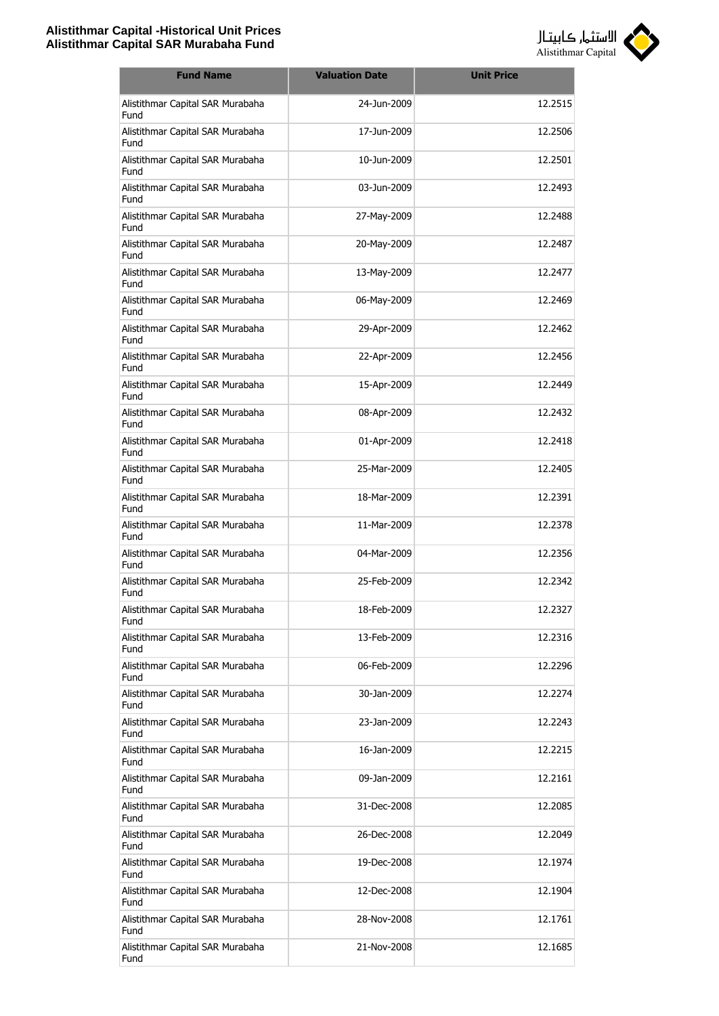

| <b>Fund Name</b>                         | <b>Valuation Date</b> | <b>Unit Price</b> |
|------------------------------------------|-----------------------|-------------------|
| Alistithmar Capital SAR Murabaha<br>Fund | 24-Jun-2009           | 12.2515           |
| Alistithmar Capital SAR Murabaha<br>Fund | 17-Jun-2009           | 12.2506           |
| Alistithmar Capital SAR Murabaha<br>Fund | 10-Jun-2009           | 12.2501           |
| Alistithmar Capital SAR Murabaha<br>Fund | 03-Jun-2009           | 12.2493           |
| Alistithmar Capital SAR Murabaha<br>Fund | 27-May-2009           | 12.2488           |
| Alistithmar Capital SAR Murabaha<br>Fund | 20-May-2009           | 12.2487           |
| Alistithmar Capital SAR Murabaha<br>Fund | 13-May-2009           | 12.2477           |
| Alistithmar Capital SAR Murabaha<br>Fund | 06-May-2009           | 12.2469           |
| Alistithmar Capital SAR Murabaha<br>Fund | 29-Apr-2009           | 12.2462           |
| Alistithmar Capital SAR Murabaha<br>Fund | 22-Apr-2009           | 12.2456           |
| Alistithmar Capital SAR Murabaha<br>Fund | 15-Apr-2009           | 12.2449           |
| Alistithmar Capital SAR Murabaha<br>Fund | 08-Apr-2009           | 12.2432           |
| Alistithmar Capital SAR Murabaha<br>Fund | 01-Apr-2009           | 12.2418           |
| Alistithmar Capital SAR Murabaha<br>Fund | 25-Mar-2009           | 12.2405           |
| Alistithmar Capital SAR Murabaha<br>Fund | 18-Mar-2009           | 12.2391           |
| Alistithmar Capital SAR Murabaha<br>Fund | 11-Mar-2009           | 12.2378           |
| Alistithmar Capital SAR Murabaha<br>Fund | 04-Mar-2009           | 12.2356           |
| Alistithmar Capital SAR Murabaha<br>Fund | 25-Feb-2009           | 12.2342           |
| Alistithmar Capital SAR Murabaha<br>Fund | 18-Feb-2009           | 12.2327           |
| Alistithmar Capital SAR Murabaha<br>Fund | 13-Feb-2009           | 12.2316           |
| Alistithmar Capital SAR Murabaha<br>Fund | 06-Feb-2009           | 12.2296           |
| Alistithmar Capital SAR Murabaha<br>Fund | 30-Jan-2009           | 12.2274           |
| Alistithmar Capital SAR Murabaha<br>Fund | 23-Jan-2009           | 12.2243           |
| Alistithmar Capital SAR Murabaha<br>Fund | 16-Jan-2009           | 12.2215           |
| Alistithmar Capital SAR Murabaha<br>Fund | 09-Jan-2009           | 12.2161           |
| Alistithmar Capital SAR Murabaha<br>Fund | 31-Dec-2008           | 12.2085           |
| Alistithmar Capital SAR Murabaha<br>Fund | 26-Dec-2008           | 12.2049           |
| Alistithmar Capital SAR Murabaha<br>Fund | 19-Dec-2008           | 12.1974           |
| Alistithmar Capital SAR Murabaha<br>Fund | 12-Dec-2008           | 12.1904           |
| Alistithmar Capital SAR Murabaha<br>Fund | 28-Nov-2008           | 12.1761           |
| Alistithmar Capital SAR Murabaha<br>Fund | 21-Nov-2008           | 12.1685           |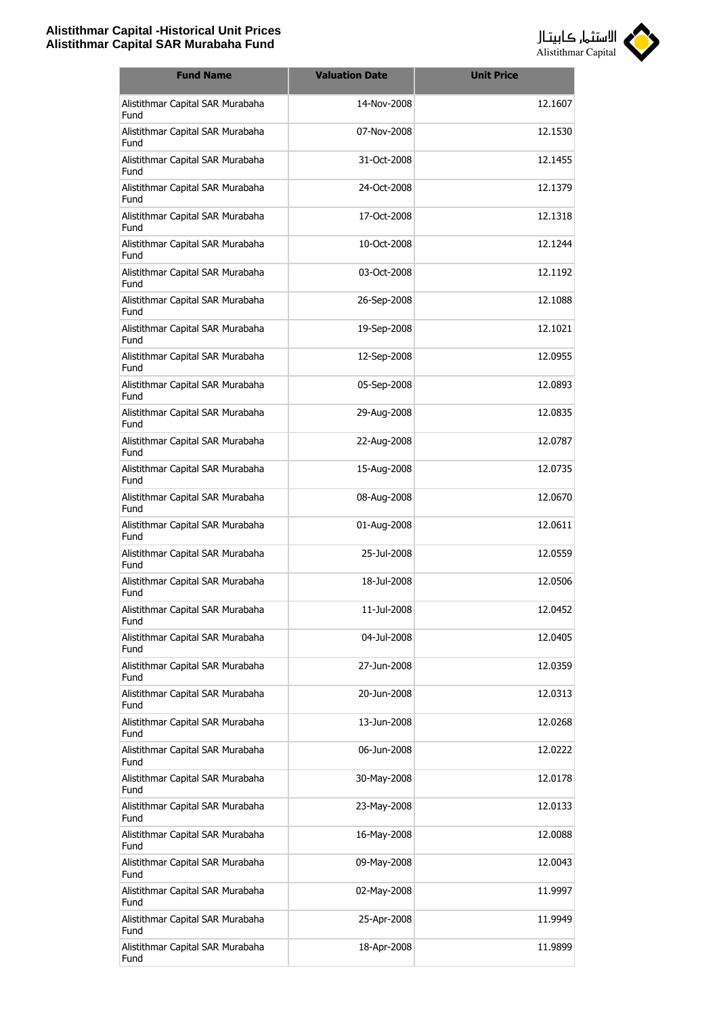

| <b>Fund Name</b>                         | <b>Valuation Date</b> | <b>Unit Price</b> |
|------------------------------------------|-----------------------|-------------------|
| Alistithmar Capital SAR Murabaha<br>Fund | 14-Nov-2008           | 12.1607           |
| Alistithmar Capital SAR Murabaha<br>Fund | 07-Nov-2008           | 12.1530           |
| Alistithmar Capital SAR Murabaha<br>Fund | 31-Oct-2008           | 12.1455           |
| Alistithmar Capital SAR Murabaha<br>Fund | 24-Oct-2008           | 12.1379           |
| Alistithmar Capital SAR Murabaha<br>Fund | 17-Oct-2008           | 12.1318           |
| Alistithmar Capital SAR Murabaha<br>Fund | 10-Oct-2008           | 12.1244           |
| Alistithmar Capital SAR Murabaha<br>Fund | 03-Oct-2008           | 12.1192           |
| Alistithmar Capital SAR Murabaha<br>Fund | 26-Sep-2008           | 12.1088           |
| Alistithmar Capital SAR Murabaha<br>Fund | 19-Sep-2008           | 12.1021           |
| Alistithmar Capital SAR Murabaha<br>Fund | 12-Sep-2008           | 12.0955           |
| Alistithmar Capital SAR Murabaha<br>Fund | 05-Sep-2008           | 12.0893           |
| Alistithmar Capital SAR Murabaha<br>Fund | 29-Aug-2008           | 12.0835           |
| Alistithmar Capital SAR Murabaha<br>Fund | 22-Aug-2008           | 12.0787           |
| Alistithmar Capital SAR Murabaha<br>Fund | 15-Aug-2008           | 12.0735           |
| Alistithmar Capital SAR Murabaha<br>Fund | 08-Aug-2008           | 12.0670           |
| Alistithmar Capital SAR Murabaha<br>Fund | 01-Aug-2008           | 12.0611           |
| Alistithmar Capital SAR Murabaha<br>Fund | 25-Jul-2008           | 12.0559           |
| Alistithmar Capital SAR Murabaha<br>Fund | 18-Jul-2008           | 12.0506           |
| Alistithmar Capital SAR Murabaha<br>Fund | 11-Jul-2008           | 12.0452           |
| Alistithmar Capital SAR Murabaha<br>Fund | 04-Jul-2008           | 12.0405           |
| Alistithmar Capital SAR Murabaha<br>Fund | 27-Jun-2008           | 12.0359           |
| Alistithmar Capital SAR Murabaha<br>Fund | 20-Jun-2008           | 12.0313           |
| Alistithmar Capital SAR Murabaha<br>Fund | 13-Jun-2008           | 12.0268           |
| Alistithmar Capital SAR Murabaha<br>Fund | 06-Jun-2008           | 12.0222           |
| Alistithmar Capital SAR Murabaha<br>Fund | 30-May-2008           | 12.0178           |
| Alistithmar Capital SAR Murabaha<br>Fund | 23-May-2008           | 12.0133           |
| Alistithmar Capital SAR Murabaha<br>Fund | 16-May-2008           | 12.0088           |
| Alistithmar Capital SAR Murabaha<br>Fund | 09-May-2008           | 12.0043           |
| Alistithmar Capital SAR Murabaha<br>Fund | 02-May-2008           | 11.9997           |
| Alistithmar Capital SAR Murabaha<br>Fund | 25-Apr-2008           | 11.9949           |
| Alistithmar Capital SAR Murabaha<br>Fund | 18-Apr-2008           | 11.9899           |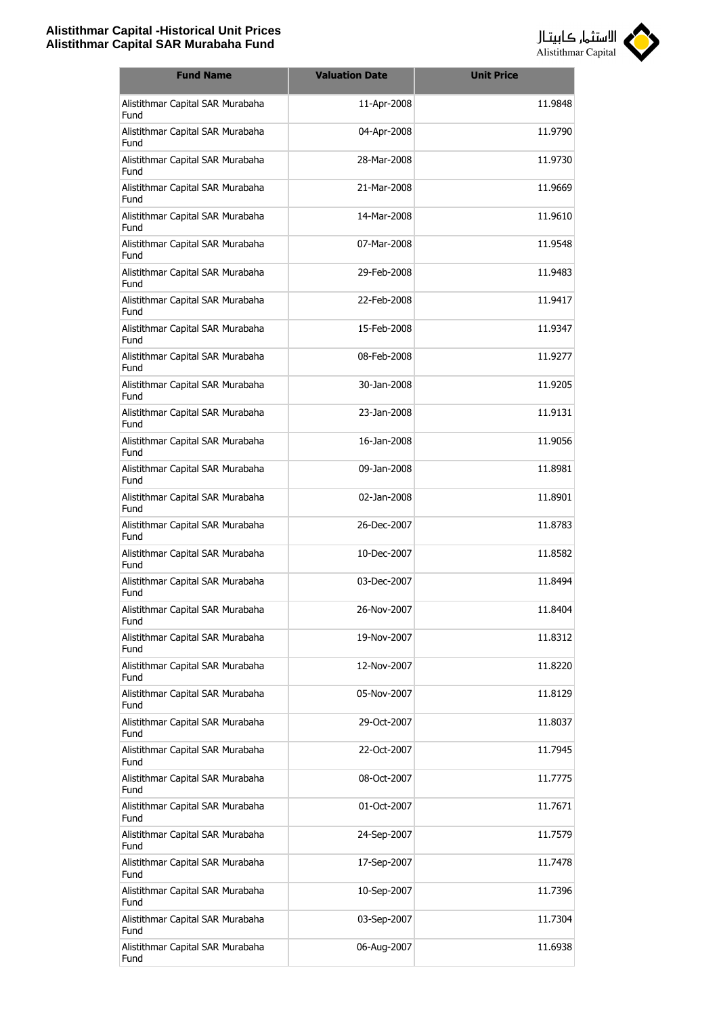

| <b>Fund Name</b>                         | <b>Valuation Date</b> | <b>Unit Price</b> |
|------------------------------------------|-----------------------|-------------------|
| Alistithmar Capital SAR Murabaha<br>Fund | 11-Apr-2008           | 11.9848           |
| Alistithmar Capital SAR Murabaha<br>Fund | 04-Apr-2008           | 11.9790           |
| Alistithmar Capital SAR Murabaha<br>Fund | 28-Mar-2008           | 11.9730           |
| Alistithmar Capital SAR Murabaha<br>Fund | 21-Mar-2008           | 11.9669           |
| Alistithmar Capital SAR Murabaha<br>Fund | 14-Mar-2008           | 11.9610           |
| Alistithmar Capital SAR Murabaha<br>Fund | 07-Mar-2008           | 11.9548           |
| Alistithmar Capital SAR Murabaha<br>Fund | 29-Feb-2008           | 11.9483           |
| Alistithmar Capital SAR Murabaha<br>Fund | 22-Feb-2008           | 11.9417           |
| Alistithmar Capital SAR Murabaha<br>Fund | 15-Feb-2008           | 11.9347           |
| Alistithmar Capital SAR Murabaha<br>Fund | 08-Feb-2008           | 11.9277           |
| Alistithmar Capital SAR Murabaha<br>Fund | 30-Jan-2008           | 11.9205           |
| Alistithmar Capital SAR Murabaha<br>Fund | 23-Jan-2008           | 11.9131           |
| Alistithmar Capital SAR Murabaha<br>Fund | 16-Jan-2008           | 11.9056           |
| Alistithmar Capital SAR Murabaha<br>Fund | 09-Jan-2008           | 11.8981           |
| Alistithmar Capital SAR Murabaha<br>Fund | 02-Jan-2008           | 11.8901           |
| Alistithmar Capital SAR Murabaha<br>Fund | 26-Dec-2007           | 11.8783           |
| Alistithmar Capital SAR Murabaha<br>Fund | 10-Dec-2007           | 11.8582           |
| Alistithmar Capital SAR Murabaha<br>Fund | 03-Dec-2007           | 11.8494           |
| Alistithmar Capital SAR Murabaha<br>Fund | 26-Nov-2007           | 11.8404           |
| Alistithmar Capital SAR Murabaha<br>Fund | 19-Nov-2007           | 11.8312           |
| Alistithmar Capital SAR Murabaha<br>Fund | 12-Nov-2007           | 11.8220           |
| Alistithmar Capital SAR Murabaha<br>Fund | 05-Nov-2007           | 11.8129           |
| Alistithmar Capital SAR Murabaha<br>Fund | 29-Oct-2007           | 11.8037           |
| Alistithmar Capital SAR Murabaha<br>Fund | 22-Oct-2007           | 11.7945           |
| Alistithmar Capital SAR Murabaha<br>Fund | 08-Oct-2007           | 11.7775           |
| Alistithmar Capital SAR Murabaha<br>Fund | 01-Oct-2007           | 11.7671           |
| Alistithmar Capital SAR Murabaha<br>Fund | 24-Sep-2007           | 11.7579           |
| Alistithmar Capital SAR Murabaha<br>Fund | 17-Sep-2007           | 11.7478           |
| Alistithmar Capital SAR Murabaha<br>Fund | 10-Sep-2007           | 11.7396           |
| Alistithmar Capital SAR Murabaha<br>Fund | 03-Sep-2007           | 11.7304           |
| Alistithmar Capital SAR Murabaha<br>Fund | 06-Aug-2007           | 11.6938           |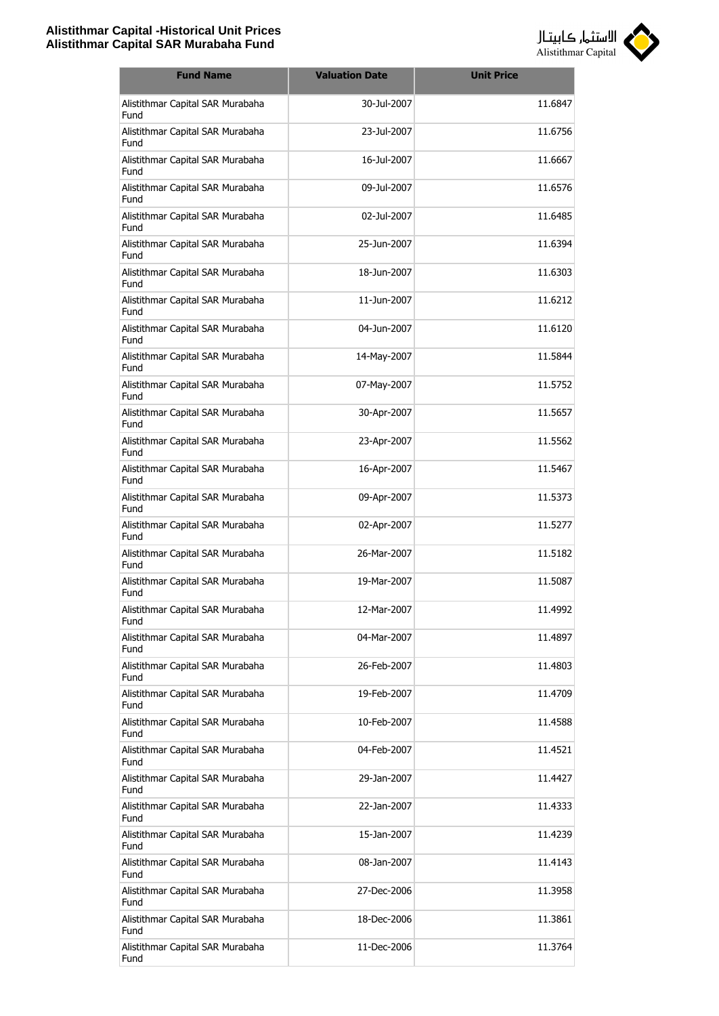

| <b>Fund Name</b>                         | <b>Valuation Date</b> | <b>Unit Price</b> |
|------------------------------------------|-----------------------|-------------------|
| Alistithmar Capital SAR Murabaha<br>Fund | 30-Jul-2007           | 11.6847           |
| Alistithmar Capital SAR Murabaha<br>Fund | 23-Jul-2007           | 11.6756           |
| Alistithmar Capital SAR Murabaha<br>Fund | 16-Jul-2007           | 11.6667           |
| Alistithmar Capital SAR Murabaha<br>Fund | 09-Jul-2007           | 11.6576           |
| Alistithmar Capital SAR Murabaha<br>Fund | 02-Jul-2007           | 11.6485           |
| Alistithmar Capital SAR Murabaha<br>Fund | 25-Jun-2007           | 11.6394           |
| Alistithmar Capital SAR Murabaha<br>Fund | 18-Jun-2007           | 11.6303           |
| Alistithmar Capital SAR Murabaha<br>Fund | 11-1un-2007           | 11.6212           |
| Alistithmar Capital SAR Murabaha<br>Fund | 04-Jun-2007           | 11.6120           |
| Alistithmar Capital SAR Murabaha<br>Fund | 14-May-2007           | 11.5844           |
| Alistithmar Capital SAR Murabaha<br>Fund | 07-May-2007           | 11.5752           |
| Alistithmar Capital SAR Murabaha<br>Fund | 30-Apr-2007           | 11.5657           |
| Alistithmar Capital SAR Murabaha<br>Fund | 23-Apr-2007           | 11.5562           |
| Alistithmar Capital SAR Murabaha<br>Fund | 16-Apr-2007           | 11.5467           |
| Alistithmar Capital SAR Murabaha<br>Fund | 09-Apr-2007           | 11.5373           |
| Alistithmar Capital SAR Murabaha<br>Fund | 02-Apr-2007           | 11.5277           |
| Alistithmar Capital SAR Murabaha<br>Fund | 26-Mar-2007           | 11.5182           |
| Alistithmar Capital SAR Murabaha<br>Fund | 19-Mar-2007           | 11.5087           |
| Alistithmar Capital SAR Murabaha<br>Fund | 12-Mar-2007           | 11.4992           |
| Alistithmar Capital SAR Murabaha<br>Fund | 04-Mar-2007           | 11.4897           |
| Alistithmar Capital SAR Murabaha<br>Fund | 26-Feb-2007           | 11.4803           |
| Alistithmar Capital SAR Murabaha<br>Fund | 19-Feb-2007           | 11.4709           |
| Alistithmar Capital SAR Murabaha<br>Fund | 10-Feb-2007           | 11.4588           |
| Alistithmar Capital SAR Murabaha<br>Fund | 04-Feb-2007           | 11.4521           |
| Alistithmar Capital SAR Murabaha<br>Fund | 29-Jan-2007           | 11.4427           |
| Alistithmar Capital SAR Murabaha<br>Fund | 22-Jan-2007           | 11.4333           |
| Alistithmar Capital SAR Murabaha<br>Fund | 15-Jan-2007           | 11.4239           |
| Alistithmar Capital SAR Murabaha<br>Fund | 08-Jan-2007           | 11.4143           |
| Alistithmar Capital SAR Murabaha<br>Fund | 27-Dec-2006           | 11.3958           |
| Alistithmar Capital SAR Murabaha<br>Fund | 18-Dec-2006           | 11.3861           |
| Alistithmar Capital SAR Murabaha<br>Fund | 11-Dec-2006           | 11.3764           |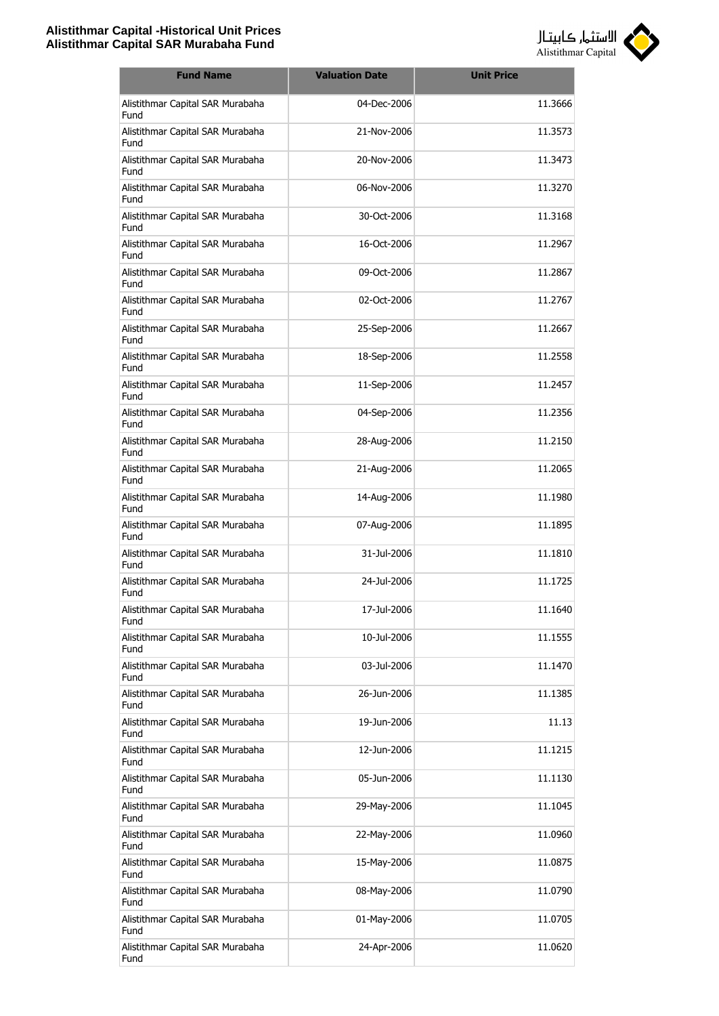

| <b>Fund Name</b>                         | <b>Valuation Date</b> | <b>Unit Price</b> |
|------------------------------------------|-----------------------|-------------------|
| Alistithmar Capital SAR Murabaha<br>Fund | 04-Dec-2006           | 11.3666           |
| Alistithmar Capital SAR Murabaha<br>Fund | 21-Nov-2006           | 11.3573           |
| Alistithmar Capital SAR Murabaha<br>Fund | 20-Nov-2006           | 11.3473           |
| Alistithmar Capital SAR Murabaha<br>Fund | 06-Nov-2006           | 11.3270           |
| Alistithmar Capital SAR Murabaha<br>Fund | 30-Oct-2006           | 11.3168           |
| Alistithmar Capital SAR Murabaha<br>Fund | 16-Oct-2006           | 11.2967           |
| Alistithmar Capital SAR Murabaha<br>Fund | 09-Oct-2006           | 11.2867           |
| Alistithmar Capital SAR Murabaha<br>Fund | 02-Oct-2006           | 11.2767           |
| Alistithmar Capital SAR Murabaha<br>Fund | 25-Sep-2006           | 11.2667           |
| Alistithmar Capital SAR Murabaha<br>Fund | 18-Sep-2006           | 11.2558           |
| Alistithmar Capital SAR Murabaha<br>Fund | 11-Sep-2006           | 11.2457           |
| Alistithmar Capital SAR Murabaha<br>Fund | 04-Sep-2006           | 11.2356           |
| Alistithmar Capital SAR Murabaha<br>Fund | 28-Aug-2006           | 11.2150           |
| Alistithmar Capital SAR Murabaha<br>Fund | 21-Aug-2006           | 11.2065           |
| Alistithmar Capital SAR Murabaha<br>Fund | 14-Aug-2006           | 11.1980           |
| Alistithmar Capital SAR Murabaha<br>Fund | 07-Aug-2006           | 11.1895           |
| Alistithmar Capital SAR Murabaha<br>Fund | 31-Jul-2006           | 11.1810           |
| Alistithmar Capital SAR Murabaha<br>Fund | 24-Jul-2006           | 11.1725           |
| Alistithmar Capital SAR Murabaha<br>Fund | 17-Jul-2006           | 11.1640           |
| Alistithmar Capital SAR Murabaha<br>Fund | 10-Jul-2006           | 11.1555           |
| Alistithmar Capital SAR Murabaha<br>Fund | 03-Jul-2006           | 11.1470           |
| Alistithmar Capital SAR Murabaha<br>Fund | 26-Jun-2006           | 11.1385           |
| Alistithmar Capital SAR Murabaha<br>Fund | 19-Jun-2006           | 11.13             |
| Alistithmar Capital SAR Murabaha<br>Fund | 12-Jun-2006           | 11.1215           |
| Alistithmar Capital SAR Murabaha<br>Fund | 05-Jun-2006           | 11.1130           |
| Alistithmar Capital SAR Murabaha<br>Fund | 29-May-2006           | 11.1045           |
| Alistithmar Capital SAR Murabaha<br>Fund | 22-May-2006           | 11.0960           |
| Alistithmar Capital SAR Murabaha<br>Fund | 15-May-2006           | 11.0875           |
| Alistithmar Capital SAR Murabaha<br>Fund | 08-May-2006           | 11.0790           |
| Alistithmar Capital SAR Murabaha<br>Fund | 01-May-2006           | 11.0705           |
| Alistithmar Capital SAR Murabaha<br>Fund | 24-Apr-2006           | 11.0620           |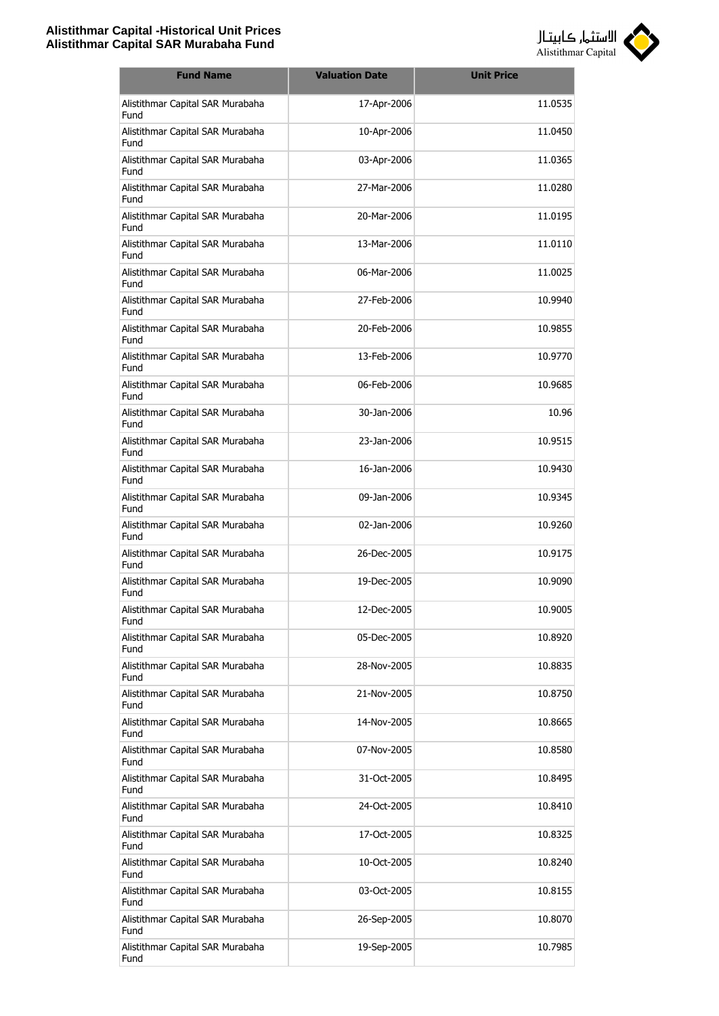

| <b>Fund Name</b>                         | <b>Valuation Date</b> | <b>Unit Price</b> |
|------------------------------------------|-----------------------|-------------------|
| Alistithmar Capital SAR Murabaha<br>Fund | 17-Apr-2006           | 11.0535           |
| Alistithmar Capital SAR Murabaha<br>Fund | 10-Apr-2006           | 11.0450           |
| Alistithmar Capital SAR Murabaha<br>Fund | 03-Apr-2006           | 11.0365           |
| Alistithmar Capital SAR Murabaha<br>Fund | 27-Mar-2006           | 11.0280           |
| Alistithmar Capital SAR Murabaha<br>Fund | 20-Mar-2006           | 11.0195           |
| Alistithmar Capital SAR Murabaha<br>Fund | 13-Mar-2006           | 11.0110           |
| Alistithmar Capital SAR Murabaha<br>Fund | 06-Mar-2006           | 11.0025           |
| Alistithmar Capital SAR Murabaha<br>Fund | 27-Feb-2006           | 10.9940           |
| Alistithmar Capital SAR Murabaha<br>Fund | 20-Feb-2006           | 10.9855           |
| Alistithmar Capital SAR Murabaha<br>Fund | 13-Feb-2006           | 10.9770           |
| Alistithmar Capital SAR Murabaha<br>Fund | 06-Feb-2006           | 10.9685           |
| Alistithmar Capital SAR Murabaha<br>Fund | 30-Jan-2006           | 10.96             |
| Alistithmar Capital SAR Murabaha<br>Fund | 23-Jan-2006           | 10.9515           |
| Alistithmar Capital SAR Murabaha<br>Fund | 16-Jan-2006           | 10.9430           |
| Alistithmar Capital SAR Murabaha<br>Fund | 09-Jan-2006           | 10.9345           |
| Alistithmar Capital SAR Murabaha<br>Fund | 02-Jan-2006           | 10.9260           |
| Alistithmar Capital SAR Murabaha<br>Fund | 26-Dec-2005           | 10.9175           |
| Alistithmar Capital SAR Murabaha<br>Fund | 19-Dec-2005           | 10.9090           |
| Alistithmar Capital SAR Murabaha<br>Fund | 12-Dec-2005           | 10.9005           |
| Alistithmar Capital SAR Murabaha<br>Fund | 05-Dec-2005           | 10.8920           |
| Alistithmar Capital SAR Murabaha<br>Fund | 28-Nov-2005           | 10.8835           |
| Alistithmar Capital SAR Murabaha<br>Fund | 21-Nov-2005           | 10.8750           |
| Alistithmar Capital SAR Murabaha<br>Fund | 14-Nov-2005           | 10.8665           |
| Alistithmar Capital SAR Murabaha<br>Fund | 07-Nov-2005           | 10.8580           |
| Alistithmar Capital SAR Murabaha<br>Fund | 31-Oct-2005           | 10.8495           |
| Alistithmar Capital SAR Murabaha<br>Fund | 24-Oct-2005           | 10.8410           |
| Alistithmar Capital SAR Murabaha<br>Fund | 17-Oct-2005           | 10.8325           |
| Alistithmar Capital SAR Murabaha<br>Fund | 10-Oct-2005           | 10.8240           |
| Alistithmar Capital SAR Murabaha<br>Fund | 03-Oct-2005           | 10.8155           |
| Alistithmar Capital SAR Murabaha<br>Fund | 26-Sep-2005           | 10.8070           |
| Alistithmar Capital SAR Murabaha<br>Fund | 19-Sep-2005           | 10.7985           |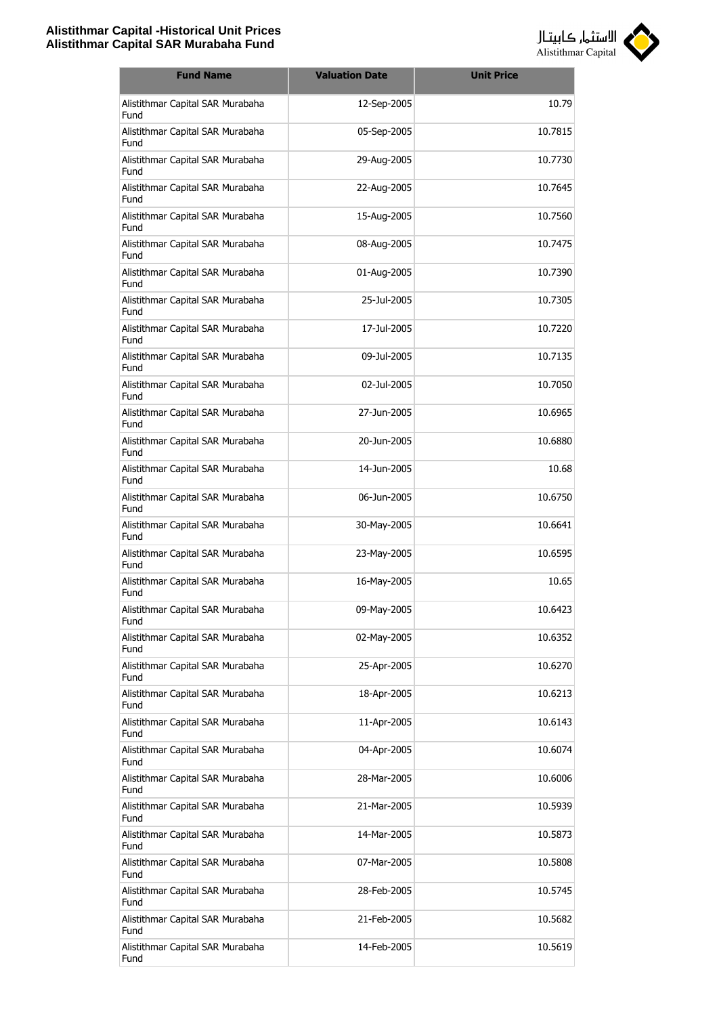

| <b>Fund Name</b>                         | <b>Valuation Date</b> | <b>Unit Price</b> |
|------------------------------------------|-----------------------|-------------------|
| Alistithmar Capital SAR Murabaha<br>Fund | 12-Sep-2005           | 10.79             |
| Alistithmar Capital SAR Murabaha<br>Fund | 05-Sep-2005           | 10.7815           |
| Alistithmar Capital SAR Murabaha<br>Fund | 29-Aug-2005           | 10.7730           |
| Alistithmar Capital SAR Murabaha<br>Fund | 22-Aug-2005           | 10.7645           |
| Alistithmar Capital SAR Murabaha<br>Fund | 15-Aug-2005           | 10.7560           |
| Alistithmar Capital SAR Murabaha<br>Fund | 08-Aug-2005           | 10.7475           |
| Alistithmar Capital SAR Murabaha<br>Fund | 01-Aug-2005           | 10.7390           |
| Alistithmar Capital SAR Murabaha<br>Fund | 25-Jul-2005           | 10.7305           |
| Alistithmar Capital SAR Murabaha<br>Fund | 17-Jul-2005           | 10.7220           |
| Alistithmar Capital SAR Murabaha<br>Fund | 09-Jul-2005           | 10.7135           |
| Alistithmar Capital SAR Murabaha<br>Fund | 02-Jul-2005           | 10.7050           |
| Alistithmar Capital SAR Murabaha<br>Fund | 27-Jun-2005           | 10.6965           |
| Alistithmar Capital SAR Murabaha<br>Fund | 20-Jun-2005           | 10.6880           |
| Alistithmar Capital SAR Murabaha<br>Fund | 14-Jun-2005           | 10.68             |
| Alistithmar Capital SAR Murabaha<br>Fund | 06-Jun-2005           | 10.6750           |
| Alistithmar Capital SAR Murabaha<br>Fund | 30-May-2005           | 10.6641           |
| Alistithmar Capital SAR Murabaha<br>Fund | 23-May-2005           | 10.6595           |
| Alistithmar Capital SAR Murabaha<br>Fund | 16-May-2005           | 10.65             |
| Alistithmar Capital SAR Murabaha<br>Fund | 09-May-2005           | 10.6423           |
| Alistithmar Capital SAR Murabaha<br>Fund | 02-May-2005           | 10.6352           |
| Alistithmar Capital SAR Murabaha<br>Fund | 25-Apr-2005           | 10.6270           |
| Alistithmar Capital SAR Murabaha<br>Fund | 18-Apr-2005           | 10.6213           |
| Alistithmar Capital SAR Murabaha<br>Fund | 11-Apr-2005           | 10.6143           |
| Alistithmar Capital SAR Murabaha<br>Fund | 04-Apr-2005           | 10.6074           |
| Alistithmar Capital SAR Murabaha<br>Fund | 28-Mar-2005           | 10.6006           |
| Alistithmar Capital SAR Murabaha<br>Fund | 21-Mar-2005           | 10.5939           |
| Alistithmar Capital SAR Murabaha<br>Fund | 14-Mar-2005           | 10.5873           |
| Alistithmar Capital SAR Murabaha<br>Fund | 07-Mar-2005           | 10.5808           |
| Alistithmar Capital SAR Murabaha<br>Fund | 28-Feb-2005           | 10.5745           |
| Alistithmar Capital SAR Murabaha<br>Fund | 21-Feb-2005           | 10.5682           |
| Alistithmar Capital SAR Murabaha<br>Fund | 14-Feb-2005           | 10.5619           |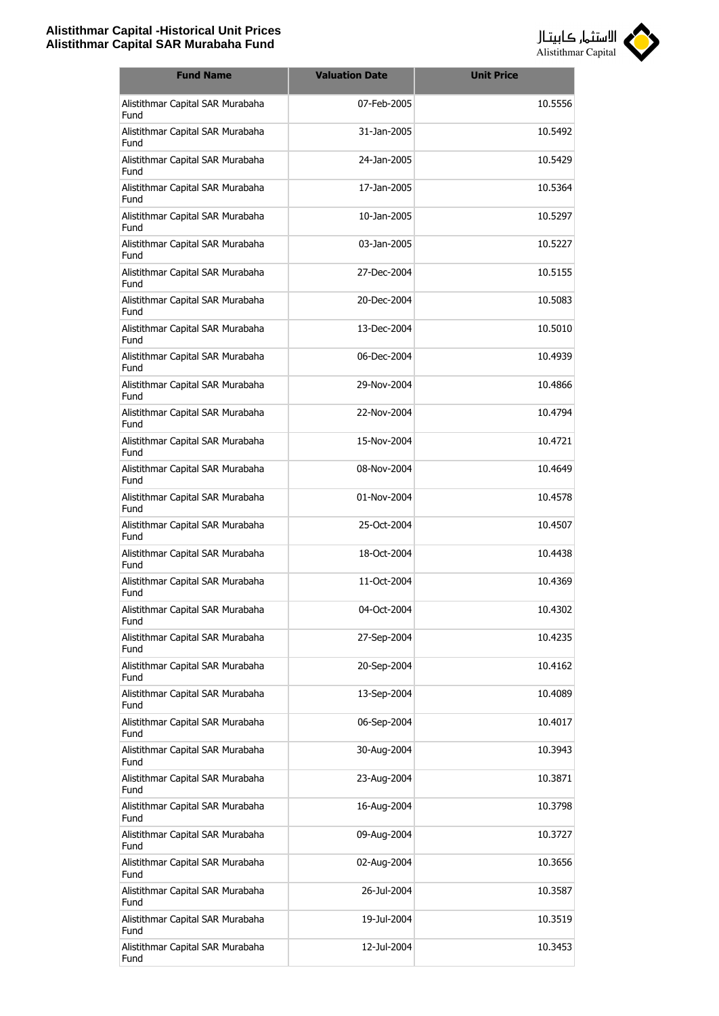

| <b>Fund Name</b>                         | <b>Valuation Date</b> | <b>Unit Price</b> |
|------------------------------------------|-----------------------|-------------------|
| Alistithmar Capital SAR Murabaha<br>Fund | 07-Feb-2005           | 10.5556           |
| Alistithmar Capital SAR Murabaha<br>Fund | 31-Jan-2005           | 10.5492           |
| Alistithmar Capital SAR Murabaha<br>Fund | 24-Jan-2005           | 10.5429           |
| Alistithmar Capital SAR Murabaha<br>Fund | 17-Jan-2005           | 10.5364           |
| Alistithmar Capital SAR Murabaha<br>Fund | 10-Jan-2005           | 10.5297           |
| Alistithmar Capital SAR Murabaha<br>Fund | 03-Jan-2005           | 10.5227           |
| Alistithmar Capital SAR Murabaha<br>Fund | 27-Dec-2004           | 10.5155           |
| Alistithmar Capital SAR Murabaha<br>Fund | 20-Dec-2004           | 10.5083           |
| Alistithmar Capital SAR Murabaha<br>Fund | 13-Dec-2004           | 10.5010           |
| Alistithmar Capital SAR Murabaha<br>Fund | 06-Dec-2004           | 10.4939           |
| Alistithmar Capital SAR Murabaha<br>Fund | 29-Nov-2004           | 10.4866           |
| Alistithmar Capital SAR Murabaha<br>Fund | 22-Nov-2004           | 10.4794           |
| Alistithmar Capital SAR Murabaha<br>Fund | 15-Nov-2004           | 10.4721           |
| Alistithmar Capital SAR Murabaha<br>Fund | 08-Nov-2004           | 10.4649           |
| Alistithmar Capital SAR Murabaha<br>Fund | 01-Nov-2004           | 10.4578           |
| Alistithmar Capital SAR Murabaha<br>Fund | 25-Oct-2004           | 10.4507           |
| Alistithmar Capital SAR Murabaha<br>Fund | 18-Oct-2004           | 10.4438           |
| Alistithmar Capital SAR Murabaha<br>Fund | 11-Oct-2004           | 10.4369           |
| Alistithmar Capital SAR Murabaha<br>Fund | 04-Oct-2004           | 10.4302           |
| Alistithmar Capital SAR Murabaha<br>Fund | 27-Sep-2004           | 10.4235           |
| Alistithmar Capital SAR Murabaha<br>Fund | 20-Sep-2004           | 10.4162           |
| Alistithmar Capital SAR Murabaha<br>Fund | 13-Sep-2004           | 10.4089           |
| Alistithmar Capital SAR Murabaha<br>Fund | 06-Sep-2004           | 10.4017           |
| Alistithmar Capital SAR Murabaha<br>Fund | 30-Aug-2004           | 10.3943           |
| Alistithmar Capital SAR Murabaha<br>Fund | 23-Aug-2004           | 10.3871           |
| Alistithmar Capital SAR Murabaha<br>Fund | 16-Aug-2004           | 10.3798           |
| Alistithmar Capital SAR Murabaha<br>Fund | 09-Aug-2004           | 10.3727           |
| Alistithmar Capital SAR Murabaha<br>Fund | 02-Aug-2004           | 10.3656           |
| Alistithmar Capital SAR Murabaha<br>Fund | 26-Jul-2004           | 10.3587           |
| Alistithmar Capital SAR Murabaha<br>Fund | 19-Jul-2004           | 10.3519           |
| Alistithmar Capital SAR Murabaha<br>Fund | 12-Jul-2004           | 10.3453           |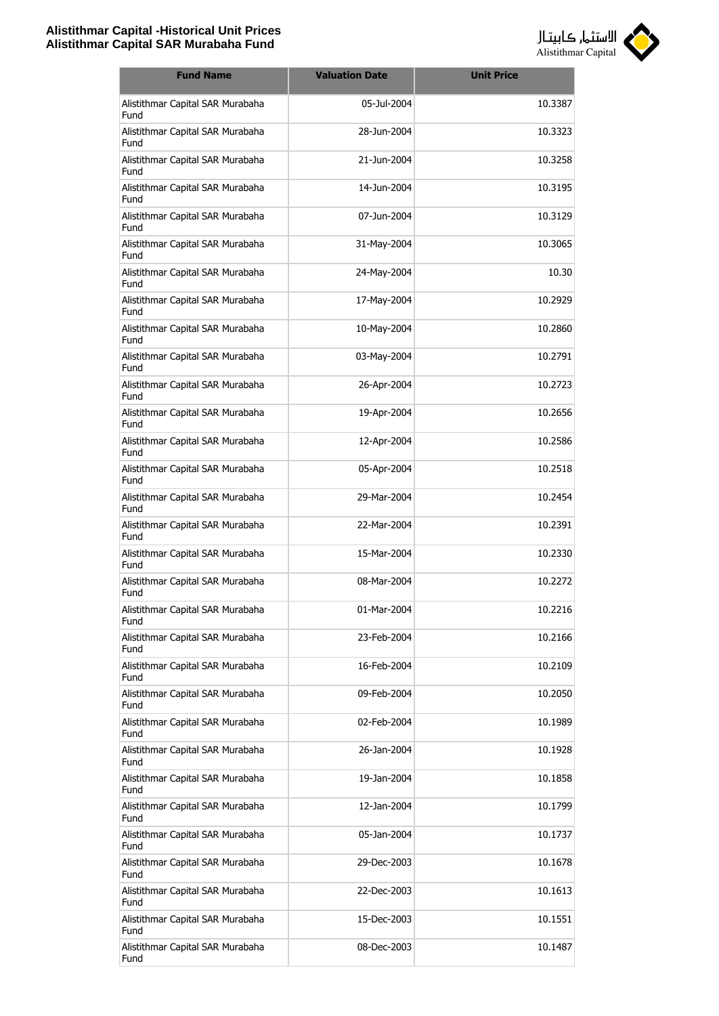

| <b>Fund Name</b>                         | <b>Valuation Date</b> | <b>Unit Price</b> |
|------------------------------------------|-----------------------|-------------------|
| Alistithmar Capital SAR Murabaha<br>Fund | 05-Jul-2004           | 10.3387           |
| Alistithmar Capital SAR Murabaha<br>Fund | 28-Jun-2004           | 10.3323           |
| Alistithmar Capital SAR Murabaha<br>Fund | 21-Jun-2004           | 10.3258           |
| Alistithmar Capital SAR Murabaha<br>Fund | 14-Jun-2004           | 10.3195           |
| Alistithmar Capital SAR Murabaha<br>Fund | 07-Jun-2004           | 10.3129           |
| Alistithmar Capital SAR Murabaha<br>Fund | 31-May-2004           | 10.3065           |
| Alistithmar Capital SAR Murabaha<br>Fund | 24-May-2004           | 10.30             |
| Alistithmar Capital SAR Murabaha<br>Fund | 17-May-2004           | 10.2929           |
| Alistithmar Capital SAR Murabaha<br>Fund | 10-May-2004           | 10.2860           |
| Alistithmar Capital SAR Murabaha<br>Fund | 03-May-2004           | 10.2791           |
| Alistithmar Capital SAR Murabaha<br>Fund | 26-Apr-2004           | 10.2723           |
| Alistithmar Capital SAR Murabaha<br>Fund | 19-Apr-2004           | 10.2656           |
| Alistithmar Capital SAR Murabaha<br>Fund | 12-Apr-2004           | 10.2586           |
| Alistithmar Capital SAR Murabaha<br>Fund | 05-Apr-2004           | 10.2518           |
| Alistithmar Capital SAR Murabaha<br>Fund | 29-Mar-2004           | 10.2454           |
| Alistithmar Capital SAR Murabaha<br>Fund | 22-Mar-2004           | 10.2391           |
| Alistithmar Capital SAR Murabaha<br>Fund | 15-Mar-2004           | 10.2330           |
| Alistithmar Capital SAR Murabaha<br>Fund | 08-Mar-2004           | 10.2272           |
| Alistithmar Capital SAR Murabaha<br>Fund | 01-Mar-2004           | 10.2216           |
| Alistithmar Capital SAR Murabaha<br>Fund | 23-Feb-2004           | 10.2166           |
| Alistithmar Capital SAR Murabaha<br>Fund | 16-Feb-2004           | 10.2109           |
| Alistithmar Capital SAR Murabaha<br>Fund | 09-Feb-2004           | 10.2050           |
| Alistithmar Capital SAR Murabaha<br>Fund | 02-Feb-2004           | 10.1989           |
| Alistithmar Capital SAR Murabaha<br>Fund | 26-Jan-2004           | 10.1928           |
| Alistithmar Capital SAR Murabaha<br>Fund | 19-Jan-2004           | 10.1858           |
| Alistithmar Capital SAR Murabaha<br>Fund | 12-Jan-2004           | 10.1799           |
| Alistithmar Capital SAR Murabaha<br>Fund | 05-Jan-2004           | 10.1737           |
| Alistithmar Capital SAR Murabaha<br>Fund | 29-Dec-2003           | 10.1678           |
| Alistithmar Capital SAR Murabaha<br>Fund | 22-Dec-2003           | 10.1613           |
| Alistithmar Capital SAR Murabaha<br>Fund | 15-Dec-2003           | 10.1551           |
| Alistithmar Capital SAR Murabaha<br>Fund | 08-Dec-2003           | 10.1487           |